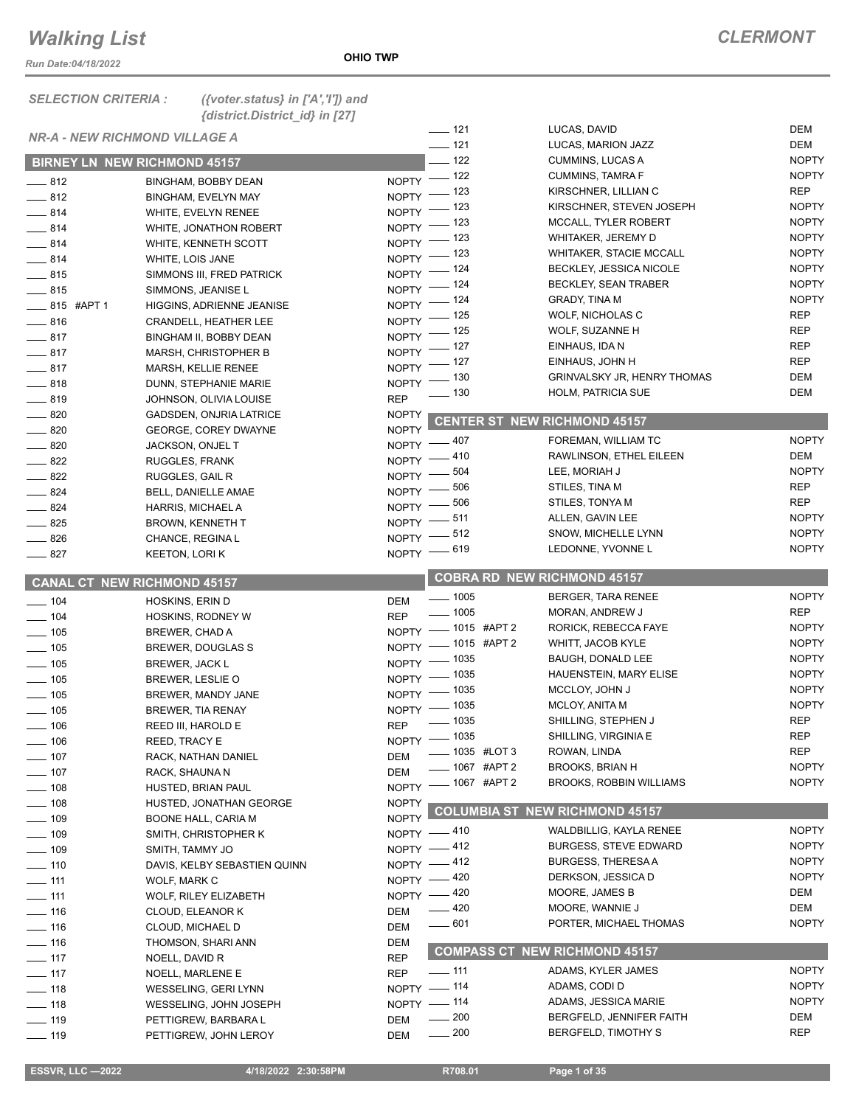*Run Date:04/18/2022*

| <b>DEM</b><br>$- 121$<br>LUCAS, DAVID<br><b>NR-A - NEW RICHMOND VILLAGE A</b><br>$- 121$<br>DEM<br>LUCAS, MARION JAZZ<br>$-$ 122<br><b>CUMMINS, LUCAS A</b><br><b>BIRNEY LN NEW RICHMOND 45157</b><br>NOPTY - 122<br><b>CUMMINS, TAMRA F</b><br>$-812$<br><b>BINGHAM, BOBBY DEAN</b><br>NOPTY - 123<br><b>REP</b><br>KIRSCHNER, LILLIAN C<br>$\frac{1}{2}$ 812<br><b>BINGHAM, EVELYN MAY</b><br>NOPTY - 123<br>KIRSCHNER, STEVEN JOSEPH<br>$-814$<br>WHITE, EVELYN RENEE<br>NOPTY - 123<br>MCCALL, TYLER ROBERT<br>$-814$<br>WHITE, JONATHON ROBERT<br>NOPTY - 123<br>WHITAKER, JEREMY D<br>$-814$<br>WHITE, KENNETH SCOTT<br><b>WHITAKER, STACIE MCCALL</b><br>NOPTY - 123<br>$-814$<br>WHITE, LOIS JANE<br>BECKLEY, JESSICA NICOLE<br>NOPTY - 124<br>$-815$<br>SIMMONS III, FRED PATRICK<br>BECKLEY, SEAN TRABER<br>NOPTY - 124<br>$-815$<br>SIMMONS, JEANISE L<br>NOPTY - 124<br><b>GRADY, TINA M</b><br>$\frac{1}{2}$ 815 #APT 1<br>HIGGINS, ADRIENNE JEANISE<br><b>REP</b><br>NOPTY - 125<br>WOLF, NICHOLAS C<br>$-816$<br><b>CRANDELL, HEATHER LEE</b><br><b>REP</b><br>NOPTY - 125<br>WOLF, SUZANNE H<br>$-817$<br>BINGHAM II, BOBBY DEAN<br><b>REP</b><br>NOPTY - 127<br>EINHAUS, IDA N<br>$-817$<br><b>MARSH, CHRISTOPHER B</b><br><b>REP</b><br>EINHAUS, JOHN H<br>NOPTY - 127<br>$-817$<br>MARSH, KELLIE RENEE<br><b>DEM</b><br>NOPTY - 130<br><b>GRINVALSKY JR, HENRY THOMAS</b><br>$-818$<br>DUNN, STEPHANIE MARIE<br>$\frac{1}{2}$ 130<br><b>HOLM, PATRICIA SUE</b><br><b>DEM</b><br><b>REP</b><br>$-819$<br>JOHNSON, OLIVIA LOUISE<br><b>NOPTY</b><br>$- 820$<br>GADSDEN, ONJRIA LATRICE<br><b>CENTER ST NEW RICHMOND 45157</b><br><b>NOPTY</b><br>$-820$<br>GEORGE, COREY DWAYNE<br><b>NOPTY</b><br>FOREMAN, WILLIAM TC<br>NOPTY -407<br>$\frac{1}{2}$ 820<br>JACKSON, ONJEL T<br><b>DEM</b><br>RAWLINSON, ETHEL EILEEN<br>NOPTY -410<br>$\equiv$ 822<br>RUGGLES, FRANK<br><b>NOPTY</b><br>LEE, MORIAH J<br>504<br>$NOPTY$ –<br>$\frac{1}{2}$ 822<br>RUGGLES, GAIL R<br><b>REP</b><br>506<br>STILES, TINA M<br>$NOPTY$ –<br>$\frac{1}{2}$ 824<br>BELL, DANIELLE AMAE<br><b>REP</b><br>STILES, TONYA M<br>$NOPTY$ $- 506$<br>$\frac{1}{2}$ 824<br>HARRIS, MICHAEL A<br>NOPTY -811<br>ALLEN, GAVIN LEE<br>$-825$<br><b>BROWN, KENNETH T</b><br>NOPTY -812<br>SNOW, MICHELLE LYNN<br>$\frac{1}{2}$ 826<br>CHANCE, REGINA L<br>NOPTY - 619<br>LEDONNE, YVONNE L<br>$-827$<br><b>KEETON, LORIK</b><br><b>COBRA RD NEW RICHMOND 45157</b><br><b>CANAL CT NEW RICHMOND 45157</b><br>$\frac{1}{2}$ 1005<br>BERGER, TARA RENEE<br>$- 104$<br><b>DEM</b><br><b>HOSKINS, ERIN D</b><br><b>REP</b><br>$\frac{1}{2}$ 1005<br><b>MORAN, ANDREW J</b><br>$- 104$<br><b>REP</b><br>HOSKINS, RODNEY W<br>NOPTY - 1015 #APT 2<br>RORICK, REBECCA FAYE<br>$\frac{1}{2}$ 105<br>BREWER, CHAD A<br>NOPTY - 1015 #APT 2<br>WHITT, JACOB KYLE<br>$\frac{1}{2}$ 105<br>BREWER, DOUGLAS S<br>NOPTY - 1035<br>BAUGH, DONALD LEE<br>$- 105$<br><b>BREWER, JACK L</b><br>NOPTY - 1035<br>HAUENSTEIN, MARY ELISE<br>$- 105$<br>BREWER, LESLIE O<br>NOPTY - 1035<br>MCCLOY, JOHN J<br>$\frac{1}{2}$ 105<br>BREWER, MANDY JANE<br>NOPTY - 1035<br>MCLOY, ANITA M<br>$\equiv$ 105<br><b>BREWER, TIA RENAY</b><br>SHILLING, STEPHEN J<br>REP<br>____ 1035<br><b>REP</b><br>$- 106$<br>REED III, HAROLD E<br>NOPTY - 1035<br><b>REP</b><br>SHILLING, VIRGINIA E<br>$\equiv$ 106<br>REED, TRACY E<br><b>REP</b><br>_ 1035 #LOT 3<br>ROWAN, LINDA<br><b>DEM</b><br>$\frac{1}{2}$ 107<br>RACK, NATHAN DANIEL<br>____ 1067 #APT 2<br><b>BROOKS, BRIAN H</b><br>DEM<br>$-$ 107<br>RACK, SHAUNA N<br>NOPTY - 1067 #APT 2<br>BROOKS, ROBBIN WILLIAMS<br>____ 108<br>HUSTED, BRIAN PAUL<br>$\frac{1}{2}$ 108<br><b>NOPTY</b><br>HUSTED, JONATHAN GEORGE<br><b>COLUMBIA ST NEW RICHMOND 45157</b><br><b>NOPTY</b><br>$- 109$<br>BOONE HALL, CARIA M<br><b>NOPTY</b><br>WALDBILLIG, KAYLA RENEE<br>NOPTY -410<br>$\frac{1}{2}$ 109<br>SMITH, CHRISTOPHER K<br><b>BURGESS, STEVE EDWARD</b><br><b>NOPTY</b><br>NOPTY -412<br>$- 109$<br>SMITH, TAMMY JO<br><b>BURGESS, THERESA A</b><br>NOPTY -412<br>$- 110$<br>DAVIS, KELBY SEBASTIEN QUINN<br><b>NOPTY</b><br>DERKSON, JESSICA D<br>NOPTY - 420<br>$- 111$<br>WOLF, MARK C<br>MOORE, JAMES B<br>DEM<br>NOPTY -420<br>$\overline{\phantom{0}}$ 111<br>WOLF, RILEY ELIZABETH<br>$-420$<br>MOORE, WANNIE J<br>DEM<br>$- 116$<br><b>DEM</b><br>CLOUD, ELEANOR K<br>$- 601$<br>PORTER, MICHAEL THOMAS<br>$\frac{1}{16}$<br><b>DEM</b><br>CLOUD, MICHAEL D<br>$\frac{1}{16}$<br>THOMSON, SHARI ANN<br>DEM<br><b>COMPASS CT NEW RICHMOND 45157</b><br>$\frac{1}{2}$ 117<br><b>REP</b><br>NOELL, DAVID R<br>ADAMS, KYLER JAMES<br>$\frac{1}{111}$<br><b>REP</b><br>$-117$<br>NOELL, MARLENE E<br>NOPTY - 114<br>ADAMS, CODI D<br>$-$ 118<br>WESSELING, GERI LYNN<br>NOPTY - 114<br>ADAMS, JESSICA MARIE<br>$- 118$<br>WESSELING, JOHN JOSEPH<br>DEM<br>$\frac{1}{200}$<br>BERGFELD, JENNIFER FAITH | <b>SELECTION CRITERIA:</b> | ({voter.status} in $['A', 'T']$ ) and<br>{district.District_id} in [27] |     |  |              |
|------------------------------------------------------------------------------------------------------------------------------------------------------------------------------------------------------------------------------------------------------------------------------------------------------------------------------------------------------------------------------------------------------------------------------------------------------------------------------------------------------------------------------------------------------------------------------------------------------------------------------------------------------------------------------------------------------------------------------------------------------------------------------------------------------------------------------------------------------------------------------------------------------------------------------------------------------------------------------------------------------------------------------------------------------------------------------------------------------------------------------------------------------------------------------------------------------------------------------------------------------------------------------------------------------------------------------------------------------------------------------------------------------------------------------------------------------------------------------------------------------------------------------------------------------------------------------------------------------------------------------------------------------------------------------------------------------------------------------------------------------------------------------------------------------------------------------------------------------------------------------------------------------------------------------------------------------------------------------------------------------------------------------------------------------------------------------------------------------------------------------------------------------------------------------------------------------------------------------------------------------------------------------------------------------------------------------------------------------------------------------------------------------------------------------------------------------------------------------------------------------------------------------------------------------------------------------------------------------------------------------------------------------------------------------------------------------------------------------------------------------------------------------------------------------------------------------------------------------------------------------------------------------------------------------------------------------------------------------------------------------------------------------------------------------------------------------------------------------------------------------------------------------------------------------------------------------------------------------------------------------------------------------------------------------------------------------------------------------------------------------------------------------------------------------------------------------------------------------------------------------------------------------------------------------------------------------------------------------------------------------------------------------------------------------------------------------------------------------------------------------------------------------------------------------------------------------------------------------------------------------------------------------------------------------------------------------------------------------------------------------------------------------------------------------------------------------------------------------------------------------------------------------------------------------------------------------------------------------------------------------------------------------------------------------------------------------------------------------------------------------------------------------------------------------------------------------------------------------------------------------------------------------------------------------------------------------------------------------------------------------------------------------------------------------------------------------------------------------------------------------------------------------------------------------------------------------------------------------------------------------------------------------------------|----------------------------|-------------------------------------------------------------------------|-----|--|--------------|
|                                                                                                                                                                                                                                                                                                                                                                                                                                                                                                                                                                                                                                                                                                                                                                                                                                                                                                                                                                                                                                                                                                                                                                                                                                                                                                                                                                                                                                                                                                                                                                                                                                                                                                                                                                                                                                                                                                                                                                                                                                                                                                                                                                                                                                                                                                                                                                                                                                                                                                                                                                                                                                                                                                                                                                                                                                                                                                                                                                                                                                                                                                                                                                                                                                                                                                                                                                                                                                                                                                                                                                                                                                                                                                                                                                                                                                                                                                                                                                                                                                                                                                                                                                                                                                                                                                                                                                                                                                                                                                                                                                                                                                                                                                                                                                                                                                                                                                                  |                            |                                                                         |     |  |              |
|                                                                                                                                                                                                                                                                                                                                                                                                                                                                                                                                                                                                                                                                                                                                                                                                                                                                                                                                                                                                                                                                                                                                                                                                                                                                                                                                                                                                                                                                                                                                                                                                                                                                                                                                                                                                                                                                                                                                                                                                                                                                                                                                                                                                                                                                                                                                                                                                                                                                                                                                                                                                                                                                                                                                                                                                                                                                                                                                                                                                                                                                                                                                                                                                                                                                                                                                                                                                                                                                                                                                                                                                                                                                                                                                                                                                                                                                                                                                                                                                                                                                                                                                                                                                                                                                                                                                                                                                                                                                                                                                                                                                                                                                                                                                                                                                                                                                                                                  |                            |                                                                         |     |  |              |
|                                                                                                                                                                                                                                                                                                                                                                                                                                                                                                                                                                                                                                                                                                                                                                                                                                                                                                                                                                                                                                                                                                                                                                                                                                                                                                                                                                                                                                                                                                                                                                                                                                                                                                                                                                                                                                                                                                                                                                                                                                                                                                                                                                                                                                                                                                                                                                                                                                                                                                                                                                                                                                                                                                                                                                                                                                                                                                                                                                                                                                                                                                                                                                                                                                                                                                                                                                                                                                                                                                                                                                                                                                                                                                                                                                                                                                                                                                                                                                                                                                                                                                                                                                                                                                                                                                                                                                                                                                                                                                                                                                                                                                                                                                                                                                                                                                                                                                                  |                            |                                                                         |     |  | <b>NOPTY</b> |
|                                                                                                                                                                                                                                                                                                                                                                                                                                                                                                                                                                                                                                                                                                                                                                                                                                                                                                                                                                                                                                                                                                                                                                                                                                                                                                                                                                                                                                                                                                                                                                                                                                                                                                                                                                                                                                                                                                                                                                                                                                                                                                                                                                                                                                                                                                                                                                                                                                                                                                                                                                                                                                                                                                                                                                                                                                                                                                                                                                                                                                                                                                                                                                                                                                                                                                                                                                                                                                                                                                                                                                                                                                                                                                                                                                                                                                                                                                                                                                                                                                                                                                                                                                                                                                                                                                                                                                                                                                                                                                                                                                                                                                                                                                                                                                                                                                                                                                                  |                            |                                                                         |     |  | <b>NOPTY</b> |
|                                                                                                                                                                                                                                                                                                                                                                                                                                                                                                                                                                                                                                                                                                                                                                                                                                                                                                                                                                                                                                                                                                                                                                                                                                                                                                                                                                                                                                                                                                                                                                                                                                                                                                                                                                                                                                                                                                                                                                                                                                                                                                                                                                                                                                                                                                                                                                                                                                                                                                                                                                                                                                                                                                                                                                                                                                                                                                                                                                                                                                                                                                                                                                                                                                                                                                                                                                                                                                                                                                                                                                                                                                                                                                                                                                                                                                                                                                                                                                                                                                                                                                                                                                                                                                                                                                                                                                                                                                                                                                                                                                                                                                                                                                                                                                                                                                                                                                                  |                            |                                                                         |     |  |              |
|                                                                                                                                                                                                                                                                                                                                                                                                                                                                                                                                                                                                                                                                                                                                                                                                                                                                                                                                                                                                                                                                                                                                                                                                                                                                                                                                                                                                                                                                                                                                                                                                                                                                                                                                                                                                                                                                                                                                                                                                                                                                                                                                                                                                                                                                                                                                                                                                                                                                                                                                                                                                                                                                                                                                                                                                                                                                                                                                                                                                                                                                                                                                                                                                                                                                                                                                                                                                                                                                                                                                                                                                                                                                                                                                                                                                                                                                                                                                                                                                                                                                                                                                                                                                                                                                                                                                                                                                                                                                                                                                                                                                                                                                                                                                                                                                                                                                                                                  |                            |                                                                         |     |  | <b>NOPTY</b> |
|                                                                                                                                                                                                                                                                                                                                                                                                                                                                                                                                                                                                                                                                                                                                                                                                                                                                                                                                                                                                                                                                                                                                                                                                                                                                                                                                                                                                                                                                                                                                                                                                                                                                                                                                                                                                                                                                                                                                                                                                                                                                                                                                                                                                                                                                                                                                                                                                                                                                                                                                                                                                                                                                                                                                                                                                                                                                                                                                                                                                                                                                                                                                                                                                                                                                                                                                                                                                                                                                                                                                                                                                                                                                                                                                                                                                                                                                                                                                                                                                                                                                                                                                                                                                                                                                                                                                                                                                                                                                                                                                                                                                                                                                                                                                                                                                                                                                                                                  |                            |                                                                         |     |  | <b>NOPTY</b> |
|                                                                                                                                                                                                                                                                                                                                                                                                                                                                                                                                                                                                                                                                                                                                                                                                                                                                                                                                                                                                                                                                                                                                                                                                                                                                                                                                                                                                                                                                                                                                                                                                                                                                                                                                                                                                                                                                                                                                                                                                                                                                                                                                                                                                                                                                                                                                                                                                                                                                                                                                                                                                                                                                                                                                                                                                                                                                                                                                                                                                                                                                                                                                                                                                                                                                                                                                                                                                                                                                                                                                                                                                                                                                                                                                                                                                                                                                                                                                                                                                                                                                                                                                                                                                                                                                                                                                                                                                                                                                                                                                                                                                                                                                                                                                                                                                                                                                                                                  |                            |                                                                         |     |  | <b>NOPTY</b> |
|                                                                                                                                                                                                                                                                                                                                                                                                                                                                                                                                                                                                                                                                                                                                                                                                                                                                                                                                                                                                                                                                                                                                                                                                                                                                                                                                                                                                                                                                                                                                                                                                                                                                                                                                                                                                                                                                                                                                                                                                                                                                                                                                                                                                                                                                                                                                                                                                                                                                                                                                                                                                                                                                                                                                                                                                                                                                                                                                                                                                                                                                                                                                                                                                                                                                                                                                                                                                                                                                                                                                                                                                                                                                                                                                                                                                                                                                                                                                                                                                                                                                                                                                                                                                                                                                                                                                                                                                                                                                                                                                                                                                                                                                                                                                                                                                                                                                                                                  |                            |                                                                         |     |  | <b>NOPTY</b> |
|                                                                                                                                                                                                                                                                                                                                                                                                                                                                                                                                                                                                                                                                                                                                                                                                                                                                                                                                                                                                                                                                                                                                                                                                                                                                                                                                                                                                                                                                                                                                                                                                                                                                                                                                                                                                                                                                                                                                                                                                                                                                                                                                                                                                                                                                                                                                                                                                                                                                                                                                                                                                                                                                                                                                                                                                                                                                                                                                                                                                                                                                                                                                                                                                                                                                                                                                                                                                                                                                                                                                                                                                                                                                                                                                                                                                                                                                                                                                                                                                                                                                                                                                                                                                                                                                                                                                                                                                                                                                                                                                                                                                                                                                                                                                                                                                                                                                                                                  |                            |                                                                         |     |  | <b>NOPTY</b> |
|                                                                                                                                                                                                                                                                                                                                                                                                                                                                                                                                                                                                                                                                                                                                                                                                                                                                                                                                                                                                                                                                                                                                                                                                                                                                                                                                                                                                                                                                                                                                                                                                                                                                                                                                                                                                                                                                                                                                                                                                                                                                                                                                                                                                                                                                                                                                                                                                                                                                                                                                                                                                                                                                                                                                                                                                                                                                                                                                                                                                                                                                                                                                                                                                                                                                                                                                                                                                                                                                                                                                                                                                                                                                                                                                                                                                                                                                                                                                                                                                                                                                                                                                                                                                                                                                                                                                                                                                                                                                                                                                                                                                                                                                                                                                                                                                                                                                                                                  |                            |                                                                         |     |  | <b>NOPTY</b> |
|                                                                                                                                                                                                                                                                                                                                                                                                                                                                                                                                                                                                                                                                                                                                                                                                                                                                                                                                                                                                                                                                                                                                                                                                                                                                                                                                                                                                                                                                                                                                                                                                                                                                                                                                                                                                                                                                                                                                                                                                                                                                                                                                                                                                                                                                                                                                                                                                                                                                                                                                                                                                                                                                                                                                                                                                                                                                                                                                                                                                                                                                                                                                                                                                                                                                                                                                                                                                                                                                                                                                                                                                                                                                                                                                                                                                                                                                                                                                                                                                                                                                                                                                                                                                                                                                                                                                                                                                                                                                                                                                                                                                                                                                                                                                                                                                                                                                                                                  |                            |                                                                         |     |  | <b>NOPTY</b> |
|                                                                                                                                                                                                                                                                                                                                                                                                                                                                                                                                                                                                                                                                                                                                                                                                                                                                                                                                                                                                                                                                                                                                                                                                                                                                                                                                                                                                                                                                                                                                                                                                                                                                                                                                                                                                                                                                                                                                                                                                                                                                                                                                                                                                                                                                                                                                                                                                                                                                                                                                                                                                                                                                                                                                                                                                                                                                                                                                                                                                                                                                                                                                                                                                                                                                                                                                                                                                                                                                                                                                                                                                                                                                                                                                                                                                                                                                                                                                                                                                                                                                                                                                                                                                                                                                                                                                                                                                                                                                                                                                                                                                                                                                                                                                                                                                                                                                                                                  |                            |                                                                         |     |  |              |
|                                                                                                                                                                                                                                                                                                                                                                                                                                                                                                                                                                                                                                                                                                                                                                                                                                                                                                                                                                                                                                                                                                                                                                                                                                                                                                                                                                                                                                                                                                                                                                                                                                                                                                                                                                                                                                                                                                                                                                                                                                                                                                                                                                                                                                                                                                                                                                                                                                                                                                                                                                                                                                                                                                                                                                                                                                                                                                                                                                                                                                                                                                                                                                                                                                                                                                                                                                                                                                                                                                                                                                                                                                                                                                                                                                                                                                                                                                                                                                                                                                                                                                                                                                                                                                                                                                                                                                                                                                                                                                                                                                                                                                                                                                                                                                                                                                                                                                                  |                            |                                                                         |     |  |              |
|                                                                                                                                                                                                                                                                                                                                                                                                                                                                                                                                                                                                                                                                                                                                                                                                                                                                                                                                                                                                                                                                                                                                                                                                                                                                                                                                                                                                                                                                                                                                                                                                                                                                                                                                                                                                                                                                                                                                                                                                                                                                                                                                                                                                                                                                                                                                                                                                                                                                                                                                                                                                                                                                                                                                                                                                                                                                                                                                                                                                                                                                                                                                                                                                                                                                                                                                                                                                                                                                                                                                                                                                                                                                                                                                                                                                                                                                                                                                                                                                                                                                                                                                                                                                                                                                                                                                                                                                                                                                                                                                                                                                                                                                                                                                                                                                                                                                                                                  |                            |                                                                         |     |  |              |
|                                                                                                                                                                                                                                                                                                                                                                                                                                                                                                                                                                                                                                                                                                                                                                                                                                                                                                                                                                                                                                                                                                                                                                                                                                                                                                                                                                                                                                                                                                                                                                                                                                                                                                                                                                                                                                                                                                                                                                                                                                                                                                                                                                                                                                                                                                                                                                                                                                                                                                                                                                                                                                                                                                                                                                                                                                                                                                                                                                                                                                                                                                                                                                                                                                                                                                                                                                                                                                                                                                                                                                                                                                                                                                                                                                                                                                                                                                                                                                                                                                                                                                                                                                                                                                                                                                                                                                                                                                                                                                                                                                                                                                                                                                                                                                                                                                                                                                                  |                            |                                                                         |     |  |              |
|                                                                                                                                                                                                                                                                                                                                                                                                                                                                                                                                                                                                                                                                                                                                                                                                                                                                                                                                                                                                                                                                                                                                                                                                                                                                                                                                                                                                                                                                                                                                                                                                                                                                                                                                                                                                                                                                                                                                                                                                                                                                                                                                                                                                                                                                                                                                                                                                                                                                                                                                                                                                                                                                                                                                                                                                                                                                                                                                                                                                                                                                                                                                                                                                                                                                                                                                                                                                                                                                                                                                                                                                                                                                                                                                                                                                                                                                                                                                                                                                                                                                                                                                                                                                                                                                                                                                                                                                                                                                                                                                                                                                                                                                                                                                                                                                                                                                                                                  |                            |                                                                         |     |  |              |
|                                                                                                                                                                                                                                                                                                                                                                                                                                                                                                                                                                                                                                                                                                                                                                                                                                                                                                                                                                                                                                                                                                                                                                                                                                                                                                                                                                                                                                                                                                                                                                                                                                                                                                                                                                                                                                                                                                                                                                                                                                                                                                                                                                                                                                                                                                                                                                                                                                                                                                                                                                                                                                                                                                                                                                                                                                                                                                                                                                                                                                                                                                                                                                                                                                                                                                                                                                                                                                                                                                                                                                                                                                                                                                                                                                                                                                                                                                                                                                                                                                                                                                                                                                                                                                                                                                                                                                                                                                                                                                                                                                                                                                                                                                                                                                                                                                                                                                                  |                            |                                                                         |     |  |              |
|                                                                                                                                                                                                                                                                                                                                                                                                                                                                                                                                                                                                                                                                                                                                                                                                                                                                                                                                                                                                                                                                                                                                                                                                                                                                                                                                                                                                                                                                                                                                                                                                                                                                                                                                                                                                                                                                                                                                                                                                                                                                                                                                                                                                                                                                                                                                                                                                                                                                                                                                                                                                                                                                                                                                                                                                                                                                                                                                                                                                                                                                                                                                                                                                                                                                                                                                                                                                                                                                                                                                                                                                                                                                                                                                                                                                                                                                                                                                                                                                                                                                                                                                                                                                                                                                                                                                                                                                                                                                                                                                                                                                                                                                                                                                                                                                                                                                                                                  |                            |                                                                         |     |  |              |
|                                                                                                                                                                                                                                                                                                                                                                                                                                                                                                                                                                                                                                                                                                                                                                                                                                                                                                                                                                                                                                                                                                                                                                                                                                                                                                                                                                                                                                                                                                                                                                                                                                                                                                                                                                                                                                                                                                                                                                                                                                                                                                                                                                                                                                                                                                                                                                                                                                                                                                                                                                                                                                                                                                                                                                                                                                                                                                                                                                                                                                                                                                                                                                                                                                                                                                                                                                                                                                                                                                                                                                                                                                                                                                                                                                                                                                                                                                                                                                                                                                                                                                                                                                                                                                                                                                                                                                                                                                                                                                                                                                                                                                                                                                                                                                                                                                                                                                                  |                            |                                                                         |     |  |              |
|                                                                                                                                                                                                                                                                                                                                                                                                                                                                                                                                                                                                                                                                                                                                                                                                                                                                                                                                                                                                                                                                                                                                                                                                                                                                                                                                                                                                                                                                                                                                                                                                                                                                                                                                                                                                                                                                                                                                                                                                                                                                                                                                                                                                                                                                                                                                                                                                                                                                                                                                                                                                                                                                                                                                                                                                                                                                                                                                                                                                                                                                                                                                                                                                                                                                                                                                                                                                                                                                                                                                                                                                                                                                                                                                                                                                                                                                                                                                                                                                                                                                                                                                                                                                                                                                                                                                                                                                                                                                                                                                                                                                                                                                                                                                                                                                                                                                                                                  |                            |                                                                         |     |  |              |
|                                                                                                                                                                                                                                                                                                                                                                                                                                                                                                                                                                                                                                                                                                                                                                                                                                                                                                                                                                                                                                                                                                                                                                                                                                                                                                                                                                                                                                                                                                                                                                                                                                                                                                                                                                                                                                                                                                                                                                                                                                                                                                                                                                                                                                                                                                                                                                                                                                                                                                                                                                                                                                                                                                                                                                                                                                                                                                                                                                                                                                                                                                                                                                                                                                                                                                                                                                                                                                                                                                                                                                                                                                                                                                                                                                                                                                                                                                                                                                                                                                                                                                                                                                                                                                                                                                                                                                                                                                                                                                                                                                                                                                                                                                                                                                                                                                                                                                                  |                            |                                                                         |     |  |              |
|                                                                                                                                                                                                                                                                                                                                                                                                                                                                                                                                                                                                                                                                                                                                                                                                                                                                                                                                                                                                                                                                                                                                                                                                                                                                                                                                                                                                                                                                                                                                                                                                                                                                                                                                                                                                                                                                                                                                                                                                                                                                                                                                                                                                                                                                                                                                                                                                                                                                                                                                                                                                                                                                                                                                                                                                                                                                                                                                                                                                                                                                                                                                                                                                                                                                                                                                                                                                                                                                                                                                                                                                                                                                                                                                                                                                                                                                                                                                                                                                                                                                                                                                                                                                                                                                                                                                                                                                                                                                                                                                                                                                                                                                                                                                                                                                                                                                                                                  |                            |                                                                         |     |  |              |
|                                                                                                                                                                                                                                                                                                                                                                                                                                                                                                                                                                                                                                                                                                                                                                                                                                                                                                                                                                                                                                                                                                                                                                                                                                                                                                                                                                                                                                                                                                                                                                                                                                                                                                                                                                                                                                                                                                                                                                                                                                                                                                                                                                                                                                                                                                                                                                                                                                                                                                                                                                                                                                                                                                                                                                                                                                                                                                                                                                                                                                                                                                                                                                                                                                                                                                                                                                                                                                                                                                                                                                                                                                                                                                                                                                                                                                                                                                                                                                                                                                                                                                                                                                                                                                                                                                                                                                                                                                                                                                                                                                                                                                                                                                                                                                                                                                                                                                                  |                            |                                                                         |     |  |              |
|                                                                                                                                                                                                                                                                                                                                                                                                                                                                                                                                                                                                                                                                                                                                                                                                                                                                                                                                                                                                                                                                                                                                                                                                                                                                                                                                                                                                                                                                                                                                                                                                                                                                                                                                                                                                                                                                                                                                                                                                                                                                                                                                                                                                                                                                                                                                                                                                                                                                                                                                                                                                                                                                                                                                                                                                                                                                                                                                                                                                                                                                                                                                                                                                                                                                                                                                                                                                                                                                                                                                                                                                                                                                                                                                                                                                                                                                                                                                                                                                                                                                                                                                                                                                                                                                                                                                                                                                                                                                                                                                                                                                                                                                                                                                                                                                                                                                                                                  |                            |                                                                         |     |  |              |
|                                                                                                                                                                                                                                                                                                                                                                                                                                                                                                                                                                                                                                                                                                                                                                                                                                                                                                                                                                                                                                                                                                                                                                                                                                                                                                                                                                                                                                                                                                                                                                                                                                                                                                                                                                                                                                                                                                                                                                                                                                                                                                                                                                                                                                                                                                                                                                                                                                                                                                                                                                                                                                                                                                                                                                                                                                                                                                                                                                                                                                                                                                                                                                                                                                                                                                                                                                                                                                                                                                                                                                                                                                                                                                                                                                                                                                                                                                                                                                                                                                                                                                                                                                                                                                                                                                                                                                                                                                                                                                                                                                                                                                                                                                                                                                                                                                                                                                                  |                            |                                                                         |     |  |              |
|                                                                                                                                                                                                                                                                                                                                                                                                                                                                                                                                                                                                                                                                                                                                                                                                                                                                                                                                                                                                                                                                                                                                                                                                                                                                                                                                                                                                                                                                                                                                                                                                                                                                                                                                                                                                                                                                                                                                                                                                                                                                                                                                                                                                                                                                                                                                                                                                                                                                                                                                                                                                                                                                                                                                                                                                                                                                                                                                                                                                                                                                                                                                                                                                                                                                                                                                                                                                                                                                                                                                                                                                                                                                                                                                                                                                                                                                                                                                                                                                                                                                                                                                                                                                                                                                                                                                                                                                                                                                                                                                                                                                                                                                                                                                                                                                                                                                                                                  |                            |                                                                         |     |  | <b>NOPTY</b> |
|                                                                                                                                                                                                                                                                                                                                                                                                                                                                                                                                                                                                                                                                                                                                                                                                                                                                                                                                                                                                                                                                                                                                                                                                                                                                                                                                                                                                                                                                                                                                                                                                                                                                                                                                                                                                                                                                                                                                                                                                                                                                                                                                                                                                                                                                                                                                                                                                                                                                                                                                                                                                                                                                                                                                                                                                                                                                                                                                                                                                                                                                                                                                                                                                                                                                                                                                                                                                                                                                                                                                                                                                                                                                                                                                                                                                                                                                                                                                                                                                                                                                                                                                                                                                                                                                                                                                                                                                                                                                                                                                                                                                                                                                                                                                                                                                                                                                                                                  |                            |                                                                         |     |  | <b>NOPTY</b> |
|                                                                                                                                                                                                                                                                                                                                                                                                                                                                                                                                                                                                                                                                                                                                                                                                                                                                                                                                                                                                                                                                                                                                                                                                                                                                                                                                                                                                                                                                                                                                                                                                                                                                                                                                                                                                                                                                                                                                                                                                                                                                                                                                                                                                                                                                                                                                                                                                                                                                                                                                                                                                                                                                                                                                                                                                                                                                                                                                                                                                                                                                                                                                                                                                                                                                                                                                                                                                                                                                                                                                                                                                                                                                                                                                                                                                                                                                                                                                                                                                                                                                                                                                                                                                                                                                                                                                                                                                                                                                                                                                                                                                                                                                                                                                                                                                                                                                                                                  |                            |                                                                         |     |  | <b>NOPTY</b> |
|                                                                                                                                                                                                                                                                                                                                                                                                                                                                                                                                                                                                                                                                                                                                                                                                                                                                                                                                                                                                                                                                                                                                                                                                                                                                                                                                                                                                                                                                                                                                                                                                                                                                                                                                                                                                                                                                                                                                                                                                                                                                                                                                                                                                                                                                                                                                                                                                                                                                                                                                                                                                                                                                                                                                                                                                                                                                                                                                                                                                                                                                                                                                                                                                                                                                                                                                                                                                                                                                                                                                                                                                                                                                                                                                                                                                                                                                                                                                                                                                                                                                                                                                                                                                                                                                                                                                                                                                                                                                                                                                                                                                                                                                                                                                                                                                                                                                                                                  |                            |                                                                         |     |  |              |
|                                                                                                                                                                                                                                                                                                                                                                                                                                                                                                                                                                                                                                                                                                                                                                                                                                                                                                                                                                                                                                                                                                                                                                                                                                                                                                                                                                                                                                                                                                                                                                                                                                                                                                                                                                                                                                                                                                                                                                                                                                                                                                                                                                                                                                                                                                                                                                                                                                                                                                                                                                                                                                                                                                                                                                                                                                                                                                                                                                                                                                                                                                                                                                                                                                                                                                                                                                                                                                                                                                                                                                                                                                                                                                                                                                                                                                                                                                                                                                                                                                                                                                                                                                                                                                                                                                                                                                                                                                                                                                                                                                                                                                                                                                                                                                                                                                                                                                                  |                            |                                                                         |     |  | <b>NOPTY</b> |
|                                                                                                                                                                                                                                                                                                                                                                                                                                                                                                                                                                                                                                                                                                                                                                                                                                                                                                                                                                                                                                                                                                                                                                                                                                                                                                                                                                                                                                                                                                                                                                                                                                                                                                                                                                                                                                                                                                                                                                                                                                                                                                                                                                                                                                                                                                                                                                                                                                                                                                                                                                                                                                                                                                                                                                                                                                                                                                                                                                                                                                                                                                                                                                                                                                                                                                                                                                                                                                                                                                                                                                                                                                                                                                                                                                                                                                                                                                                                                                                                                                                                                                                                                                                                                                                                                                                                                                                                                                                                                                                                                                                                                                                                                                                                                                                                                                                                                                                  |                            |                                                                         |     |  |              |
|                                                                                                                                                                                                                                                                                                                                                                                                                                                                                                                                                                                                                                                                                                                                                                                                                                                                                                                                                                                                                                                                                                                                                                                                                                                                                                                                                                                                                                                                                                                                                                                                                                                                                                                                                                                                                                                                                                                                                                                                                                                                                                                                                                                                                                                                                                                                                                                                                                                                                                                                                                                                                                                                                                                                                                                                                                                                                                                                                                                                                                                                                                                                                                                                                                                                                                                                                                                                                                                                                                                                                                                                                                                                                                                                                                                                                                                                                                                                                                                                                                                                                                                                                                                                                                                                                                                                                                                                                                                                                                                                                                                                                                                                                                                                                                                                                                                                                                                  |                            |                                                                         |     |  | <b>NOPTY</b> |
|                                                                                                                                                                                                                                                                                                                                                                                                                                                                                                                                                                                                                                                                                                                                                                                                                                                                                                                                                                                                                                                                                                                                                                                                                                                                                                                                                                                                                                                                                                                                                                                                                                                                                                                                                                                                                                                                                                                                                                                                                                                                                                                                                                                                                                                                                                                                                                                                                                                                                                                                                                                                                                                                                                                                                                                                                                                                                                                                                                                                                                                                                                                                                                                                                                                                                                                                                                                                                                                                                                                                                                                                                                                                                                                                                                                                                                                                                                                                                                                                                                                                                                                                                                                                                                                                                                                                                                                                                                                                                                                                                                                                                                                                                                                                                                                                                                                                                                                  |                            |                                                                         |     |  | <b>NOPTY</b> |
|                                                                                                                                                                                                                                                                                                                                                                                                                                                                                                                                                                                                                                                                                                                                                                                                                                                                                                                                                                                                                                                                                                                                                                                                                                                                                                                                                                                                                                                                                                                                                                                                                                                                                                                                                                                                                                                                                                                                                                                                                                                                                                                                                                                                                                                                                                                                                                                                                                                                                                                                                                                                                                                                                                                                                                                                                                                                                                                                                                                                                                                                                                                                                                                                                                                                                                                                                                                                                                                                                                                                                                                                                                                                                                                                                                                                                                                                                                                                                                                                                                                                                                                                                                                                                                                                                                                                                                                                                                                                                                                                                                                                                                                                                                                                                                                                                                                                                                                  |                            |                                                                         |     |  | <b>NOPTY</b> |
|                                                                                                                                                                                                                                                                                                                                                                                                                                                                                                                                                                                                                                                                                                                                                                                                                                                                                                                                                                                                                                                                                                                                                                                                                                                                                                                                                                                                                                                                                                                                                                                                                                                                                                                                                                                                                                                                                                                                                                                                                                                                                                                                                                                                                                                                                                                                                                                                                                                                                                                                                                                                                                                                                                                                                                                                                                                                                                                                                                                                                                                                                                                                                                                                                                                                                                                                                                                                                                                                                                                                                                                                                                                                                                                                                                                                                                                                                                                                                                                                                                                                                                                                                                                                                                                                                                                                                                                                                                                                                                                                                                                                                                                                                                                                                                                                                                                                                                                  |                            |                                                                         |     |  | <b>NOPTY</b> |
|                                                                                                                                                                                                                                                                                                                                                                                                                                                                                                                                                                                                                                                                                                                                                                                                                                                                                                                                                                                                                                                                                                                                                                                                                                                                                                                                                                                                                                                                                                                                                                                                                                                                                                                                                                                                                                                                                                                                                                                                                                                                                                                                                                                                                                                                                                                                                                                                                                                                                                                                                                                                                                                                                                                                                                                                                                                                                                                                                                                                                                                                                                                                                                                                                                                                                                                                                                                                                                                                                                                                                                                                                                                                                                                                                                                                                                                                                                                                                                                                                                                                                                                                                                                                                                                                                                                                                                                                                                                                                                                                                                                                                                                                                                                                                                                                                                                                                                                  |                            |                                                                         |     |  | <b>NOPTY</b> |
|                                                                                                                                                                                                                                                                                                                                                                                                                                                                                                                                                                                                                                                                                                                                                                                                                                                                                                                                                                                                                                                                                                                                                                                                                                                                                                                                                                                                                                                                                                                                                                                                                                                                                                                                                                                                                                                                                                                                                                                                                                                                                                                                                                                                                                                                                                                                                                                                                                                                                                                                                                                                                                                                                                                                                                                                                                                                                                                                                                                                                                                                                                                                                                                                                                                                                                                                                                                                                                                                                                                                                                                                                                                                                                                                                                                                                                                                                                                                                                                                                                                                                                                                                                                                                                                                                                                                                                                                                                                                                                                                                                                                                                                                                                                                                                                                                                                                                                                  |                            |                                                                         |     |  | <b>NOPTY</b> |
|                                                                                                                                                                                                                                                                                                                                                                                                                                                                                                                                                                                                                                                                                                                                                                                                                                                                                                                                                                                                                                                                                                                                                                                                                                                                                                                                                                                                                                                                                                                                                                                                                                                                                                                                                                                                                                                                                                                                                                                                                                                                                                                                                                                                                                                                                                                                                                                                                                                                                                                                                                                                                                                                                                                                                                                                                                                                                                                                                                                                                                                                                                                                                                                                                                                                                                                                                                                                                                                                                                                                                                                                                                                                                                                                                                                                                                                                                                                                                                                                                                                                                                                                                                                                                                                                                                                                                                                                                                                                                                                                                                                                                                                                                                                                                                                                                                                                                                                  |                            |                                                                         |     |  |              |
|                                                                                                                                                                                                                                                                                                                                                                                                                                                                                                                                                                                                                                                                                                                                                                                                                                                                                                                                                                                                                                                                                                                                                                                                                                                                                                                                                                                                                                                                                                                                                                                                                                                                                                                                                                                                                                                                                                                                                                                                                                                                                                                                                                                                                                                                                                                                                                                                                                                                                                                                                                                                                                                                                                                                                                                                                                                                                                                                                                                                                                                                                                                                                                                                                                                                                                                                                                                                                                                                                                                                                                                                                                                                                                                                                                                                                                                                                                                                                                                                                                                                                                                                                                                                                                                                                                                                                                                                                                                                                                                                                                                                                                                                                                                                                                                                                                                                                                                  |                            |                                                                         |     |  |              |
|                                                                                                                                                                                                                                                                                                                                                                                                                                                                                                                                                                                                                                                                                                                                                                                                                                                                                                                                                                                                                                                                                                                                                                                                                                                                                                                                                                                                                                                                                                                                                                                                                                                                                                                                                                                                                                                                                                                                                                                                                                                                                                                                                                                                                                                                                                                                                                                                                                                                                                                                                                                                                                                                                                                                                                                                                                                                                                                                                                                                                                                                                                                                                                                                                                                                                                                                                                                                                                                                                                                                                                                                                                                                                                                                                                                                                                                                                                                                                                                                                                                                                                                                                                                                                                                                                                                                                                                                                                                                                                                                                                                                                                                                                                                                                                                                                                                                                                                  |                            |                                                                         |     |  |              |
|                                                                                                                                                                                                                                                                                                                                                                                                                                                                                                                                                                                                                                                                                                                                                                                                                                                                                                                                                                                                                                                                                                                                                                                                                                                                                                                                                                                                                                                                                                                                                                                                                                                                                                                                                                                                                                                                                                                                                                                                                                                                                                                                                                                                                                                                                                                                                                                                                                                                                                                                                                                                                                                                                                                                                                                                                                                                                                                                                                                                                                                                                                                                                                                                                                                                                                                                                                                                                                                                                                                                                                                                                                                                                                                                                                                                                                                                                                                                                                                                                                                                                                                                                                                                                                                                                                                                                                                                                                                                                                                                                                                                                                                                                                                                                                                                                                                                                                                  |                            |                                                                         |     |  | <b>NOPTY</b> |
|                                                                                                                                                                                                                                                                                                                                                                                                                                                                                                                                                                                                                                                                                                                                                                                                                                                                                                                                                                                                                                                                                                                                                                                                                                                                                                                                                                                                                                                                                                                                                                                                                                                                                                                                                                                                                                                                                                                                                                                                                                                                                                                                                                                                                                                                                                                                                                                                                                                                                                                                                                                                                                                                                                                                                                                                                                                                                                                                                                                                                                                                                                                                                                                                                                                                                                                                                                                                                                                                                                                                                                                                                                                                                                                                                                                                                                                                                                                                                                                                                                                                                                                                                                                                                                                                                                                                                                                                                                                                                                                                                                                                                                                                                                                                                                                                                                                                                                                  |                            |                                                                         |     |  | <b>NOPTY</b> |
|                                                                                                                                                                                                                                                                                                                                                                                                                                                                                                                                                                                                                                                                                                                                                                                                                                                                                                                                                                                                                                                                                                                                                                                                                                                                                                                                                                                                                                                                                                                                                                                                                                                                                                                                                                                                                                                                                                                                                                                                                                                                                                                                                                                                                                                                                                                                                                                                                                                                                                                                                                                                                                                                                                                                                                                                                                                                                                                                                                                                                                                                                                                                                                                                                                                                                                                                                                                                                                                                                                                                                                                                                                                                                                                                                                                                                                                                                                                                                                                                                                                                                                                                                                                                                                                                                                                                                                                                                                                                                                                                                                                                                                                                                                                                                                                                                                                                                                                  |                            |                                                                         |     |  |              |
|                                                                                                                                                                                                                                                                                                                                                                                                                                                                                                                                                                                                                                                                                                                                                                                                                                                                                                                                                                                                                                                                                                                                                                                                                                                                                                                                                                                                                                                                                                                                                                                                                                                                                                                                                                                                                                                                                                                                                                                                                                                                                                                                                                                                                                                                                                                                                                                                                                                                                                                                                                                                                                                                                                                                                                                                                                                                                                                                                                                                                                                                                                                                                                                                                                                                                                                                                                                                                                                                                                                                                                                                                                                                                                                                                                                                                                                                                                                                                                                                                                                                                                                                                                                                                                                                                                                                                                                                                                                                                                                                                                                                                                                                                                                                                                                                                                                                                                                  |                            |                                                                         |     |  |              |
|                                                                                                                                                                                                                                                                                                                                                                                                                                                                                                                                                                                                                                                                                                                                                                                                                                                                                                                                                                                                                                                                                                                                                                                                                                                                                                                                                                                                                                                                                                                                                                                                                                                                                                                                                                                                                                                                                                                                                                                                                                                                                                                                                                                                                                                                                                                                                                                                                                                                                                                                                                                                                                                                                                                                                                                                                                                                                                                                                                                                                                                                                                                                                                                                                                                                                                                                                                                                                                                                                                                                                                                                                                                                                                                                                                                                                                                                                                                                                                                                                                                                                                                                                                                                                                                                                                                                                                                                                                                                                                                                                                                                                                                                                                                                                                                                                                                                                                                  |                            |                                                                         |     |  |              |
|                                                                                                                                                                                                                                                                                                                                                                                                                                                                                                                                                                                                                                                                                                                                                                                                                                                                                                                                                                                                                                                                                                                                                                                                                                                                                                                                                                                                                                                                                                                                                                                                                                                                                                                                                                                                                                                                                                                                                                                                                                                                                                                                                                                                                                                                                                                                                                                                                                                                                                                                                                                                                                                                                                                                                                                                                                                                                                                                                                                                                                                                                                                                                                                                                                                                                                                                                                                                                                                                                                                                                                                                                                                                                                                                                                                                                                                                                                                                                                                                                                                                                                                                                                                                                                                                                                                                                                                                                                                                                                                                                                                                                                                                                                                                                                                                                                                                                                                  |                            |                                                                         |     |  |              |
|                                                                                                                                                                                                                                                                                                                                                                                                                                                                                                                                                                                                                                                                                                                                                                                                                                                                                                                                                                                                                                                                                                                                                                                                                                                                                                                                                                                                                                                                                                                                                                                                                                                                                                                                                                                                                                                                                                                                                                                                                                                                                                                                                                                                                                                                                                                                                                                                                                                                                                                                                                                                                                                                                                                                                                                                                                                                                                                                                                                                                                                                                                                                                                                                                                                                                                                                                                                                                                                                                                                                                                                                                                                                                                                                                                                                                                                                                                                                                                                                                                                                                                                                                                                                                                                                                                                                                                                                                                                                                                                                                                                                                                                                                                                                                                                                                                                                                                                  |                            |                                                                         |     |  |              |
|                                                                                                                                                                                                                                                                                                                                                                                                                                                                                                                                                                                                                                                                                                                                                                                                                                                                                                                                                                                                                                                                                                                                                                                                                                                                                                                                                                                                                                                                                                                                                                                                                                                                                                                                                                                                                                                                                                                                                                                                                                                                                                                                                                                                                                                                                                                                                                                                                                                                                                                                                                                                                                                                                                                                                                                                                                                                                                                                                                                                                                                                                                                                                                                                                                                                                                                                                                                                                                                                                                                                                                                                                                                                                                                                                                                                                                                                                                                                                                                                                                                                                                                                                                                                                                                                                                                                                                                                                                                                                                                                                                                                                                                                                                                                                                                                                                                                                                                  |                            |                                                                         |     |  | <b>NOPTY</b> |
|                                                                                                                                                                                                                                                                                                                                                                                                                                                                                                                                                                                                                                                                                                                                                                                                                                                                                                                                                                                                                                                                                                                                                                                                                                                                                                                                                                                                                                                                                                                                                                                                                                                                                                                                                                                                                                                                                                                                                                                                                                                                                                                                                                                                                                                                                                                                                                                                                                                                                                                                                                                                                                                                                                                                                                                                                                                                                                                                                                                                                                                                                                                                                                                                                                                                                                                                                                                                                                                                                                                                                                                                                                                                                                                                                                                                                                                                                                                                                                                                                                                                                                                                                                                                                                                                                                                                                                                                                                                                                                                                                                                                                                                                                                                                                                                                                                                                                                                  |                            |                                                                         |     |  |              |
|                                                                                                                                                                                                                                                                                                                                                                                                                                                                                                                                                                                                                                                                                                                                                                                                                                                                                                                                                                                                                                                                                                                                                                                                                                                                                                                                                                                                                                                                                                                                                                                                                                                                                                                                                                                                                                                                                                                                                                                                                                                                                                                                                                                                                                                                                                                                                                                                                                                                                                                                                                                                                                                                                                                                                                                                                                                                                                                                                                                                                                                                                                                                                                                                                                                                                                                                                                                                                                                                                                                                                                                                                                                                                                                                                                                                                                                                                                                                                                                                                                                                                                                                                                                                                                                                                                                                                                                                                                                                                                                                                                                                                                                                                                                                                                                                                                                                                                                  |                            |                                                                         |     |  |              |
|                                                                                                                                                                                                                                                                                                                                                                                                                                                                                                                                                                                                                                                                                                                                                                                                                                                                                                                                                                                                                                                                                                                                                                                                                                                                                                                                                                                                                                                                                                                                                                                                                                                                                                                                                                                                                                                                                                                                                                                                                                                                                                                                                                                                                                                                                                                                                                                                                                                                                                                                                                                                                                                                                                                                                                                                                                                                                                                                                                                                                                                                                                                                                                                                                                                                                                                                                                                                                                                                                                                                                                                                                                                                                                                                                                                                                                                                                                                                                                                                                                                                                                                                                                                                                                                                                                                                                                                                                                                                                                                                                                                                                                                                                                                                                                                                                                                                                                                  |                            |                                                                         |     |  |              |
|                                                                                                                                                                                                                                                                                                                                                                                                                                                                                                                                                                                                                                                                                                                                                                                                                                                                                                                                                                                                                                                                                                                                                                                                                                                                                                                                                                                                                                                                                                                                                                                                                                                                                                                                                                                                                                                                                                                                                                                                                                                                                                                                                                                                                                                                                                                                                                                                                                                                                                                                                                                                                                                                                                                                                                                                                                                                                                                                                                                                                                                                                                                                                                                                                                                                                                                                                                                                                                                                                                                                                                                                                                                                                                                                                                                                                                                                                                                                                                                                                                                                                                                                                                                                                                                                                                                                                                                                                                                                                                                                                                                                                                                                                                                                                                                                                                                                                                                  |                            |                                                                         |     |  | <b>NOPTY</b> |
|                                                                                                                                                                                                                                                                                                                                                                                                                                                                                                                                                                                                                                                                                                                                                                                                                                                                                                                                                                                                                                                                                                                                                                                                                                                                                                                                                                                                                                                                                                                                                                                                                                                                                                                                                                                                                                                                                                                                                                                                                                                                                                                                                                                                                                                                                                                                                                                                                                                                                                                                                                                                                                                                                                                                                                                                                                                                                                                                                                                                                                                                                                                                                                                                                                                                                                                                                                                                                                                                                                                                                                                                                                                                                                                                                                                                                                                                                                                                                                                                                                                                                                                                                                                                                                                                                                                                                                                                                                                                                                                                                                                                                                                                                                                                                                                                                                                                                                                  |                            |                                                                         |     |  |              |
|                                                                                                                                                                                                                                                                                                                                                                                                                                                                                                                                                                                                                                                                                                                                                                                                                                                                                                                                                                                                                                                                                                                                                                                                                                                                                                                                                                                                                                                                                                                                                                                                                                                                                                                                                                                                                                                                                                                                                                                                                                                                                                                                                                                                                                                                                                                                                                                                                                                                                                                                                                                                                                                                                                                                                                                                                                                                                                                                                                                                                                                                                                                                                                                                                                                                                                                                                                                                                                                                                                                                                                                                                                                                                                                                                                                                                                                                                                                                                                                                                                                                                                                                                                                                                                                                                                                                                                                                                                                                                                                                                                                                                                                                                                                                                                                                                                                                                                                  |                            |                                                                         |     |  |              |
|                                                                                                                                                                                                                                                                                                                                                                                                                                                                                                                                                                                                                                                                                                                                                                                                                                                                                                                                                                                                                                                                                                                                                                                                                                                                                                                                                                                                                                                                                                                                                                                                                                                                                                                                                                                                                                                                                                                                                                                                                                                                                                                                                                                                                                                                                                                                                                                                                                                                                                                                                                                                                                                                                                                                                                                                                                                                                                                                                                                                                                                                                                                                                                                                                                                                                                                                                                                                                                                                                                                                                                                                                                                                                                                                                                                                                                                                                                                                                                                                                                                                                                                                                                                                                                                                                                                                                                                                                                                                                                                                                                                                                                                                                                                                                                                                                                                                                                                  |                            |                                                                         |     |  | <b>NOPTY</b> |
|                                                                                                                                                                                                                                                                                                                                                                                                                                                                                                                                                                                                                                                                                                                                                                                                                                                                                                                                                                                                                                                                                                                                                                                                                                                                                                                                                                                                                                                                                                                                                                                                                                                                                                                                                                                                                                                                                                                                                                                                                                                                                                                                                                                                                                                                                                                                                                                                                                                                                                                                                                                                                                                                                                                                                                                                                                                                                                                                                                                                                                                                                                                                                                                                                                                                                                                                                                                                                                                                                                                                                                                                                                                                                                                                                                                                                                                                                                                                                                                                                                                                                                                                                                                                                                                                                                                                                                                                                                                                                                                                                                                                                                                                                                                                                                                                                                                                                                                  |                            |                                                                         |     |  | <b>NOPTY</b> |
|                                                                                                                                                                                                                                                                                                                                                                                                                                                                                                                                                                                                                                                                                                                                                                                                                                                                                                                                                                                                                                                                                                                                                                                                                                                                                                                                                                                                                                                                                                                                                                                                                                                                                                                                                                                                                                                                                                                                                                                                                                                                                                                                                                                                                                                                                                                                                                                                                                                                                                                                                                                                                                                                                                                                                                                                                                                                                                                                                                                                                                                                                                                                                                                                                                                                                                                                                                                                                                                                                                                                                                                                                                                                                                                                                                                                                                                                                                                                                                                                                                                                                                                                                                                                                                                                                                                                                                                                                                                                                                                                                                                                                                                                                                                                                                                                                                                                                                                  |                            |                                                                         |     |  | <b>NOPTY</b> |
|                                                                                                                                                                                                                                                                                                                                                                                                                                                                                                                                                                                                                                                                                                                                                                                                                                                                                                                                                                                                                                                                                                                                                                                                                                                                                                                                                                                                                                                                                                                                                                                                                                                                                                                                                                                                                                                                                                                                                                                                                                                                                                                                                                                                                                                                                                                                                                                                                                                                                                                                                                                                                                                                                                                                                                                                                                                                                                                                                                                                                                                                                                                                                                                                                                                                                                                                                                                                                                                                                                                                                                                                                                                                                                                                                                                                                                                                                                                                                                                                                                                                                                                                                                                                                                                                                                                                                                                                                                                                                                                                                                                                                                                                                                                                                                                                                                                                                                                  | $-$ 119                    | PETTIGREW, BARBARA L                                                    | DEM |  |              |

**119 PETTIGREW, JOHN LEROY DEM** 

200 BERGFELD, TIMOTHY S REP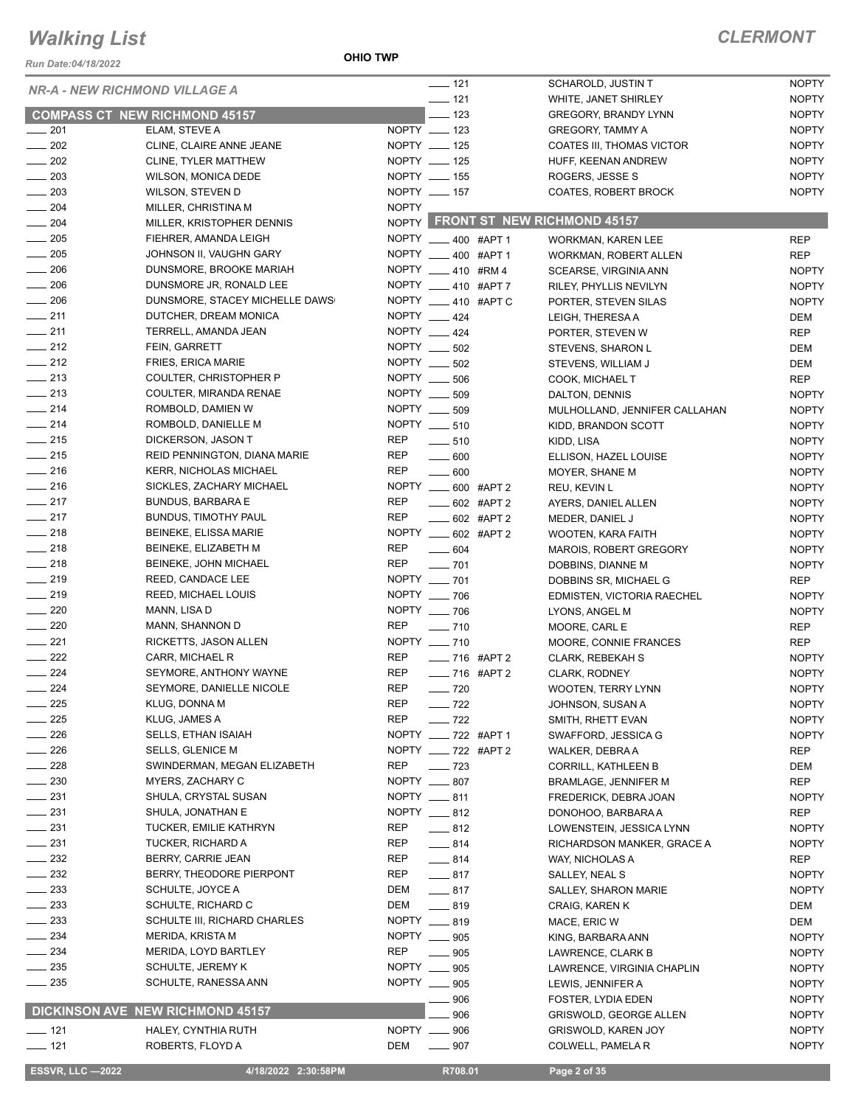#### *Run Date:04/18/2022*

**OHIO TWP**

| <b>NR-A - NEW RICHMOND VILLAGE A</b> |                                      |              | $- 121$                | SCHAROLD, JUSTIN T                | <b>NOPTY</b>        |
|--------------------------------------|--------------------------------------|--------------|------------------------|-----------------------------------|---------------------|
|                                      |                                      |              | $- 121$                | WHITE, JANET SHIRLEY              | <b>NOPTY</b>        |
|                                      | <b>COMPASS CT NEW RICHMOND 45157</b> |              | $-123$                 | <b>GREGORY, BRANDY LYNN</b>       | <b>NOPTY</b>        |
| $\frac{1}{201}$                      | ELAM, STEVE A                        |              | NOPTY __ 123           | GREGORY, TAMMY A                  | <b>NOPTY</b>        |
| $\frac{1}{202}$                      | CLINE, CLAIRE ANNE JEANE             |              | NOPTY __ 125           | COATES III, THOMAS VICTOR         | <b>NOPTY</b>        |
| $\frac{1}{202}$                      | CLINE, TYLER MATTHEW                 |              | NOPTY __ 125           | HUFF, KEENAN ANDREW               | <b>NOPTY</b>        |
| $\sim$ 203                           | WILSON, MONICA DEDE                  |              | NOPTY __ 155           | ROGERS, JESSE S                   | <b>NOPTY</b>        |
| $\frac{1}{203}$                      | WILSON, STEVEN D                     |              | NOPTY __ 157           | <b>COATES, ROBERT BROCK</b>       | <b>NOPTY</b>        |
| $\frac{1}{204}$                      | MILLER, CHRISTINA M                  | <b>NOPTY</b> |                        |                                   |                     |
| $\frac{1}{204}$                      | MILLER, KRISTOPHER DENNIS            |              |                        | NOPTY FRONT ST NEW RICHMOND 45157 |                     |
| $\frac{1}{205}$                      | FIEHRER, AMANDA LEIGH                |              | NOPTY __ 400 #APT 1    | WORKMAN, KAREN LEE                | <b>REP</b>          |
| $\frac{1}{205}$                      | JOHNSON II, VAUGHN GARY              |              | NOPTY ____ 400 #APT 1  | <b>WORKMAN, ROBERT ALLEN</b>      | <b>REP</b>          |
| $- 206$                              | DUNSMORE, BROOKE MARIAH              |              | NOPTY 410 #RM4         | SCEARSE, VIRGINIA ANN             | <b>NOPTY</b>        |
| $\sim$ 206                           | DUNSMORE JR, RONALD LEE              |              | NOPTY __ 410 #APT 7    | RILEY, PHYLLIS NEVILYN            | <b>NOPTY</b>        |
| $\frac{1}{206}$                      | DUNSMORE, STACEY MICHELLE DAWS       |              | NOPTY __ 410 #APT C    | PORTER, STEVEN SILAS              | <b>NOPTY</b>        |
| $-211$                               | DUTCHER, DREAM MONICA                |              | NOPTY 424              | LEIGH, THERESA A                  | <b>DEM</b>          |
| $-211$                               | TERRELL, AMANDA JEAN                 |              | NOPTY 424              | PORTER, STEVEN W                  | <b>REP</b>          |
| $\frac{1}{212}$                      | FEIN, GARRETT                        |              | NOPTY __ 502           | STEVENS, SHARON L                 | DEM                 |
| $-212$                               | <b>FRIES, ERICA MARIE</b>            |              | NOPTY ____ 502         | STEVENS, WILLIAM J                | DEM                 |
| $-213$                               | COULTER, CHRISTOPHER P               |              | NOPTY __ 506           | COOK, MICHAEL T                   | <b>REP</b>          |
| $\frac{1}{213}$                      | COULTER, MIRANDA RENAE               |              | NOPTY __ 509           | DALTON, DENNIS                    | <b>NOPTY</b>        |
| $\frac{1}{214}$                      | ROMBOLD, DAMIEN W                    |              | NOPTY __ 509           | MULHOLLAND, JENNIFER CALLAHAN     | <b>NOPTY</b>        |
| $-214$                               | ROMBOLD, DANIELLE M                  |              | NOPTY __ 510           | KIDD, BRANDON SCOTT               | <b>NOPTY</b>        |
| $\frac{1}{215}$                      | DICKERSON, JASON T                   | REP          | $\frac{1}{2}$ 510      | KIDD, LISA                        | <b>NOPTY</b>        |
| $-215$                               | REID PENNINGTON, DIANA MARIE         | REP          | $\frac{1}{2}$ 600      | ELLISON, HAZEL LOUISE             | <b>NOPTY</b>        |
| $\frac{1}{216}$                      | <b>KERR, NICHOLAS MICHAEL</b>        | REP          | $\frac{1}{2}$ 600      | MOYER, SHANE M                    | <b>NOPTY</b>        |
| $-216$                               | SICKLES, ZACHARY MICHAEL             |              | NOPTY _____ 600 #APT 2 | REU, KEVIN L                      | <b>NOPTY</b>        |
| $-217$                               | <b>BUNDUS, BARBARA E</b>             | <b>REP</b>   | $-602$ #APT 2          | AYERS, DANIEL ALLEN               | <b>NOPTY</b>        |
| $-217$                               | BUNDUS, TIMOTHY PAUL                 | REP          | $-602$ #APT 2          | MEDER, DANIEL J                   | <b>NOPTY</b>        |
| $-218$                               | BEINEKE, ELISSA MARIE                |              | NOPTY __ 602 #APT 2    | WOOTEN, KARA FAITH                | <b>NOPTY</b>        |
| $\frac{1}{218}$                      | BEINEKE, ELIZABETH M                 | REP          | $- 604$                | <b>MAROIS, ROBERT GREGORY</b>     | <b>NOPTY</b>        |
| $\frac{1}{218}$                      | BEINEKE, JOHN MICHAEL                | <b>REP</b>   | $\sim$ 701             | DOBBINS, DIANNE M                 | <b>NOPTY</b>        |
| $-219$                               | REED, CANDACE LEE                    |              | NOPTY __ 701           | DOBBINS SR, MICHAEL G             | REP                 |
| $-219$                               | REED, MICHAEL LOUIS                  |              | NOPTY __ 706           | EDMISTEN, VICTORIA RAECHEL        | <b>NOPTY</b>        |
| $-220$                               | MANN, LISA D                         |              | NOPTY __ 706           | LYONS, ANGEL M                    | <b>NOPTY</b>        |
| $\frac{1}{220}$                      | MANN, SHANNON D                      | <b>REP</b>   | $- 710$                | MOORE, CARL E                     | <b>REP</b>          |
| $-221$                               | RICKETTS, JASON ALLEN                |              | NOPTY __ 710           | MOORE, CONNIE FRANCES             | <b>REP</b>          |
| $\frac{1}{222}$                      | CARR, MICHAEL R                      | <b>REP</b>   | $- 716$ #APT 2         | CLARK, REBEKAH S                  | <b>NOPTY</b>        |
| $-224$                               | SEYMORE, ANTHONY WAYNE               | REP          | ___ 716 #APT 2         | <b>CLARK, RODNEY</b>              | <b>NOPTY</b>        |
| $-224$                               | SEYMORE, DANIELLE NICOLE             | <b>REP</b>   | $- 720$                | <b>WOOTEN, TERRY LYNN</b>         | <b>NOPTY</b>        |
| 225                                  | KLUG, DONNA M                        | <b>REP</b>   | $- 722$                | JOHNSON, SUSAN A                  | <b>NOPTY</b>        |
| $-225$                               | KLUG, JAMES A                        | <b>REP</b>   | $-722$                 | SMITH, RHETT EVAN                 | <b>NOPTY</b>        |
| $\sim$ 226                           | <b>SELLS, ETHAN ISAIAH</b>           |              | NOPTY __ 722 #APT 1    | SWAFFORD, JESSICA G               | <b>NOPTY</b>        |
| 226                                  | <b>SELLS, GLENICE M</b>              |              | NOPTY ___ 722 #APT 2   | WALKER, DEBRA A                   | <b>REP</b>          |
| $-228$                               | SWINDERMAN, MEGAN ELIZABETH          | REP          | $\frac{1}{2}$ 723      | <b>CORRILL, KATHLEEN B</b>        | DEM                 |
| $-230$                               | MYERS, ZACHARY C                     |              | NOPTY __ 807           | <b>BRAMLAGE, JENNIFER M</b>       | <b>REP</b>          |
| _ 231                                | SHULA, CRYSTAL SUSAN                 |              | NOPTY __ 811           |                                   | <b>NOPTY</b>        |
| $\equiv$ 231                         | SHULA, JONATHAN E                    |              | NOPTY __ 812           | FREDERICK, DEBRA JOAN             |                     |
| $\frac{1}{2}$ 231                    | TUCKER, EMILIE KATHRYN               | REP          | $-812$                 | DONOHOO, BARBARA A                | REP<br><b>NOPTY</b> |
| $-231$                               | TUCKER, RICHARD A                    | REP          | $-814$                 | LOWENSTEIN, JESSICA LYNN          |                     |
| $\frac{232}{2}$                      | BERRY, CARRIE JEAN                   | REP          |                        | RICHARDSON MANKER, GRACE A        | <b>NOPTY</b>        |
| $\sim$ 232                           | BERRY, THEODORE PIERPONT             |              | $-814$                 | WAY, NICHOLAS A                   | <b>REP</b>          |
|                                      |                                      | REP          | $-817$                 | SALLEY, NEAL S                    | <b>NOPTY</b>        |
| $\sim$ 233<br>$\sim$ 233             | SCHULTE, JOYCE A                     | DEM          | $-817$                 | <b>SALLEY, SHARON MARIE</b>       | <b>NOPTY</b>        |
|                                      | SCHULTE, RICHARD C                   | DEM          | $-819$<br>NOPTY __ 819 | CRAIG, KAREN K                    | DEM                 |
| $\sim$ 233                           | SCHULTE III, RICHARD CHARLES         |              | NOPTY __ 905           | MACE, ERIC W                      | <b>DEM</b>          |
| $-234$                               | MERIDA, KRISTA M                     |              |                        | KING, BARBARA ANN                 | <b>NOPTY</b>        |
| $\sim$ 234                           | MERIDA, LOYD BARTLEY                 | REP          | $\frac{1}{2}$ 905      | LAWRENCE, CLARK B                 | <b>NOPTY</b>        |
| $\frac{1}{2}$ 235                    | SCHULTE, JEREMY K                    |              | NOPTY __ 905           | LAWRENCE, VIRGINIA CHAPLIN        | <b>NOPTY</b>        |
| $\sim$ 235                           | SCHULTE, RANESSA ANN                 |              | NOPTY __ 905           | LEWIS, JENNIFER A                 | <b>NOPTY</b>        |
|                                      | DICKINSON AVE NEW RICHMOND 45157     |              | 906                    | FOSTER, LYDIA EDEN                | <b>NOPTY</b>        |
|                                      |                                      |              | 906                    | <b>GRISWOLD, GEORGE ALLEN</b>     | <b>NOPTY</b>        |
| $-$ 121                              | HALEY, CYNTHIA RUTH                  |              | NOPTY __ 906           | <b>GRISWOLD, KAREN JOY</b>        | <b>NOPTY</b>        |
| $- 121$                              | ROBERTS, FLOYD A                     | DEM          | $- 907$                | COLWELL, PAMELA R                 | <b>NOPTY</b>        |
| <b>ESSVR, LLC -2022</b>              | 4/18/2022 2:30:58PM                  |              | R708.01                | Page 2 of 35                      |                     |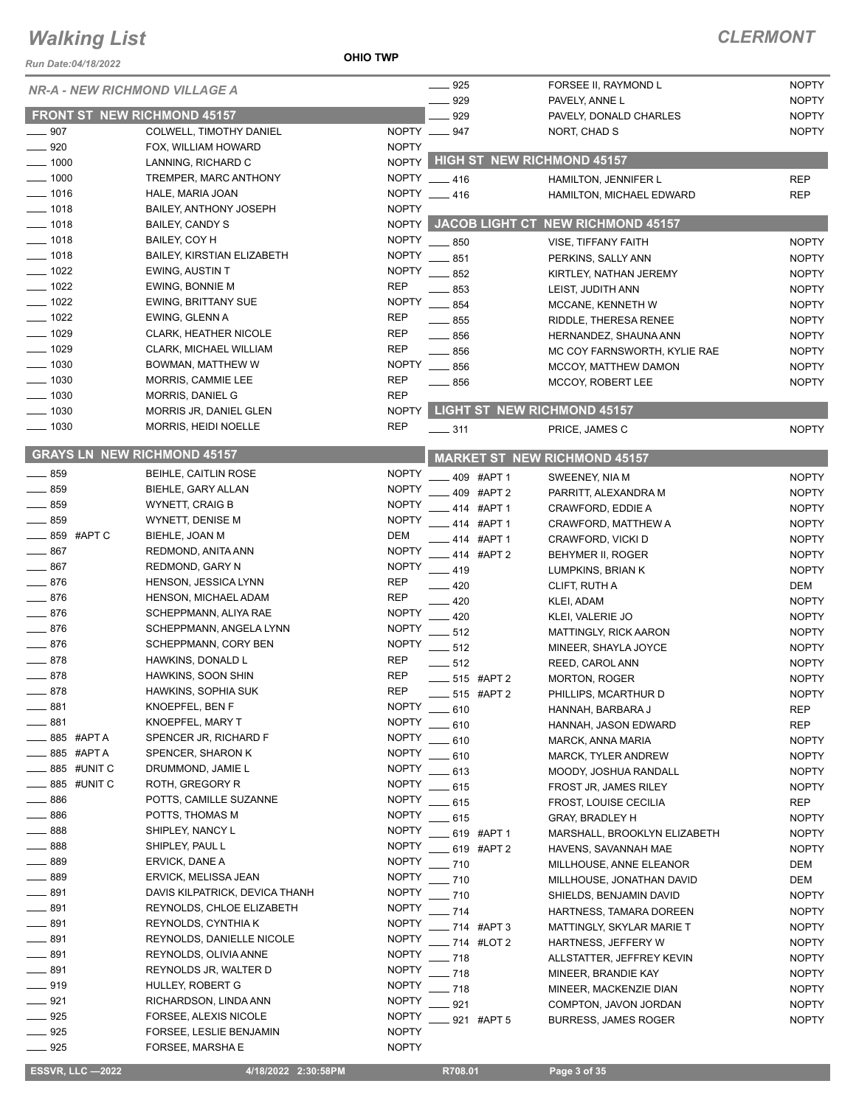#### *Run Date:04/18/2022*

**OHIO TWP**

### *CLERMONT*

|                      |             | <b>NR-A - NEW RICHMOND VILLAGE A</b>               |                              | $- 925$                                |               | FORSEE II, RAYMOND L                    | <b>NOPTY</b>                 |
|----------------------|-------------|----------------------------------------------------|------------------------------|----------------------------------------|---------------|-----------------------------------------|------------------------------|
|                      |             |                                                    |                              | 929                                    |               | PAVELY, ANNE L                          | <b>NOPTY</b>                 |
|                      |             | <b>FRONT ST NEW RICHMOND 45157</b>                 |                              | 929                                    |               | PAVELY, DONALD CHARLES                  | <b>NOPTY</b>                 |
| $- 907$              |             | COLWELL, TIMOTHY DANIEL                            |                              | NOPTY __ 947                           |               | NORT, CHAD S                            | <b>NOPTY</b>                 |
| 920                  |             | FOX, WILLIAM HOWARD                                | <b>NOPTY</b>                 |                                        |               | NOPTY HIGH ST NEW RICHMOND 45157        |                              |
| $-1000$              |             | LANNING, RICHARD C                                 |                              |                                        |               |                                         |                              |
| 1000                 |             | TREMPER, MARC ANTHONY                              |                              | NOPTY 416                              |               | HAMILTON, JENNIFER L                    | <b>REP</b>                   |
| $=$ 1016             |             | HALE, MARIA JOAN                                   |                              | NOPTY __ 416                           |               | HAMILTON, MICHAEL EDWARD                | <b>REP</b>                   |
| $-1018$              |             | <b>BAILEY, ANTHONY JOSEPH</b>                      | <b>NOPTY</b>                 |                                        |               | NOPTY JACOB LIGHT CT NEW RICHMOND 45157 |                              |
| $- 1018$             |             | <b>BAILEY, CANDY S</b>                             |                              |                                        |               |                                         |                              |
| $- 1018$<br>$- 1018$ |             | BAILEY, COY H<br><b>BAILEY, KIRSTIAN ELIZABETH</b> | <b>NOPTY</b><br><b>NOPTY</b> | $-850$                                 |               | VISE, TIFFANY FAITH                     | <b>NOPTY</b>                 |
| $- 1022$             |             | <b>EWING, AUSTIN T</b>                             | <b>NOPTY</b>                 | $-851$                                 |               | PERKINS, SALLY ANN                      | <b>NOPTY</b>                 |
| $-1022$              |             | EWING, BONNIE M                                    | <b>REP</b>                   | $-852$                                 |               | KIRTLEY, NATHAN JEREMY                  | <b>NOPTY</b>                 |
| $- 1022$             |             | <b>EWING, BRITTANY SUE</b>                         | <b>NOPTY</b>                 | 853                                    |               | LEIST, JUDITH ANN                       | <b>NOPTY</b>                 |
| $- 1022$             |             | EWING, GLENN A                                     | <b>REP</b>                   | $-854$                                 |               | MCCANE, KENNETH W                       | <b>NOPTY</b>                 |
| $\frac{1029}{2}$     |             | <b>CLARK, HEATHER NICOLE</b>                       | <b>REP</b>                   | $\equiv$ 855                           |               | RIDDLE, THERESA RENEE                   | <b>NOPTY</b>                 |
| $-1029$              |             | CLARK, MICHAEL WILLIAM                             | <b>REP</b>                   | $- 856$                                |               | HERNANDEZ, SHAUNA ANN                   | <b>NOPTY</b>                 |
| $-1030$              |             | BOWMAN, MATTHEW W                                  | <b>NOPTY</b>                 | $\frac{1}{2}$ 856<br>$\frac{1}{2}$ 856 |               | MC COY FARNSWORTH, KYLIE RAE            | <b>NOPTY</b><br><b>NOPTY</b> |
| 1030                 |             | MORRIS, CAMMIE LEE                                 | <b>REP</b>                   |                                        |               | MCCOY, MATTHEW DAMON                    |                              |
| $-1030$              |             | MORRIS, DANIEL G                                   | <b>REP</b>                   | $-856$                                 |               | MCCOY, ROBERT LEE                       | <b>NOPTY</b>                 |
| $-1030$              |             | MORRIS JR, DANIEL GLEN                             | <b>NOPTY</b>                 |                                        |               | <b>LIGHT ST NEW RICHMOND 45157</b>      |                              |
| $\frac{1}{2}$ 1030   |             | MORRIS, HEIDI NOELLE                               | <b>REP</b>                   |                                        |               |                                         |                              |
|                      |             |                                                    |                              | $- 311$                                |               | PRICE, JAMES C                          | <b>NOPTY</b>                 |
|                      |             | <b>GRAYS LN NEW RICHMOND 45157</b>                 |                              |                                        |               | <b>MARKET ST NEW RICHMOND 45157</b>     |                              |
| 859                  |             | <b>BEIHLE, CAITLIN ROSE</b>                        | <b>NOPTY</b>                 |                                        | 409 #APT 1    | SWEENEY, NIA M                          | <b>NOPTY</b>                 |
| $-859$               |             | BIEHLE, GARY ALLAN                                 | <b>NOPTY</b>                 |                                        | 409 #APT 2    | PARRITT, ALEXANDRA M                    | <b>NOPTY</b>                 |
| $-859$               |             | <b>WYNETT, CRAIG B</b>                             | <b>NOPTY</b>                 |                                        | 414 #APT 1    | CRAWFORD, EDDIE A                       | <b>NOPTY</b>                 |
| $-859$               |             | WYNETT, DENISE M                                   | <b>NOPTY</b>                 |                                        | 414 #APT 1    | CRAWFORD, MATTHEW A                     | <b>NOPTY</b>                 |
| $\_\_\_\$ 859 #APTC  |             | BIEHLE, JOAN M                                     | <b>DEM</b>                   |                                        | 414 #APT 1    | CRAWFORD, VICKI D                       | <b>NOPTY</b>                 |
| $-867$               |             | REDMOND, ANITA ANN                                 | <b>NOPTY</b>                 |                                        | 414 #APT 2    | BEHYMER II, ROGER                       | <b>NOPTY</b>                 |
| 867                  |             | <b>REDMOND, GARY N</b>                             | <b>NOPTY</b>                 | $-419$                                 |               | LUMPKINS, BRIAN K                       | <b>NOPTY</b>                 |
| 876                  |             | HENSON, JESSICA LYNN                               | <b>REP</b>                   | $-420$                                 |               | CLIFT, RUTH A                           | DEM                          |
| $-876$               |             | HENSON, MICHAEL ADAM                               | <b>REP</b>                   | $\equiv$ 420                           |               | KLEI, ADAM                              | <b>NOPTY</b>                 |
| $-876$               |             | SCHEPPMANN, ALIYA RAE                              | <b>NOPTY</b>                 | $-420$                                 |               | KLEI, VALERIE JO                        | <b>NOPTY</b>                 |
| 876                  |             | SCHEPPMANN, ANGELA LYNN                            | <b>NOPTY</b>                 | $-512$                                 |               | MATTINGLY, RICK AARON                   | <b>NOPTY</b>                 |
| $-876$               |             | SCHEPPMANN, CORY BEN                               | <b>NOPTY</b>                 | $-512$                                 |               | MINEER, SHAYLA JOYCE                    | <b>NOPTY</b>                 |
| $-878$               |             | HAWKINS, DONALD L                                  | <b>REP</b>                   | $-512$                                 |               | REED, CAROL ANN                         | <b>NOPTY</b>                 |
| $- 878$              |             | HAWKINS, SOON SHIN                                 | <b>REP</b>                   | ___ 515 #APT 2                         |               | <b>MORTON, ROGER</b>                    | <b>NOPTY</b>                 |
| $-878$               |             | HAWKINS, SOPHIA SUK                                | <b>REP</b>                   |                                        | 515 #APT 2    | PHILLIPS, MCARTHUR D                    | <b>NOPTY</b>                 |
| 881                  |             | KNOEPFEL, BEN F                                    | <b>NOPTY</b>                 | $-610$                                 |               | HANNAH, BARBARA J                       | <b>REP</b>                   |
| 881                  |             | <b>KNOEPFEL, MARY T</b>                            | <b>NOPTY</b>                 | 610                                    |               | HANNAH, JASON EDWARD                    | <b>REP</b>                   |
|                      | 885 #APT A  | SPENCER JR, RICHARD F                              | <b>NOPTY</b>                 | 610                                    |               | MARCK, ANNA MARIA                       | <b>NOPTY</b>                 |
|                      | _885 #APTA  | SPENCER, SHARON K                                  | <b>NOPTY</b>                 | $-610$                                 |               | MARCK, TYLER ANDREW                     | <b>NOPTY</b>                 |
|                      | 885 #UNIT C | DRUMMOND, JAMIE L                                  | <b>NOPTY</b>                 | $-613$                                 |               | MOODY, JOSHUA RANDALL                   | <b>NOPTY</b>                 |
|                      | 885 #UNIT C | ROTH, GREGORY R                                    | <b>NOPTY</b>                 | _ 615                                  |               | FROST JR, JAMES RILEY                   | <b>NOPTY</b>                 |
| $-886$               |             | POTTS, CAMILLE SUZANNE                             | <b>NOPTY</b>                 | $-615$                                 |               | FROST, LOUISE CECILIA                   | <b>REP</b>                   |
| $-886$               |             | POTTS, THOMAS M                                    | <b>NOPTY</b>                 | $-615$                                 |               | <b>GRAY, BRADLEY H</b>                  | <b>NOPTY</b>                 |
| _ 888                |             | SHIPLEY, NANCY L                                   | <b>NOPTY</b>                 |                                        | 619 #APT 1    | MARSHALL, BROOKLYN ELIZABETH            | <b>NOPTY</b>                 |
| 888                  |             | SHIPLEY, PAUL L                                    | <b>NOPTY</b>                 |                                        | 619 #APT 2    | HAVENS, SAVANNAH MAE                    | <b>NOPTY</b>                 |
| 889                  |             | ERVICK, DANE A                                     | <b>NOPTY</b>                 | $-710$                                 |               | MILLHOUSE, ANNE ELEANOR                 | DEM                          |
| 889                  |             | ERVICK, MELISSA JEAN                               | <b>NOPTY</b>                 | $-710$                                 |               | MILLHOUSE, JONATHAN DAVID               | DEM                          |
| 891                  |             | DAVIS KILPATRICK, DEVICA THANH                     | <b>NOPTY</b>                 | $-710$                                 |               | SHIELDS, BENJAMIN DAVID                 | <b>NOPTY</b>                 |
| 891                  |             | REYNOLDS, CHLOE ELIZABETH                          | <b>NOPTY</b>                 | $-714$                                 |               | HARTNESS, TAMARA DOREEN                 | <b>NOPTY</b>                 |
| 891                  |             | REYNOLDS, CYNTHIA K                                | <b>NOPTY</b>                 |                                        | $-714$ #APT 3 | MATTINGLY, SKYLAR MARIE T               | <b>NOPTY</b>                 |
| 891                  |             | REYNOLDS, DANIELLE NICOLE                          | <b>NOPTY</b>                 |                                        | _ 714 #LOT 2  | HARTNESS, JEFFERY W                     | <b>NOPTY</b>                 |
| 891                  |             | REYNOLDS, OLIVIA ANNE                              | <b>NOPTY</b>                 | $-718$                                 |               | ALLSTATTER, JEFFREY KEVIN               | <b>NOPTY</b>                 |
| $-891$               |             | REYNOLDS JR, WALTER D                              | <b>NOPTY</b>                 | $-718$                                 |               | MINEER, BRANDIE KAY                     | <b>NOPTY</b>                 |
| __ 919               |             | HULLEY, ROBERT G                                   | <b>NOPTY</b>                 | $-718$                                 |               | MINEER, MACKENZIE DIAN                  | <b>NOPTY</b>                 |
| $-921$               |             | RICHARDSON, LINDA ANN                              | <b>NOPTY</b>                 | 921                                    |               | COMPTON, JAVON JORDAN                   | <b>NOPTY</b>                 |
| $-925$               |             | FORSEE, ALEXIS NICOLE                              | <b>NOPTY</b>                 |                                        | 921 #APT 5    | <b>BURRESS, JAMES ROGER</b>             | <b>NOPTY</b>                 |
| $- 925$              |             | FORSEE, LESLIE BENJAMIN                            | <b>NOPTY</b>                 |                                        |               |                                         |                              |
| $- 925$              |             | FORSEE, MARSHA E                                   | <b>NOPTY</b>                 |                                        |               |                                         |                              |

 **ESSVR, LLC —2022 4/18/2022 2:30:58PM R708.01 Page 3 of 35**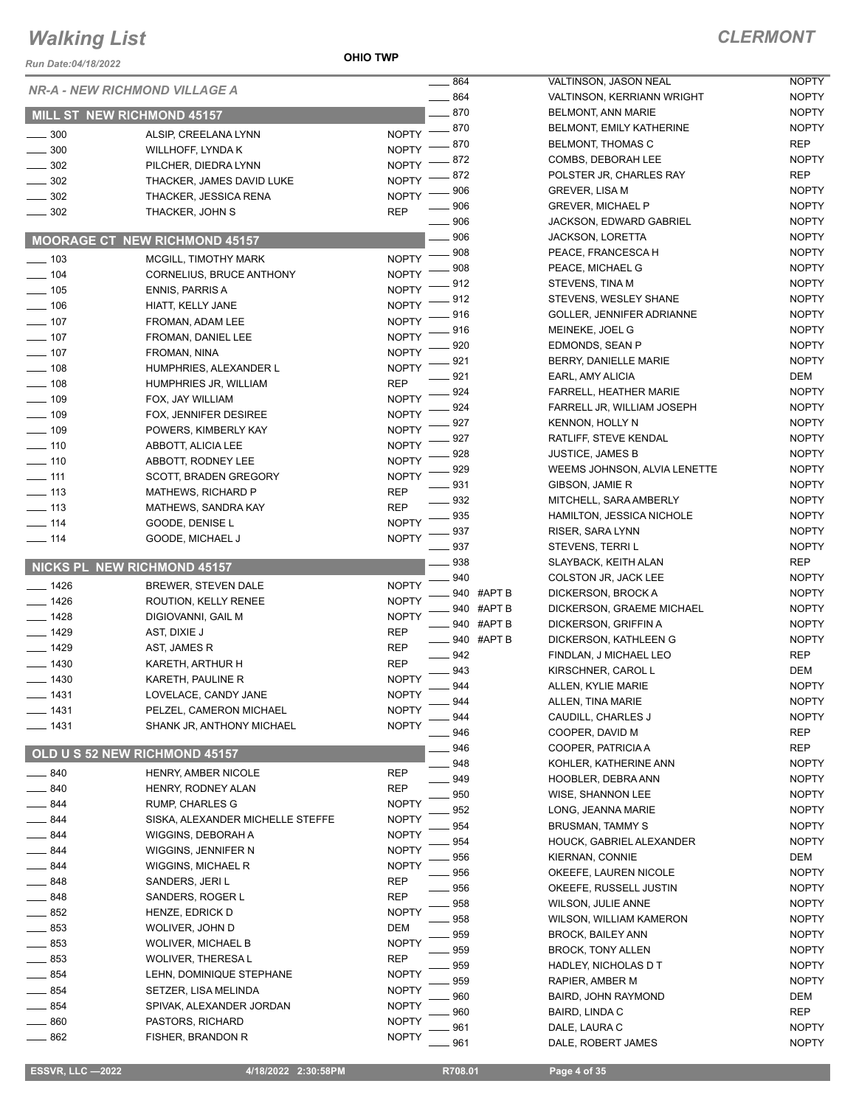**OHIO TWP**

| Run Date:04/18/2022 |                                          |                              |               |                                            |
|---------------------|------------------------------------------|------------------------------|---------------|--------------------------------------------|
|                     | <b>NR-A - NEW RICHMOND VILLAGE A</b>     |                              | 864           | VALTINSON, JASON                           |
|                     |                                          |                              | 864<br>870    | <b>VALTINSON, KERRI</b><br>BELMONT, ANN MA |
|                     | MILL ST NEW RICHMOND 45157               |                              | 870           | <b>BELMONT, EMILY K</b>                    |
| 300                 | ALSIP, CREELANA LYNN                     | <b>NOPTY</b>                 | 870           | <b>BELMONT, THOMA:</b>                     |
| $\frac{1}{2}$ 300   | WILLHOFF, LYNDA K                        | <b>NOPTY</b>                 | 872           | COMBS, DEBORAH                             |
| $-302$              | PILCHER, DIEDRA LYNN                     | <b>NOPTY</b>                 | 872           | POLSTER JR, CHAI                           |
| $\sim$ 302          | THACKER, JAMES DAVID LUKE                | <b>NOPTY</b>                 | 906           | GREVER, LISA M                             |
| $\sim$ 302          | THACKER, JESSICA RENA                    | <b>NOPTY</b>                 | 906           | <b>GREVER, MICHAEL</b>                     |
| $\frac{1}{2}$ 302   | THACKER, JOHN S                          | <b>REP</b>                   | 906           | <b>JACKSON, EDWAR</b>                      |
|                     | <b>MOORAGE CT NEW RICHMOND 45157</b>     |                              | 906           | <b>JACKSON, LORETT</b>                     |
|                     |                                          |                              | 908           | PEACE, FRANCES                             |
| $- 103$             | MCGILL, TIMOTHY MARK                     | <b>NOPTY</b>                 | 908           | PEACE, MICHAEL O                           |
| $- 104$             | CORNELIUS, BRUCE ANTHONY                 | <b>NOPTY</b>                 | 912           | STEVENS, TINA M                            |
| $- 105$             | <b>ENNIS, PARRIS A</b>                   | <b>NOPTY</b>                 | 912           | STEVENS, WESLEY                            |
| $\frac{1}{2}$ 106   | HIATT, KELLY JANE                        | <b>NOPTY</b>                 | 916           | <b>GOLLER, JENNIFER</b>                    |
| $- 107$             | FROMAN, ADAM LEE                         | <b>NOPTY</b>                 | 916           | MEINEKE, JOEL G                            |
| $- 107$<br>$- 107$  | FROMAN, DANIEL LEE                       | <b>NOPTY</b>                 | 920           | EDMONDS, SEAN F                            |
| $- 108$             | FROMAN, NINA                             | <b>NOPTY</b>                 | 921           | BERRY, DANIELLE                            |
| $\frac{1}{2}$ 108   | HUMPHRIES, ALEXANDER L                   | <b>NOPTY</b><br><b>REP</b>   | 921           | EARL, AMY ALICIA                           |
| $- 109$             | HUMPHRIES JR, WILLIAM                    | <b>NOPTY</b>                 | 924           | <b>FARRELL, HEATHE</b>                     |
| $- 109$             | FOX, JAY WILLIAM                         |                              | 924           | <b>FARRELL JR, WILLI</b>                   |
| $- 109$             | FOX, JENNIFER DESIREE                    | <b>NOPTY</b>                 | 927           | <b>KENNON, HOLLY N</b>                     |
| $- 110$             | POWERS, KIMBERLY KAY                     | <b>NOPTY</b>                 | 927           | RATLIFF, STEVE KE                          |
| $- 110$             | ABBOTT, ALICIA LEE<br>ABBOTT, RODNEY LEE | <b>NOPTY</b><br><b>NOPTY</b> | 928           | <b>JUSTICE, JAMES B</b>                    |
| $\frac{1}{111}$     | SCOTT, BRADEN GREGORY                    | <b>NOPTY</b>                 | 929           | <b>WEEMS JOHNSON</b>                       |
| $- 113$             | MATHEWS, RICHARD P                       | REP                          | 931           | GIBSON, JAMIE R                            |
| $\frac{1}{2}$ 113   | MATHEWS, SANDRA KAY                      | <b>REP</b>                   | 932           | MITCHELL, SARA A                           |
| $\frac{1}{2}$ 114   | GOODE, DENISE L                          | <b>NOPTY</b>                 | 935           | <b>HAMILTON, JESSIC</b>                    |
| $\frac{1}{2}$ 114   | GOODE, MICHAEL J                         | <b>NOPTY</b>                 | 937           | <b>RISER, SARA LYNN</b>                    |
|                     |                                          |                              | 937           | STEVENS, TERRI L                           |
|                     | NICKS PL NEW RICHMOND 45157              |                              | 938           | SLAYBACK, KEITH.                           |
| $- 1426$            | BREWER, STEVEN DALE                      | <b>NOPTY</b>                 | 940           | <b>COLSTON JR, JACK</b>                    |
| $\frac{1}{2}$       | ROUTION, KELLY RENEE                     | <b>NOPTY</b>                 | 940<br>#APT B | DICKERSON, BROO                            |
| $- 1428$            | DIGIOVANNI, GAIL M                       | <b>NOPTY</b>                 | 940 #APT B    | <b>DICKERSON, GRAE</b>                     |
| $- 1429$            | AST, DIXIE J                             | <b>REP</b>                   | 940 #APT B    | DICKERSON, GRIFI                           |
| $-1429$             | AST, JAMES R                             | REP                          | 940 #APT B    | DICKERSON, KATH                            |
| $- 1430$            | KARETH, ARTHUR H                         | REP                          | 942           | FINDLAN, J MICHAI                          |
| _ 1430              | KARETH, PAULINE R                        | <b>NOPTY</b>                 | 943           | <b>KIRSCHNER, CARC</b>                     |
| $-1431$             | LOVELACE, CANDY JANE                     | <b>NOPTY</b>                 | 944           | ALLEN, KYLIE MAR                           |
| _ 1431              | PELZEL, CAMERON MICHAEL                  | <b>NOPTY</b>                 | 944           | <b>ALLEN, TINA MARIE</b>                   |
| - 1431              | SHANK JR, ANTHONY MICHAEL                | <b>NOPTY</b>                 | 944           | CAUDILL, CHARLES                           |
|                     |                                          |                              | 946           | COOPER, DAVID M                            |
|                     | OLD U S 52 NEW RICHMOND 45157            |                              | 946           | COOPER, PATRICIA                           |
| - 840               | HENRY, AMBER NICOLE                      | REP                          | 948           | KOHLER, KATHERI                            |
| _ 840               | HENRY, RODNEY ALAN                       | REP                          | 949           | HOOBLER, DEBRA                             |
| $-844$              | RUMP, CHARLES G                          | <b>NOPTY</b>                 | 950           | WISE, SHANNON L                            |
| _ 844               | SISKA, ALEXANDER MICHELLE STEFFE         | <b>NOPTY</b>                 | 952           | LONG, JEANNA MA                            |
| $-844$              | WIGGINS, DEBORAH A                       | <b>NOPTY</b>                 | 954           | <b>BRUSMAN, TAMMY</b>                      |
| $-844$              | WIGGINS, JENNIFER N                      | <b>NOPTY</b>                 | 954           | HOUCK, GABRIEL A                           |
| ___ 844             | WIGGINS, MICHAEL R                       | <b>NOPTY</b>                 | 956           | KIERNAN, CONNIE                            |
| $-848$              | SANDERS, JERI L                          | REP                          | 956           | OKEEFE, LAUREN                             |
| _ 848               | SANDERS, ROGER L                         | REP                          | 956           | OKEEFE, RUSSELL                            |
| —— 852              | HENZE, EDRICK D                          | <b>NOPTY</b>                 | 958           | WILSON, JULIE ANI                          |
| - 853               | WOLIVER, JOHN D                          | DEM                          | 958           | WILSON, WILLIAM                            |
| _ 853               | WOLIVER, MICHAEL B                       | <b>NOPTY</b>                 | 959           | BROCK, BAILEY AN                           |
| - 853               | <b>WOLIVER, THERESAL</b>                 | REP                          | 959           | <b>BROCK, TONY ALLI</b>                    |
| $-854$              | LEHN, DOMINIQUE STEPHANE                 | <b>NOPTY</b>                 | 959           | HADLEY, NICHOLA                            |
| $-854$              | SETZER, LISA MELINDA                     | <b>NOPTY</b>                 | 959           | RAPIER, AMBER M                            |
| - 854               | SPIVAK, ALEXANDER JORDAN                 | <b>NOPTY</b>                 | 960           | BAIRD, JOHN RAYM                           |
| $=$ 860             | PASTORS, RICHARD                         | <b>NOPTY</b>                 | 960           | BAIRD, LINDA C                             |
| 862                 | FISHER, BRANDON R                        | <b>NOPTY</b>                 | 961<br>0.64   | DALE, LAURA C<br>DALE DODEDT IAN           |
|                     |                                          |                              |               |                                            |

| $-864$           |               | VALTINSON, JASON NEAL           | <b>NOPTY</b> |
|------------------|---------------|---------------------------------|--------------|
| $-864$           |               | VALTINSON, KERRIANN WRIGHT      | <b>NOPTY</b> |
| $-870$           |               | BELMONT, ANN MARIE              | <b>NOPTY</b> |
| $-870$           |               | <b>BELMONT, EMILY KATHERINE</b> | <b>NOPTY</b> |
| $-870$           |               | <b>BELMONT, THOMAS C</b>        | REP          |
| $-872$           |               | COMBS, DEBORAH LEE              | <b>NOPTY</b> |
| $-872$           |               | POLSTER JR, CHARLES RAY         | <b>REP</b>   |
| $-906$           |               | GREVER, LISA M                  | <b>NOPTY</b> |
| _ 906            |               | <b>GREVER, MICHAEL P</b>        | <b>NOPTY</b> |
| _ 906            |               | <b>JACKSON, EDWARD GABRIEL</b>  | <b>NOPTY</b> |
| $-906$           |               | <b>JACKSON, LORETTA</b>         | <b>NOPTY</b> |
| $-908$           |               | PEACE, FRANCESCA H              | <b>NOPTY</b> |
| $-908$           |               | PEACE, MICHAEL G                | <b>NOPTY</b> |
| _ 912            |               | STEVENS, TINA M                 | NOPTY        |
| $-912$           |               | STEVENS, WESLEY SHANE           | <b>NOPTY</b> |
| $-916$           |               | GOLLER, JENNIFER ADRIANNE       | <b>NOPTY</b> |
|                  |               |                                 |              |
| $-916$<br>$-920$ |               | MEINEKE, JOEL G                 | <b>NOPTY</b> |
|                  |               | EDMONDS, SEAN P                 | <b>NOPTY</b> |
| $-921$           |               | BERRY, DANIELLE MARIE           | <b>NOPTY</b> |
| $-921$           |               | EARL, AMY ALICIA                | DEM          |
| _ 924            |               | FARRELL, HEATHER MARIE          | <b>NOPTY</b> |
| $-924$           |               | FARRELL JR, WILLIAM JOSEPH      | <b>NOPTY</b> |
| $-927$           |               | <b>KENNON, HOLLY N</b>          | <b>NOPTY</b> |
| $-927$           |               | RATLIFF, STEVE KENDAL           | <b>NOPTY</b> |
| $-928$           |               | <b>JUSTICE, JAMES B</b>         | <b>NOPTY</b> |
| $-929$           |               | WEEMS JOHNSON, ALVIA LENETTE    | <b>NOPTY</b> |
| $-931$           |               | GIBSON, JAMIE R                 | NOPTY        |
| $-932$           |               | MITCHELL, SARA AMBERLY          | <b>NOPTY</b> |
| $-935$           |               | HAMILTON, JESSICA NICHOLE       | <b>NOPTY</b> |
| _ 937            |               | RISER, SARA LYNN                | <b>NOPTY</b> |
| $-937$           |               | STEVENS, TERRI L                | <b>NOPTY</b> |
| $-938$           |               | SLAYBACK, KEITH ALAN            | REP          |
| $-940$           |               | COLSTON JR, JACK LEE            | <b>NOPTY</b> |
|                  | _ 940 #APT B  | DICKERSON, BROCK A              | <b>NOPTY</b> |
|                  | _940 #APT B   | DICKERSON, GRAEME MICHAEL       | <b>NOPTY</b> |
|                  | _ 940 #APT B  | DICKERSON, GRIFFIN A            | <b>NOPTY</b> |
|                  | $-940$ #APT B | DICKERSON, KATHLEEN G           | <b>NOPTY</b> |
| $-942$           |               | FINDLAN, J MICHAEL LEO          | REP          |
| $-943$           |               | KIRSCHNER, CAROL L              | DEM          |
| $-944$           |               | ALLEN, KYLIE MARIE              | <b>NOPTY</b> |
| _ 944            |               | ALLEN, TINA MARIE               | NOPTY        |
| _ 944            |               | CAUDILL, CHARLES J              | NOPTY        |
| $-946$           |               | COOPER, DAVID M                 | REP          |
| $-946$           |               | COOPER, PATRICIA A              | REP          |
| $-948$           |               | KOHLER, KATHERINE ANN           | NOPTY        |
| $-949$           |               | HOOBLER, DEBRA ANN              | <b>NOPTY</b> |
| $-950$           |               | WISE, SHANNON LEE               | <b>NOPTY</b> |
| _ 952            |               | LONG, JEANNA MARIE              | <b>NOPTY</b> |
| $-954$           |               | <b>BRUSMAN, TAMMY S</b>         | <b>NOPTY</b> |
| $-954$           |               |                                 | <b>NOPTY</b> |
| $-956$           |               | HOUCK, GABRIEL ALEXANDER        |              |
|                  |               | KIERNAN, CONNIE                 | DEM          |
| $-956$           |               | OKEEFE, LAUREN NICOLE           | <b>NOPTY</b> |
| $-956$           |               | OKEEFE, RUSSELL JUSTIN          | <b>NOPTY</b> |
| _ 958            |               | WILSON, JULIE ANNE              | <b>NOPTY</b> |
| $-958$           |               | WILSON, WILLIAM KAMERON         | <b>NOPTY</b> |
| $-959$           |               | <b>BROCK, BAILEY ANN</b>        | NOPTY        |
| $-959$           |               | <b>BROCK, TONY ALLEN</b>        | NOPTY        |
| $-959$           |               | HADLEY, NICHOLAS D T            | <b>NOPTY</b> |
| $-959$           |               | RAPIER, AMBER M                 | <b>NOPTY</b> |
| $-960$           |               | BAIRD, JOHN RAYMOND             | DEM          |
| _ 960            |               | BAIRD, LINDA C                  | <b>REP</b>   |
| _ 961            |               | DALE, LAURA C                   | <b>NOPTY</b> |
| _ 961            |               | DALE, ROBERT JAMES              | NOPTY        |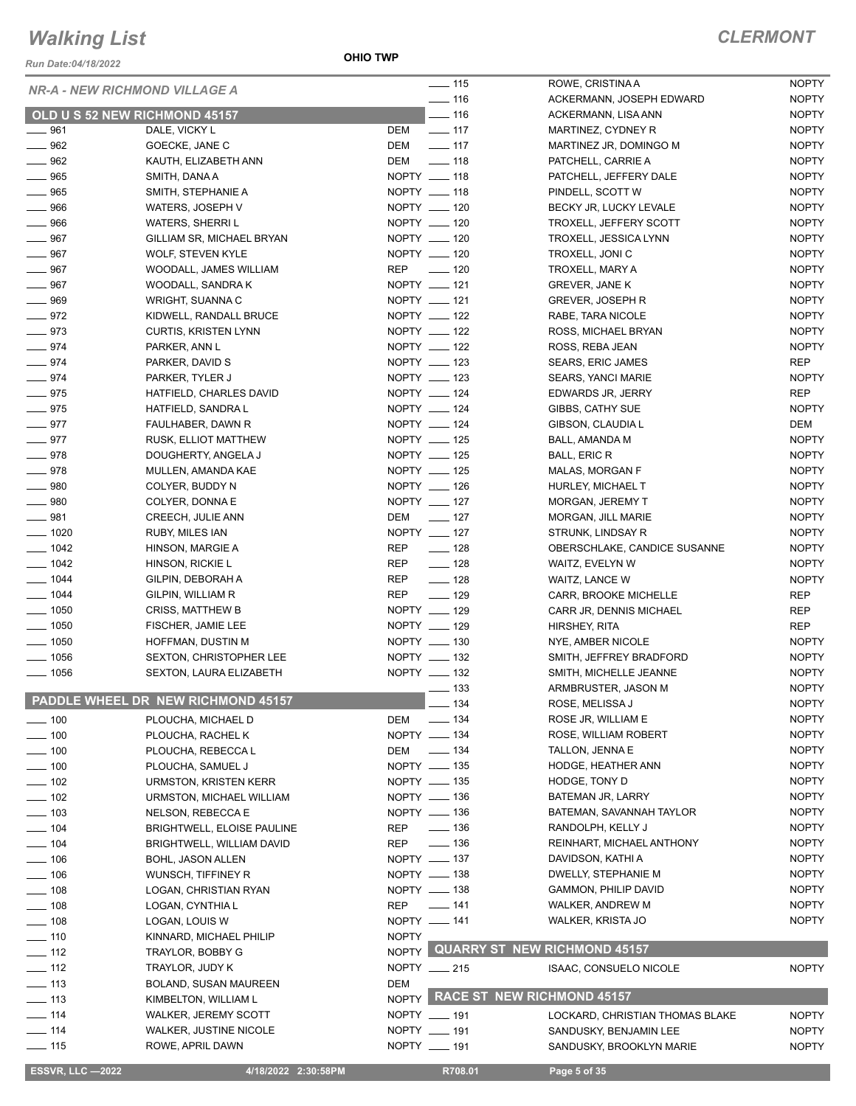*Run Date:04/18/2022*

**OHIO TWP**

| <b>NR-A - NEW RICHMOND VILLAGE A</b> |                                    |              | $\frac{1}{15}$    | ROWE, CRISTINA A                    | <b>NOPTY</b> |
|--------------------------------------|------------------------------------|--------------|-------------------|-------------------------------------|--------------|
|                                      |                                    |              | $\frac{1}{2}$ 116 | ACKERMANN, JOSEPH EDWARD            | <b>NOPTY</b> |
| OLD U S 52 NEW RICHMOND 45157        |                                    |              | $- 116$           | ACKERMANN, LISA ANN                 | <b>NOPTY</b> |
| $- 961$                              | DALE, VICKY L                      | DEM          | $\frac{1}{2}$ 117 | MARTINEZ, CYDNEY R                  | <b>NOPTY</b> |
| $\equiv$ 962                         | GOECKE, JANE C                     | DEM          | $\frac{1}{2}$ 117 | MARTINEZ JR, DOMINGO M              | <b>NOPTY</b> |
| $\frac{1}{2}$ 962                    | KAUTH, ELIZABETH ANN               | DEM          | $\frac{1}{2}$ 118 | PATCHELL, CARRIE A                  | <b>NOPTY</b> |
| $\frac{1}{2}$ 965                    | SMITH, DANA A                      |              | NOPTY __ 118      | PATCHELL, JEFFERY DALE              | <b>NOPTY</b> |
| $- 965$                              | SMITH, STEPHANIE A                 |              | NOPTY __ 118      | PINDELL, SCOTT W                    | <b>NOPTY</b> |
| $\frac{1}{2}$ 966                    | WATERS, JOSEPH V                   |              | NOPTY __ 120      | BECKY JR, LUCKY LEVALE              | <b>NOPTY</b> |
| $- 966$                              | <b>WATERS, SHERRIL</b>             |              | NOPTY __ 120      | TROXELL, JEFFERY SCOTT              | <b>NOPTY</b> |
| $-967$                               | GILLIAM SR, MICHAEL BRYAN          |              | NOPTY __ 120      | TROXELL, JESSICA LYNN               | <b>NOPTY</b> |
| $- 967$                              | <b>WOLF, STEVEN KYLE</b>           |              | NOPTY __ 120      | TROXELL, JONI C                     | <b>NOPTY</b> |
| $- 967$                              | WOODALL, JAMES WILLIAM             |              | REP __ 120        | TROXELL, MARY A                     | <b>NOPTY</b> |
| $- 967$                              | WOODALL, SANDRA K                  |              | NOPTY __ 121      | <b>GREVER, JANE K</b>               | <b>NOPTY</b> |
| $\frac{1}{2}$ 969                    | WRIGHT, SUANNA C                   |              | NOPTY __ 121      | <b>GREVER, JOSEPH R</b>             | <b>NOPTY</b> |
| $-972$                               | KIDWELL, RANDALL BRUCE             |              | NOPTY _____ 122   | RABE, TARA NICOLE                   | <b>NOPTY</b> |
| $- 973$                              |                                    |              | NOPTY __ 122      |                                     | <b>NOPTY</b> |
|                                      | <b>CURTIS, KRISTEN LYNN</b>        |              | NOPTY __ 122      | ROSS, MICHAEL BRYAN                 |              |
| $- 974$                              | PARKER, ANN L                      |              |                   | ROSS, REBA JEAN                     | <b>NOPTY</b> |
| $-974$                               | PARKER, DAVID S                    |              | NOPTY __ 123      | SEARS, ERIC JAMES                   | <b>REP</b>   |
| $- 974$                              | PARKER, TYLER J                    |              | NOPTY __ 123      | SEARS, YANCI MARIE                  | <b>NOPTY</b> |
| $- 975$                              | HATFIELD, CHARLES DAVID            |              | NOPTY __ 124      | EDWARDS JR, JERRY                   | REP          |
| $- 975$                              | HATFIELD, SANDRA L                 |              | NOPTY __ 124      | GIBBS, CATHY SUE                    | <b>NOPTY</b> |
| $- 977$                              | FAULHABER, DAWN R                  |              | NOPTY __ 124      | GIBSON, CLAUDIA L                   | DEM          |
| $-977$                               | RUSK, ELLIOT MATTHEW               |              | NOPTY __ 125      | BALL, AMANDA M                      | <b>NOPTY</b> |
| $- 978$                              | DOUGHERTY, ANGELA J                |              | NOPTY __ 125      | <b>BALL, ERIC R</b>                 | <b>NOPTY</b> |
| $-978$                               | MULLEN, AMANDA KAE                 |              | NOPTY __ 125      | MALAS, MORGAN F                     | <b>NOPTY</b> |
| $\frac{1}{2}$ 980                    | COLYER, BUDDY N                    |              | NOPTY __ 126      | HURLEY, MICHAEL T                   | <b>NOPTY</b> |
| $- 980$                              | COLYER, DONNA E                    |              | NOPTY __ 127      | MORGAN, JEREMY T                    | <b>NOPTY</b> |
| $- 981$                              | CREECH, JULIE ANN                  |              | DEM _____ 127     | MORGAN, JILL MARIE                  | <b>NOPTY</b> |
| $\frac{1}{2}$ 1020                   | RUBY, MILES IAN                    |              | NOPTY __ 127      | STRUNK, LINDSAY R                   | <b>NOPTY</b> |
| $- 1042$                             | HINSON, MARGIE A                   | REP          | $\frac{1}{2}$ 128 | OBERSCHLAKE, CANDICE SUSANNE        | <b>NOPTY</b> |
| $- 1042$                             | HINSON, RICKIE L                   | REP          | $- 128$           | WAITZ, EVELYN W                     | <b>NOPTY</b> |
| $- 1044$                             | GILPIN, DEBORAH A                  | REP          | $\frac{1}{2}$ 128 | WAITZ, LANCE W                      | <b>NOPTY</b> |
| $- 1044$                             | GILPIN, WILLIAM R                  | REP          | $\frac{1}{2}$ 129 | CARR, BROOKE MICHELLE               | REP          |
| $\frac{1}{2}$ 1050                   | <b>CRISS, MATTHEW B</b>            |              | NOPTY __ 129      | CARR JR, DENNIS MICHAEL             | REP          |
| $\frac{1}{2}$ 1050                   | FISCHER, JAMIE LEE                 |              | NOPTY __ 129      | HIRSHEY, RITA                       | REP          |
| $\frac{1}{2}$ 1050                   | HOFFMAN, DUSTIN M                  |              | NOPTY __ 130      |                                     | <b>NOPTY</b> |
|                                      |                                    |              | NOPTY __ 132      | NYE, AMBER NICOLE                   |              |
| $- 1056$                             | SEXTON, CHRISTOPHER LEE            |              | NOPTY __ 132      | SMITH, JEFFREY BRADFORD             | <b>NOPTY</b> |
| $- 1056$                             | SEXTON, LAURA ELIZABETH            |              |                   | SMITH, MICHELLE JEANNE              | <b>NOPTY</b> |
|                                      | PADDLE WHEEL DR NEW RICHMOND 45157 |              | $\equiv$ 133      | ARMBRUSTER, JASON M                 | <b>NOPTY</b> |
|                                      |                                    |              | _ 134             | ROSE, MELISSA J                     | <b>NOPTY</b> |
| $\frac{1}{2}$ 100                    | PLOUCHA, MICHAEL D                 | <b>DEM</b>   | $\frac{1}{2}$ 134 | ROSE JR, WILLIAM E                  | <b>NOPTY</b> |
| $\frac{1}{2}$ 100                    | PLOUCHA, RACHEL K                  |              | NOPTY - 134       | ROSE, WILLIAM ROBERT                | <b>NOPTY</b> |
| $\frac{1}{2}$ 100                    | PLOUCHA, REBECCA L                 | DEM          | $\frac{1}{2}$ 134 | TALLON, JENNA E                     | <b>NOPTY</b> |
| $\frac{1}{2}$ 100                    | PLOUCHA, SAMUEL J                  |              | NOPTY __ 135      | HODGE, HEATHER ANN                  | <b>NOPTY</b> |
| $- 102$                              | <b>URMSTON, KRISTEN KERR</b>       |              | NOPTY __ 135      | HODGE, TONY D                       | <b>NOPTY</b> |
| $\frac{1}{2}$ 102                    | URMSTON, MICHAEL WILLIAM           |              | NOPTY - 136       | BATEMAN JR, LARRY                   | <b>NOPTY</b> |
| $\equiv$ 103                         | NELSON, REBECCA E                  |              | NOPTY - 136       | BATEMAN, SAVANNAH TAYLOR            | <b>NOPTY</b> |
| $- 104$                              | BRIGHTWELL, ELOISE PAULINE         | <b>REP</b>   | $\frac{1}{2}$ 136 | RANDOLPH, KELLY J                   | <b>NOPTY</b> |
| $\frac{1}{2}$ 104                    | BRIGHTWELL, WILLIAM DAVID          | <b>REP</b>   | $\equiv$ 136      | REINHART, MICHAEL ANTHONY           | <b>NOPTY</b> |
| $- 106$                              | BOHL, JASON ALLEN                  |              | NOPTY __ 137      | DAVIDSON, KATHI A                   | <b>NOPTY</b> |
| $- 106$                              | WUNSCH, TIFFINEY R                 |              | NOPTY __ 138      | DWELLY, STEPHANIE M                 | <b>NOPTY</b> |
| $- 108$                              | LOGAN, CHRISTIAN RYAN              |              | NOPTY __ 138      | GAMMON, PHILIP DAVID                | <b>NOPTY</b> |
| $\frac{1}{2}$ 108                    |                                    | <b>REP</b>   | $- 141$           | WALKER, ANDREW M                    | <b>NOPTY</b> |
|                                      | LOGAN, CYNTHIA L                   |              |                   |                                     |              |
| $- 108$                              | LOGAN, LOUIS W                     |              | NOPTY - 141       | WALKER, KRISTA JO                   | <b>NOPTY</b> |
| $- 110$                              | KINNARD, MICHAEL PHILIP            | <b>NOPTY</b> |                   | <b>QUARRY ST NEW RICHMOND 45157</b> |              |
| $- 112$                              | TRAYLOR, BOBBY G                   | NOPTY        |                   |                                     |              |
| $\equiv$ 112                         | TRAYLOR, JUDY K                    |              | NOPTY __ 215      | <b>ISAAC, CONSUELO NICOLE</b>       | <b>NOPTY</b> |
| $\equiv$ 113                         | BOLAND, SUSAN MAUREEN              | <b>DEM</b>   |                   |                                     |              |
| $- 113$                              | KIMBELTON, WILLIAM L               |              |                   | NOPTY RACE ST NEW RICHMOND 45157    |              |
| $- 114$                              | WALKER, JEREMY SCOTT               |              | NOPTY __ 191      | LOCKARD, CHRISTIAN THOMAS BLAKE     | <b>NOPTY</b> |
| $- 114$                              | WALKER, JUSTINE NICOLE             |              | NOPTY __ 191      | SANDUSKY, BENJAMIN LEE              | <b>NOPTY</b> |
| $\frac{1}{2}$ 115                    | ROWE, APRIL DAWN                   |              | NOPTY __ 191      | SANDUSKY, BROOKLYN MARIE            | <b>NOPTY</b> |
|                                      |                                    |              |                   |                                     |              |
| <b>ESSVR, LLC -2022</b>              | 4/18/2022 2:30:58PM                |              | R708.01           | Page 5 of 35                        |              |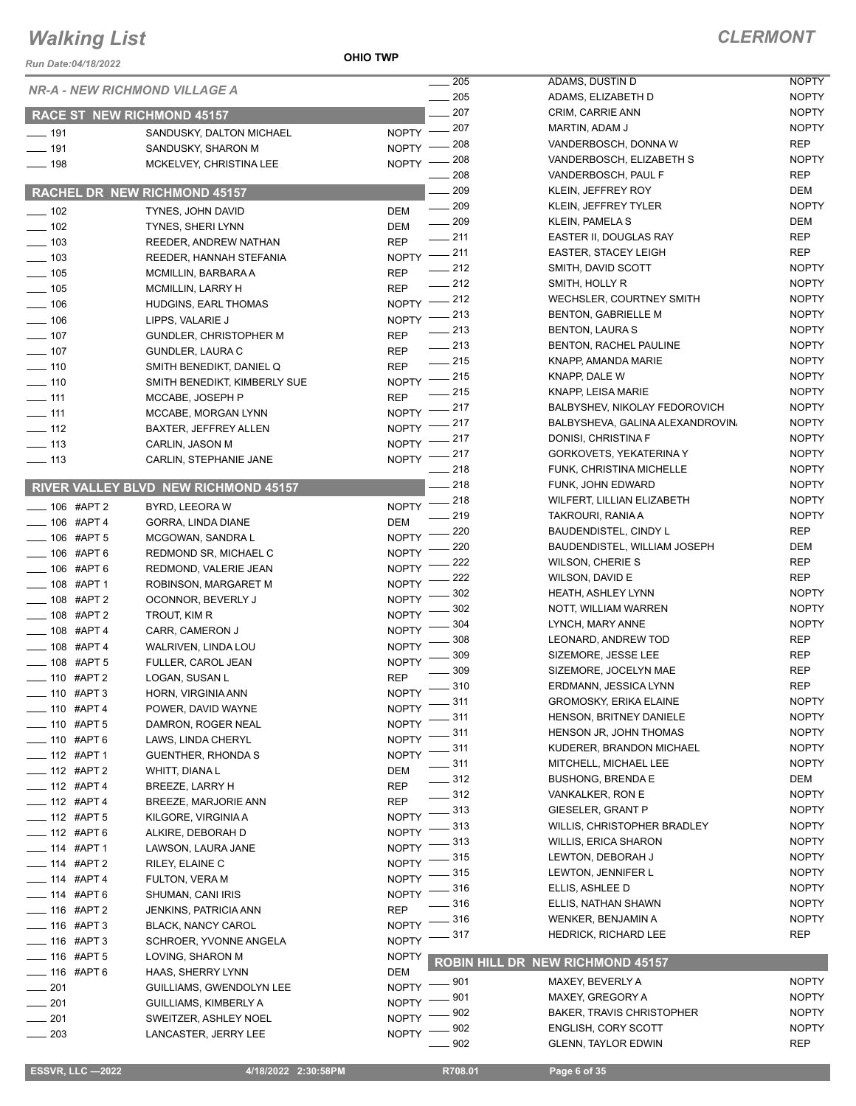*Run Date:04/18/2022*

**OHIO TWP**

|                              | <b>NR-A - NEW RICHMOND VILLAGE A</b>        | $\sim$ 205                      | ADAMS, DUSTIN D                  | <b>NOPTY</b> |
|------------------------------|---------------------------------------------|---------------------------------|----------------------------------|--------------|
|                              |                                             | $-205$                          | ADAMS, ELIZABETH D               | <b>NOPTY</b> |
|                              | <b>RACE ST NEW RICHMOND 45157</b>           | 207                             | CRIM, CARRIE ANN                 | <b>NOPTY</b> |
| $\overline{\phantom{0}}$ 191 | SANDUSKY, DALTON MICHAEL                    | NOPTY -207                      | MARTIN, ADAM J                   | <b>NOPTY</b> |
| 191                          | SANDUSKY, SHARON M                          | 208<br>NOPTY -                  | VANDERBOSCH, DONNA W             | <b>REP</b>   |
| $-198$                       | MCKELVEY, CHRISTINA LEE                     | 208<br><b>NOPTY</b>             | VANDERBOSCH, ELIZABETH S         | <b>NOPTY</b> |
|                              |                                             | 208                             | VANDERBOSCH, PAUL F              | REP          |
|                              | RACHEL DR NEW RICHMOND 45157                | 209                             | KLEIN, JEFFREY ROY               | DEM          |
| $\frac{1}{2}$ 102            | TYNES, JOHN DAVID                           | $\frac{1}{209}$<br><b>DEM</b>   | KLEIN, JEFFREY TYLER             | <b>NOPTY</b> |
| $- 102$                      | TYNES, SHERI LYNN                           | $\frac{1}{209}$<br>DEM          | <b>KLEIN, PAMELA S</b>           | DEM          |
| $\frac{1}{2}$ 103            | REEDER, ANDREW NATHAN                       | $-211$<br><b>REP</b>            | EASTER II, DOUGLAS RAY           | <b>REP</b>   |
| $\equiv$ 103                 | REEDER, HANNAH STEFANIA                     | NOPTY -211                      | <b>EASTER, STACEY LEIGH</b>      | REP          |
| $\frac{1}{2}$ 105            | MCMILLIN, BARBARA A                         | $-212$<br><b>REP</b>            | SMITH, DAVID SCOTT               | <b>NOPTY</b> |
| $\frac{1}{2}$ 105            | <b>MCMILLIN, LARRY H</b>                    | $=212$<br><b>REP</b>            | SMITH, HOLLY R                   | <b>NOPTY</b> |
| $- 106$                      | HUDGINS, EARL THOMAS                        | $-212$<br><b>NOPTY</b>          | WECHSLER, COURTNEY SMITH         | <b>NOPTY</b> |
| $\frac{1}{2}$ 106            | LIPPS, VALARIE J                            | $=$ 213<br>NOPTY -              | <b>BENTON, GABRIELLE M</b>       | <b>NOPTY</b> |
| $\frac{1}{2}$ 107            | GUNDLER, CHRISTOPHER M                      | $-213$<br><b>REP</b>            | <b>BENTON, LAURA S</b>           | <b>NOPTY</b> |
| $- 107$                      | GUNDLER, LAURA C                            | $\frac{1}{213}$<br>REP          | BENTON, RACHEL PAULINE           | <b>NOPTY</b> |
| $- 110$                      | SMITH BENEDIKT, DANIEL Q                    | $-215$<br><b>REP</b>            | KNAPP, AMANDA MARIE              | <b>NOPTY</b> |
| $- 110$                      | SMITH BENEDIKT, KIMBERLY SUE                | NOPTY -215                      | KNAPP, DALE W                    | <b>NOPTY</b> |
| $\frac{1}{2}$ 111            | MCCABE, JOSEPH P                            | _ 215<br><b>REP</b>             | KNAPP, LEISA MARIE               | <b>NOPTY</b> |
| $\frac{1}{2}$ 111            | MCCABE, MORGAN LYNN                         | _ 217<br><b>NOPTY</b>           | BALBYSHEV, NIKOLAY FEDOROVICH    | <b>NOPTY</b> |
| $\frac{1}{2}$ 112            | BAXTER, JEFFREY ALLEN                       | _ 217<br>NOPTY -                | BALBYSHEVA, GALINA ALEXANDROVIN, | <b>NOPTY</b> |
| $\frac{1}{2}$ 113            | CARLIN, JASON M                             | NOPTY -217                      | DONISI, CHRISTINA F              | <b>NOPTY</b> |
| $\frac{1}{2}$ 113            | CARLIN, STEPHANIE JANE                      | NOPTY -217                      | GORKOVETS, YEKATERINA Y          | <b>NOPTY</b> |
|                              |                                             | $-218$                          | FUNK, CHRISTINA MICHELLE         | <b>NOPTY</b> |
|                              | <b>RIVER VALLEY BLVD NEW RICHMOND 45157</b> | $-218$                          | FUNK, JOHN EDWARD                | <b>NOPTY</b> |
| $\frac{1}{2}$ 106 #APT 2     | BYRD, LEEORA W                              | 218<br><b>NOPTY</b>             | WILFERT, LILLIAN ELIZABETH       | <b>NOPTY</b> |
| $- 106$ #APT 4               | GORRA, LINDA DIANE                          | 219<br><b>DEM</b>               | TAKROURI, RANIA A                | <b>NOPTY</b> |
| $- 106$ #APT 5               | MCGOWAN, SANDRA L                           | 220<br><b>NOPTY</b>             | <b>BAUDENDISTEL, CINDY L</b>     | <b>REP</b>   |
| $- 106$ #APT 6               | REDMOND SR, MICHAEL C                       | 220<br><b>NOPTY</b>             | BAUDENDISTEL, WILLIAM JOSEPH     | DEM          |
| $- 106$ #APT 6               | REDMOND, VALERIE JEAN                       | 222<br><b>NOPTY</b>             | <b>WILSON, CHERIE S</b>          | REP          |
| $-108$ #APT 1                | ROBINSON, MARGARET M                        | 222<br><b>NOPTY</b>             | WILSON, DAVID E                  | REP          |
| $-$ 108 #APT 2               | OCONNOR, BEVERLY J                          | 302<br><b>NOPTY</b>             | <b>HEATH, ASHLEY LYNN</b>        | <b>NOPTY</b> |
| $-108$ #APT 2                | TROUT, KIM R                                | 302<br><b>NOPTY</b>             | NOTT, WILLIAM WARREN             | <b>NOPTY</b> |
| $- 108$ #APT 4               | CARR, CAMERON J                             | 304<br><b>NOPTY</b>             | LYNCH, MARY ANNE                 | <b>NOPTY</b> |
| $- 108$ #APT 4               | WALRIVEN, LINDA LOU                         | 308<br><b>NOPTY</b>             | LEONARD, ANDREW TOD              | REP          |
| $\frac{1}{2}$ 108 #APT 5     | FULLER, CAROL JEAN                          | 309<br><b>NOPTY</b>             | SIZEMORE, JESSE LEE              | <b>REP</b>   |
| <b>___ 110 #APT 2</b>        | LOGAN, SUSAN L                              | 309<br><b>REP</b>               | SIZEMORE, JOCELYN MAE            | <b>REP</b>   |
| $-110$ #APT 3                | HORN, VIRGINIA ANN                          | $-310$<br><b>NOPTY</b>          | ERDMANN, JESSICA LYNN            | <b>REP</b>   |
| $-$ 110 #APT 4               | POWER, DAVID WAYNE                          | NOPTY $-$ 311                   | GROMOSKY, ERIKA ELAINE           | <b>NOPTY</b> |
| $-$ 110 #APT 5               | DAMRON, ROGER NEAL                          | _ 311<br><b>NOPTY</b>           | <b>HENSON, BRITNEY DANIELE</b>   | <b>NOPTY</b> |
| $- 110$ #APT 6               | LAWS, LINDA CHERYL                          | _ 311<br><b>NOPTY</b>           | HENSON JR, JOHN THOMAS           | <b>NOPTY</b> |
| $-$ 112 #APT 1               | <b>GUENTHER, RHONDA S</b>                   | $=$ 311<br>NOPTY <sup>-</sup>   | KUDERER, BRANDON MICHAEL         | <b>NOPTY</b> |
| $-$ 112 #APT 2               | WHITT, DIANA L                              | $=$ 311<br>DEM                  | MITCHELL, MICHAEL LEE            | <b>NOPTY</b> |
| $-$ 112 #APT 4               | <b>BREEZE, LARRY H</b>                      | $\frac{1}{2}$ 312<br><b>REP</b> | <b>BUSHONG, BRENDA E</b>         | DEM          |
| $- 112$ #APT 4               | BREEZE, MARJORIE ANN                        | $- 312$<br><b>REP</b>           | VANKALKER, RON E                 | <b>NOPTY</b> |
| $- 112$ #APT 5               | KILGORE, VIRGINIA A                         | $-313$<br><b>NOPTY</b>          | <b>GIESELER, GRANT P</b>         | <b>NOPTY</b> |
| $- 112$ #APT 6               | ALKIRE, DEBORAH D                           | $-313$<br><b>NOPTY</b>          | WILLIS, CHRISTOPHER BRADLEY      | <b>NOPTY</b> |
| __ 114 #APT 1                | LAWSON, LAURA JANE                          | 313<br><b>NOPTY</b>             | <b>WILLIS, ERICA SHARON</b>      | <b>NOPTY</b> |
| $-$ 114 #APT 2               | RILEY, ELAINE C                             | $-315$<br><b>NOPTY</b>          | LEWTON, DEBORAH J                | <b>NOPTY</b> |
| $-$ 114 #APT 4               | FULTON, VERA M                              | - 315<br><b>NOPTY</b>           | LEWTON, JENNIFER L               | <b>NOPTY</b> |
| __ 114 #APT 6                | SHUMAN, CANI IRIS                           | 316<br><b>NOPTY</b>             | ELLIS, ASHLEE D                  | <b>NOPTY</b> |
| $-$ 116 #APT 2               | <b>JENKINS, PATRICIA ANN</b>                | $=$ 316<br><b>REP</b>           | ELLIS, NATHAN SHAWN              | <b>NOPTY</b> |
| $=$ 116 #APT 3               | <b>BLACK, NANCY CAROL</b>                   | _ 316<br><b>NOPTY</b>           | WENKER, BENJAMIN A               | <b>NOPTY</b> |
| $- 116$ #APT 3               | SCHROER, YVONNE ANGELA                      | 317<br><b>NOPTY</b>             | <b>HEDRICK, RICHARD LEE</b>      | REP          |
|                              |                                             |                                 |                                  |              |
| $- 116$ #APT 5               | LOVING, SHARON M                            | <b>NOPTY</b>                    | ROBIN HILL DR NEW RICHMOND 45157 |              |
| $-$ 116 #APT 6               | HAAS, SHERRY LYNN                           | DEM<br>$-901$<br>NOPTY -        | MAXEY, BEVERLY A                 | <b>NOPTY</b> |
| $\frac{1}{201}$              | GUILLIAMS, GWENDOLYN LEE                    | _ 901<br>NOPTY -                | MAXEY, GREGORY A                 | <b>NOPTY</b> |
| $-201$                       | GUILLIAMS, KIMBERLY A                       | 902<br><b>NOPTY</b>             | <b>BAKER, TRAVIS CHRISTOPHER</b> | <b>NOPTY</b> |
| $\frac{1}{201}$              | SWEITZER, ASHLEY NOEL                       | _ 902                           | <b>ENGLISH, CORY SCOTT</b>       | <b>NOPTY</b> |
| $-203$                       | LANCASTER, JERRY LEE                        | <b>NOPTY</b><br>- 902           | <b>GLENN, TAYLOR EDWIN</b>       | REP          |
|                              |                                             |                                 |                                  |              |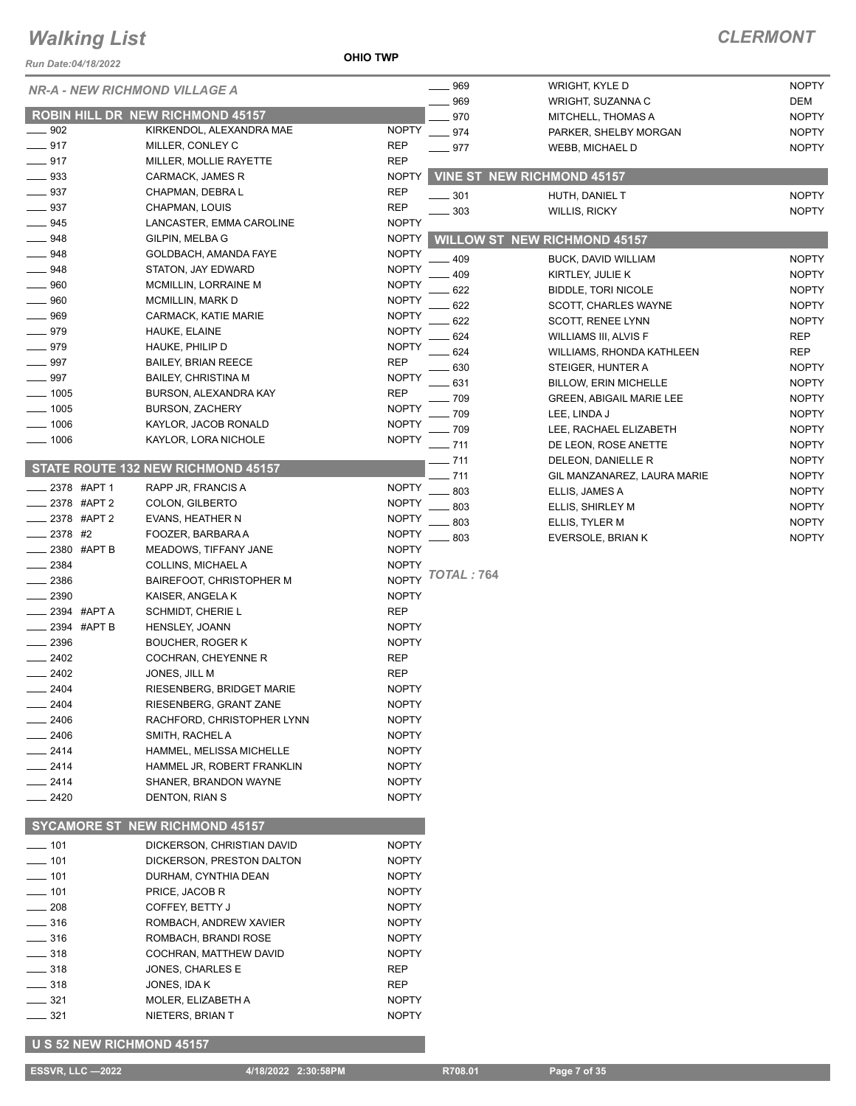#### **OHIO TWP**

| <b>Run Date:04/18/2022</b> |                                                        | <b>OHIO TWP</b>              |                   |                                                |                              |
|----------------------------|--------------------------------------------------------|------------------------------|-------------------|------------------------------------------------|------------------------------|
|                            | <b>NR-A - NEW RICHMOND VILLAGE A</b>                   |                              | $- 969$           | WRIGHT, KYLE D                                 | <b>NOPTY</b>                 |
|                            |                                                        |                              | 969               | WRIGHT, SUZANNA C                              | DEM                          |
|                            | <b>ROBIN HILL DR NEW RICHMOND 45157</b>                |                              | 970               | MITCHELL, THOMAS A                             | <b>NOPTY</b>                 |
| $-902$                     | KIRKENDOL, ALEXANDRA MAE                               | <b>NOPTY</b>                 | .974              | PARKER, SHELBY MORGAN                          | <b>NOPTY</b>                 |
| $-917$                     | MILLER, CONLEY C                                       | <b>REP</b>                   | $-977$            | <b>WEBB, MICHAEL D</b>                         | <b>NOPTY</b>                 |
| $-917$                     | MILLER, MOLLIE RAYETTE                                 | <b>REP</b>                   |                   |                                                |                              |
| 933                        | CARMACK, JAMES R                                       | <b>NOPTY</b>                 |                   | <b>VINE ST NEW RICHMOND 45157</b>              |                              |
| $-937$                     | CHAPMAN, DEBRA L                                       | <b>REP</b>                   | $-301$            | HUTH, DANIEL T                                 | <b>NOPTY</b>                 |
| 937                        | CHAPMAN, LOUIS                                         | <b>REP</b>                   | 303               | <b>WILLIS, RICKY</b>                           | <b>NOPTY</b>                 |
| 945                        | LANCASTER, EMMA CAROLINE                               | <b>NOPTY</b>                 |                   |                                                |                              |
| 948                        | GILPIN, MELBA G                                        | <b>NOPTY</b><br><b>NOPTY</b> |                   | <b>WILLOW ST NEW RICHMOND 45157</b>            |                              |
| $-948$                     | GOLDBACH, AMANDA FAYE                                  |                              | 409               | BUCK, DAVID WILLIAM                            | <b>NOPTY</b>                 |
| $-948$<br>960              | STATON, JAY EDWARD<br>MCMILLIN, LORRAINE M             | <b>NOPTY</b><br><b>NOPTY</b> | 409               | KIRTLEY, JULIE K                               | <b>NOPTY</b>                 |
| 960                        | MCMILLIN, MARK D                                       | <b>NOPTY</b>                 | 622               | <b>BIDDLE, TORI NICOLE</b>                     | <b>NOPTY</b>                 |
| 969                        | CARMACK, KATIE MARIE                                   | <b>NOPTY</b>                 | 622               | SCOTT, CHARLES WAYNE                           | <b>NOPTY</b>                 |
| 979                        | HAUKE, ELAINE                                          | <b>NOPTY</b>                 | 622               | <b>SCOTT, RENEE LYNN</b>                       | <b>NOPTY</b>                 |
| 979                        | HAUKE, PHILIP D                                        | <b>NOPTY</b>                 | 624               | <b>WILLIAMS III, ALVIS F</b>                   | <b>REP</b>                   |
| 997                        | <b>BAILEY, BRIAN REECE</b>                             | <b>REP</b>                   | 624               | <b>WILLIAMS, RHONDA KATHLEEN</b>               | <b>REP</b>                   |
| 997                        | <b>BAILEY, CHRISTINA M</b>                             | <b>NOPTY</b>                 | 630               | STEIGER, HUNTER A                              | <b>NOPTY</b>                 |
| $-1005$                    | BURSON, ALEXANDRA KAY                                  | <b>REP</b>                   | 631               | <b>BILLOW, ERIN MICHELLE</b>                   | <b>NOPTY</b>                 |
| $-1005$                    | <b>BURSON, ZACHERY</b>                                 | <b>NOPTY</b>                 | - 709             | <b>GREEN, ABIGAIL MARIE LEE</b>                | <b>NOPTY</b>                 |
| 1006                       | KAYLOR, JACOB RONALD                                   | <b>NOPTY</b>                 | 709<br>709        | LEE, LINDA J                                   | <b>NOPTY</b><br><b>NOPTY</b> |
| 1006                       | KAYLOR, LORA NICHOLE                                   | <b>NOPTY</b>                 | - 711             | LEE, RACHAEL ELIZABETH<br>DE LEON, ROSE ANETTE | <b>NOPTY</b>                 |
|                            |                                                        |                              | $-711$            | DELEON, DANIELLE R                             | <b>NOPTY</b>                 |
|                            | STATE ROUTE 132 NEW RICHMOND 45157                     |                              | 711               | GIL MANZANAREZ, LAURA MARIE                    | <b>NOPTY</b>                 |
| 2378 #APT 1                | RAPP JR, FRANCIS A                                     | <b>NOPTY</b>                 | 803               | ELLIS, JAMES A                                 | <b>NOPTY</b>                 |
| _2378 #APT 2               | COLON, GILBERTO                                        | <b>NOPTY</b>                 | 803               | ELLIS, SHIRLEY M                               | <b>NOPTY</b>                 |
| 2378 #APT 2                | EVANS, HEATHER N                                       | <b>NOPTY</b>                 | 803               | ELLIS, TYLER M                                 | <b>NOPTY</b>                 |
| 2378 #2                    | FOOZER, BARBARA A                                      | <b>NOPTY</b>                 | 803               | EVERSOLE, BRIAN K                              | <b>NOPTY</b>                 |
| 2380 #APT B                | MEADOWS, TIFFANY JANE                                  | <b>NOPTY</b>                 |                   |                                                |                              |
| 2384                       | COLLINS, MICHAEL A                                     | <b>NOPTY</b>                 |                   |                                                |                              |
| 2386                       | <b>BAIREFOOT, CHRISTOPHER M</b>                        | <b>NOPTY</b>                 | <b>TOTAL: 764</b> |                                                |                              |
| 2390                       | KAISER, ANGELA K                                       | <b>NOPTY</b>                 |                   |                                                |                              |
| 2394 #APT A                | <b>SCHMIDT, CHERIE L</b>                               | <b>REP</b>                   |                   |                                                |                              |
| 2394 #APT B                | HENSLEY, JOANN                                         | <b>NOPTY</b>                 |                   |                                                |                              |
| 2396                       | <b>BOUCHER, ROGER K</b>                                | <b>NOPTY</b>                 |                   |                                                |                              |
| 2402                       | COCHRAN, CHEYENNE R                                    | <b>REP</b>                   |                   |                                                |                              |
| 2402                       | JONES, JILL M                                          | <b>REP</b>                   |                   |                                                |                              |
| 2404                       | RIESENBERG, BRIDGET MARIE                              | <b>NOPTY</b>                 |                   |                                                |                              |
| 2404                       | RIESENBERG, GRANT ZANE                                 | <b>NOPTY</b>                 |                   |                                                |                              |
| 2406                       | RACHFORD, CHRISTOPHER LYNN                             | <b>NOPTY</b>                 |                   |                                                |                              |
| 2406                       | SMITH, RACHEL A                                        | <b>NOPTY</b>                 |                   |                                                |                              |
| 2414<br>$-2414$            | HAMMEL, MELISSA MICHELLE<br>HAMMEL JR, ROBERT FRANKLIN | <b>NOPTY</b><br><b>NOPTY</b> |                   |                                                |                              |
| _ 2414                     | SHANER, BRANDON WAYNE                                  | <b>NOPTY</b>                 |                   |                                                |                              |
| __ 2420                    | DENTON, RIAN S                                         | <b>NOPTY</b>                 |                   |                                                |                              |
|                            |                                                        |                              |                   |                                                |                              |
|                            | <b>SYCAMORE ST NEW RICHMOND 45157</b>                  |                              |                   |                                                |                              |
| $- 101$                    | DICKERSON, CHRISTIAN DAVID                             | <b>NOPTY</b>                 |                   |                                                |                              |
| $- 101$                    | DICKERSON, PRESTON DALTON                              | <b>NOPTY</b>                 |                   |                                                |                              |
| $- 101$                    | DURHAM, CYNTHIA DEAN                                   | <b>NOPTY</b>                 |                   |                                                |                              |
| $=$ 101                    | PRICE, JACOB R                                         | <b>NOPTY</b>                 |                   |                                                |                              |
| $-208$                     | COFFEY, BETTY J                                        | <b>NOPTY</b>                 |                   |                                                |                              |
| $=$ 316                    | ROMBACH, ANDREW XAVIER                                 | <b>NOPTY</b>                 |                   |                                                |                              |
| $-316$                     | ROMBACH, BRANDI ROSE                                   | <b>NOPTY</b>                 |                   |                                                |                              |
| $\frac{1}{2}$ 318          | COCHRAN, MATTHEW DAVID                                 | <b>NOPTY</b>                 |                   |                                                |                              |
| $\frac{1}{2}$ 318          | JONES, CHARLES E                                       | REP                          |                   |                                                |                              |
| $\frac{1}{2}$ 318          | JONES, IDA K                                           | <b>REP</b>                   |                   |                                                |                              |
| $-321$                     | MOLER, ELIZABETH A                                     | <b>NOPTY</b>                 |                   |                                                |                              |
| $- 321$                    | NIETERS, BRIAN T                                       | <b>NOPTY</b>                 |                   |                                                |                              |
|                            |                                                        |                              |                   |                                                |                              |
| U S 52 NEW RICHMOND 45157  |                                                        |                              |                   |                                                |                              |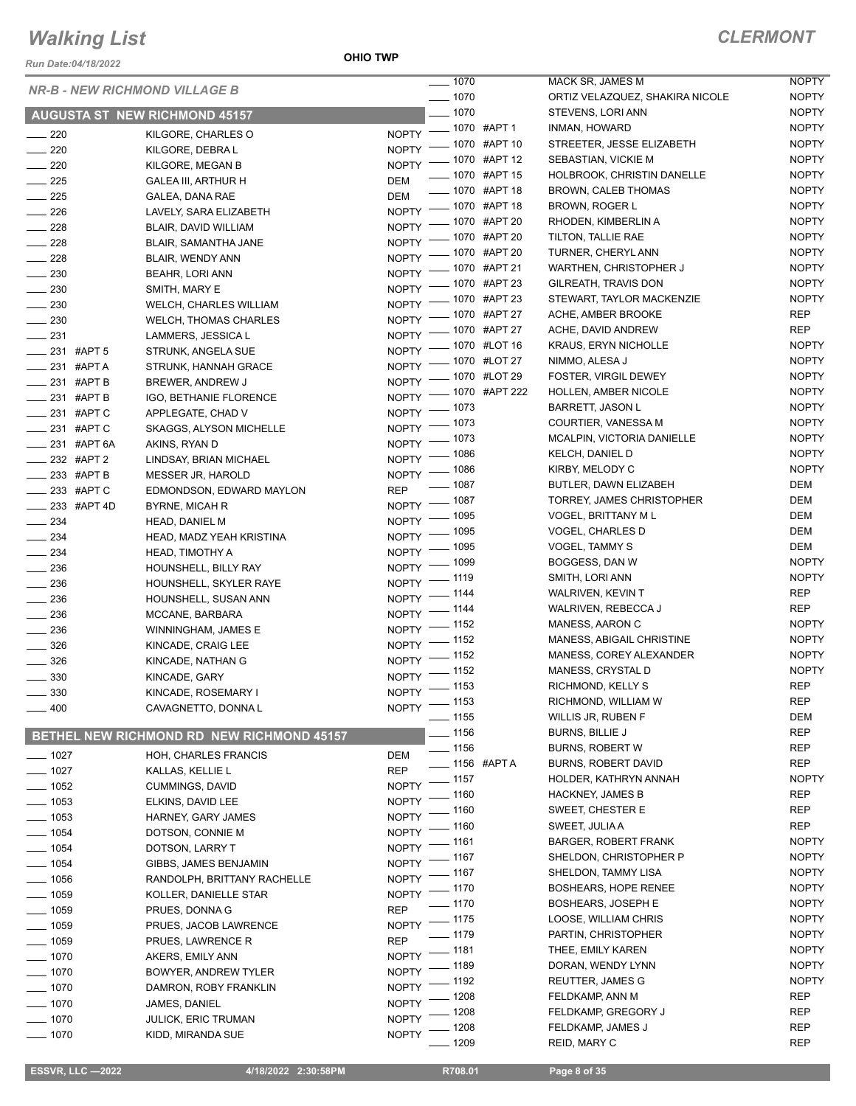*Run Date:04/18/2022*

**OHIO TWP**

### *CLERMONT*

|                                             | Run Date:04/18/2022 |                                           |                       | $- 1070$ |                              | MACK SR, JAI        |
|---------------------------------------------|---------------------|-------------------------------------------|-----------------------|----------|------------------------------|---------------------|
|                                             |                     | <b>NR-B - NEW RICHMOND VILLAGE B</b>      |                       | $- 1070$ |                              | <b>ORTIZ VELAZ</b>  |
|                                             |                     | <b>AUGUSTA ST NEW RICHMOND 45157</b>      |                       | $-1070$  |                              | STEVENS, LO         |
| $-220$                                      |                     | KILGORE, CHARLES O                        | $NOPTY$ –             |          | _ 1070 #APT 1                | <b>INMAN, HOWA</b>  |
| 220                                         |                     | KILGORE, DEBRA L                          | <b>NOPTY</b>          |          | <sub>–</sub> 1070 #APT 10    | STREETER, J         |
| $\rule{1em}{0.15mm} \nightharpoonup 220$    |                     | KILGORE, MEGAN B                          | $NOPTY =$             |          | _ 1070 #APT 12               | SEBASTIAN, \        |
| $\sim$ 225                                  |                     | GALEA III, ARTHUR H                       | DEM                   |          | __ 1070 #APT 15              | <b>HOLBROOK, 0</b>  |
| $\rule{1em}{0.15mm} \vrule{0.13mm}{0.15mm}$ |                     | GALEA, DANA RAE                           | DEM                   |          | ____ 1070 #APT 18            | BROWN, CALI         |
| $\sim$ 226                                  |                     | LAVELY, SARA ELIZABETH                    | <b>NOPTY</b>          |          | -070 #APT 18                 | BROWN, ROG          |
| $\frac{228}{2}$                             |                     | BLAIR, DAVID WILLIAM                      | <b>NOPTY</b>          |          | - 1070 #APT 20               | RHODEN, KIN         |
| $\equiv$ 228                                |                     | BLAIR, SAMANTHA JANE                      | $NOPTY =$             |          | _ 1070 #APT 20               | TILTON, TALLI       |
| $\frac{1}{228}$                             |                     | BLAIR, WENDY ANN                          | NOPTY <sup>-</sup>    |          | <sub>–</sub> 1070 #APT 20    | <b>TURNER, CHE</b>  |
| $\equiv$ 230                                |                     | BEAHR, LORI ANN                           | NOPTY <sup>-</sup>    |          | _ 1070  #APT 21              | <b>WARTHEN, CI</b>  |
| $-230$                                      |                     | SMITH, MARY E                             | NOPTY - 1070 #APT 23  |          |                              | GILREATH, TF        |
| $-230$                                      |                     | WELCH, CHARLES WILLIAM                    | NOPTY -               |          | <sub>____</sub> 1070 #APT 23 | STEWART, TA         |
| $\frac{1}{230}$                             |                     | WELCH, THOMAS CHARLES                     | NOPTY - 1070 #APT 27  |          |                              | ACHE, AMBEF         |
| $\frac{231}{2}$                             |                     | LAMMERS, JESSICA L                        | NOPTY <sup>-</sup>    |          | _ 1070 #APT 27               | ACHE, DAVID         |
| $\frac{1}{231}$ #APT 5                      |                     | STRUNK, ANGELA SUE                        | $N$ OPTY $-$          |          | _ 1070 #LOT 16               | <b>KRAUS, ERYN</b>  |
| _____ 231 #APT A                            |                     | STRUNK, HANNAH GRACE                      | $N$ OPTY $-$          |          | _ 1070 #LOT 27               | NIMMO, ALES         |
| ____ 231 #APT B                             |                     | BREWER, ANDREW J                          | NOPTY <sup>-</sup>    |          | _ 1070 #LOT 29               | FOSTER, VIR         |
|                                             | $=$ 231 #APT B      | IGO, BETHANIE FLORENCE                    |                       |          | NOPTY - 1070 #APT 222        | <b>HOLLEN, AME</b>  |
| $\frac{1}{231}$ #APTC                       |                     | APPLEGATE, CHAD V                         | NOPTY $-$ 1073        |          |                              | BARRETT, JA         |
| ____ 231 #APT C                             |                     | SKAGGS, ALYSON MICHELLE                   | NOPTY - 1073          |          |                              | COURTIER, V.        |
|                                             | ____ 231 #APT 6A    | AKINS, RYAN D                             | NOPTY <sup>-</sup>    | $-1073$  |                              | MCALPIN, VIC        |
| $-232$ #APT 2                               |                     | LINDSAY, BRIAN MICHAEL                    | NOPTY <sup>-</sup>    | $-1086$  |                              | <b>KELCH, DANII</b> |
| _____ 233 #APT B                            |                     | MESSER JR, HAROLD                         | $N$ OPTY $-$          | $-1086$  |                              | KIRBY, MELOI        |
| ____ 233 #APT C                             |                     | EDMONDSON, EDWARD MAYLON                  | REP                   | $-1087$  |                              | BUTLER, DAV         |
|                                             | _ 233 #APT 4D       | <b>BYRNE, MICAH R</b>                     | NOPTY - 1087          |          |                              | TORREY, JAM         |
| $-234$                                      |                     | HEAD, DANIEL M                            | NOPTY - 1095          |          |                              | <b>VOGEL, BRIT</b>  |
| $\sim$ 234                                  |                     | HEAD, MADZ YEAH KRISTINA                  | NOPTY <sup>-</sup>    | $-1095$  |                              | VOGEL, CHAF         |
| $\frac{1}{2}$ 234                           |                     | HEAD, TIMOTHY A                           | NOPTY - 1095          |          |                              | VOGEL, TAMN         |
| $\frac{1}{236}$                             |                     | HOUNSHELL, BILLY RAY                      | NOPTY <sup>-</sup>    | _ 1099   |                              | BOGGESS, D          |
| ____ 236                                    |                     | HOUNSHELL, SKYLER RAYE                    | $N$ OPTY $-$          | $-1119$  |                              | SMITH, LORI /       |
| $-236$                                      |                     | HOUNSHELL, SUSAN ANN                      | NOPTY $-$ 1144        |          |                              | WALRIVEN, K         |
| $-236$                                      |                     | MCCANE, BARBARA                           | NOPTY $-$ 1144        |          |                              | WALRIVEN, R         |
| $\sim$ 236                                  |                     | WINNINGHAM, JAMES E                       | NOPTY - 1152          |          |                              | MANESS, AAF         |
| $\frac{1}{2}$ 326                           |                     | KINCADE, CRAIG LEE                        | NOPTY -               | $-1152$  |                              | MANESS, ABI         |
| $\frac{1}{2}$ 326                           |                     | KINCADE, NATHAN G                         | $N$ OPTY $-$          | $-1152$  |                              | MANESS, COI         |
| $-330$                                      |                     | KINCADE, GARY                             | $N$ OPTY $-$          | $-1152$  |                              | MANESS, CRY         |
| — 330                                       |                     | KINCADE, ROSEMARY I                       | NOPTY <sup>-</sup>    | 1153     |                              | RICHMOND, K         |
| 400                                         |                     | CAVAGNETTO, DONNA L                       | NOPTY - 1153          |          |                              | RICHMOND, V         |
|                                             |                     |                                           |                       | 1155     |                              | WILLIS JR, RU       |
|                                             |                     | BETHEL NEW RICHMOND RD NEW RICHMOND 45157 |                       | _ 1156   |                              | <b>BURNS, BILLI</b> |
| $=$ 1027                                    |                     | HOH, CHARLES FRANCIS                      | DEM                   | 1156     |                              | <b>BURNS, ROBI</b>  |
| $- 1027$                                    |                     | KALLAS, KELLIE L                          | <b>REP</b>            |          | <sub>-</sub> 1156 #APT A     | <b>BURNS, ROBI</b>  |
| $-1052$                                     |                     | <b>CUMMINGS, DAVID</b>                    | <b>NOPTY</b>          | . 1157   |                              | HOLDER, KAT         |
| $-1053$                                     |                     | ELKINS, DAVID LEE                         |                       | 1160     |                              | HACKNEY, JA         |
| - 1053                                      |                     | HARNEY, GARY JAMES                        | NOPTY<br><b>NOPTY</b> | 1160     |                              | SWEET, CHES         |
| . 1054                                      |                     | DOTSON, CONNIE M                          |                       | 1160     |                              | SWEET, JULIA        |
| $-1054$                                     |                     |                                           | NOPTY                 | 1161     |                              | <b>BARGER, ROI</b>  |
| $-1054$                                     |                     | DOTSON, LARRY T                           | NOPTY<br><b>NOPTY</b> | 1167     |                              | SHELDON, CH         |
| $-1056$                                     |                     | GIBBS, JAMES BENJAMIN                     | <b>NOPTY</b>          | 1167     |                              | SHELDON, TA         |
| $- 1059$                                    |                     | RANDOLPH, BRITTANY RACHELLE               | <b>NOPTY</b>          | . 1170   |                              | <b>BOSHEARS, H</b>  |
|                                             |                     | KOLLER, DANIELLE STAR                     |                       | - 1170   |                              | <b>BOSHEARS, J</b>  |
| _ 1059                                      |                     | PRUES, DONNA G                            | REP                   | 1175     |                              | LOOSE, WILL         |
| $-1059$                                     |                     | PRUES, JACOB LAWRENCE                     | NOPTY                 | . 1179   |                              | PARTIN, CHRI        |
| . 1059                                      |                     | PRUES, LAWRENCE R                         | REP                   | 1181     |                              | THEE, EMILY         |
| $-1070$                                     |                     | AKERS, EMILY ANN                          | <b>NOPTY</b>          | . 1189   |                              | DORAN, WEN          |
| $-1070$                                     |                     | BOWYER, ANDREW TYLER                      | <b>NOPTY</b>          | . 1192   |                              | REUTTER, JA         |
| 1070                                        |                     | DAMRON, ROBY FRANKLIN                     | <b>NOPTY</b>          | . 1208   |                              | FELDKAMP, A         |
| $-1070$                                     |                     | JAMES, DANIEL                             | <b>NOPTY</b>          | 1208     |                              | FELDKAMP, G         |
| 1070                                        |                     | <b>JULICK, ERIC TRUMAN</b>                | NOPTY                 | 1208     |                              | FELDKAMP, J         |
| 1070                                        |                     | KIDD, MIRANDA SUE                         | <b>NOPTY</b>          |          |                              |                     |

| 1070         |               | MACK SR, JAMES M                           | <b>NOPTY</b> |
|--------------|---------------|--------------------------------------------|--------------|
| 1070         |               | ORTIZ VELAZQUEZ, SHAKIRA NICOLE            | <b>NOPTY</b> |
| 1070         |               | STEVENS, LORI ANN                          | <b>NOPTY</b> |
|              | 1070 #APT 1   | INMAN, HOWARD                              | <b>NOPTY</b> |
|              | 1070 #APT 10  | STREETER. JESSE ELIZABETH                  | <b>NOPTY</b> |
|              | 1070 #APT 12  | SEBASTIAN, VICKIE M                        | <b>NOPTY</b> |
|              | 1070 #APT 15  | HOLBROOK, CHRISTIN DANELLE                 | <b>NOPTY</b> |
|              | 1070 #APT 18  | <b>BROWN, CALEB THOMAS</b>                 | <b>NOPTY</b> |
|              | 1070 #APT 18  | BROWN, ROGER L                             | <b>NOPTY</b> |
|              | 1070 #APT 20  | RHODEN, KIMBERLIN A                        | <b>NOPTY</b> |
|              | 1070 #APT 20  | TILTON, TALLIE RAE                         | <b>NOPTY</b> |
|              | 1070 #APT 20  | TURNER, CHERYL ANN                         | <b>NOPTY</b> |
|              | 1070 #APT 21  | WARTHEN, CHRISTOPHER J                     | <b>NOPTY</b> |
|              | 1070 #APT 23  | GILREATH, TRAVIS DON                       | <b>NOPTY</b> |
|              | 1070 #APT 23  | STEWART, TAYLOR MACKENZIE                  | <b>NOPTY</b> |
|              | 1070 #APT 27  | ACHE, AMBER BROOKE                         | REP          |
|              | 1070 #APT 27  | ACHE, DAVID ANDREW                         | REP          |
|              | 1070 #LOT 16  | <b>KRAUS, ERYN NICHOLLE</b>                | <b>NOPTY</b> |
|              | 1070 #LOT 27  | NIMMO, ALESA J                             | <b>NOPTY</b> |
|              | 1070 #LOT 29  | FOSTER, VIRGIL DEWEY                       | <b>NOPTY</b> |
|              | 1070 #APT 222 | <b>HOLLEN, AMBER NICOLE</b>                | <b>NOPTY</b> |
| 1073         |               | <b>BARRETT, JASON L</b>                    | <b>NOPTY</b> |
| 1073         |               | COURTIER, VANESSA M                        | <b>NOPTY</b> |
| 1073         |               | MCALPIN, VICTORIA DANIELLE                 | <b>NOPTY</b> |
| 1086         |               | <b>KELCH. DANIEL D</b>                     | <b>NOPTY</b> |
| 1086         |               | KIRBY, MELODY C                            | <b>NOPTY</b> |
| 1087         |               | BUTLER, DAWN ELIZABEH                      | DEM          |
| 1087         |               | TORREY, JAMES CHRISTOPHER                  | DEM          |
| 1095         |               | VOGEL, BRITTANY M L                        | DEM          |
| 1095         |               | VOGEL, CHARLES D                           | DEM          |
| 1095         |               | VOGEL, TAMMY S                             | DEM          |
| 1099         |               | BOGGESS, DAN W                             | <b>NOPTY</b> |
| 1119         |               | SMITH, LORI ANN                            | <b>NOPTY</b> |
| 1144         |               | <b>WALRIVEN, KEVIN T</b>                   | <b>REP</b>   |
| 1144         |               | WALRIVEN, REBECCA J                        | REP          |
| 1152         |               | MANESS, AARON C                            | <b>NOPTY</b> |
| 1152         |               | MANESS, ABIGAIL CHRISTINE                  | <b>NOPTY</b> |
| 1152         |               | MANESS, COREY ALEXANDER                    | <b>NOPTY</b> |
| 1152         |               | MANESS, CRYSTAL D                          | NOPTY        |
| 1153         |               | RICHMOND, KELLY S                          | REP          |
| 1153         |               | RICHMOND, WILLIAM W                        | <b>REP</b>   |
| 1155         |               | WILLIS JR, RUBEN F                         | DEM          |
| 1156         |               | <b>BURNS, BILLIE J</b>                     | REP          |
| 1156         |               | <b>BURNS, ROBERT W</b>                     | REP          |
|              | 1156 #APT A   | <b>BURNS, ROBERT DAVID</b>                 | <b>REP</b>   |
| 1157         |               | HOLDER, KATHRYN ANNAH                      | <b>NOPTY</b> |
| 1160         |               | <b>HACKNEY, JAMES B</b>                    | REP          |
| 1160         |               | SWEET, CHESTER E                           | REP          |
| 1160         |               | SWEET, JULIA A                             | <b>REP</b>   |
| 1161         |               | <b>BARGER, ROBERT FRANK</b>                | <b>NOPTY</b> |
| 1167         |               | SHELDON, CHRISTOPHER P                     | <b>NOPTY</b> |
| 1167         |               | SHELDON, TAMMY LISA                        | NOPTY        |
| 1170         |               | <b>BOSHEARS, HOPE RENEE</b>                | <b>NOPTY</b> |
| 1170         |               | <b>BOSHEARS, JOSEPH E</b>                  | <b>NOPTY</b> |
| 1175         |               | LOOSE, WILLIAM CHRIS                       | <b>NOPTY</b> |
| 1179         |               | PARTIN, CHRISTOPHER                        | <b>NOPTY</b> |
| 1181         |               | THEE, EMILY KAREN                          | <b>NOPTY</b> |
| 1189         |               | DORAN, WENDY LYNN                          | NOPTY        |
| 1192         |               | <b>REUTTER, JAMES G</b><br>FELDKAMP, ANN M | NOPTY<br>REP |
| 1208<br>1208 |               | FELDKAMP, GREGORY J                        | REP          |
| 1208         |               | FELDKAMP, JAMES J                          | <b>REP</b>   |
| 1209         |               | REID, MARY C                               | REP          |
|              |               |                                            |              |

 $\overline{a}$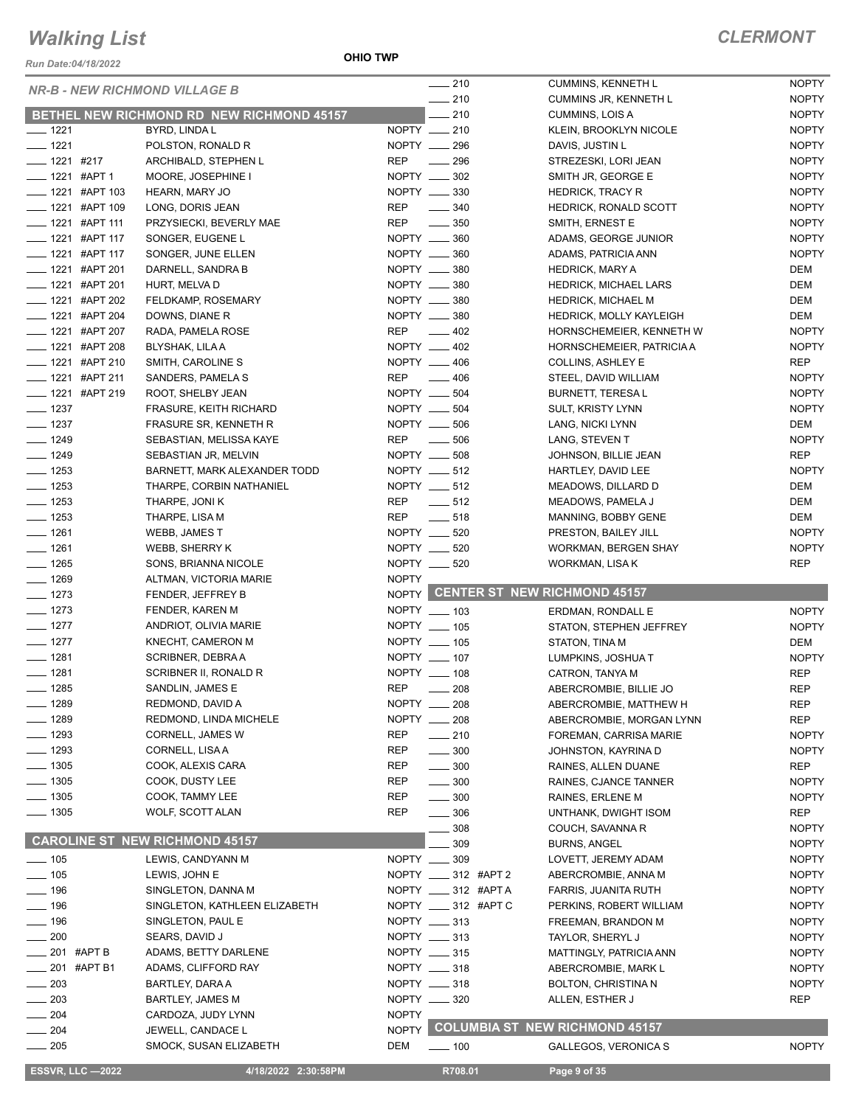#### *Run Date:04/18/2022*

**OHIO TWP**

| <b>NR-B - NEW RICHMOND VILLAGE B</b> |                                                  | $-210$                          | <b>CUMMINS, KENNETH L</b>                 | <b>NOPTY</b> |
|--------------------------------------|--------------------------------------------------|---------------------------------|-------------------------------------------|--------------|
|                                      |                                                  | $-210$                          | CUMMINS JR, KENNETH L                     | <b>NOPTY</b> |
|                                      | <b>BETHEL NEW RICHMOND RD NEW RICHMOND 45157</b> | 210                             | CUMMINS, LOIS A                           | <b>NOPTY</b> |
| $- 1221$                             | BYRD, LINDA L                                    | NOPTY __ 210                    | KLEIN, BROOKLYN NICOLE                    | <b>NOPTY</b> |
| $- 1221$                             | POLSTON, RONALD R                                | NOPTY __ 296                    | DAVIS, JUSTIN L                           | <b>NOPTY</b> |
| $- 1221$ #217                        | ARCHIBALD, STEPHEN L                             | <b>REP</b><br>$\frac{1}{296}$   | STREZESKI, LORI JEAN                      | <b>NOPTY</b> |
| $\frac{1}{2}$ 1221 #APT 1            | MOORE, JOSEPHINE I                               | NOPTY __ 302                    | SMITH JR, GEORGE E                        | <b>NOPTY</b> |
| <b>____ 1221 #APT 103</b>            | HEARN, MARY JO                                   | NOPTY __ 330                    | <b>HEDRICK, TRACY R</b>                   | <b>NOPTY</b> |
| ____ 1221 #APT 109                   | LONG, DORIS JEAN                                 | REP<br>$\frac{1}{2}$ 340        | <b>HEDRICK, RONALD SCOTT</b>              | <b>NOPTY</b> |
| $\frac{1}{2}$ 1221 #APT 111          | PRZYSIECKI, BEVERLY MAE                          | REP<br>$\frac{1}{2}$ 350        | SMITH, ERNEST E                           | <b>NOPTY</b> |
| $\frac{1}{2}$ 1221 #APT 117          | SONGER, EUGENE L                                 | NOPTY __ 360                    | ADAMS, GEORGE JUNIOR                      | <b>NOPTY</b> |
| <b>____ 1221 #APT 117</b>            | SONGER, JUNE ELLEN                               | NOPTY __ 360                    | ADAMS, PATRICIA ANN                       | <b>NOPTY</b> |
| <b>_____ 1221 #APT 201</b>           | DARNELL, SANDRA B                                | NOPTY __ 380                    | <b>HEDRICK, MARY A</b>                    | DEM          |
| $\frac{1}{2}$ 1221 #APT 201          | HURT, MELVA D                                    | NOPTY __ 380                    | HEDRICK, MICHAEL LARS                     | DEM          |
| ____ 1221 #APT 202                   | FELDKAMP, ROSEMARY                               | NOPTY __ 380                    | <b>HEDRICK, MICHAEL M</b>                 | DEM          |
| ____ 1221 #APT 204                   | DOWNS, DIANE R                                   | NOPTY __ 380                    | <b>HEDRICK, MOLLY KAYLEIGH</b>            | DEM          |
| ____ 1221 #APT 207                   | RADA, PAMELA ROSE                                | REP __ 402                      | HORNSCHEMEIER, KENNETH W                  | <b>NOPTY</b> |
| <b>______ 1221 #APT 208</b>          | <b>BLYSHAK, LILA A</b>                           | NOPTY __ 402                    | HORNSCHEMEIER, PATRICIA A                 | <b>NOPTY</b> |
| ____ 1221 #APT 210                   | SMITH, CAROLINE S                                | NOPTY __ 406                    | COLLINS, ASHLEY E                         | <b>REP</b>   |
| -1221 #APT 211                       | SANDERS, PAMELA S                                | REP<br>$\sim$ 406               | STEEL, DAVID WILLIAM                      | <b>NOPTY</b> |
| ___ 1221 #APT 219                    | ROOT, SHELBY JEAN                                | NOPTY __ 504                    | <b>BURNETT, TERESA L</b>                  | <b>NOPTY</b> |
| $- 1237$                             | FRASURE, KEITH RICHARD                           | NOPTY __ 504                    | <b>SULT, KRISTY LYNN</b>                  | <b>NOPTY</b> |
| $- 1237$                             | FRASURE SR, KENNETH R                            | NOPTY __ 506                    | LANG, NICKI LYNN                          | DEM          |
| $- 1249$                             | SEBASTIAN, MELISSA KAYE                          | REP<br>$\frac{1}{2}$ 506        | LANG, STEVEN T                            | <b>NOPTY</b> |
| $- 1249$                             | SEBASTIAN JR, MELVIN                             | NOPTY __ 508                    | JOHNSON, BILLIE JEAN                      | <b>REP</b>   |
| $\frac{1}{2}$ 1253                   | BARNETT, MARK ALEXANDER TODD                     | NOPTY __ 512                    | HARTLEY, DAVID LEE                        | <b>NOPTY</b> |
| $- 1253$                             | THARPE, CORBIN NATHANIEL                         | NOPTY __ 512                    | MEADOWS, DILLARD D                        | DEM          |
| $\frac{1}{2}$ 1253                   | THARPE, JONI K                                   | REP<br>$\frac{1}{2}$ 512        | MEADOWS, PAMELA J                         | DEM          |
| $- 1253$                             | THARPE, LISA M                                   | REP<br>$-518$                   | MANNING, BOBBY GENE                       | DEM          |
| $- 1261$                             | WEBB, JAMES T                                    | NOPTY __ 520                    | PRESTON, BAILEY JILL                      | <b>NOPTY</b> |
| $- 1261$                             | WEBB, SHERRY K                                   | NOPTY __ 520                    | <b>WORKMAN, BERGEN SHAY</b>               | <b>NOPTY</b> |
| $- 1265$                             | SONS, BRIANNA NICOLE                             | NOPTY __ 520                    | WORKMAN, LISA K                           | <b>REP</b>   |
| $\frac{1}{2}$ 1269                   | ALTMAN, VICTORIA MARIE                           | <b>NOPTY</b>                    |                                           |              |
| $- 1273$                             | FENDER, JEFFREY B                                |                                 | NOPTY CENTER ST NEW RICHMOND 45157        |              |
| $- 1273$                             | FENDER, KAREN M                                  | NOPTY __ 103                    | ERDMAN, RONDALL E                         | <b>NOPTY</b> |
| $- 1277$                             | ANDRIOT, OLIVIA MARIE                            | NOPTY __ 105                    | STATON, STEPHEN JEFFREY                   | <b>NOPTY</b> |
| $- 1277$                             | KNECHT, CAMERON M                                | NOPTY __ 105                    | STATON, TINA M                            | DEM          |
| $- 1281$                             | SCRIBNER, DEBRA A                                |                                 | LUMPKINS, JOSHUA T                        |              |
|                                      |                                                  |                                 |                                           | <b>NOPTY</b> |
|                                      | SCRIBNER II, RONALD R                            | NOPTY __ 107                    |                                           |              |
| $- 1281$                             | SANDLIN, JAMES E                                 | NOPTY __ 108<br><b>REP</b>      | CATRON, TANYA M<br>ABERCROMBIE, BILLIE JO | <b>REP</b>   |
| $- 1285$<br>____ 1289                | REDMOND, DAVID A                                 | $\frac{1}{208}$                 |                                           | <b>REP</b>   |
| $- 1289$                             | REDMOND, LINDA MICHELE                           | $NOPTY$ __ 208<br>NOPTY __      | ABERCROMBIE, MATTHEW H                    | <b>REP</b>   |
|                                      |                                                  | 208                             | ABERCROMBIE, MORGAN LYNN                  | <b>REP</b>   |
| $- 1293$                             | <b>CORNELL, JAMES W</b>                          | <b>REP</b><br>$-210$            | FOREMAN, CARRISA MARIE                    | <b>NOPTY</b> |
| $- 1293$                             | CORNELL, LISA A                                  | REP<br>300                      | JOHNSTON, KAYRINA D                       | <b>NOPTY</b> |
| $- 1305$                             | COOK, ALEXIS CARA                                | <b>REP</b><br>$\frac{1}{2}$ 300 | RAINES, ALLEN DUANE                       | REP          |
| $\frac{1}{2}$ 1305                   | COOK, DUSTY LEE                                  | REP<br>$\frac{1}{2}$ 300        | RAINES, CJANCE TANNER                     | <b>NOPTY</b> |
| $- 1305$                             | COOK, TAMMY LEE                                  | REP<br>$\frac{1}{2}$ 300        | RAINES, ERLENE M                          | <b>NOPTY</b> |
| $- 1305$                             | WOLF, SCOTT ALAN                                 | <b>REP</b><br>$\frac{1}{2}$ 306 | UNTHANK, DWIGHT ISOM                      | <b>REP</b>   |
|                                      |                                                  | 308                             | COUCH, SAVANNA R                          | <b>NOPTY</b> |
|                                      | <b>CAROLINE ST NEW RICHMOND 45157</b>            | 309                             | <b>BURNS, ANGEL</b>                       | <b>NOPTY</b> |
| $- 105$                              | LEWIS, CANDYANN M                                | NOPTY __ 309                    | LOVETT, JEREMY ADAM                       | <b>NOPTY</b> |
| $- 105$                              | LEWIS, JOHN E                                    | NOPTY __ 312 #APT 2             | ABERCROMBIE, ANNA M                       | <b>NOPTY</b> |
| $- 196$                              | SINGLETON, DANNA M                               | NOPTY __ 312 #APT A             | FARRIS, JUANITA RUTH                      | <b>NOPTY</b> |
| $- 196$                              | SINGLETON, KATHLEEN ELIZABETH                    | NOPTY ____ 312 #APT C           | PERKINS, ROBERT WILLIAM                   | <b>NOPTY</b> |
| $\frac{1}{2}$ 196                    | SINGLETON, PAUL E                                | NOPTY __ 313                    | FREEMAN, BRANDON M                        | <b>NOPTY</b> |
| $\frac{1}{200}$                      | SEARS, DAVID J                                   | NOPTY __ 313                    | TAYLOR, SHERYL J                          | <b>NOPTY</b> |
| ___ 201 #APT B                       | ADAMS, BETTY DARLENE                             | NOPTY __ 315                    | MATTINGLY, PATRICIA ANN                   | <b>NOPTY</b> |
| $\frac{1}{201}$ #APT B1              | ADAMS, CLIFFORD RAY                              | NOPTY __ 318                    | ABERCROMBIE, MARK L                       | <b>NOPTY</b> |
| $\sim$ 203                           | BARTLEY, DARA A                                  | NOPTY __ 318                    | BOLTON, CHRISTINA N                       | <b>NOPTY</b> |
| $\sim$ 203                           | <b>BARTLEY, JAMES M</b>                          | NOPTY __ 320                    | ALLEN, ESTHER J                           | <b>REP</b>   |
| $- 204$                              | CARDOZA, JUDY LYNN                               | <b>NOPTY</b>                    |                                           |              |
| $\frac{1}{204}$                      | JEWELL, CANDACE L                                | <b>NOPTY</b>                    | <b>COLUMBIA ST NEW RICHMOND 45157</b>     |              |
| $\frac{1}{205}$                      | SMOCK, SUSAN ELIZABETH                           | DEM<br>$\frac{1}{2}$ 100        | GALLEGOS, VERONICA S                      | <b>NOPTY</b> |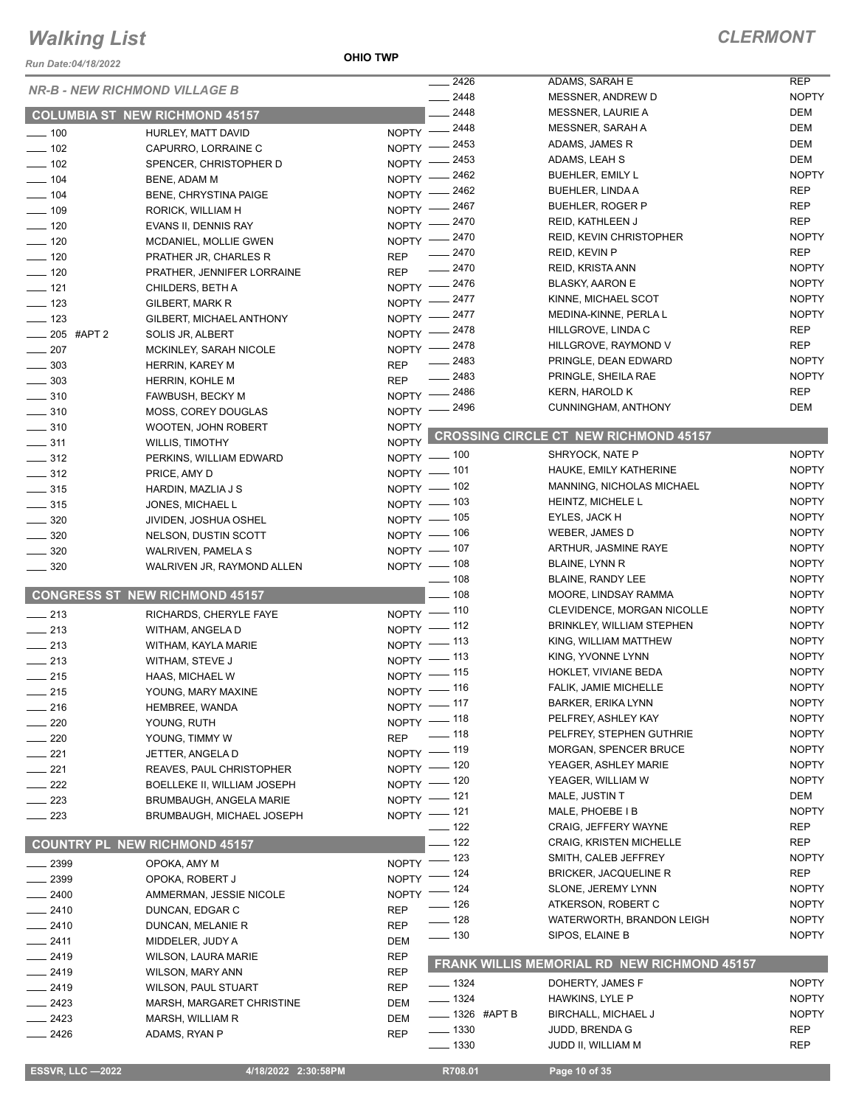*Run Date:04/18/2022*

**OHIO TWP**

| <b>NR-B - NEW RICHMOND VILLAGE B</b><br>$-2448$<br><b>NOPTY</b><br><b>MESSNER, ANDREW D</b><br>2448<br><b>DEM</b><br><b>MESSNER, LAURIE A</b><br><b>COLUMBIA ST NEW RICHMOND 45157</b><br>NOPTY -2448<br><b>DEM</b><br>MESSNER, SARAH A<br>$- 100$<br>HURLEY, MATT DAVID<br><b>DEM</b><br>NOPTY -2453<br>ADAMS, JAMES R<br>$\frac{1}{2}$ 102<br>CAPURRO, LORRAINE C<br><b>DEM</b><br>2453<br>ADAMS, LEAH S<br>NOPTY $-$<br>$-102$<br>SPENCER, CHRISTOPHER D<br><b>NOPTY</b><br>- 2462<br><b>BUEHLER, EMILY L</b><br>NOPTY -<br>$- 104$<br>BENE, ADAM M<br><b>REP</b><br>_ 2462<br><b>BUEHLER, LINDA A</b><br>$NOPTY =$<br>$- 104$<br>BENE, CHRYSTINA PAIGE<br><b>REP</b><br>2467<br><b>BUEHLER, ROGER P</b><br>$NOPTY =$<br>$\frac{1}{2}$ 109<br>RORICK, WILLIAM H<br><b>REP</b><br>NOPTY -2470<br><b>REID, KATHLEEN J</b><br>$\frac{1}{2}$ 120<br>EVANS II, DENNIS RAY<br>REID, KEVIN CHRISTOPHER<br><b>NOPTY</b><br>NOPTY -2470<br>$\frac{1}{2}$ 120<br>MCDANIEL, MOLLIE GWEN<br><b>REP</b><br>$-2470$<br>REID, KEVIN P<br><b>REP</b><br>$\frac{1}{2}$ 120<br>PRATHER JR, CHARLES R<br><b>NOPTY</b><br>$- 2470$<br>REID, KRISTA ANN<br><b>REP</b><br>$- 120$<br>PRATHER, JENNIFER LORRAINE<br><b>NOPTY</b><br>NOPTY -2476<br><b>BLASKY, AARON E</b><br>$- 121$<br>CHILDERS, BETH A<br><b>NOPTY</b><br>$=2477$<br>KINNE, MICHAEL SCOT<br>$NOPTY -$<br>$\frac{1}{2}$ 123<br>GILBERT, MARK R<br><b>NOPTY</b><br>2477<br>MEDINA-KINNE, PERLA L<br>NOPTY $-$<br>$\frac{1}{2}$ 123<br>GILBERT, MICHAEL ANTHONY<br><b>REP</b><br>_ 2478<br>HILLGROVE, LINDA C<br>$NOPTY =$<br>____ 205 #APT 2<br>SOLIS JR, ALBERT<br><b>REP</b><br>NOPTY -2478<br>HILLGROVE, RAYMOND V<br>$-207$<br>MCKINLEY, SARAH NICOLE<br><b>NOPTY</b><br>2483<br>PRINGLE, DEAN EDWARD<br><b>REP</b><br>$\frac{1}{2}$ 303<br><b>HERRIN, KAREY M</b><br>$-2483$<br><b>NOPTY</b><br>PRINGLE, SHEILA RAE<br><b>REP</b><br>$\frac{1}{2}$ 303<br>HERRIN, KOHLE M<br>NOPTY -2486<br><b>REP</b><br><b>KERN, HAROLD K</b><br>$- 310$<br>FAWBUSH, BECKY M<br><b>DEM</b><br>NOPTY -2496<br>CUNNINGHAM, ANTHONY<br>$-310$<br><b>MOSS, COREY DOUGLAS</b><br><b>NOPTY</b><br>$\frac{1}{2}$ 310<br>WOOTEN, JOHN ROBERT<br><b>CROSSING CIRCLE CT NEW RICHMOND 45157</b><br><b>NOPTY</b><br>$- 311$<br><b>WILLIS, TIMOTHY</b><br><b>NOPTY</b><br>SHRYOCK, NATE P<br>NOPTY - 100<br>$\frac{312}{2}$<br>PERKINS, WILLIAM EDWARD<br><b>NOPTY</b><br>HAUKE, EMILY KATHERINE<br>NOPTY - 101<br>$\frac{1}{2}$ 312<br>PRICE, AMY D<br><b>NOPTY</b><br>MANNING, NICHOLAS MICHAEL<br>$NOPTY$ - 102<br>$\frac{1}{2}$ 315<br>HARDIN, MAZLIA J S<br><b>NOPTY</b><br>NOPTY - 103<br>HEINTZ, MICHELE L<br>$\frac{1}{2}$ 315<br>JONES, MICHAEL L<br><b>NOPTY</b><br>NOPTY - 105<br>EYLES, JACK H<br>$- 320$<br>JIVIDEN, JOSHUA OSHEL<br><b>NOPTY</b><br>NOPTY - 106<br>WEBER, JAMES D<br>$- 320$<br>NELSON, DUSTIN SCOTT<br><b>NOPTY</b><br>NOPTY - 107<br>ARTHUR, JASMINE RAYE<br>$\frac{1}{2}$ 320<br><b>WALRIVEN, PAMELA S</b><br>NOPTY - 108<br><b>BLAINE, LYNN R</b><br><b>NOPTY</b><br>$\frac{1}{2}$ 320<br>WALRIVEN JR, RAYMOND ALLEN<br><b>NOPTY</b><br>$- 108$<br>BLAINE, RANDY LEE<br>$-108$<br><b>NOPTY</b><br><b>CONGRESS ST NEW RICHMOND 45157</b><br>MOORE, LINDSAY RAMMA<br>NOPTY - 110<br><b>NOPTY</b><br>CLEVIDENCE, MORGAN NICOLLE<br>$\frac{1}{213}$<br>RICHARDS, CHERYLE FAYE<br><b>NOPTY</b><br>NOPTY -112<br>BRINKLEY, WILLIAM STEPHEN<br>$\frac{213}{2}$<br>WITHAM, ANGELA D<br><b>NOPTY</b><br>NOPTY - 113<br>KING, WILLIAM MATTHEW<br>$-213$<br>WITHAM, KAYLA MARIE<br>NOPTY -113<br><b>NOPTY</b><br>KING, YVONNE LYNN<br>$\frac{1}{213}$<br>WITHAM, STEVE J<br><b>NOPTY</b><br>NOPTY -115<br>HOKLET, VIVIANE BEDA<br>$\frac{1}{215}$<br>HAAS, MICHAEL W<br><b>NOPTY</b><br>FALIK, JAMIE MICHELLE<br>NOPTY - 116<br>$\frac{1}{215}$<br>YOUNG, MARY MAXINE<br><b>NOPTY</b><br><b>BARKER, ERIKA LYNN</b><br>NOPTY - 117<br>$-216$<br>HEMBREE, WANDA<br><b>NOPTY</b><br>PELFREY, ASHLEY KAY<br>$NOPTY$ - 118<br>220<br>YOUNG, RUTH<br>REP - 118<br><b>NOPTY</b><br>PELFREY, STEPHEN GUTHRIE<br>$-220$<br>YOUNG, TIMMY W<br><b>NOPTY</b><br>NOPTY - 119<br><b>MORGAN, SPENCER BRUCE</b><br>$-221$<br>JETTER, ANGELA D<br>NOPTY - 120<br><b>NOPTY</b><br>YEAGER, ASHLEY MARIE<br>$-221$<br>REAVES, PAUL CHRISTOPHER<br><b>NOPTY</b><br>YEAGER, WILLIAM W<br>NOPTY - 120<br>$\sim$ 222<br>BOELLEKE II, WILLIAM JOSEPH<br>DEM<br>NOPTY - 121<br>MALE, JUSTIN T<br>$-223$<br>BRUMBAUGH, ANGELA MARIE<br><b>NOPTY</b><br>MALE, PHOEBE I B<br>$NOPTY$ - 121<br>$\sim$ 223<br>BRUMBAUGH, MICHAEL JOSEPH<br>$- 122$<br><b>REP</b><br>CRAIG, JEFFERY WAYNE<br>$-122$<br><b>REP</b><br><b>CRAIG, KRISTEN MICHELLE</b><br><b>COUNTRY PL NEW RICHMOND 45157</b><br>NOPTY - 123<br><b>NOPTY</b><br>SMITH, CALEB JEFFREY<br>2399<br>OPOKA, AMY M<br>NOPTY - 124<br><b>REP</b><br><b>BRICKER, JACQUELINE R</b><br>- 2399<br>OPOKA, ROBERT J<br><b>NOPTY</b><br>_ 124<br>SLONE, JEREMY LYNN<br>$NOPTY =$<br>2400<br>AMMERMAN, JESSIE NICOLE<br><b>NOPTY</b><br>___ 126<br>ATKERSON, ROBERT C<br><b>REP</b><br>$-2410$<br>DUNCAN, EDGAR C<br>$-128$<br><b>NOPTY</b><br>WATERWORTH, BRANDON LEIGH<br><b>REP</b><br>$-2410$<br>DUNCAN, MELANIE R<br>$- 130$<br><b>NOPTY</b><br>SIPOS, ELAINE B<br>$-2411$<br><b>DEM</b><br>MIDDELER, JUDY A<br>$-2419$<br><b>REP</b><br><b>WILSON, LAURA MARIE</b><br><b>FRANK WILLIS MEMORIAL RD NEW RICHMOND 45157</b><br>$-2419$<br><b>REP</b><br>WILSON, MARY ANN<br>$- 1324$<br><b>NOPTY</b><br>DOHERTY, JAMES F<br>$-2419$<br><b>REP</b><br><b>WILSON, PAUL STUART</b><br><b>NOPTY</b><br>$- 1324$<br>HAWKINS, LYLE P<br>$-2423$<br><b>DEM</b><br>MARSH, MARGARET CHRISTINE<br>___ 1326 #APT B<br><b>NOPTY</b><br>BIRCHALL, MICHAEL J<br>$-2423$<br><b>DEM</b><br>MARSH, WILLIAM R<br>$- 1330$<br><b>JUDD, BRENDA G</b><br>REP<br>$-2426$<br><b>REP</b><br>ADAMS, RYAN P<br>$\frac{1}{2}$ 1330<br><b>REP</b><br>JUDD II, WILLIAM M<br><b>ESSVR, LLC -2022</b><br>4/18/2022 2:30:58PM<br>R708.01<br>Page 10 of 35 |  | $-2426$ | ADAMS, SARAH E | <b>REP</b> |
|------------------------------------------------------------------------------------------------------------------------------------------------------------------------------------------------------------------------------------------------------------------------------------------------------------------------------------------------------------------------------------------------------------------------------------------------------------------------------------------------------------------------------------------------------------------------------------------------------------------------------------------------------------------------------------------------------------------------------------------------------------------------------------------------------------------------------------------------------------------------------------------------------------------------------------------------------------------------------------------------------------------------------------------------------------------------------------------------------------------------------------------------------------------------------------------------------------------------------------------------------------------------------------------------------------------------------------------------------------------------------------------------------------------------------------------------------------------------------------------------------------------------------------------------------------------------------------------------------------------------------------------------------------------------------------------------------------------------------------------------------------------------------------------------------------------------------------------------------------------------------------------------------------------------------------------------------------------------------------------------------------------------------------------------------------------------------------------------------------------------------------------------------------------------------------------------------------------------------------------------------------------------------------------------------------------------------------------------------------------------------------------------------------------------------------------------------------------------------------------------------------------------------------------------------------------------------------------------------------------------------------------------------------------------------------------------------------------------------------------------------------------------------------------------------------------------------------------------------------------------------------------------------------------------------------------------------------------------------------------------------------------------------------------------------------------------------------------------------------------------------------------------------------------------------------------------------------------------------------------------------------------------------------------------------------------------------------------------------------------------------------------------------------------------------------------------------------------------------------------------------------------------------------------------------------------------------------------------------------------------------------------------------------------------------------------------------------------------------------------------------------------------------------------------------------------------------------------------------------------------------------------------------------------------------------------------------------------------------------------------------------------------------------------------------------------------------------------------------------------------------------------------------------------------------------------------------------------------------------------------------------------------------------------------------------------------------------------------------------------------------------------------------------------------------------------------------------------------------------------------------------------------------------------------------------------------------------------------------------------------------------------------------------------------------------------------------------------------------------------------------------------------------------------------------------------------------------------------------------------------------------------------------------------------------------------------------------------------------------------------------------------------------------------------------------------------------------------------------------------------------------------------------------------------------------------------------------------------------------------------------------------------------------------------------------------------------------------------------------------------------------------------------------------------------------------------------------------------------------------------------------------------------------------------------------------------------------------------------------------------------------------------------------------------------------------------------------------------------------------------------------------------------------------------------------------------------------------------------------------------------------------------------------------------------------------------------------------------------------------|--|---------|----------------|------------|
|                                                                                                                                                                                                                                                                                                                                                                                                                                                                                                                                                                                                                                                                                                                                                                                                                                                                                                                                                                                                                                                                                                                                                                                                                                                                                                                                                                                                                                                                                                                                                                                                                                                                                                                                                                                                                                                                                                                                                                                                                                                                                                                                                                                                                                                                                                                                                                                                                                                                                                                                                                                                                                                                                                                                                                                                                                                                                                                                                                                                                                                                                                                                                                                                                                                                                                                                                                                                                                                                                                                                                                                                                                                                                                                                                                                                                                                                                                                                                                                                                                                                                                                                                                                                                                                                                                                                                                                                                                                                                                                                                                                                                                                                                                                                                                                                                                                                                                                                                                                                                                                                                                                                                                                                                                                                                                                                                                                                                                                                                                                                                                                                                                                                                                                                                                                                                                                                                                                                                                                          |  |         |                |            |
|                                                                                                                                                                                                                                                                                                                                                                                                                                                                                                                                                                                                                                                                                                                                                                                                                                                                                                                                                                                                                                                                                                                                                                                                                                                                                                                                                                                                                                                                                                                                                                                                                                                                                                                                                                                                                                                                                                                                                                                                                                                                                                                                                                                                                                                                                                                                                                                                                                                                                                                                                                                                                                                                                                                                                                                                                                                                                                                                                                                                                                                                                                                                                                                                                                                                                                                                                                                                                                                                                                                                                                                                                                                                                                                                                                                                                                                                                                                                                                                                                                                                                                                                                                                                                                                                                                                                                                                                                                                                                                                                                                                                                                                                                                                                                                                                                                                                                                                                                                                                                                                                                                                                                                                                                                                                                                                                                                                                                                                                                                                                                                                                                                                                                                                                                                                                                                                                                                                                                                                          |  |         |                |            |
|                                                                                                                                                                                                                                                                                                                                                                                                                                                                                                                                                                                                                                                                                                                                                                                                                                                                                                                                                                                                                                                                                                                                                                                                                                                                                                                                                                                                                                                                                                                                                                                                                                                                                                                                                                                                                                                                                                                                                                                                                                                                                                                                                                                                                                                                                                                                                                                                                                                                                                                                                                                                                                                                                                                                                                                                                                                                                                                                                                                                                                                                                                                                                                                                                                                                                                                                                                                                                                                                                                                                                                                                                                                                                                                                                                                                                                                                                                                                                                                                                                                                                                                                                                                                                                                                                                                                                                                                                                                                                                                                                                                                                                                                                                                                                                                                                                                                                                                                                                                                                                                                                                                                                                                                                                                                                                                                                                                                                                                                                                                                                                                                                                                                                                                                                                                                                                                                                                                                                                                          |  |         |                |            |
|                                                                                                                                                                                                                                                                                                                                                                                                                                                                                                                                                                                                                                                                                                                                                                                                                                                                                                                                                                                                                                                                                                                                                                                                                                                                                                                                                                                                                                                                                                                                                                                                                                                                                                                                                                                                                                                                                                                                                                                                                                                                                                                                                                                                                                                                                                                                                                                                                                                                                                                                                                                                                                                                                                                                                                                                                                                                                                                                                                                                                                                                                                                                                                                                                                                                                                                                                                                                                                                                                                                                                                                                                                                                                                                                                                                                                                                                                                                                                                                                                                                                                                                                                                                                                                                                                                                                                                                                                                                                                                                                                                                                                                                                                                                                                                                                                                                                                                                                                                                                                                                                                                                                                                                                                                                                                                                                                                                                                                                                                                                                                                                                                                                                                                                                                                                                                                                                                                                                                                                          |  |         |                |            |
|                                                                                                                                                                                                                                                                                                                                                                                                                                                                                                                                                                                                                                                                                                                                                                                                                                                                                                                                                                                                                                                                                                                                                                                                                                                                                                                                                                                                                                                                                                                                                                                                                                                                                                                                                                                                                                                                                                                                                                                                                                                                                                                                                                                                                                                                                                                                                                                                                                                                                                                                                                                                                                                                                                                                                                                                                                                                                                                                                                                                                                                                                                                                                                                                                                                                                                                                                                                                                                                                                                                                                                                                                                                                                                                                                                                                                                                                                                                                                                                                                                                                                                                                                                                                                                                                                                                                                                                                                                                                                                                                                                                                                                                                                                                                                                                                                                                                                                                                                                                                                                                                                                                                                                                                                                                                                                                                                                                                                                                                                                                                                                                                                                                                                                                                                                                                                                                                                                                                                                                          |  |         |                |            |
|                                                                                                                                                                                                                                                                                                                                                                                                                                                                                                                                                                                                                                                                                                                                                                                                                                                                                                                                                                                                                                                                                                                                                                                                                                                                                                                                                                                                                                                                                                                                                                                                                                                                                                                                                                                                                                                                                                                                                                                                                                                                                                                                                                                                                                                                                                                                                                                                                                                                                                                                                                                                                                                                                                                                                                                                                                                                                                                                                                                                                                                                                                                                                                                                                                                                                                                                                                                                                                                                                                                                                                                                                                                                                                                                                                                                                                                                                                                                                                                                                                                                                                                                                                                                                                                                                                                                                                                                                                                                                                                                                                                                                                                                                                                                                                                                                                                                                                                                                                                                                                                                                                                                                                                                                                                                                                                                                                                                                                                                                                                                                                                                                                                                                                                                                                                                                                                                                                                                                                                          |  |         |                |            |
|                                                                                                                                                                                                                                                                                                                                                                                                                                                                                                                                                                                                                                                                                                                                                                                                                                                                                                                                                                                                                                                                                                                                                                                                                                                                                                                                                                                                                                                                                                                                                                                                                                                                                                                                                                                                                                                                                                                                                                                                                                                                                                                                                                                                                                                                                                                                                                                                                                                                                                                                                                                                                                                                                                                                                                                                                                                                                                                                                                                                                                                                                                                                                                                                                                                                                                                                                                                                                                                                                                                                                                                                                                                                                                                                                                                                                                                                                                                                                                                                                                                                                                                                                                                                                                                                                                                                                                                                                                                                                                                                                                                                                                                                                                                                                                                                                                                                                                                                                                                                                                                                                                                                                                                                                                                                                                                                                                                                                                                                                                                                                                                                                                                                                                                                                                                                                                                                                                                                                                                          |  |         |                |            |
|                                                                                                                                                                                                                                                                                                                                                                                                                                                                                                                                                                                                                                                                                                                                                                                                                                                                                                                                                                                                                                                                                                                                                                                                                                                                                                                                                                                                                                                                                                                                                                                                                                                                                                                                                                                                                                                                                                                                                                                                                                                                                                                                                                                                                                                                                                                                                                                                                                                                                                                                                                                                                                                                                                                                                                                                                                                                                                                                                                                                                                                                                                                                                                                                                                                                                                                                                                                                                                                                                                                                                                                                                                                                                                                                                                                                                                                                                                                                                                                                                                                                                                                                                                                                                                                                                                                                                                                                                                                                                                                                                                                                                                                                                                                                                                                                                                                                                                                                                                                                                                                                                                                                                                                                                                                                                                                                                                                                                                                                                                                                                                                                                                                                                                                                                                                                                                                                                                                                                                                          |  |         |                |            |
|                                                                                                                                                                                                                                                                                                                                                                                                                                                                                                                                                                                                                                                                                                                                                                                                                                                                                                                                                                                                                                                                                                                                                                                                                                                                                                                                                                                                                                                                                                                                                                                                                                                                                                                                                                                                                                                                                                                                                                                                                                                                                                                                                                                                                                                                                                                                                                                                                                                                                                                                                                                                                                                                                                                                                                                                                                                                                                                                                                                                                                                                                                                                                                                                                                                                                                                                                                                                                                                                                                                                                                                                                                                                                                                                                                                                                                                                                                                                                                                                                                                                                                                                                                                                                                                                                                                                                                                                                                                                                                                                                                                                                                                                                                                                                                                                                                                                                                                                                                                                                                                                                                                                                                                                                                                                                                                                                                                                                                                                                                                                                                                                                                                                                                                                                                                                                                                                                                                                                                                          |  |         |                |            |
|                                                                                                                                                                                                                                                                                                                                                                                                                                                                                                                                                                                                                                                                                                                                                                                                                                                                                                                                                                                                                                                                                                                                                                                                                                                                                                                                                                                                                                                                                                                                                                                                                                                                                                                                                                                                                                                                                                                                                                                                                                                                                                                                                                                                                                                                                                                                                                                                                                                                                                                                                                                                                                                                                                                                                                                                                                                                                                                                                                                                                                                                                                                                                                                                                                                                                                                                                                                                                                                                                                                                                                                                                                                                                                                                                                                                                                                                                                                                                                                                                                                                                                                                                                                                                                                                                                                                                                                                                                                                                                                                                                                                                                                                                                                                                                                                                                                                                                                                                                                                                                                                                                                                                                                                                                                                                                                                                                                                                                                                                                                                                                                                                                                                                                                                                                                                                                                                                                                                                                                          |  |         |                |            |
|                                                                                                                                                                                                                                                                                                                                                                                                                                                                                                                                                                                                                                                                                                                                                                                                                                                                                                                                                                                                                                                                                                                                                                                                                                                                                                                                                                                                                                                                                                                                                                                                                                                                                                                                                                                                                                                                                                                                                                                                                                                                                                                                                                                                                                                                                                                                                                                                                                                                                                                                                                                                                                                                                                                                                                                                                                                                                                                                                                                                                                                                                                                                                                                                                                                                                                                                                                                                                                                                                                                                                                                                                                                                                                                                                                                                                                                                                                                                                                                                                                                                                                                                                                                                                                                                                                                                                                                                                                                                                                                                                                                                                                                                                                                                                                                                                                                                                                                                                                                                                                                                                                                                                                                                                                                                                                                                                                                                                                                                                                                                                                                                                                                                                                                                                                                                                                                                                                                                                                                          |  |         |                |            |
|                                                                                                                                                                                                                                                                                                                                                                                                                                                                                                                                                                                                                                                                                                                                                                                                                                                                                                                                                                                                                                                                                                                                                                                                                                                                                                                                                                                                                                                                                                                                                                                                                                                                                                                                                                                                                                                                                                                                                                                                                                                                                                                                                                                                                                                                                                                                                                                                                                                                                                                                                                                                                                                                                                                                                                                                                                                                                                                                                                                                                                                                                                                                                                                                                                                                                                                                                                                                                                                                                                                                                                                                                                                                                                                                                                                                                                                                                                                                                                                                                                                                                                                                                                                                                                                                                                                                                                                                                                                                                                                                                                                                                                                                                                                                                                                                                                                                                                                                                                                                                                                                                                                                                                                                                                                                                                                                                                                                                                                                                                                                                                                                                                                                                                                                                                                                                                                                                                                                                                                          |  |         |                |            |
|                                                                                                                                                                                                                                                                                                                                                                                                                                                                                                                                                                                                                                                                                                                                                                                                                                                                                                                                                                                                                                                                                                                                                                                                                                                                                                                                                                                                                                                                                                                                                                                                                                                                                                                                                                                                                                                                                                                                                                                                                                                                                                                                                                                                                                                                                                                                                                                                                                                                                                                                                                                                                                                                                                                                                                                                                                                                                                                                                                                                                                                                                                                                                                                                                                                                                                                                                                                                                                                                                                                                                                                                                                                                                                                                                                                                                                                                                                                                                                                                                                                                                                                                                                                                                                                                                                                                                                                                                                                                                                                                                                                                                                                                                                                                                                                                                                                                                                                                                                                                                                                                                                                                                                                                                                                                                                                                                                                                                                                                                                                                                                                                                                                                                                                                                                                                                                                                                                                                                                                          |  |         |                |            |
|                                                                                                                                                                                                                                                                                                                                                                                                                                                                                                                                                                                                                                                                                                                                                                                                                                                                                                                                                                                                                                                                                                                                                                                                                                                                                                                                                                                                                                                                                                                                                                                                                                                                                                                                                                                                                                                                                                                                                                                                                                                                                                                                                                                                                                                                                                                                                                                                                                                                                                                                                                                                                                                                                                                                                                                                                                                                                                                                                                                                                                                                                                                                                                                                                                                                                                                                                                                                                                                                                                                                                                                                                                                                                                                                                                                                                                                                                                                                                                                                                                                                                                                                                                                                                                                                                                                                                                                                                                                                                                                                                                                                                                                                                                                                                                                                                                                                                                                                                                                                                                                                                                                                                                                                                                                                                                                                                                                                                                                                                                                                                                                                                                                                                                                                                                                                                                                                                                                                                                                          |  |         |                |            |
|                                                                                                                                                                                                                                                                                                                                                                                                                                                                                                                                                                                                                                                                                                                                                                                                                                                                                                                                                                                                                                                                                                                                                                                                                                                                                                                                                                                                                                                                                                                                                                                                                                                                                                                                                                                                                                                                                                                                                                                                                                                                                                                                                                                                                                                                                                                                                                                                                                                                                                                                                                                                                                                                                                                                                                                                                                                                                                                                                                                                                                                                                                                                                                                                                                                                                                                                                                                                                                                                                                                                                                                                                                                                                                                                                                                                                                                                                                                                                                                                                                                                                                                                                                                                                                                                                                                                                                                                                                                                                                                                                                                                                                                                                                                                                                                                                                                                                                                                                                                                                                                                                                                                                                                                                                                                                                                                                                                                                                                                                                                                                                                                                                                                                                                                                                                                                                                                                                                                                                                          |  |         |                |            |
|                                                                                                                                                                                                                                                                                                                                                                                                                                                                                                                                                                                                                                                                                                                                                                                                                                                                                                                                                                                                                                                                                                                                                                                                                                                                                                                                                                                                                                                                                                                                                                                                                                                                                                                                                                                                                                                                                                                                                                                                                                                                                                                                                                                                                                                                                                                                                                                                                                                                                                                                                                                                                                                                                                                                                                                                                                                                                                                                                                                                                                                                                                                                                                                                                                                                                                                                                                                                                                                                                                                                                                                                                                                                                                                                                                                                                                                                                                                                                                                                                                                                                                                                                                                                                                                                                                                                                                                                                                                                                                                                                                                                                                                                                                                                                                                                                                                                                                                                                                                                                                                                                                                                                                                                                                                                                                                                                                                                                                                                                                                                                                                                                                                                                                                                                                                                                                                                                                                                                                                          |  |         |                |            |
|                                                                                                                                                                                                                                                                                                                                                                                                                                                                                                                                                                                                                                                                                                                                                                                                                                                                                                                                                                                                                                                                                                                                                                                                                                                                                                                                                                                                                                                                                                                                                                                                                                                                                                                                                                                                                                                                                                                                                                                                                                                                                                                                                                                                                                                                                                                                                                                                                                                                                                                                                                                                                                                                                                                                                                                                                                                                                                                                                                                                                                                                                                                                                                                                                                                                                                                                                                                                                                                                                                                                                                                                                                                                                                                                                                                                                                                                                                                                                                                                                                                                                                                                                                                                                                                                                                                                                                                                                                                                                                                                                                                                                                                                                                                                                                                                                                                                                                                                                                                                                                                                                                                                                                                                                                                                                                                                                                                                                                                                                                                                                                                                                                                                                                                                                                                                                                                                                                                                                                                          |  |         |                |            |
|                                                                                                                                                                                                                                                                                                                                                                                                                                                                                                                                                                                                                                                                                                                                                                                                                                                                                                                                                                                                                                                                                                                                                                                                                                                                                                                                                                                                                                                                                                                                                                                                                                                                                                                                                                                                                                                                                                                                                                                                                                                                                                                                                                                                                                                                                                                                                                                                                                                                                                                                                                                                                                                                                                                                                                                                                                                                                                                                                                                                                                                                                                                                                                                                                                                                                                                                                                                                                                                                                                                                                                                                                                                                                                                                                                                                                                                                                                                                                                                                                                                                                                                                                                                                                                                                                                                                                                                                                                                                                                                                                                                                                                                                                                                                                                                                                                                                                                                                                                                                                                                                                                                                                                                                                                                                                                                                                                                                                                                                                                                                                                                                                                                                                                                                                                                                                                                                                                                                                                                          |  |         |                |            |
|                                                                                                                                                                                                                                                                                                                                                                                                                                                                                                                                                                                                                                                                                                                                                                                                                                                                                                                                                                                                                                                                                                                                                                                                                                                                                                                                                                                                                                                                                                                                                                                                                                                                                                                                                                                                                                                                                                                                                                                                                                                                                                                                                                                                                                                                                                                                                                                                                                                                                                                                                                                                                                                                                                                                                                                                                                                                                                                                                                                                                                                                                                                                                                                                                                                                                                                                                                                                                                                                                                                                                                                                                                                                                                                                                                                                                                                                                                                                                                                                                                                                                                                                                                                                                                                                                                                                                                                                                                                                                                                                                                                                                                                                                                                                                                                                                                                                                                                                                                                                                                                                                                                                                                                                                                                                                                                                                                                                                                                                                                                                                                                                                                                                                                                                                                                                                                                                                                                                                                                          |  |         |                |            |
|                                                                                                                                                                                                                                                                                                                                                                                                                                                                                                                                                                                                                                                                                                                                                                                                                                                                                                                                                                                                                                                                                                                                                                                                                                                                                                                                                                                                                                                                                                                                                                                                                                                                                                                                                                                                                                                                                                                                                                                                                                                                                                                                                                                                                                                                                                                                                                                                                                                                                                                                                                                                                                                                                                                                                                                                                                                                                                                                                                                                                                                                                                                                                                                                                                                                                                                                                                                                                                                                                                                                                                                                                                                                                                                                                                                                                                                                                                                                                                                                                                                                                                                                                                                                                                                                                                                                                                                                                                                                                                                                                                                                                                                                                                                                                                                                                                                                                                                                                                                                                                                                                                                                                                                                                                                                                                                                                                                                                                                                                                                                                                                                                                                                                                                                                                                                                                                                                                                                                                                          |  |         |                |            |
|                                                                                                                                                                                                                                                                                                                                                                                                                                                                                                                                                                                                                                                                                                                                                                                                                                                                                                                                                                                                                                                                                                                                                                                                                                                                                                                                                                                                                                                                                                                                                                                                                                                                                                                                                                                                                                                                                                                                                                                                                                                                                                                                                                                                                                                                                                                                                                                                                                                                                                                                                                                                                                                                                                                                                                                                                                                                                                                                                                                                                                                                                                                                                                                                                                                                                                                                                                                                                                                                                                                                                                                                                                                                                                                                                                                                                                                                                                                                                                                                                                                                                                                                                                                                                                                                                                                                                                                                                                                                                                                                                                                                                                                                                                                                                                                                                                                                                                                                                                                                                                                                                                                                                                                                                                                                                                                                                                                                                                                                                                                                                                                                                                                                                                                                                                                                                                                                                                                                                                                          |  |         |                |            |
|                                                                                                                                                                                                                                                                                                                                                                                                                                                                                                                                                                                                                                                                                                                                                                                                                                                                                                                                                                                                                                                                                                                                                                                                                                                                                                                                                                                                                                                                                                                                                                                                                                                                                                                                                                                                                                                                                                                                                                                                                                                                                                                                                                                                                                                                                                                                                                                                                                                                                                                                                                                                                                                                                                                                                                                                                                                                                                                                                                                                                                                                                                                                                                                                                                                                                                                                                                                                                                                                                                                                                                                                                                                                                                                                                                                                                                                                                                                                                                                                                                                                                                                                                                                                                                                                                                                                                                                                                                                                                                                                                                                                                                                                                                                                                                                                                                                                                                                                                                                                                                                                                                                                                                                                                                                                                                                                                                                                                                                                                                                                                                                                                                                                                                                                                                                                                                                                                                                                                                                          |  |         |                |            |
|                                                                                                                                                                                                                                                                                                                                                                                                                                                                                                                                                                                                                                                                                                                                                                                                                                                                                                                                                                                                                                                                                                                                                                                                                                                                                                                                                                                                                                                                                                                                                                                                                                                                                                                                                                                                                                                                                                                                                                                                                                                                                                                                                                                                                                                                                                                                                                                                                                                                                                                                                                                                                                                                                                                                                                                                                                                                                                                                                                                                                                                                                                                                                                                                                                                                                                                                                                                                                                                                                                                                                                                                                                                                                                                                                                                                                                                                                                                                                                                                                                                                                                                                                                                                                                                                                                                                                                                                                                                                                                                                                                                                                                                                                                                                                                                                                                                                                                                                                                                                                                                                                                                                                                                                                                                                                                                                                                                                                                                                                                                                                                                                                                                                                                                                                                                                                                                                                                                                                                                          |  |         |                |            |
|                                                                                                                                                                                                                                                                                                                                                                                                                                                                                                                                                                                                                                                                                                                                                                                                                                                                                                                                                                                                                                                                                                                                                                                                                                                                                                                                                                                                                                                                                                                                                                                                                                                                                                                                                                                                                                                                                                                                                                                                                                                                                                                                                                                                                                                                                                                                                                                                                                                                                                                                                                                                                                                                                                                                                                                                                                                                                                                                                                                                                                                                                                                                                                                                                                                                                                                                                                                                                                                                                                                                                                                                                                                                                                                                                                                                                                                                                                                                                                                                                                                                                                                                                                                                                                                                                                                                                                                                                                                                                                                                                                                                                                                                                                                                                                                                                                                                                                                                                                                                                                                                                                                                                                                                                                                                                                                                                                                                                                                                                                                                                                                                                                                                                                                                                                                                                                                                                                                                                                                          |  |         |                |            |
|                                                                                                                                                                                                                                                                                                                                                                                                                                                                                                                                                                                                                                                                                                                                                                                                                                                                                                                                                                                                                                                                                                                                                                                                                                                                                                                                                                                                                                                                                                                                                                                                                                                                                                                                                                                                                                                                                                                                                                                                                                                                                                                                                                                                                                                                                                                                                                                                                                                                                                                                                                                                                                                                                                                                                                                                                                                                                                                                                                                                                                                                                                                                                                                                                                                                                                                                                                                                                                                                                                                                                                                                                                                                                                                                                                                                                                                                                                                                                                                                                                                                                                                                                                                                                                                                                                                                                                                                                                                                                                                                                                                                                                                                                                                                                                                                                                                                                                                                                                                                                                                                                                                                                                                                                                                                                                                                                                                                                                                                                                                                                                                                                                                                                                                                                                                                                                                                                                                                                                                          |  |         |                |            |
|                                                                                                                                                                                                                                                                                                                                                                                                                                                                                                                                                                                                                                                                                                                                                                                                                                                                                                                                                                                                                                                                                                                                                                                                                                                                                                                                                                                                                                                                                                                                                                                                                                                                                                                                                                                                                                                                                                                                                                                                                                                                                                                                                                                                                                                                                                                                                                                                                                                                                                                                                                                                                                                                                                                                                                                                                                                                                                                                                                                                                                                                                                                                                                                                                                                                                                                                                                                                                                                                                                                                                                                                                                                                                                                                                                                                                                                                                                                                                                                                                                                                                                                                                                                                                                                                                                                                                                                                                                                                                                                                                                                                                                                                                                                                                                                                                                                                                                                                                                                                                                                                                                                                                                                                                                                                                                                                                                                                                                                                                                                                                                                                                                                                                                                                                                                                                                                                                                                                                                                          |  |         |                |            |
|                                                                                                                                                                                                                                                                                                                                                                                                                                                                                                                                                                                                                                                                                                                                                                                                                                                                                                                                                                                                                                                                                                                                                                                                                                                                                                                                                                                                                                                                                                                                                                                                                                                                                                                                                                                                                                                                                                                                                                                                                                                                                                                                                                                                                                                                                                                                                                                                                                                                                                                                                                                                                                                                                                                                                                                                                                                                                                                                                                                                                                                                                                                                                                                                                                                                                                                                                                                                                                                                                                                                                                                                                                                                                                                                                                                                                                                                                                                                                                                                                                                                                                                                                                                                                                                                                                                                                                                                                                                                                                                                                                                                                                                                                                                                                                                                                                                                                                                                                                                                                                                                                                                                                                                                                                                                                                                                                                                                                                                                                                                                                                                                                                                                                                                                                                                                                                                                                                                                                                                          |  |         |                |            |
|                                                                                                                                                                                                                                                                                                                                                                                                                                                                                                                                                                                                                                                                                                                                                                                                                                                                                                                                                                                                                                                                                                                                                                                                                                                                                                                                                                                                                                                                                                                                                                                                                                                                                                                                                                                                                                                                                                                                                                                                                                                                                                                                                                                                                                                                                                                                                                                                                                                                                                                                                                                                                                                                                                                                                                                                                                                                                                                                                                                                                                                                                                                                                                                                                                                                                                                                                                                                                                                                                                                                                                                                                                                                                                                                                                                                                                                                                                                                                                                                                                                                                                                                                                                                                                                                                                                                                                                                                                                                                                                                                                                                                                                                                                                                                                                                                                                                                                                                                                                                                                                                                                                                                                                                                                                                                                                                                                                                                                                                                                                                                                                                                                                                                                                                                                                                                                                                                                                                                                                          |  |         |                |            |
|                                                                                                                                                                                                                                                                                                                                                                                                                                                                                                                                                                                                                                                                                                                                                                                                                                                                                                                                                                                                                                                                                                                                                                                                                                                                                                                                                                                                                                                                                                                                                                                                                                                                                                                                                                                                                                                                                                                                                                                                                                                                                                                                                                                                                                                                                                                                                                                                                                                                                                                                                                                                                                                                                                                                                                                                                                                                                                                                                                                                                                                                                                                                                                                                                                                                                                                                                                                                                                                                                                                                                                                                                                                                                                                                                                                                                                                                                                                                                                                                                                                                                                                                                                                                                                                                                                                                                                                                                                                                                                                                                                                                                                                                                                                                                                                                                                                                                                                                                                                                                                                                                                                                                                                                                                                                                                                                                                                                                                                                                                                                                                                                                                                                                                                                                                                                                                                                                                                                                                                          |  |         |                |            |
|                                                                                                                                                                                                                                                                                                                                                                                                                                                                                                                                                                                                                                                                                                                                                                                                                                                                                                                                                                                                                                                                                                                                                                                                                                                                                                                                                                                                                                                                                                                                                                                                                                                                                                                                                                                                                                                                                                                                                                                                                                                                                                                                                                                                                                                                                                                                                                                                                                                                                                                                                                                                                                                                                                                                                                                                                                                                                                                                                                                                                                                                                                                                                                                                                                                                                                                                                                                                                                                                                                                                                                                                                                                                                                                                                                                                                                                                                                                                                                                                                                                                                                                                                                                                                                                                                                                                                                                                                                                                                                                                                                                                                                                                                                                                                                                                                                                                                                                                                                                                                                                                                                                                                                                                                                                                                                                                                                                                                                                                                                                                                                                                                                                                                                                                                                                                                                                                                                                                                                                          |  |         |                |            |
|                                                                                                                                                                                                                                                                                                                                                                                                                                                                                                                                                                                                                                                                                                                                                                                                                                                                                                                                                                                                                                                                                                                                                                                                                                                                                                                                                                                                                                                                                                                                                                                                                                                                                                                                                                                                                                                                                                                                                                                                                                                                                                                                                                                                                                                                                                                                                                                                                                                                                                                                                                                                                                                                                                                                                                                                                                                                                                                                                                                                                                                                                                                                                                                                                                                                                                                                                                                                                                                                                                                                                                                                                                                                                                                                                                                                                                                                                                                                                                                                                                                                                                                                                                                                                                                                                                                                                                                                                                                                                                                                                                                                                                                                                                                                                                                                                                                                                                                                                                                                                                                                                                                                                                                                                                                                                                                                                                                                                                                                                                                                                                                                                                                                                                                                                                                                                                                                                                                                                                                          |  |         |                |            |
|                                                                                                                                                                                                                                                                                                                                                                                                                                                                                                                                                                                                                                                                                                                                                                                                                                                                                                                                                                                                                                                                                                                                                                                                                                                                                                                                                                                                                                                                                                                                                                                                                                                                                                                                                                                                                                                                                                                                                                                                                                                                                                                                                                                                                                                                                                                                                                                                                                                                                                                                                                                                                                                                                                                                                                                                                                                                                                                                                                                                                                                                                                                                                                                                                                                                                                                                                                                                                                                                                                                                                                                                                                                                                                                                                                                                                                                                                                                                                                                                                                                                                                                                                                                                                                                                                                                                                                                                                                                                                                                                                                                                                                                                                                                                                                                                                                                                                                                                                                                                                                                                                                                                                                                                                                                                                                                                                                                                                                                                                                                                                                                                                                                                                                                                                                                                                                                                                                                                                                                          |  |         |                |            |
|                                                                                                                                                                                                                                                                                                                                                                                                                                                                                                                                                                                                                                                                                                                                                                                                                                                                                                                                                                                                                                                                                                                                                                                                                                                                                                                                                                                                                                                                                                                                                                                                                                                                                                                                                                                                                                                                                                                                                                                                                                                                                                                                                                                                                                                                                                                                                                                                                                                                                                                                                                                                                                                                                                                                                                                                                                                                                                                                                                                                                                                                                                                                                                                                                                                                                                                                                                                                                                                                                                                                                                                                                                                                                                                                                                                                                                                                                                                                                                                                                                                                                                                                                                                                                                                                                                                                                                                                                                                                                                                                                                                                                                                                                                                                                                                                                                                                                                                                                                                                                                                                                                                                                                                                                                                                                                                                                                                                                                                                                                                                                                                                                                                                                                                                                                                                                                                                                                                                                                                          |  |         |                |            |
|                                                                                                                                                                                                                                                                                                                                                                                                                                                                                                                                                                                                                                                                                                                                                                                                                                                                                                                                                                                                                                                                                                                                                                                                                                                                                                                                                                                                                                                                                                                                                                                                                                                                                                                                                                                                                                                                                                                                                                                                                                                                                                                                                                                                                                                                                                                                                                                                                                                                                                                                                                                                                                                                                                                                                                                                                                                                                                                                                                                                                                                                                                                                                                                                                                                                                                                                                                                                                                                                                                                                                                                                                                                                                                                                                                                                                                                                                                                                                                                                                                                                                                                                                                                                                                                                                                                                                                                                                                                                                                                                                                                                                                                                                                                                                                                                                                                                                                                                                                                                                                                                                                                                                                                                                                                                                                                                                                                                                                                                                                                                                                                                                                                                                                                                                                                                                                                                                                                                                                                          |  |         |                |            |
|                                                                                                                                                                                                                                                                                                                                                                                                                                                                                                                                                                                                                                                                                                                                                                                                                                                                                                                                                                                                                                                                                                                                                                                                                                                                                                                                                                                                                                                                                                                                                                                                                                                                                                                                                                                                                                                                                                                                                                                                                                                                                                                                                                                                                                                                                                                                                                                                                                                                                                                                                                                                                                                                                                                                                                                                                                                                                                                                                                                                                                                                                                                                                                                                                                                                                                                                                                                                                                                                                                                                                                                                                                                                                                                                                                                                                                                                                                                                                                                                                                                                                                                                                                                                                                                                                                                                                                                                                                                                                                                                                                                                                                                                                                                                                                                                                                                                                                                                                                                                                                                                                                                                                                                                                                                                                                                                                                                                                                                                                                                                                                                                                                                                                                                                                                                                                                                                                                                                                                                          |  |         |                |            |
|                                                                                                                                                                                                                                                                                                                                                                                                                                                                                                                                                                                                                                                                                                                                                                                                                                                                                                                                                                                                                                                                                                                                                                                                                                                                                                                                                                                                                                                                                                                                                                                                                                                                                                                                                                                                                                                                                                                                                                                                                                                                                                                                                                                                                                                                                                                                                                                                                                                                                                                                                                                                                                                                                                                                                                                                                                                                                                                                                                                                                                                                                                                                                                                                                                                                                                                                                                                                                                                                                                                                                                                                                                                                                                                                                                                                                                                                                                                                                                                                                                                                                                                                                                                                                                                                                                                                                                                                                                                                                                                                                                                                                                                                                                                                                                                                                                                                                                                                                                                                                                                                                                                                                                                                                                                                                                                                                                                                                                                                                                                                                                                                                                                                                                                                                                                                                                                                                                                                                                                          |  |         |                |            |
|                                                                                                                                                                                                                                                                                                                                                                                                                                                                                                                                                                                                                                                                                                                                                                                                                                                                                                                                                                                                                                                                                                                                                                                                                                                                                                                                                                                                                                                                                                                                                                                                                                                                                                                                                                                                                                                                                                                                                                                                                                                                                                                                                                                                                                                                                                                                                                                                                                                                                                                                                                                                                                                                                                                                                                                                                                                                                                                                                                                                                                                                                                                                                                                                                                                                                                                                                                                                                                                                                                                                                                                                                                                                                                                                                                                                                                                                                                                                                                                                                                                                                                                                                                                                                                                                                                                                                                                                                                                                                                                                                                                                                                                                                                                                                                                                                                                                                                                                                                                                                                                                                                                                                                                                                                                                                                                                                                                                                                                                                                                                                                                                                                                                                                                                                                                                                                                                                                                                                                                          |  |         |                |            |
|                                                                                                                                                                                                                                                                                                                                                                                                                                                                                                                                                                                                                                                                                                                                                                                                                                                                                                                                                                                                                                                                                                                                                                                                                                                                                                                                                                                                                                                                                                                                                                                                                                                                                                                                                                                                                                                                                                                                                                                                                                                                                                                                                                                                                                                                                                                                                                                                                                                                                                                                                                                                                                                                                                                                                                                                                                                                                                                                                                                                                                                                                                                                                                                                                                                                                                                                                                                                                                                                                                                                                                                                                                                                                                                                                                                                                                                                                                                                                                                                                                                                                                                                                                                                                                                                                                                                                                                                                                                                                                                                                                                                                                                                                                                                                                                                                                                                                                                                                                                                                                                                                                                                                                                                                                                                                                                                                                                                                                                                                                                                                                                                                                                                                                                                                                                                                                                                                                                                                                                          |  |         |                |            |
|                                                                                                                                                                                                                                                                                                                                                                                                                                                                                                                                                                                                                                                                                                                                                                                                                                                                                                                                                                                                                                                                                                                                                                                                                                                                                                                                                                                                                                                                                                                                                                                                                                                                                                                                                                                                                                                                                                                                                                                                                                                                                                                                                                                                                                                                                                                                                                                                                                                                                                                                                                                                                                                                                                                                                                                                                                                                                                                                                                                                                                                                                                                                                                                                                                                                                                                                                                                                                                                                                                                                                                                                                                                                                                                                                                                                                                                                                                                                                                                                                                                                                                                                                                                                                                                                                                                                                                                                                                                                                                                                                                                                                                                                                                                                                                                                                                                                                                                                                                                                                                                                                                                                                                                                                                                                                                                                                                                                                                                                                                                                                                                                                                                                                                                                                                                                                                                                                                                                                                                          |  |         |                |            |
|                                                                                                                                                                                                                                                                                                                                                                                                                                                                                                                                                                                                                                                                                                                                                                                                                                                                                                                                                                                                                                                                                                                                                                                                                                                                                                                                                                                                                                                                                                                                                                                                                                                                                                                                                                                                                                                                                                                                                                                                                                                                                                                                                                                                                                                                                                                                                                                                                                                                                                                                                                                                                                                                                                                                                                                                                                                                                                                                                                                                                                                                                                                                                                                                                                                                                                                                                                                                                                                                                                                                                                                                                                                                                                                                                                                                                                                                                                                                                                                                                                                                                                                                                                                                                                                                                                                                                                                                                                                                                                                                                                                                                                                                                                                                                                                                                                                                                                                                                                                                                                                                                                                                                                                                                                                                                                                                                                                                                                                                                                                                                                                                                                                                                                                                                                                                                                                                                                                                                                                          |  |         |                |            |
|                                                                                                                                                                                                                                                                                                                                                                                                                                                                                                                                                                                                                                                                                                                                                                                                                                                                                                                                                                                                                                                                                                                                                                                                                                                                                                                                                                                                                                                                                                                                                                                                                                                                                                                                                                                                                                                                                                                                                                                                                                                                                                                                                                                                                                                                                                                                                                                                                                                                                                                                                                                                                                                                                                                                                                                                                                                                                                                                                                                                                                                                                                                                                                                                                                                                                                                                                                                                                                                                                                                                                                                                                                                                                                                                                                                                                                                                                                                                                                                                                                                                                                                                                                                                                                                                                                                                                                                                                                                                                                                                                                                                                                                                                                                                                                                                                                                                                                                                                                                                                                                                                                                                                                                                                                                                                                                                                                                                                                                                                                                                                                                                                                                                                                                                                                                                                                                                                                                                                                                          |  |         |                |            |
|                                                                                                                                                                                                                                                                                                                                                                                                                                                                                                                                                                                                                                                                                                                                                                                                                                                                                                                                                                                                                                                                                                                                                                                                                                                                                                                                                                                                                                                                                                                                                                                                                                                                                                                                                                                                                                                                                                                                                                                                                                                                                                                                                                                                                                                                                                                                                                                                                                                                                                                                                                                                                                                                                                                                                                                                                                                                                                                                                                                                                                                                                                                                                                                                                                                                                                                                                                                                                                                                                                                                                                                                                                                                                                                                                                                                                                                                                                                                                                                                                                                                                                                                                                                                                                                                                                                                                                                                                                                                                                                                                                                                                                                                                                                                                                                                                                                                                                                                                                                                                                                                                                                                                                                                                                                                                                                                                                                                                                                                                                                                                                                                                                                                                                                                                                                                                                                                                                                                                                                          |  |         |                |            |
|                                                                                                                                                                                                                                                                                                                                                                                                                                                                                                                                                                                                                                                                                                                                                                                                                                                                                                                                                                                                                                                                                                                                                                                                                                                                                                                                                                                                                                                                                                                                                                                                                                                                                                                                                                                                                                                                                                                                                                                                                                                                                                                                                                                                                                                                                                                                                                                                                                                                                                                                                                                                                                                                                                                                                                                                                                                                                                                                                                                                                                                                                                                                                                                                                                                                                                                                                                                                                                                                                                                                                                                                                                                                                                                                                                                                                                                                                                                                                                                                                                                                                                                                                                                                                                                                                                                                                                                                                                                                                                                                                                                                                                                                                                                                                                                                                                                                                                                                                                                                                                                                                                                                                                                                                                                                                                                                                                                                                                                                                                                                                                                                                                                                                                                                                                                                                                                                                                                                                                                          |  |         |                |            |
|                                                                                                                                                                                                                                                                                                                                                                                                                                                                                                                                                                                                                                                                                                                                                                                                                                                                                                                                                                                                                                                                                                                                                                                                                                                                                                                                                                                                                                                                                                                                                                                                                                                                                                                                                                                                                                                                                                                                                                                                                                                                                                                                                                                                                                                                                                                                                                                                                                                                                                                                                                                                                                                                                                                                                                                                                                                                                                                                                                                                                                                                                                                                                                                                                                                                                                                                                                                                                                                                                                                                                                                                                                                                                                                                                                                                                                                                                                                                                                                                                                                                                                                                                                                                                                                                                                                                                                                                                                                                                                                                                                                                                                                                                                                                                                                                                                                                                                                                                                                                                                                                                                                                                                                                                                                                                                                                                                                                                                                                                                                                                                                                                                                                                                                                                                                                                                                                                                                                                                                          |  |         |                |            |
|                                                                                                                                                                                                                                                                                                                                                                                                                                                                                                                                                                                                                                                                                                                                                                                                                                                                                                                                                                                                                                                                                                                                                                                                                                                                                                                                                                                                                                                                                                                                                                                                                                                                                                                                                                                                                                                                                                                                                                                                                                                                                                                                                                                                                                                                                                                                                                                                                                                                                                                                                                                                                                                                                                                                                                                                                                                                                                                                                                                                                                                                                                                                                                                                                                                                                                                                                                                                                                                                                                                                                                                                                                                                                                                                                                                                                                                                                                                                                                                                                                                                                                                                                                                                                                                                                                                                                                                                                                                                                                                                                                                                                                                                                                                                                                                                                                                                                                                                                                                                                                                                                                                                                                                                                                                                                                                                                                                                                                                                                                                                                                                                                                                                                                                                                                                                                                                                                                                                                                                          |  |         |                |            |
|                                                                                                                                                                                                                                                                                                                                                                                                                                                                                                                                                                                                                                                                                                                                                                                                                                                                                                                                                                                                                                                                                                                                                                                                                                                                                                                                                                                                                                                                                                                                                                                                                                                                                                                                                                                                                                                                                                                                                                                                                                                                                                                                                                                                                                                                                                                                                                                                                                                                                                                                                                                                                                                                                                                                                                                                                                                                                                                                                                                                                                                                                                                                                                                                                                                                                                                                                                                                                                                                                                                                                                                                                                                                                                                                                                                                                                                                                                                                                                                                                                                                                                                                                                                                                                                                                                                                                                                                                                                                                                                                                                                                                                                                                                                                                                                                                                                                                                                                                                                                                                                                                                                                                                                                                                                                                                                                                                                                                                                                                                                                                                                                                                                                                                                                                                                                                                                                                                                                                                                          |  |         |                |            |
|                                                                                                                                                                                                                                                                                                                                                                                                                                                                                                                                                                                                                                                                                                                                                                                                                                                                                                                                                                                                                                                                                                                                                                                                                                                                                                                                                                                                                                                                                                                                                                                                                                                                                                                                                                                                                                                                                                                                                                                                                                                                                                                                                                                                                                                                                                                                                                                                                                                                                                                                                                                                                                                                                                                                                                                                                                                                                                                                                                                                                                                                                                                                                                                                                                                                                                                                                                                                                                                                                                                                                                                                                                                                                                                                                                                                                                                                                                                                                                                                                                                                                                                                                                                                                                                                                                                                                                                                                                                                                                                                                                                                                                                                                                                                                                                                                                                                                                                                                                                                                                                                                                                                                                                                                                                                                                                                                                                                                                                                                                                                                                                                                                                                                                                                                                                                                                                                                                                                                                                          |  |         |                |            |
|                                                                                                                                                                                                                                                                                                                                                                                                                                                                                                                                                                                                                                                                                                                                                                                                                                                                                                                                                                                                                                                                                                                                                                                                                                                                                                                                                                                                                                                                                                                                                                                                                                                                                                                                                                                                                                                                                                                                                                                                                                                                                                                                                                                                                                                                                                                                                                                                                                                                                                                                                                                                                                                                                                                                                                                                                                                                                                                                                                                                                                                                                                                                                                                                                                                                                                                                                                                                                                                                                                                                                                                                                                                                                                                                                                                                                                                                                                                                                                                                                                                                                                                                                                                                                                                                                                                                                                                                                                                                                                                                                                                                                                                                                                                                                                                                                                                                                                                                                                                                                                                                                                                                                                                                                                                                                                                                                                                                                                                                                                                                                                                                                                                                                                                                                                                                                                                                                                                                                                                          |  |         |                |            |
|                                                                                                                                                                                                                                                                                                                                                                                                                                                                                                                                                                                                                                                                                                                                                                                                                                                                                                                                                                                                                                                                                                                                                                                                                                                                                                                                                                                                                                                                                                                                                                                                                                                                                                                                                                                                                                                                                                                                                                                                                                                                                                                                                                                                                                                                                                                                                                                                                                                                                                                                                                                                                                                                                                                                                                                                                                                                                                                                                                                                                                                                                                                                                                                                                                                                                                                                                                                                                                                                                                                                                                                                                                                                                                                                                                                                                                                                                                                                                                                                                                                                                                                                                                                                                                                                                                                                                                                                                                                                                                                                                                                                                                                                                                                                                                                                                                                                                                                                                                                                                                                                                                                                                                                                                                                                                                                                                                                                                                                                                                                                                                                                                                                                                                                                                                                                                                                                                                                                                                                          |  |         |                |            |
|                                                                                                                                                                                                                                                                                                                                                                                                                                                                                                                                                                                                                                                                                                                                                                                                                                                                                                                                                                                                                                                                                                                                                                                                                                                                                                                                                                                                                                                                                                                                                                                                                                                                                                                                                                                                                                                                                                                                                                                                                                                                                                                                                                                                                                                                                                                                                                                                                                                                                                                                                                                                                                                                                                                                                                                                                                                                                                                                                                                                                                                                                                                                                                                                                                                                                                                                                                                                                                                                                                                                                                                                                                                                                                                                                                                                                                                                                                                                                                                                                                                                                                                                                                                                                                                                                                                                                                                                                                                                                                                                                                                                                                                                                                                                                                                                                                                                                                                                                                                                                                                                                                                                                                                                                                                                                                                                                                                                                                                                                                                                                                                                                                                                                                                                                                                                                                                                                                                                                                                          |  |         |                |            |
|                                                                                                                                                                                                                                                                                                                                                                                                                                                                                                                                                                                                                                                                                                                                                                                                                                                                                                                                                                                                                                                                                                                                                                                                                                                                                                                                                                                                                                                                                                                                                                                                                                                                                                                                                                                                                                                                                                                                                                                                                                                                                                                                                                                                                                                                                                                                                                                                                                                                                                                                                                                                                                                                                                                                                                                                                                                                                                                                                                                                                                                                                                                                                                                                                                                                                                                                                                                                                                                                                                                                                                                                                                                                                                                                                                                                                                                                                                                                                                                                                                                                                                                                                                                                                                                                                                                                                                                                                                                                                                                                                                                                                                                                                                                                                                                                                                                                                                                                                                                                                                                                                                                                                                                                                                                                                                                                                                                                                                                                                                                                                                                                                                                                                                                                                                                                                                                                                                                                                                                          |  |         |                |            |
|                                                                                                                                                                                                                                                                                                                                                                                                                                                                                                                                                                                                                                                                                                                                                                                                                                                                                                                                                                                                                                                                                                                                                                                                                                                                                                                                                                                                                                                                                                                                                                                                                                                                                                                                                                                                                                                                                                                                                                                                                                                                                                                                                                                                                                                                                                                                                                                                                                                                                                                                                                                                                                                                                                                                                                                                                                                                                                                                                                                                                                                                                                                                                                                                                                                                                                                                                                                                                                                                                                                                                                                                                                                                                                                                                                                                                                                                                                                                                                                                                                                                                                                                                                                                                                                                                                                                                                                                                                                                                                                                                                                                                                                                                                                                                                                                                                                                                                                                                                                                                                                                                                                                                                                                                                                                                                                                                                                                                                                                                                                                                                                                                                                                                                                                                                                                                                                                                                                                                                                          |  |         |                |            |
|                                                                                                                                                                                                                                                                                                                                                                                                                                                                                                                                                                                                                                                                                                                                                                                                                                                                                                                                                                                                                                                                                                                                                                                                                                                                                                                                                                                                                                                                                                                                                                                                                                                                                                                                                                                                                                                                                                                                                                                                                                                                                                                                                                                                                                                                                                                                                                                                                                                                                                                                                                                                                                                                                                                                                                                                                                                                                                                                                                                                                                                                                                                                                                                                                                                                                                                                                                                                                                                                                                                                                                                                                                                                                                                                                                                                                                                                                                                                                                                                                                                                                                                                                                                                                                                                                                                                                                                                                                                                                                                                                                                                                                                                                                                                                                                                                                                                                                                                                                                                                                                                                                                                                                                                                                                                                                                                                                                                                                                                                                                                                                                                                                                                                                                                                                                                                                                                                                                                                                                          |  |         |                |            |
|                                                                                                                                                                                                                                                                                                                                                                                                                                                                                                                                                                                                                                                                                                                                                                                                                                                                                                                                                                                                                                                                                                                                                                                                                                                                                                                                                                                                                                                                                                                                                                                                                                                                                                                                                                                                                                                                                                                                                                                                                                                                                                                                                                                                                                                                                                                                                                                                                                                                                                                                                                                                                                                                                                                                                                                                                                                                                                                                                                                                                                                                                                                                                                                                                                                                                                                                                                                                                                                                                                                                                                                                                                                                                                                                                                                                                                                                                                                                                                                                                                                                                                                                                                                                                                                                                                                                                                                                                                                                                                                                                                                                                                                                                                                                                                                                                                                                                                                                                                                                                                                                                                                                                                                                                                                                                                                                                                                                                                                                                                                                                                                                                                                                                                                                                                                                                                                                                                                                                                                          |  |         |                |            |
|                                                                                                                                                                                                                                                                                                                                                                                                                                                                                                                                                                                                                                                                                                                                                                                                                                                                                                                                                                                                                                                                                                                                                                                                                                                                                                                                                                                                                                                                                                                                                                                                                                                                                                                                                                                                                                                                                                                                                                                                                                                                                                                                                                                                                                                                                                                                                                                                                                                                                                                                                                                                                                                                                                                                                                                                                                                                                                                                                                                                                                                                                                                                                                                                                                                                                                                                                                                                                                                                                                                                                                                                                                                                                                                                                                                                                                                                                                                                                                                                                                                                                                                                                                                                                                                                                                                                                                                                                                                                                                                                                                                                                                                                                                                                                                                                                                                                                                                                                                                                                                                                                                                                                                                                                                                                                                                                                                                                                                                                                                                                                                                                                                                                                                                                                                                                                                                                                                                                                                                          |  |         |                |            |
|                                                                                                                                                                                                                                                                                                                                                                                                                                                                                                                                                                                                                                                                                                                                                                                                                                                                                                                                                                                                                                                                                                                                                                                                                                                                                                                                                                                                                                                                                                                                                                                                                                                                                                                                                                                                                                                                                                                                                                                                                                                                                                                                                                                                                                                                                                                                                                                                                                                                                                                                                                                                                                                                                                                                                                                                                                                                                                                                                                                                                                                                                                                                                                                                                                                                                                                                                                                                                                                                                                                                                                                                                                                                                                                                                                                                                                                                                                                                                                                                                                                                                                                                                                                                                                                                                                                                                                                                                                                                                                                                                                                                                                                                                                                                                                                                                                                                                                                                                                                                                                                                                                                                                                                                                                                                                                                                                                                                                                                                                                                                                                                                                                                                                                                                                                                                                                                                                                                                                                                          |  |         |                |            |
|                                                                                                                                                                                                                                                                                                                                                                                                                                                                                                                                                                                                                                                                                                                                                                                                                                                                                                                                                                                                                                                                                                                                                                                                                                                                                                                                                                                                                                                                                                                                                                                                                                                                                                                                                                                                                                                                                                                                                                                                                                                                                                                                                                                                                                                                                                                                                                                                                                                                                                                                                                                                                                                                                                                                                                                                                                                                                                                                                                                                                                                                                                                                                                                                                                                                                                                                                                                                                                                                                                                                                                                                                                                                                                                                                                                                                                                                                                                                                                                                                                                                                                                                                                                                                                                                                                                                                                                                                                                                                                                                                                                                                                                                                                                                                                                                                                                                                                                                                                                                                                                                                                                                                                                                                                                                                                                                                                                                                                                                                                                                                                                                                                                                                                                                                                                                                                                                                                                                                                                          |  |         |                |            |
|                                                                                                                                                                                                                                                                                                                                                                                                                                                                                                                                                                                                                                                                                                                                                                                                                                                                                                                                                                                                                                                                                                                                                                                                                                                                                                                                                                                                                                                                                                                                                                                                                                                                                                                                                                                                                                                                                                                                                                                                                                                                                                                                                                                                                                                                                                                                                                                                                                                                                                                                                                                                                                                                                                                                                                                                                                                                                                                                                                                                                                                                                                                                                                                                                                                                                                                                                                                                                                                                                                                                                                                                                                                                                                                                                                                                                                                                                                                                                                                                                                                                                                                                                                                                                                                                                                                                                                                                                                                                                                                                                                                                                                                                                                                                                                                                                                                                                                                                                                                                                                                                                                                                                                                                                                                                                                                                                                                                                                                                                                                                                                                                                                                                                                                                                                                                                                                                                                                                                                                          |  |         |                |            |
|                                                                                                                                                                                                                                                                                                                                                                                                                                                                                                                                                                                                                                                                                                                                                                                                                                                                                                                                                                                                                                                                                                                                                                                                                                                                                                                                                                                                                                                                                                                                                                                                                                                                                                                                                                                                                                                                                                                                                                                                                                                                                                                                                                                                                                                                                                                                                                                                                                                                                                                                                                                                                                                                                                                                                                                                                                                                                                                                                                                                                                                                                                                                                                                                                                                                                                                                                                                                                                                                                                                                                                                                                                                                                                                                                                                                                                                                                                                                                                                                                                                                                                                                                                                                                                                                                                                                                                                                                                                                                                                                                                                                                                                                                                                                                                                                                                                                                                                                                                                                                                                                                                                                                                                                                                                                                                                                                                                                                                                                                                                                                                                                                                                                                                                                                                                                                                                                                                                                                                                          |  |         |                |            |
|                                                                                                                                                                                                                                                                                                                                                                                                                                                                                                                                                                                                                                                                                                                                                                                                                                                                                                                                                                                                                                                                                                                                                                                                                                                                                                                                                                                                                                                                                                                                                                                                                                                                                                                                                                                                                                                                                                                                                                                                                                                                                                                                                                                                                                                                                                                                                                                                                                                                                                                                                                                                                                                                                                                                                                                                                                                                                                                                                                                                                                                                                                                                                                                                                                                                                                                                                                                                                                                                                                                                                                                                                                                                                                                                                                                                                                                                                                                                                                                                                                                                                                                                                                                                                                                                                                                                                                                                                                                                                                                                                                                                                                                                                                                                                                                                                                                                                                                                                                                                                                                                                                                                                                                                                                                                                                                                                                                                                                                                                                                                                                                                                                                                                                                                                                                                                                                                                                                                                                                          |  |         |                |            |
|                                                                                                                                                                                                                                                                                                                                                                                                                                                                                                                                                                                                                                                                                                                                                                                                                                                                                                                                                                                                                                                                                                                                                                                                                                                                                                                                                                                                                                                                                                                                                                                                                                                                                                                                                                                                                                                                                                                                                                                                                                                                                                                                                                                                                                                                                                                                                                                                                                                                                                                                                                                                                                                                                                                                                                                                                                                                                                                                                                                                                                                                                                                                                                                                                                                                                                                                                                                                                                                                                                                                                                                                                                                                                                                                                                                                                                                                                                                                                                                                                                                                                                                                                                                                                                                                                                                                                                                                                                                                                                                                                                                                                                                                                                                                                                                                                                                                                                                                                                                                                                                                                                                                                                                                                                                                                                                                                                                                                                                                                                                                                                                                                                                                                                                                                                                                                                                                                                                                                                                          |  |         |                |            |
|                                                                                                                                                                                                                                                                                                                                                                                                                                                                                                                                                                                                                                                                                                                                                                                                                                                                                                                                                                                                                                                                                                                                                                                                                                                                                                                                                                                                                                                                                                                                                                                                                                                                                                                                                                                                                                                                                                                                                                                                                                                                                                                                                                                                                                                                                                                                                                                                                                                                                                                                                                                                                                                                                                                                                                                                                                                                                                                                                                                                                                                                                                                                                                                                                                                                                                                                                                                                                                                                                                                                                                                                                                                                                                                                                                                                                                                                                                                                                                                                                                                                                                                                                                                                                                                                                                                                                                                                                                                                                                                                                                                                                                                                                                                                                                                                                                                                                                                                                                                                                                                                                                                                                                                                                                                                                                                                                                                                                                                                                                                                                                                                                                                                                                                                                                                                                                                                                                                                                                                          |  |         |                |            |
|                                                                                                                                                                                                                                                                                                                                                                                                                                                                                                                                                                                                                                                                                                                                                                                                                                                                                                                                                                                                                                                                                                                                                                                                                                                                                                                                                                                                                                                                                                                                                                                                                                                                                                                                                                                                                                                                                                                                                                                                                                                                                                                                                                                                                                                                                                                                                                                                                                                                                                                                                                                                                                                                                                                                                                                                                                                                                                                                                                                                                                                                                                                                                                                                                                                                                                                                                                                                                                                                                                                                                                                                                                                                                                                                                                                                                                                                                                                                                                                                                                                                                                                                                                                                                                                                                                                                                                                                                                                                                                                                                                                                                                                                                                                                                                                                                                                                                                                                                                                                                                                                                                                                                                                                                                                                                                                                                                                                                                                                                                                                                                                                                                                                                                                                                                                                                                                                                                                                                                                          |  |         |                |            |
|                                                                                                                                                                                                                                                                                                                                                                                                                                                                                                                                                                                                                                                                                                                                                                                                                                                                                                                                                                                                                                                                                                                                                                                                                                                                                                                                                                                                                                                                                                                                                                                                                                                                                                                                                                                                                                                                                                                                                                                                                                                                                                                                                                                                                                                                                                                                                                                                                                                                                                                                                                                                                                                                                                                                                                                                                                                                                                                                                                                                                                                                                                                                                                                                                                                                                                                                                                                                                                                                                                                                                                                                                                                                                                                                                                                                                                                                                                                                                                                                                                                                                                                                                                                                                                                                                                                                                                                                                                                                                                                                                                                                                                                                                                                                                                                                                                                                                                                                                                                                                                                                                                                                                                                                                                                                                                                                                                                                                                                                                                                                                                                                                                                                                                                                                                                                                                                                                                                                                                                          |  |         |                |            |
|                                                                                                                                                                                                                                                                                                                                                                                                                                                                                                                                                                                                                                                                                                                                                                                                                                                                                                                                                                                                                                                                                                                                                                                                                                                                                                                                                                                                                                                                                                                                                                                                                                                                                                                                                                                                                                                                                                                                                                                                                                                                                                                                                                                                                                                                                                                                                                                                                                                                                                                                                                                                                                                                                                                                                                                                                                                                                                                                                                                                                                                                                                                                                                                                                                                                                                                                                                                                                                                                                                                                                                                                                                                                                                                                                                                                                                                                                                                                                                                                                                                                                                                                                                                                                                                                                                                                                                                                                                                                                                                                                                                                                                                                                                                                                                                                                                                                                                                                                                                                                                                                                                                                                                                                                                                                                                                                                                                                                                                                                                                                                                                                                                                                                                                                                                                                                                                                                                                                                                                          |  |         |                |            |
|                                                                                                                                                                                                                                                                                                                                                                                                                                                                                                                                                                                                                                                                                                                                                                                                                                                                                                                                                                                                                                                                                                                                                                                                                                                                                                                                                                                                                                                                                                                                                                                                                                                                                                                                                                                                                                                                                                                                                                                                                                                                                                                                                                                                                                                                                                                                                                                                                                                                                                                                                                                                                                                                                                                                                                                                                                                                                                                                                                                                                                                                                                                                                                                                                                                                                                                                                                                                                                                                                                                                                                                                                                                                                                                                                                                                                                                                                                                                                                                                                                                                                                                                                                                                                                                                                                                                                                                                                                                                                                                                                                                                                                                                                                                                                                                                                                                                                                                                                                                                                                                                                                                                                                                                                                                                                                                                                                                                                                                                                                                                                                                                                                                                                                                                                                                                                                                                                                                                                                                          |  |         |                |            |
|                                                                                                                                                                                                                                                                                                                                                                                                                                                                                                                                                                                                                                                                                                                                                                                                                                                                                                                                                                                                                                                                                                                                                                                                                                                                                                                                                                                                                                                                                                                                                                                                                                                                                                                                                                                                                                                                                                                                                                                                                                                                                                                                                                                                                                                                                                                                                                                                                                                                                                                                                                                                                                                                                                                                                                                                                                                                                                                                                                                                                                                                                                                                                                                                                                                                                                                                                                                                                                                                                                                                                                                                                                                                                                                                                                                                                                                                                                                                                                                                                                                                                                                                                                                                                                                                                                                                                                                                                                                                                                                                                                                                                                                                                                                                                                                                                                                                                                                                                                                                                                                                                                                                                                                                                                                                                                                                                                                                                                                                                                                                                                                                                                                                                                                                                                                                                                                                                                                                                                                          |  |         |                |            |
|                                                                                                                                                                                                                                                                                                                                                                                                                                                                                                                                                                                                                                                                                                                                                                                                                                                                                                                                                                                                                                                                                                                                                                                                                                                                                                                                                                                                                                                                                                                                                                                                                                                                                                                                                                                                                                                                                                                                                                                                                                                                                                                                                                                                                                                                                                                                                                                                                                                                                                                                                                                                                                                                                                                                                                                                                                                                                                                                                                                                                                                                                                                                                                                                                                                                                                                                                                                                                                                                                                                                                                                                                                                                                                                                                                                                                                                                                                                                                                                                                                                                                                                                                                                                                                                                                                                                                                                                                                                                                                                                                                                                                                                                                                                                                                                                                                                                                                                                                                                                                                                                                                                                                                                                                                                                                                                                                                                                                                                                                                                                                                                                                                                                                                                                                                                                                                                                                                                                                                                          |  |         |                |            |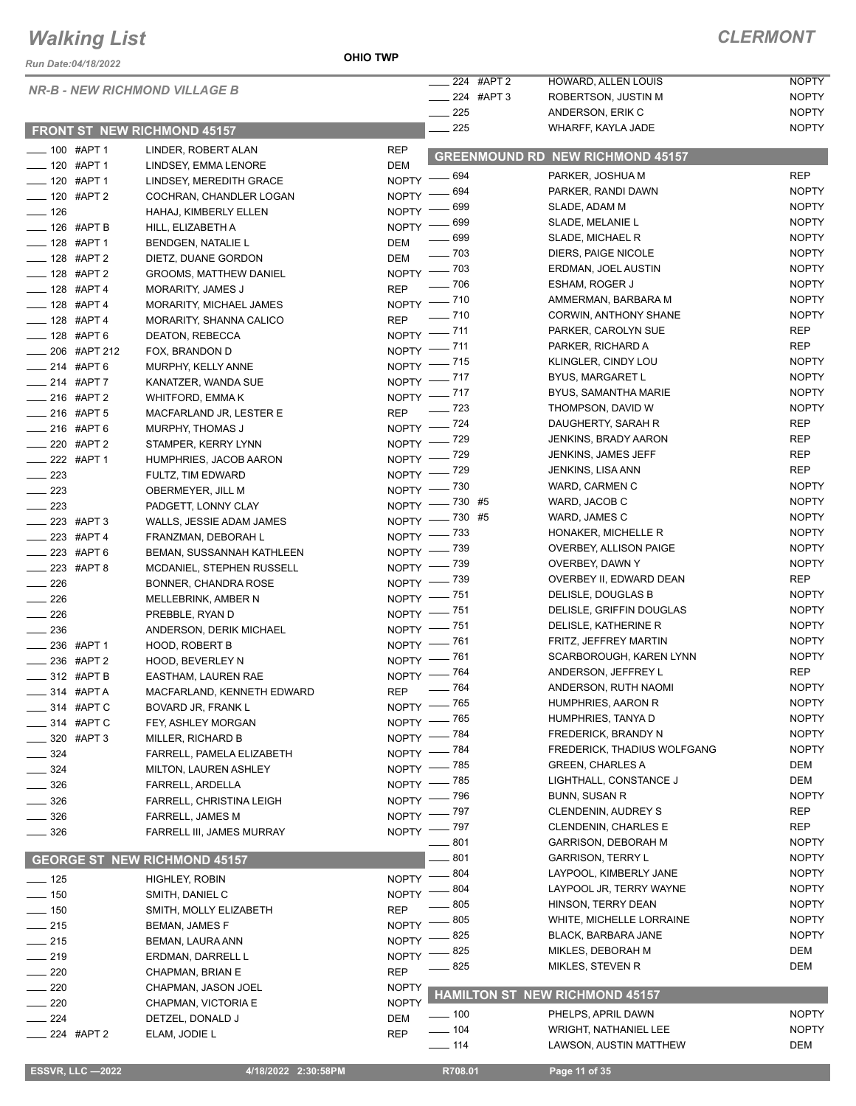#### *Run Date:04/18/2022*

#### *NR-B - NEW RICHMOND VILLAGE B*

#### **FRONT ST NEW RICHMOND 45157**

|                          | <b>NR-B - NEW RICHMOND VILLAGE B</b> |              | 224 #APT 2             | HOWARD, ALLEN LOUIS                     | <b>NOPTY</b> |
|--------------------------|--------------------------------------|--------------|------------------------|-----------------------------------------|--------------|
|                          |                                      |              | $\frac{1}{224}$ #APT 3 | ROBERTSON, JUSTIN M                     | <b>NOPTY</b> |
|                          |                                      |              | $\frac{1}{225}$        | ANDERSON, ERIK C                        | <b>NOPTY</b> |
|                          | <b>FRONT ST NEW RICHMOND 45157</b>   |              | $-225$                 | WHARFF, KAYLA JADE                      | <b>NOPTY</b> |
| $- 100$ #APT 1           | LINDER, ROBERT ALAN                  | <b>REP</b>   |                        | <b>GREENMOUND RD NEW RICHMOND 45157</b> |              |
| ____ 120 #APT 1          | LINDSEY, EMMA LENORE                 | <b>DEM</b>   |                        |                                         |              |
| $\frac{1}{20}$ #APT 1    | LINDSEY, MEREDITH GRACE              |              | NOPTY - 694            | PARKER, JOSHUA M                        | <b>REP</b>   |
| -120 #APT 2              | COCHRAN, CHANDLER LOGAN              |              | NOPTY - 694            | PARKER, RANDI DAWN                      | <b>NOPTY</b> |
| $- 126$                  | HAHAJ, KIMBERLY ELLEN                |              | NOPTY - 699            | SLADE, ADAM M                           | <b>NOPTY</b> |
| - 126 #APT B             | HILL, ELIZABETH A                    |              | NOPTY - 699            | SLADE, MELANIE L                        | <b>NOPTY</b> |
| -128 #APT 1              | <b>BENDGEN, NATALIE L</b>            | DEM          | $- 699$                | SLADE, MICHAEL R                        | <b>NOPTY</b> |
| - 128 #APT 2             | DIETZ, DUANE GORDON                  | DEM          | $\frac{1}{2}$ 703      | DIERS, PAIGE NICOLE                     | <b>NOPTY</b> |
| $- 128$ #APT 2           | <b>GROOMS, MATTHEW DANIEL</b>        |              | NOPTY - 703            | ERDMAN, JOEL AUSTIN                     | <b>NOPTY</b> |
| $- 128$ #APT 4           | MORARITY, JAMES J                    | <b>REP</b>   | $- 706$                | ESHAM, ROGER J                          | <b>NOPTY</b> |
| $- 128$ #APT 4           | MORARITY, MICHAEL JAMES              |              | NOPTY - 710            | AMMERMAN, BARBARA M                     | <b>NOPTY</b> |
| -128 #APT 4              | MORARITY, SHANNA CALICO              | <b>REP</b>   | $- 710$                | CORWIN, ANTHONY SHANE                   | <b>NOPTY</b> |
| -128 #APT 6              | DEATON, REBECCA                      |              | NOPTY -711             | PARKER, CAROLYN SUE                     | <b>REP</b>   |
| ___ 206 #APT 212         | FOX, BRANDON D                       |              | NOPTY - 711            | PARKER, RICHARD A                       | <b>REP</b>   |
| $-214$ #APT 6            | MURPHY, KELLY ANNE                   |              | NOPTY - 715            | KLINGLER, CINDY LOU                     | <b>NOPTY</b> |
| $214$ #APT 7             | KANATZER, WANDA SUE                  |              | NOPTY - 717            | <b>BYUS, MARGARET L</b>                 | <b>NOPTY</b> |
| $-216$ #APT 2            | WHITFORD, EMMA K                     |              | NOPTY - 717            | BYUS, SAMANTHA MARIE                    | <b>NOPTY</b> |
| -216 #APT 5              | MACFARLAND JR, LESTER E              |              | REP - 723              | THOMPSON, DAVID W                       | <b>NOPTY</b> |
| -216 #APT 6              | MURPHY, THOMAS J                     |              | NOPTY - 724            | DAUGHERTY, SARAH R                      | <b>REP</b>   |
| ___ 220 #APT 2           | STAMPER, KERRY LYNN                  |              | NOPTY - 729            | <b>JENKINS, BRADY AARON</b>             | <b>REP</b>   |
| -222 #APT 1              | HUMPHRIES, JACOB AARON               |              | NOPTY - 729            | JENKINS, JAMES JEFF                     | <b>REP</b>   |
| $-223$                   | FULTZ, TIM EDWARD                    |              | NOPTY - 729            | JENKINS, LISA ANN                       | <b>REP</b>   |
| $\sim$ 223               | OBERMEYER, JILL M                    |              | NOPTY - 730            | WARD, CARMEN C                          | <b>NOPTY</b> |
| $\sim$ 223               | PADGETT, LONNY CLAY                  |              | NOPTY - 730 #5         | WARD, JACOB C                           | <b>NOPTY</b> |
| ____ 223 #APT 3          | WALLS, JESSIE ADAM JAMES             |              | NOPTY -730 #5          | WARD, JAMES C                           | <b>NOPTY</b> |
| -223 #APT 4              |                                      |              | NOPTY - 733            | HONAKER, MICHELLE R                     | <b>NOPTY</b> |
| -223 #APT 6              | FRANZMAN, DEBORAH L                  |              | NOPTY - 739            | OVERBEY, ALLISON PAIGE                  | <b>NOPTY</b> |
|                          | BEMAN, SUSSANNAH KATHLEEN            |              | NOPTY - 739            | OVERBEY, DAWN Y                         | <b>NOPTY</b> |
| $223$ #APT 8             | MCDANIEL, STEPHEN RUSSELL            |              | NOPTY - 739            | OVERBEY II, EDWARD DEAN                 | <b>REP</b>   |
| $\frac{1}{226}$          | BONNER, CHANDRA ROSE                 |              | NOPTY -751             | DELISLE, DOUGLAS B                      | <b>NOPTY</b> |
| $\frac{1}{226}$          | MELLEBRINK, AMBER N                  |              | NOPTY -751             | DELISLE, GRIFFIN DOUGLAS                | <b>NOPTY</b> |
| $-226$                   | PREBBLE, RYAN D                      |              | NOPTY -751             | DELISLE, KATHERINE R                    | <b>NOPTY</b> |
| $-236$                   | ANDERSON, DERIK MICHAEL              |              | NOPTY - 761            | FRITZ, JEFFREY MARTIN                   | <b>NOPTY</b> |
| __ 236 #APT 1            | <b>HOOD, ROBERT B</b>                |              | NOPTY - 761            | SCARBOROUGH, KAREN LYNN                 | <b>NOPTY</b> |
| ____ 236 #APT 2          | <b>HOOD, BEVERLEY N</b>              |              | NOPTY - 764            | ANDERSON, JEFFREY L                     | <b>REP</b>   |
| $\frac{1}{2}$ 312 #APT B | EASTHAM, LAUREN RAE                  |              |                        | ANDERSON, RUTH NAOMI                    | <b>NOPTY</b> |
| $-314$ #APTA             | MACFARLAND, KENNETH EDWARD           |              | REP - 764              | HUMPHRIES, AARON R                      | <b>NOPTY</b> |
| ____ 314 #APT C          | BOVARD JR, FRANK L                   |              | NOPTY - 765            | HUMPHRIES, TANYA D                      | <b>NOPTY</b> |
| ____ 314 #APT C          | FEY, ASHLEY MORGAN                   |              | NOPTY - 765            | FREDERICK, BRANDY N                     |              |
| $- 320$ #APT 3           | MILLER, RICHARD B                    |              | NOPTY - 784            |                                         | <b>NOPTY</b> |
| $\frac{324}{ }$          | FARRELL, PAMELA ELIZABETH            |              | NOPTY - 784            | FREDERICK, THADIUS WOLFGANG             | <b>NOPTY</b> |
| $- 324$                  | MILTON, LAUREN ASHLEY                |              | NOPTY - 785            | <b>GREEN, CHARLES A</b>                 | DEM          |
| $\frac{1}{2}$ 326        | FARRELL, ARDELLA                     |              | NOPTY - 785            | LIGHTHALL, CONSTANCE J                  | DEM          |
| $\frac{1}{2}$ 326        | FARRELL, CHRISTINA LEIGH             |              | NOPTY - 796            | BUNN, SUSAN R                           | <b>NOPTY</b> |
| $\frac{1}{2}$ 326        | FARRELL, JAMES M                     |              | NOPTY - 797            | <b>CLENDENIN, AUDREY S</b>              | <b>REP</b>   |
| $\frac{1}{2}$ 326        | FARRELL III, JAMES MURRAY            |              | NOPTY - 797            | <b>CLENDENIN, CHARLES E</b>             | <b>REP</b>   |
|                          |                                      |              | $\frac{1}{2}$ 801      | <b>GARRISON, DEBORAH M</b>              | <b>NOPTY</b> |
|                          | <b>GEORGE ST NEW RICHMOND 45157</b>  |              | 801                    | <b>GARRISON, TERRY L</b>                | <b>NOPTY</b> |
| $- 125$                  | HIGHLEY, ROBIN                       | $NOPTY$ ––   | 804                    | LAYPOOL, KIMBERLY JANE                  | <b>NOPTY</b> |
| $- 150$                  | SMITH, DANIEL C                      | NOPTY -      | 804                    | LAYPOOL JR, TERRY WAYNE                 | <b>NOPTY</b> |
| $\frac{1}{2}$ 150        | SMITH, MOLLY ELIZABETH               | <b>REP</b>   | 805                    | HINSON, TERRY DEAN                      | <b>NOPTY</b> |
| $-215$                   | BEMAN, JAMES F                       | <b>NOPTY</b> | 805                    | WHITE, MICHELLE LORRAINE                | <b>NOPTY</b> |
| $-215$                   | BEMAN, LAURA ANN                     | <b>NOPTY</b> | 825                    | BLACK, BARBARA JANE                     | <b>NOPTY</b> |
| $-219$                   | ERDMAN, DARRELL L                    | <b>NOPTY</b> | 825                    | MIKLES, DEBORAH M                       | DEM          |
| $\sim$ 220               | CHAPMAN, BRIAN E                     | <b>REP</b>   | 825                    | MIKLES, STEVEN R                        | DEM          |
| $\sim$ 220               | CHAPMAN, JASON JOEL                  | <b>NOPTY</b> |                        |                                         |              |
| $\sim$ 220               | CHAPMAN, VICTORIA E                  | <b>NOPTY</b> |                        | HAMILTON ST NEW RICHMOND 45157          |              |
| $\frac{1}{224}$          | DETZEL, DONALD J                     | DEM          | $\frac{1}{2}$ 100      | PHELPS, APRIL DAWN                      | <b>NOPTY</b> |
| $\frac{1}{224}$ #APT 2   | ELAM, JODIE L                        | <b>REP</b>   | $- 104$                | <b>WRIGHT, NATHANIEL LEE</b>            | <b>NOPTY</b> |
|                          |                                      |              | $-$ 114                | LAWSON, AUSTIN MATTHEW                  | DEM          |
|                          |                                      |              |                        |                                         |              |
| <b>ESSVR, LLC -2022</b>  | 4/18/2022 2:30:58PM                  |              | R708.01                | Page 11 of 35                           |              |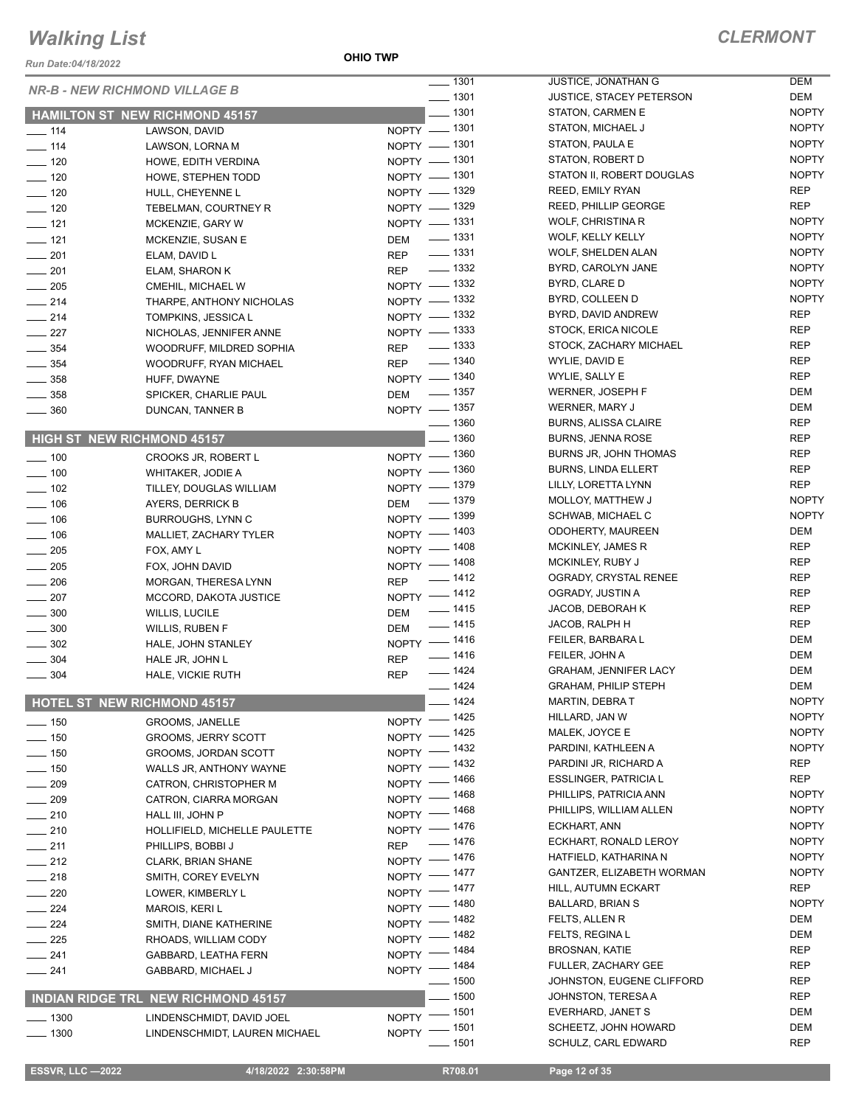*Run Date:04/18/2022*

**OHIO TWP**

*CLERMONT*

|                    | <b>NR-B - NEW RICHMOND VILLAGE B</b>       | $- 1301$                           | JUSTICE, JONATHAN G             | <b>DEM</b>   |
|--------------------|--------------------------------------------|------------------------------------|---------------------------------|--------------|
|                    |                                            | $\frac{1}{2}$ 1301                 | <b>JUSTICE, STACEY PETERSON</b> | DEM          |
|                    | <b>HAMILTON ST NEW RICHMOND 45157</b>      | $\frac{1}{2}$ 1301                 | STATON, CARMEN E                | <b>NOPTY</b> |
| $- 114$            | LAWSON, DAVID                              | NOPTY - 1301                       | STATON, MICHAEL J               | <b>NOPTY</b> |
| $- 114$            | LAWSON, LORNA M                            | NOPTY - 1301                       | STATON, PAULA E                 | <b>NOPTY</b> |
| $\frac{1}{2}$ 120  | HOWE, EDITH VERDINA                        | NOPTY - 1301                       | STATON, ROBERT D                | <b>NOPTY</b> |
| $- 120$            | HOWE, STEPHEN TODD                         | NOPTY - 1301                       | STATON II, ROBERT DOUGLAS       | <b>NOPTY</b> |
| $- 120$            | HULL, CHEYENNE L                           | NOPTY - 1329                       | <b>REED, EMILY RYAN</b>         | REP          |
| $- 120$            | TEBELMAN, COURTNEY R                       | NOPTY - 1329                       | REED, PHILLIP GEORGE            | REP          |
| $\frac{1}{2}$ 121  | MCKENZIE, GARY W                           | NOPTY - 1331                       | WOLF, CHRISTINA R               | <b>NOPTY</b> |
| $\frac{1}{2}$ 121  | MCKENZIE, SUSAN E                          | $\frac{1}{2}$ 1331<br>DEM          | WOLF, KELLY KELLY               | <b>NOPTY</b> |
| $-201$             | ELAM, DAVID L                              | REP - 1331                         | <b>WOLF, SHELDEN ALAN</b>       | <b>NOPTY</b> |
| $\frac{1}{201}$    | ELAM, SHARON K                             | REP - 1332                         | BYRD, CAROLYN JANE              | <b>NOPTY</b> |
| $\frac{1}{205}$    | CMEHIL, MICHAEL W                          | NOPTY - 1332                       | BYRD, CLARE D                   | <b>NOPTY</b> |
| $\frac{1}{214}$    | THARPE, ANTHONY NICHOLAS                   | NOPTY - 1332                       | BYRD, COLLEEN D                 | <b>NOPTY</b> |
| $\frac{1}{214}$    | TOMPKINS, JESSICA L                        | NOPTY - 1332                       | BYRD, DAVID ANDREW              | <b>REP</b>   |
| $\frac{1}{227}$    | NICHOLAS, JENNIFER ANNE                    | NOPTY - 1333                       | STOCK, ERICA NICOLE             | <b>REP</b>   |
| $\frac{1}{2}$ 354  | WOODRUFF, MILDRED SOPHIA                   | REP - 1333                         | STOCK, ZACHARY MICHAEL          | <b>REP</b>   |
| $\frac{1}{2}$ 354  | WOODRUFF, RYAN MICHAEL                     | REP - 1340                         | WYLIE, DAVID E                  | <b>REP</b>   |
| $\frac{1}{2}$ 358  | HUFF, DWAYNE                               | NOPTY - 1340                       | WYLIE, SALLY E                  | <b>REP</b>   |
| $\frac{1}{2}$ 358  |                                            | DEM - 1357                         | WERNER, JOSEPH F                | <b>DEM</b>   |
| $\frac{1}{2}$ 360  | SPICKER, CHARLIE PAUL<br>DUNCAN, TANNER B  | NOPTY - 1357                       | <b>WERNER, MARY J</b>           | <b>DEM</b>   |
|                    |                                            | $- 1360$                           | <b>BURNS, ALISSA CLAIRE</b>     | <b>REP</b>   |
|                    | <b>HIGH ST NEW RICHMOND 45157</b>          | $- 1360$                           | <b>BURNS, JENNA ROSE</b>        | REP          |
|                    |                                            |                                    | BURNS JR, JOHN THOMAS           | <b>REP</b>   |
| $\frac{1}{2}$ 100  | CROOKS JR, ROBERT L                        | NOPTY - 1360                       | <b>BURNS, LINDA ELLERT</b>      | <b>REP</b>   |
| $\frac{1}{2}$ 100  | <b>WHITAKER, JODIE A</b>                   | NOPTY - 1360                       |                                 | <b>REP</b>   |
| $- 102$            | TILLEY, DOUGLAS WILLIAM                    | NOPTY - 1379                       | LILLY, LORETTA LYNN             | <b>NOPTY</b> |
| $- 106$            | AYERS, DERRICK B                           | DEM - 1379                         | MOLLOY, MATTHEW J               |              |
| $\frac{1}{2}$ 106  | <b>BURROUGHS, LYNN C</b>                   | NOPTY - 1399                       | SCHWAB, MICHAEL C               | <b>NOPTY</b> |
| $\frac{1}{2}$ 106  | MALLIET, ZACHARY TYLER                     | NOPTY - 1403                       | ODOHERTY, MAUREEN               | DEM          |
| $- 205$            | FOX, AMY L                                 | NOPTY - 1408                       | MCKINLEY, JAMES R               | <b>REP</b>   |
| $\frac{1}{205}$    | FOX, JOHN DAVID                            | NOPTY - 1408                       | MCKINLEY, RUBY J                | <b>REP</b>   |
| $\frac{1}{206}$    | MORGAN, THERESA LYNN                       | REP - 1412                         | OGRADY, CRYSTAL RENEE           | <b>REP</b>   |
| $\frac{1}{207}$    | MCCORD, DAKOTA JUSTICE                     | NOPTY -1412                        | OGRADY, JUSTIN A                | <b>REP</b>   |
| $\sim$ 300         | <b>WILLIS, LUCILE</b>                      | $\frac{1}{2}$ 1415<br>DEM          | JACOB, DEBORAH K                | <b>REP</b>   |
| $\frac{1}{2}$ 300  | <b>WILLIS, RUBEN F</b>                     | DEM - 1415                         | JACOB, RALPH H                  | <b>REP</b>   |
| $\frac{1}{2}$ 302  | HALE, JOHN STANLEY                         | NOPTY -1416                        | FEILER, BARBARA L               | <b>DEM</b>   |
| $\frac{1}{2}$ 304  | HALE JR, JOHN L                            | $\frac{1}{2}$ 1416<br><b>REP</b>   | FEILER, JOHN A                  | <b>DEM</b>   |
| $\frac{1}{2}$ 304  | HALE, VICKIE RUTH                          | $- 1424$<br><b>REP</b>             | <b>GRAHAM, JENNIFER LACY</b>    | DEM          |
|                    |                                            | $- 1424$                           | <b>GRAHAM, PHILIP STEPH</b>     | <b>DEM</b>   |
|                    | <b>HOTEL ST NEW RICHMOND 45157</b>         | $-1424$                            | <b>MARTIN, DEBRAT</b>           | <b>NOPTY</b> |
| $\frac{1}{150}$    | <b>GROOMS, JANELLE</b>                     | NOPTY - 1425                       | HILLARD, JAN W                  | <b>NOPTY</b> |
| $- 150$            | <b>GROOMS, JERRY SCOTT</b>                 | NOPTY - 1425                       | MALEK, JOYCE E                  | <b>NOPTY</b> |
| $- 150$            | GROOMS, JORDAN SCOTT                       | NOPTY - 1432                       | PARDINI, KATHLEEN A             | <b>NOPTY</b> |
| $- 150$            | WALLS JR, ANTHONY WAYNE                    | NOPTY - 1432                       | PARDINI JR, RICHARD A           | REP          |
| $- 209$            | CATRON, CHRISTOPHER M                      | NOPTY - 1466                       | <b>ESSLINGER, PATRICIA L</b>    | REP          |
| $- 209$            | CATRON, CIARRA MORGAN                      | NOPTY - 1468                       | PHILLIPS, PATRICIA ANN          | <b>NOPTY</b> |
| $-210$             | HALL III, JOHN P                           | NOPTY - 1468                       | PHILLIPS, WILLIAM ALLEN         | <b>NOPTY</b> |
| $-210$             | HOLLIFIELD, MICHELLE PAULETTE              | NOPTY - 1476                       | ECKHART, ANN                    | <b>NOPTY</b> |
| $-211$             | PHILLIPS, BOBBI J                          | $- 1476$<br><b>REP</b>             | ECKHART, RONALD LEROY           | <b>NOPTY</b> |
|                    |                                            | NOPTY - 1476                       | HATFIELD, KATHARINA N           | <b>NOPTY</b> |
| $-212$             | <b>CLARK, BRIAN SHANE</b>                  | NOPTY - 1477                       | GANTZER, ELIZABETH WORMAN       | <b>NOPTY</b> |
| $-218$             | SMITH, COREY EVELYN                        | NOPTY - 1477                       | HILL, AUTUMN ECKART             | REP          |
| $\sim$ 220         | LOWER, KIMBERLY L                          | NOPTY - 1480                       | <b>BALLARD, BRIAN S</b>         | <b>NOPTY</b> |
| $\sim$ 224         | <b>MAROIS, KERI L</b>                      | NOPTY - 1482                       | FELTS, ALLEN R                  | DEM          |
| $\sim$ 224         | SMITH, DIANE KATHERINE                     |                                    | FELTS, REGINA L                 | DEM          |
| $-225$             | RHOADS, WILLIAM CODY                       | NOPTY - 1482                       | <b>BROSNAN, KATIE</b>           | REP          |
| $-241$             | GABBARD, LEATHA FERN                       | NOPTY - 1484                       | FULLER, ZACHARY GEE             | <b>REP</b>   |
| $-241$             | GABBARD, MICHAEL J                         | NOPTY - 1484<br>$\frac{1}{2}$ 1500 | JOHNSTON, EUGENE CLIFFORD       | REP          |
|                    |                                            | $-1500$                            | JOHNSTON, TERESA A              | <b>REP</b>   |
|                    | <b>INDIAN RIDGE TRL NEW RICHMOND 45157</b> |                                    |                                 |              |
| $\frac{1}{2}$ 1300 | LINDENSCHMIDT, DAVID JOEL                  | NOPTY - 1501                       | EVERHARD, JANET S               | DEM          |
| $\frac{1}{2}$ 1300 | LINDENSCHMIDT, LAUREN MICHAEL              | NOPTY - 1501                       | SCHEETZ, JOHN HOWARD            | DEM          |
|                    |                                            | $\frac{1}{2}$ 1501                 | SCHULZ, CARL EDWARD             | <b>REP</b>   |
|                    |                                            |                                    |                                 |              |

**ESSVR, LLC -2022 4/18/2022 2:30:58PM** R708.01 **Page 12 of 35**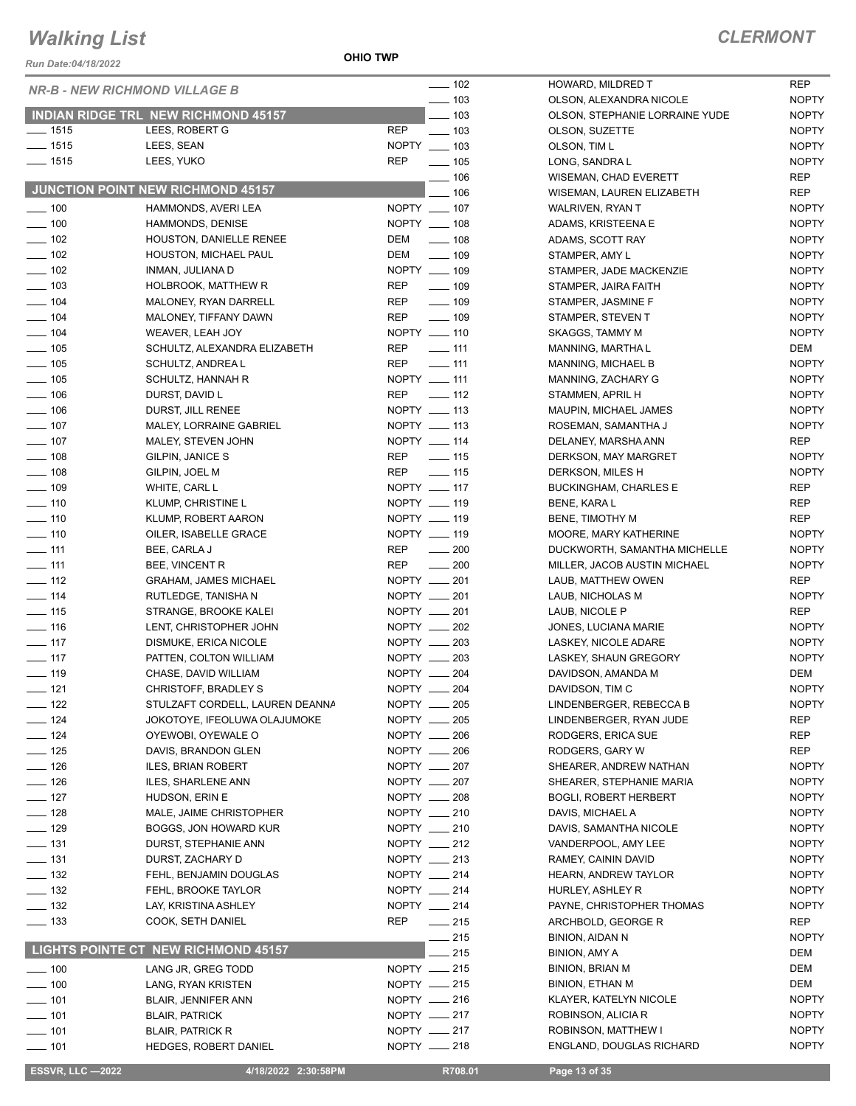*Run Date:04/18/2022*

**OHIO TWP**

|                            | <b>NR-B - NEW RICHMOND VILLAGE B</b> | $- 102$                         | HOWARD, MILDRED T               | <b>REP</b> |
|----------------------------|--------------------------------------|---------------------------------|---------------------------------|------------|
|                            |                                      | $\frac{1}{2}$ 103               | OLSON, ALEXANDRA NICOLE         | <b>NOF</b> |
|                            | INDIAN RIDGE TRL NEW RICHMOND 45157  | $=$ 103                         | OLSON, STEPHANIE LORRAINE YUDE  | <b>NOF</b> |
| $- 1515$                   | LEES, ROBERT G                       | <b>REP</b><br>$\frac{1}{2}$ 103 | OLSON, SUZETTE                  | <b>NOF</b> |
| $- 1515$                   | LEES, SEAN                           | NOPTY __ 103                    | OLSON, TIM L                    | <b>NOF</b> |
| $- 1515$                   | LEES, YUKO                           | <b>REP</b><br>$\frac{1}{2}$ 105 | LONG, SANDRA L                  | <b>NOF</b> |
|                            |                                      | $\frac{1}{2}$ 106               | WISEMAN, CHAD EVERETT           | <b>REP</b> |
|                            | JUNCTION POINT NEW RICHMOND 45157    | $-106$                          | WISEMAN, LAUREN ELIZABETH       | <b>REP</b> |
| $- 100$                    | HAMMONDS, AVERI LEA                  | NOPTY __ 107                    | WALRIVEN, RYAN T                | <b>NOF</b> |
| $\frac{1}{2}$ 100          | <b>HAMMONDS, DENISE</b>              | NOPTY __ 108                    | ADAMS, KRISTEENA E              | <b>NOF</b> |
| $\frac{1}{2}$ 102          | HOUSTON, DANIELLE RENEE              | DEM<br>$\frac{1}{2}$ 108        | ADAMS, SCOTT RAY                | <b>NOF</b> |
| $\frac{1}{2}$ 102          | HOUSTON, MICHAEL PAUL                | DEM<br>$\frac{1}{2}$ 109        | STAMPER, AMY L                  | <b>NOF</b> |
| $\sim$ 102                 | INMAN, JULIANA D                     | NOPTY __ 109                    | STAMPER, JADE MACKENZIE         | <b>NOF</b> |
| $\frac{1}{2}$ 103          | HOLBROOK, MATTHEW R                  | <b>REP</b><br>$\frac{1}{2}$ 109 | STAMPER, JAIRA FAITH            | <b>NOF</b> |
| $- 104$                    | MALONEY, RYAN DARRELL                | <b>REP</b><br>$\frac{1}{2}$ 109 | STAMPER, JASMINE F              | <b>NOF</b> |
| $\frac{1}{2}$ 104          | MALONEY, TIFFANY DAWN                | <b>REP</b><br>$\frac{1}{2}$ 109 | STAMPER, STEVEN T               | <b>NOF</b> |
| $- 104$                    | WEAVER, LEAH JOY                     | NOPTY __ 110                    | SKAGGS, TAMMY M                 | <b>NOF</b> |
| $\frac{1}{2}$ 105          | SCHULTZ, ALEXANDRA ELIZABETH         | <b>REP</b><br>$-111$            | MANNING, MARTHA L               | <b>DEN</b> |
| $\frac{1}{2}$ 105          | SCHULTZ, ANDREA L                    | <b>REP</b><br>$-111$            | MANNING, MICHAEL B              | <b>NOF</b> |
| $\frac{1}{2}$ 105          | SCHULTZ, HANNAH R                    | NOPTY __ 111                    | MANNING, ZACHARY G              | <b>NOF</b> |
| $- 106$                    | DURST, DAVID L                       | $\frac{1}{2}$ 112<br><b>REP</b> | STAMMEN, APRIL H                | <b>NOF</b> |
| $\frac{1}{2}$ 106          | DURST, JILL RENEE                    | NOPTY __ 113                    | MAUPIN, MICHAEL JAMES           | <b>NOF</b> |
| $\frac{1}{2}$ 107          | MALEY, LORRAINE GABRIEL              | NOPTY __ 113                    | ROSEMAN, SAMANTHA J             | <b>NOF</b> |
| $\frac{1}{2}$ 107          | MALEY, STEVEN JOHN                   | NOPTY __ 114                    | DELANEY, MARSHA ANN             | <b>REP</b> |
| $\frac{1}{2}$ 108          | GILPIN, JANICE S                     | <b>REP</b><br>$\frac{1}{15}$    | DERKSON, MAY MARGRET            | <b>NOF</b> |
| $\frac{1}{2}$ 108          | GILPIN, JOEL M                       | <b>REP</b><br>$\frac{1}{15}$    | DERKSON, MILES H                | <b>NOF</b> |
| $\frac{1}{2}$ 109          | WHITE, CARL L                        | NOPTY __ 117                    | <b>BUCKINGHAM, CHARLES E</b>    | <b>REP</b> |
| $- 110$                    | KLUMP, CHRISTINE L                   | NOPTY __ 119                    | <b>BENE, KARA L</b>             | <b>REP</b> |
| $- 110$                    | KLUMP, ROBERT AARON                  | NOPTY __ 119                    | BENE, TIMOTHY M                 | <b>REP</b> |
| $- 110$                    | OILER, ISABELLE GRACE                | NOPTY __ 119                    | MOORE, MARY KATHERINE           | <b>NOF</b> |
| $-111$                     | BEE, CARLA J                         | <b>REP</b><br>$\frac{1}{200}$   | DUCKWORTH, SAMANTHA MICHELLE    | <b>NOF</b> |
| $- 111$                    | BEE, VINCENT R                       | <b>REP</b><br>$\sim$ 200        | MILLER, JACOB AUSTIN MICHAEL    | <b>NOF</b> |
| $\frac{1}{2}$ 112          | <b>GRAHAM, JAMES MICHAEL</b>         | NOPTY __ 201                    | LAUB, MATTHEW OWEN              | <b>REP</b> |
| $\frac{1}{2}$ 114          | RUTLEDGE, TANISHA N                  | NOPTY __ 201                    | LAUB, NICHOLAS M                | <b>NOF</b> |
| $\frac{1}{2}$ 115          | STRANGE, BROOKE KALEI                | NOPTY __ 201                    | LAUB, NICOLE P                  | <b>REP</b> |
| $- 116$                    | LENT, CHRISTOPHER JOHN               | NOPTY __ 202                    | JONES, LUCIANA MARIE            | <b>NOF</b> |
| $\frac{1}{2}$ 117          | DISMUKE, ERICA NICOLE                | NOPTY __ 203                    | LASKEY, NICOLE ADARE            | <b>NOF</b> |
| $- 117$                    | PATTEN, COLTON WILLIAM               | NOPTY __ 203                    | LASKEY, SHAUN GREGORY           | <b>NOF</b> |
| $- 119$                    | CHASE, DAVID WILLIAM                 | NOPTY __ 204                    | DAVIDSON, AMANDA M              | <b>DEN</b> |
| $-121$                     | CHRISTOFF, BRADLEY S                 | NOPTY __ 204                    | DAVIDSON, TIM C                 | <b>NOF</b> |
| $- 122$                    | STULZAFT CORDELL, LAUREN DEANNA      | NOPTY __ 205                    | LINDENBERGER, REBECCA B         | <b>NOF</b> |
| $\frac{1}{2}$ 124          | JOKOTOYE, IFEOLUWA OLAJUMOKE         | NOPTY __ 205                    | LINDENBERGER, RYAN JUDE         | <b>REP</b> |
| $\frac{1}{2}$ 124          | OYEWOBI, OYEWALE O                   | NOPTY __ 206                    | RODGERS, ERICA SUE              | <b>REP</b> |
| $\frac{1}{2}$ 125          | DAVIS, BRANDON GLEN                  | NOPTY __ 206                    | RODGERS, GARY W                 | <b>REP</b> |
| $\frac{1}{2}$ 126          | <b>ILES, BRIAN ROBERT</b>            | NOPTY __ 207                    | SHEARER, ANDREW NATHAN          | <b>NOF</b> |
| $- 126$                    | ILES, SHARLENE ANN                   | NOPTY __ 207                    | SHEARER, STEPHANIE MARIA        | <b>NOF</b> |
| $- 127$                    | HUDSON, ERIN E                       | NOPTY __ 208                    | <b>BOGLI, ROBERT HERBERT</b>    | <b>NOF</b> |
| $\frac{1}{2}$ 128          | MALE, JAIME CHRISTOPHER              | NOPTY __ 210                    | DAVIS, MICHAEL A                | <b>NOF</b> |
| $\frac{1}{2}$ 129          | BOGGS, JON HOWARD KUR                | NOPTY __ 210                    | DAVIS, SAMANTHA NICOLE          | <b>NOF</b> |
| $\frac{1}{2}$ 131          | DURST, STEPHANIE ANN                 | NOPTY __ 212                    | VANDERPOOL, AMY LEE             | <b>NOF</b> |
| $- 131$                    | DURST, ZACHARY D                     | NOPTY __ 213                    | RAMEY, CAININ DAVID             | <b>NOF</b> |
| $\frac{1}{2}$ 132          | FEHL, BENJAMIN DOUGLAS               | NOPTY __ 214                    | HEARN, ANDREW TAYLOR            | <b>NOF</b> |
| $\frac{1}{2}$ 132          | FEHL, BROOKE TAYLOR                  | NOPTY __ 214                    | HURLEY, ASHLEY R                | <b>NOF</b> |
| $\frac{1}{2}$ 132          | LAY, KRISTINA ASHLEY                 | NOPTY __ 214                    | PAYNE, CHRISTOPHER THOMAS       | <b>NOF</b> |
| $\frac{1}{2}$ 133          | COOK, SETH DANIEL                    | <b>REP</b><br>$\frac{1}{215}$   | ARCHBOLD, GEORGE R              | <b>REP</b> |
|                            |                                      | $-215$                          | <b>BINION, AIDAN N</b>          | <b>NOF</b> |
|                            | LIGHTS POINTE CT NEW RICHMOND 45157  | $-215$                          | <b>BINION, AMY A</b>            | DEM        |
| $\frac{1}{2}$ 100          | LANG JR, GREG TODD                   | NOPTY -215                      | <b>BINION, BRIAN M</b>          | <b>DEN</b> |
| $\frac{100}{2}$            | LANG, RYAN KRISTEN                   | NOPTY __ 215                    | <b>BINION, ETHAN M</b>          | <b>DEN</b> |
| $\rule{1.5ex}{0.15ex}$ 101 | <b>BLAIR, JENNIFER ANN</b>           | NOPTY -216                      | KLAYER, KATELYN NICOLE          | <b>NOF</b> |
| $\frac{1}{2}$ 101          | <b>BLAIR, PATRICK</b>                | NOPTY -217                      | ROBINSON, ALICIA R              | <b>NOF</b> |
| $\frac{1}{2}$ 101          | <b>BLAIR, PATRICK R</b>              | NOPTY __ 217                    | ROBINSON, MATTHEW I             | <b>NOF</b> |
| —— 101                     | <b>HEDGES, ROBERT DANIEL</b>         | NOPTY - 218                     | <b>ENGLAND, DOUGLAS RICHARD</b> | <b>NOF</b> |
|                            |                                      |                                 |                                 |            |

| 103 | OLSON, ALEXANDRA NICOLE               | NOPTY        |
|-----|---------------------------------------|--------------|
| 103 | <b>OLSON. STEPHANIE LORRAINE YUDE</b> | <b>NOPTY</b> |
| 103 | OLSON, SUZETTE                        | NOPTY        |
| 103 | OLSON, TIM L                          | <b>NOPTY</b> |
| 105 | LONG, SANDRA L                        | <b>NOPTY</b> |
| 106 | WISEMAN, CHAD EVERETT                 | REP          |
| 106 | WISEMAN, LAUREN ELIZABETH             | REP          |
| 107 | WALRIVEN, RYAN T                      | <b>NOPTY</b> |
| 108 | ADAMS, KRISTEENA E                    | NOPTY        |
| 108 | ADAMS, SCOTT RAY                      | NOPTY        |
| 109 | STAMPER, AMY L                        | NOPTY        |
| 109 | STAMPER, JADE MACKENZIE               | <b>NOPTY</b> |
| 109 | STAMPER, JAIRA FAITH                  | <b>NOPTY</b> |
| 109 | STAMPER, JASMINE F                    | <b>NOPTY</b> |
| 109 | STAMPER, STEVEN T                     | <b>NOPTY</b> |
| 110 | SKAGGS, TAMMY M                       | <b>NOPTY</b> |
| 111 | MANNING, MARTHA L                     | DEM          |
| 111 | MANNING, MICHAEL B                    | <b>NOPTY</b> |
| 111 | MANNING, ZACHARY G                    | <b>NOPTY</b> |
| 112 | STAMMEN, APRIL H                      | <b>NOPTY</b> |
| 113 | MAUPIN, MICHAEL JAMES                 | <b>NOPTY</b> |
| 113 | ROSEMAN, SAMANTHA J                   | <b>NOPTY</b> |
| 114 | DELANEY, MARSHA ANN                   | REP          |
| 115 | DERKSON, MAY MARGRET                  | NOPTY        |
| 115 | DERKSON, MILES H                      | <b>NOPTY</b> |
| 117 | <b>BUCKINGHAM, CHARLES E</b>          | REP          |
| 119 | <b>BENE, KARA L</b>                   | REP          |
| 119 | BENE, TIMOTHY M                       | REP          |
| 119 | MOORE, MARY KATHERINE                 | <b>NOPTY</b> |
| 200 | DUCKWORTH, SAMANTHA MICHELLE          | <b>NOPTY</b> |
| 200 | MILLER, JACOB AUSTIN MICHAEL          | <b>NOPTY</b> |
| 201 | LAUB, MATTHEW OWEN                    | REP          |
| 201 | LAUB, NICHOLAS M                      | <b>NOPTY</b> |
| 201 | LAUB, NICOLE P                        | REP          |
| 202 | JONES, LUCIANA MARIE                  | NOPTY        |
| 203 | LASKEY, NICOLE ADARE                  | NOPTY        |
| 203 | LASKEY, SHAUN GREGORY                 | <b>NOPTY</b> |
| 204 | DAVIDSON, AMANDA M                    | DEM          |
| 204 | DAVIDSON, TIM C                       | NOPTY        |
| 205 | LINDENBERGER, REBECCA B               | <b>NOPTY</b> |
| 205 | LINDENBERGER, RYAN JUDE               | REP          |
| 206 | RODGERS, ERICA SUE                    | <b>REP</b>   |
| 206 | RODGERS, GARY W                       | REP          |
| 207 | SHEARER, ANDREW NATHAN                | <b>NOPTY</b> |
| 207 | SHEARER, STEPHANIE MARIA              | NOPTY        |
| 208 | <b>BOGLI, ROBERT HERBERT</b>          | NOPTY        |
| 210 | DAVIS, MICHAEL A                      | NOPTY        |
| 210 | DAVIS, SAMANTHA NICOLE                | NOPTY        |
| 212 | VANDERPOOL, AMY LEE                   | <b>NOPTY</b> |
| 213 | RAMEY, CAININ DAVID                   | <b>NOPTY</b> |
| 214 | <b>HEARN, ANDREW TAYLOR</b>           | NOPTY        |
| 214 | <b>HURLEY, ASHLEY R</b>               | <b>NOPTY</b> |
| 214 | PAYNE, CHRISTOPHER THOMAS             | NOPTY        |
| 215 | ARCHBOLD, GEORGE R                    | REP          |
| 215 | <b>BINION, AIDAN N</b>                | <b>NOPTY</b> |
| 215 | <b>BINION, AMY A</b>                  | DEM          |
| 215 | <b>BINION, BRIAN M</b>                | DEM          |
| 215 | <b>BINION, ETHAN M</b>                | DEM          |
| 216 | KLAYER, KATELYN NICOLE                | NOPTY        |
| 217 | ROBINSON, ALICIA R                    | NOPTY        |
| 217 | ROBINSON, MATTHEW I                   | NOPTY        |
| 218 | ENGLAND, DOUGLAS RICHARD              | NOPTY        |

 **ESSVR, LLC —2022 4/18/2022 2:30:58PM R708.01 Page 13 of 35**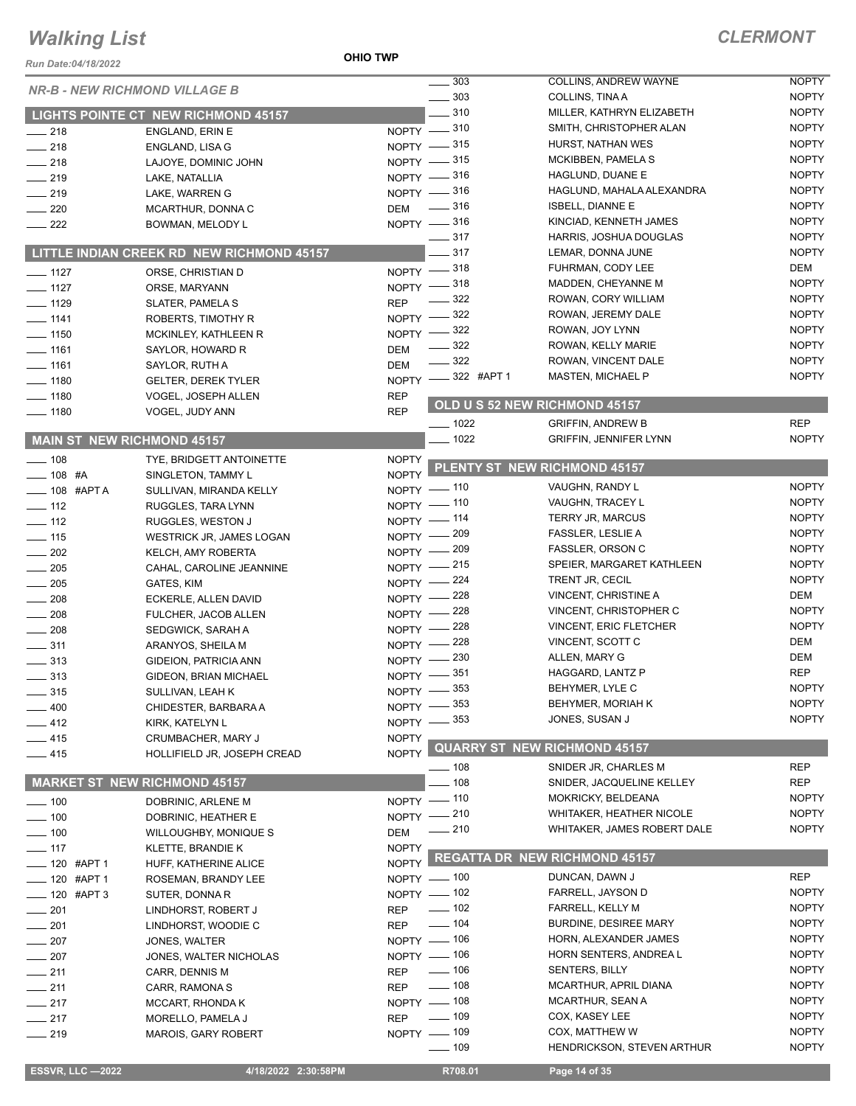#### **OHIO TWP**

| Run Date:04/18/2022                |                                               |                            |                   |                                                   |                              |
|------------------------------------|-----------------------------------------------|----------------------------|-------------------|---------------------------------------------------|------------------------------|
|                                    | <b>NR-B - NEW RICHMOND VILLAGE B</b>          |                            | . 303             | COLLINS, ANDREW WAYNE                             | <b>NOPTY</b>                 |
|                                    |                                               |                            | $\frac{1}{2}$ 303 | COLLINS, TINA A                                   | <b>NOPTY</b>                 |
|                                    | LIGHTS POINTE CT NEW RICHMOND 45157           |                            | $-310$            | MILLER, KATHRYN ELIZABETH                         | <b>NOPTY</b>                 |
| $\frac{1}{218}$                    | ENGLAND, ERIN E                               | NOPTY -810                 |                   | SMITH, CHRISTOPHER ALAN                           | <b>NOPTY</b>                 |
| $\frac{1}{218}$                    | ENGLAND, LISA G                               | NOPTY -815                 |                   | HURST, NATHAN WES                                 | <b>NOPTY</b>                 |
| $-218$                             | LAJOYE, DOMINIC JOHN                          | NOPTY -815                 |                   | MCKIBBEN, PAMELA S                                | <b>NOPTY</b>                 |
| $\frac{1}{219}$                    | LAKE, NATALLIA                                | NOPTY -816                 |                   | HAGLUND, DUANE E                                  | <b>NOPTY</b><br><b>NOPTY</b> |
| $-219$                             | LAKE, WARREN G                                | NOPTY -816                 |                   | HAGLUND, MAHALA ALEXANDRA                         | <b>NOPTY</b>                 |
| $\sim$ 220                         | MCARTHUR, DONNA C                             | DEM -316                   |                   | <b>ISBELL, DIANNE E</b><br>KINCIAD, KENNETH JAMES | <b>NOPTY</b>                 |
| $\frac{1}{222}$                    | BOWMAN, MELODY L                              | NOPTY -816                 | $\frac{1}{2}$ 317 | HARRIS, JOSHUA DOUGLAS                            | <b>NOPTY</b>                 |
|                                    | LITTLE INDIAN CREEK RD NEW RICHMOND 45157     |                            | - 317             | LEMAR, DONNA JUNE                                 | <b>NOPTY</b>                 |
|                                    |                                               | NOPTY -818                 |                   | FUHRMAN, CODY LEE                                 | DEM                          |
| $- 1127$                           | ORSE, CHRISTIAN D                             | $NOPTY$ -                  | $-318$            | MADDEN, CHEYANNE M                                | <b>NOPTY</b>                 |
| $- 1127$<br>$- 1129$               | ORSE, MARYANN                                 | <b>REP</b>                 | $-322$            | ROWAN, CORY WILLIAM                               | <b>NOPTY</b>                 |
| $- 1141$                           | <b>SLATER, PAMELA S</b><br>ROBERTS, TIMOTHY R | NOPTY -822                 |                   | ROWAN, JEREMY DALE                                | <b>NOPTY</b>                 |
| $- 1150$                           | MCKINLEY, KATHLEEN R                          | $NOPTY =$                  | $=$ 322           | ROWAN, JOY LYNN                                   | <b>NOPTY</b>                 |
| $- 1161$                           | SAYLOR, HOWARD R                              | DEM                        | $-322$            | ROWAN, KELLY MARIE                                | <b>NOPTY</b>                 |
| $- 1161$                           | SAYLOR, RUTH A                                | <b>DEM</b>                 | $-322$            | ROWAN, VINCENT DALE                               | <b>NOPTY</b>                 |
| $\frac{1}{2}$ 1180                 | <b>GELTER, DEREK TYLER</b>                    |                            | NOPTY -822 #APT 1 | <b>MASTEN, MICHAEL P</b>                          | <b>NOPTY</b>                 |
| $\frac{1}{2}$ 1180                 | VOGEL, JOSEPH ALLEN                           | <b>REP</b>                 |                   |                                                   |                              |
| $\frac{1}{2}$ 1180                 | VOGEL, JUDY ANN                               | <b>REP</b>                 |                   | OLD U S 52 NEW RICHMOND 45157                     |                              |
|                                    |                                               |                            | $- 1022$          | <b>GRIFFIN, ANDREW B</b>                          | <b>REP</b>                   |
| <b>MAIN ST NEW RICHMOND 45157</b>  |                                               |                            | $- 1022$          | <b>GRIFFIN, JENNIFER LYNN</b>                     | <b>NOPTY</b>                 |
| $- 108$                            | TYE, BRIDGETT ANTOINETTE                      | <b>NOPTY</b>               |                   | PLENTY ST NEW RICHMOND 45157                      |                              |
| $- 108$ #A                         | SINGLETON, TAMMY L                            | <b>NOPTY</b>               |                   |                                                   |                              |
| $-$ 108 #APTA                      | SULLIVAN, MIRANDA KELLY                       | NOPTY - 110                |                   | VAUGHN, RANDY L                                   | <b>NOPTY</b>                 |
| $\frac{1}{2}$ 112                  | RUGGLES, TARA LYNN                            | NOPTY - 110                |                   | VAUGHN, TRACEY L                                  | <b>NOPTY</b><br><b>NOPTY</b> |
| $\frac{1}{2}$ 112                  | RUGGLES, WESTON J                             | NOPTY - 114                |                   | TERRY JR, MARCUS<br>FASSLER, LESLIE A             | <b>NOPTY</b>                 |
| $- 115$                            | WESTRICK JR, JAMES LOGAN                      | NOPTY - 209<br>NOPTY - 209 |                   | <b>FASSLER, ORSON C</b>                           | <b>NOPTY</b>                 |
| $\sim$ 202                         | KELCH, AMY ROBERTA                            | NOPTY - 215                |                   | SPEIER, MARGARET KATHLEEN                         | <b>NOPTY</b>                 |
| $\sim$ 205                         | CAHAL, CAROLINE JEANNINE                      | NOPTY -224                 |                   | TRENT JR, CECIL                                   | <b>NOPTY</b>                 |
| $\frac{1}{205}$<br>$\frac{1}{208}$ | GATES, KIM<br>ECKERLE, ALLEN DAVID            | NOPTY -228                 |                   | VINCENT, CHRISTINE A                              | <b>DEM</b>                   |
| $\frac{1}{208}$                    | FULCHER, JACOB ALLEN                          | NOPTY -228                 |                   | VINCENT, CHRISTOPHER C                            | <b>NOPTY</b>                 |
| $\frac{1}{208}$                    | SEDGWICK, SARAH A                             | NOPTY -228                 |                   | <b>VINCENT, ERIC FLETCHER</b>                     | <b>NOPTY</b>                 |
| $\equiv$ 311                       | ARANYOS, SHEILA M                             | NOPTY -228                 |                   | VINCENT, SCOTT C                                  | DEM                          |
| $\frac{1}{2}$ 313                  | GIDEION, PATRICIA ANN                         | NOPTY - 230                |                   | ALLEN, MARY G                                     | DEM                          |
| $\frac{1}{2}$ 313                  | GIDEON, BRIAN MICHAEL                         | NOPTY -851                 |                   | HAGGARD, LANTZ P                                  | <b>REP</b>                   |
| $\equiv$ 315                       | SULLIVAN, LEAH K                              | NOPTY -853                 |                   | BEHYMER, LYLE C                                   | <b>NOPTY</b>                 |
| $\equiv$ 400                       | CHIDESTER, BARBARA A                          | NOPTY -853                 |                   | BEHYMER, MORIAH K                                 | <b>NOPTY</b>                 |
| $-412$                             | KIRK, KATELYN L                               | NOPTY -853                 |                   | JONES, SUSAN J                                    | <b>NOPTY</b>                 |
| $-415$                             | CRUMBACHER, MARY J                            | <b>NOPTY</b>               |                   |                                                   |                              |
| $-415$                             | HOLLIFIELD JR, JOSEPH CREAD                   | NOPTY                      |                   | <b>QUARRY ST NEW RICHMOND 45157</b>               |                              |
|                                    |                                               |                            | —— 108            | SNIDER JR, CHARLES M                              | <b>REP</b>                   |
|                                    | <b>MARKET ST NEW RICHMOND 45157</b>           |                            | $-108$            | SNIDER, JACQUELINE KELLEY                         | <b>REP</b>                   |
| $- 100$                            | DOBRINIC, ARLENE M                            | NOPTY - 110                |                   | MOKRICKY, BELDEANA                                | <b>NOPTY</b>                 |
| $\frac{1}{2}$ 100                  | DOBRINIC, HEATHER E                           | NOPTY -210                 |                   | <b>WHITAKER, HEATHER NICOLE</b>                   | <b>NOPTY</b><br><b>NOPTY</b> |
| $- 100$                            | <b>WILLOUGHBY, MONIQUE S</b>                  | <b>DEM</b>                 | $-210$            | WHITAKER, JAMES ROBERT DALE                       |                              |
| $- 117$                            | KLETTE, BRANDIE K                             | <b>NOPTY</b>               |                   | <b>REGATTA DR NEW RICHMOND 45157</b>              |                              |
| ___ 120 #APT 1                     | HUFF, KATHERINE ALICE                         | NOPTY <sup>L</sup>         |                   | DUNCAN, DAWN J                                    | <b>REP</b>                   |
| ____ 120 #APT 1                    | ROSEMAN, BRANDY LEE                           | NOPTY - 100<br>NOPTY - 102 |                   | FARRELL, JAYSON D                                 | <b>NOPTY</b>                 |
| $- 120$ #APT 3                     | SUTER, DONNA R                                |                            | $\frac{1}{2}$ 102 | FARRELL, KELLY M                                  | <b>NOPTY</b>                 |
| $\frac{1}{201}$<br>$\frac{1}{201}$ | LINDHORST, ROBERT J<br>LINDHORST, WOODIE C    | <b>REP</b><br><b>REP</b>   | $- 104$           | BURDINE, DESIREE MARY                             | <b>NOPTY</b>                 |
| $-207$                             | JONES, WALTER                                 | NOPTY - 106                |                   | HORN, ALEXANDER JAMES                             | <b>NOPTY</b>                 |
| $-207$                             | JONES, WALTER NICHOLAS                        | NOPTY - 106                |                   | HORN SENTERS, ANDREA L                            | <b>NOPTY</b>                 |
| $-211$                             | CARR, DENNIS M                                | REP                        | $- 106$           | <b>SENTERS, BILLY</b>                             | <b>NOPTY</b>                 |
| $-211$                             | CARR, RAMONA S                                | REP                        | $\frac{1}{2}$ 108 | MCARTHUR, APRIL DIANA                             | <b>NOPTY</b>                 |
| $\frac{1}{217}$                    | MCCART, RHONDA K                              | NOPTY - 108                |                   | MCARTHUR, SEAN A                                  | <b>NOPTY</b>                 |
| $-217$                             | MORELLO, PAMELA J                             | <b>REP</b>                 | $\frac{1}{2}$ 109 | COX, KASEY LEE                                    | <b>NOPTY</b>                 |
| $-219$                             | <b>MAROIS, GARY ROBERT</b>                    | NOPTY - 109                |                   | COX, MATTHEW W                                    | <b>NOPTY</b>                 |
|                                    |                                               |                            | $\frac{1}{2}$ 109 | <b>HENDRICKSON, STEVEN ARTHUR</b>                 | <b>NOPTY</b>                 |
| <b>ESSVR, LLC -2022</b>            | 4/18/2022 2:30:58PM                           |                            | R708.01           | Page 14 of 35                                     |                              |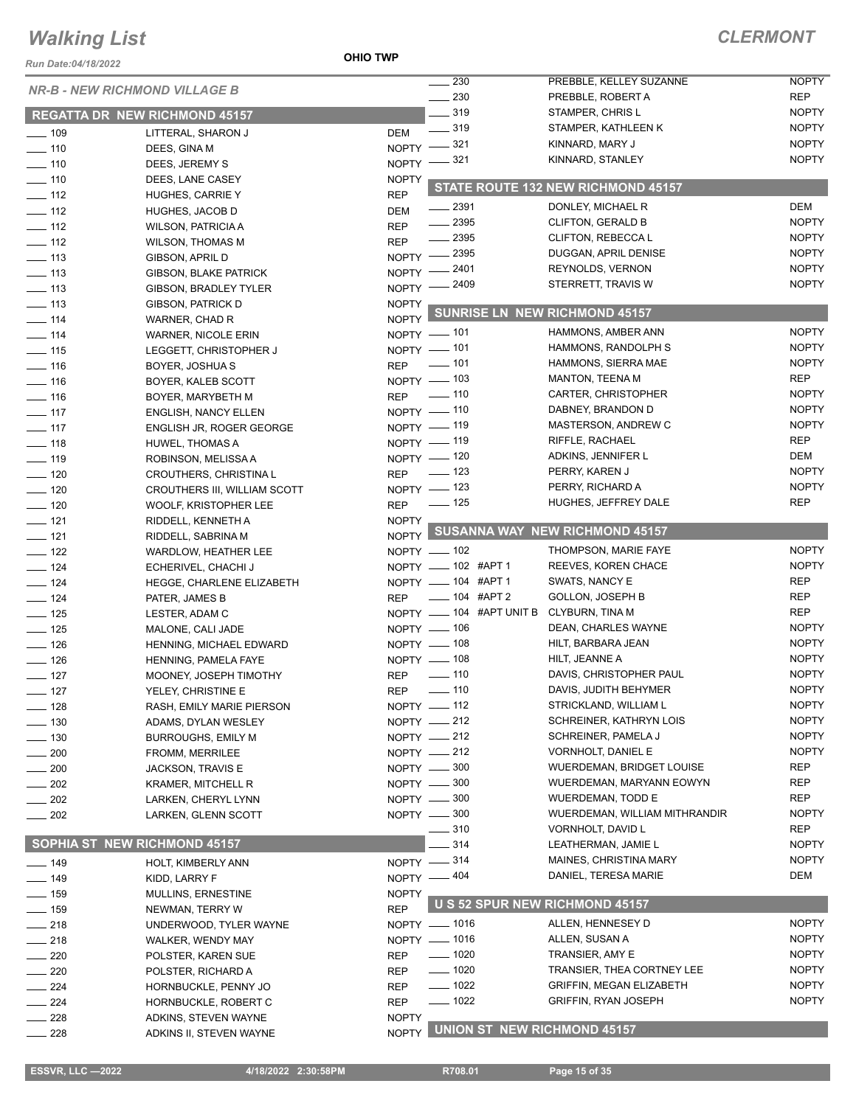*Run Date:04/18/2022*

**OHIO TWP**

### *CLERMONT*

| NUII DAIC.VY 10/4024 |                                      |              | $\sim$ 230               | PREBBLE, KELLEY SUZANNE              | <b>NOPTY</b> |
|----------------------|--------------------------------------|--------------|--------------------------|--------------------------------------|--------------|
|                      | <b>NR-B - NEW RICHMOND VILLAGE B</b> |              | $\sim$ 230               | PREBBLE, ROBERT A                    | <b>REP</b>   |
|                      | <b>REGATTA DR NEW RICHMOND 45157</b> |              | $-319$                   | STAMPER, CHRIS L                     | <b>NOPTY</b> |
| $\frac{109}{109}$    | LITTERAL, SHARON J                   | DEM          | $\frac{1}{2}$ 319        | STAMPER, KATHLEEN K                  | <b>NOPTY</b> |
| $- 110$              | DEES, GINA M                         |              | NOPTY -821               | KINNARD, MARY J                      | <b>NOPTY</b> |
| $- 110$              | DEES, JEREMY S                       |              | NOPTY -821               | KINNARD, STANLEY                     | <b>NOPTY</b> |
| $- 110$              | DEES, LANE CASEY                     | <b>NOPTY</b> |                          |                                      |              |
| $\frac{1}{2}$ 112    | <b>HUGHES, CARRIE Y</b>              | <b>REP</b>   |                          | STATE ROUTE 132 NEW RICHMOND 45157   |              |
| $\frac{1}{2}$ 112    | HUGHES, JACOB D                      | <b>DEM</b>   | $-2391$                  | DONLEY, MICHAEL R                    | <b>DEM</b>   |
| $\frac{1}{2}$ 112    | <b>WILSON, PATRICIA A</b>            | <b>REP</b>   | $\frac{1}{2}$ 2395       | <b>CLIFTON, GERALD B</b>             | <b>NOPTY</b> |
| $\frac{1}{2}$ 112    | <b>WILSON, THOMAS M</b>              | <b>REP</b>   | $-2395$                  | CLIFTON, REBECCAL                    | <b>NOPTY</b> |
| $\frac{1}{2}$ 113    | <b>GIBSON, APRIL D</b>               |              | NOPTY -2395              | DUGGAN, APRIL DENISE                 | <b>NOPTY</b> |
| $\frac{1}{2}$ 113    | <b>GIBSON, BLAKE PATRICK</b>         |              | NOPTY -2401              | REYNOLDS, VERNON                     | <b>NOPTY</b> |
| $\equiv$ 113         | <b>GIBSON, BRADLEY TYLER</b>         |              | NOPTY -2409              | STERRETT, TRAVIS W                   | <b>NOPTY</b> |
| $\frac{1}{2}$ 113    | <b>GIBSON, PATRICK D</b>             | <b>NOPTY</b> |                          |                                      |              |
| $- 114$              | WARNER, CHAD R                       | <b>NOPTY</b> |                          | <b>SUNRISE LN NEW RICHMOND 45157</b> |              |
| $- 114$              | <b>WARNER, NICOLE ERIN</b>           |              | NOPTY - 101              | HAMMONS, AMBER ANN                   | <b>NOPTY</b> |
| $\frac{1}{15}$       | LEGGETT, CHRISTOPHER J               |              | NOPTY - 101              | HAMMONS, RANDOLPH S                  | <b>NOPTY</b> |
|                      |                                      | <b>REP</b>   | $\sim$ 101               | HAMMONS, SIERRA MAE                  | <b>NOPTY</b> |
| $\frac{1}{16}$       | BOYER, JOSHUA S                      |              | NOPTY - 103              | <b>MANTON, TEENA M</b>               | <b>REP</b>   |
| $\frac{1}{16}$       | BOYER, KALEB SCOTT                   | <b>REP</b>   | $\sim$ 110               | CARTER, CHRISTOPHER                  | <b>NOPTY</b> |
| $- 116$              | BOYER, MARYBETH M                    |              | NOPTY - 110              | DABNEY, BRANDON D                    | <b>NOPTY</b> |
| $-117$               | <b>ENGLISH, NANCY ELLEN</b>          |              | NOPTY - 119              | <b>MASTERSON, ANDREW C</b>           | <b>NOPTY</b> |
| $\frac{1}{2}$ 117    | <b>ENGLISH JR, ROGER GEORGE</b>      |              | NOPTY - 119              | RIFFLE, RACHAEL                      | <b>REP</b>   |
| $\frac{1}{2}$ 118    | <b>HUWEL, THOMAS A</b>               |              | NOPTY - 120              | ADKINS, JENNIFER L                   | <b>DEM</b>   |
| $- 119$              | ROBINSON, MELISSA A                  |              | $\sim$ 123               | PERRY, KAREN J                       | <b>NOPTY</b> |
| $- 120$              | CROUTHERS, CHRISTINA L               | <b>REP</b>   | NOPTY - 123              | PERRY, RICHARD A                     | <b>NOPTY</b> |
| $\frac{1}{2}$ 120    | CROUTHERS III, WILLIAM SCOTT         |              | $\frac{1}{2}$ 125        | HUGHES, JEFFREY DALE                 | <b>REP</b>   |
| $- 120$              | WOOLF, KRISTOPHER LEE                | <b>REP</b>   |                          |                                      |              |
| $\frac{1}{2}$ 121    | RIDDELL, KENNETH A                   | <b>NOPTY</b> |                          | NOPTY SUSANNA WAY NEW RICHMOND 45157 |              |
| $- 121$              | RIDDELL, SABRINA M                   |              |                          |                                      |              |
| $\frac{1}{2}$ 122    | <b>WARDLOW, HEATHER LEE</b>          |              | NOPTY - 102              | THOMPSON, MARIE FAYE                 | <b>NOPTY</b> |
| $\frac{1}{2}$ 124    | ECHERIVEL, CHACHI J                  |              | NOPTY - 102 #APT 1       | REEVES, KOREN CHACE                  | <b>NOPTY</b> |
| $\frac{1}{2}$ 124    | HEGGE, CHARLENE ELIZABETH            |              | NOPTY - 104 #APT 1       | SWATS, NANCY E                       | <b>REP</b>   |
| $\frac{1}{2}$ 124    | PATER, JAMES B                       | <b>REP</b>   | $\frac{1}{2}$ 104 #APT 2 | <b>GOLLON, JOSEPH B</b>              | REP          |
| $\frac{1}{2}$ 125    | LESTER, ADAM C                       |              | NOPTY - 104 #APT UNIT B  | <b>CLYBURN, TINA M</b>               | <b>REP</b>   |
| $- 125$              | MALONE, CALI JADE                    |              | $N$ OPTY $-$ 106         | DEAN, CHARLES WAYNE                  | <b>NOPTY</b> |
| $\frac{1}{2}$ 126    | HENNING, MICHAEL EDWARD              |              | NOPTY - 108              | HILT, BARBARA JEAN                   | <b>NOPTY</b> |
| $\frac{1}{2}$ 126    | HENNING, PAMELA FAYE                 |              | NOPTY - 108              | HILT, JEANNE A                       | <b>NOPTY</b> |
| $-127$               | MOONEY, JOSEPH TIMOTHY               | <b>REP</b>   | $\frac{1}{2}$ 110        | DAVIS, CHRISTOPHER PAUL              | <b>NOPTY</b> |
| $-127$               | YELEY, CHRISTINE E                   |              | REP - 110                | DAVIS, JUDITH BEHYMER                | <b>NOPTY</b> |
| —— 128               | RASH, EMILY MARIE PIERSON            |              | $NOPTY$ - 112            | STRICKLAND, WILLIAM L                | <b>NOPTY</b> |
| $- 130$              | ADAMS, DYLAN WESLEY                  |              | NOPTY $-212$             | SCHREINER, KATHRYN LOIS              | <b>NOPTY</b> |
| $\frac{1}{2}$ 130    | <b>BURROUGHS, EMILY M</b>            |              | NOPTY -212               | SCHREINER, PAMELA J                  | <b>NOPTY</b> |
| $-200$               | FROMM, MERRILEE                      |              | NOPTY - 212              | VORNHOLT, DANIEL E                   | <b>NOPTY</b> |
| $-200$               | JACKSON, TRAVIS E                    |              | NOPTY -800               | WUERDEMAN, BRIDGET LOUISE            | <b>REP</b>   |
| $-202$               | KRAMER, MITCHELL R                   |              | NOPTY - 300              | WUERDEMAN, MARYANN EOWYN             | <b>REP</b>   |
| $-202$               | LARKEN, CHERYL LYNN                  |              | NOPTY -800               | <b>WUERDEMAN, TODD E</b>             | <b>REP</b>   |
| $\sim$ 202           | LARKEN, GLENN SCOTT                  |              | NOPTY - 300              | WUERDEMAN, WILLIAM MITHRANDIR        | <b>NOPTY</b> |
|                      |                                      |              | 310                      | VORNHOLT, DAVID L                    | REP          |
|                      | <b>SOPHIA ST NEW RICHMOND 45157</b>  |              | 314                      | LEATHERMAN, JAMIE L                  | <b>NOPTY</b> |
| $- 149$              | HOLT, KIMBERLY ANN                   |              | NOPTY -814               | MAINES, CHRISTINA MARY               | <b>NOPTY</b> |
| $- 149$              | KIDD, LARRY F                        |              | NOPTY - 404              | DANIEL, TERESA MARIE                 | DEM          |
| $-159$               | MULLINS, ERNESTINE                   | <b>NOPTY</b> |                          |                                      |              |
| $- 159$              | NEWMAN, TERRY W                      | <b>REP</b>   |                          | U S 52 SPUR NEW RICHMOND 45157       |              |
| $\frac{1}{218}$      | UNDERWOOD, TYLER WAYNE               |              | NOPTY - 1016             | ALLEN, HENNESEY D                    | <b>NOPTY</b> |
| $-218$               | WALKER, WENDY MAY                    |              | NOPTY - 1016             | ALLEN, SUSAN A                       | <b>NOPTY</b> |
| $\sim$ 220           | POLSTER, KAREN SUE                   | <b>REP</b>   | $\frac{1}{2}$ 1020       | TRANSIER, AMY E                      | <b>NOPTY</b> |
| $-220$               | POLSTER, RICHARD A                   | <b>REP</b>   | $- 1020$                 | TRANSIER, THEA CORTNEY LEE           | <b>NOPTY</b> |
| $-224$               | HORNBUCKLE, PENNY JO                 | <b>REP</b>   | $- 1022$                 | <b>GRIFFIN, MEGAN ELIZABETH</b>      | <b>NOPTY</b> |
| $-224$               | HORNBUCKLE, ROBERT C                 | <b>REP</b>   | $- 1022$                 | <b>GRIFFIN, RYAN JOSEPH</b>          | <b>NOPTY</b> |
| $=228$               | ADKINS, STEVEN WAYNE                 | <b>NOPTY</b> |                          |                                      |              |
| $\frac{1}{228}$      | ADKINS II, STEVEN WAYNE              | <b>NOPTY</b> |                          | <b>UNION ST NEW RICHMOND 45157</b>   |              |
|                      |                                      |              |                          |                                      |              |

**ESSVR, LLC -2022 4/18/2022 2:30:58PM** R708.01 **Page 15 of 35**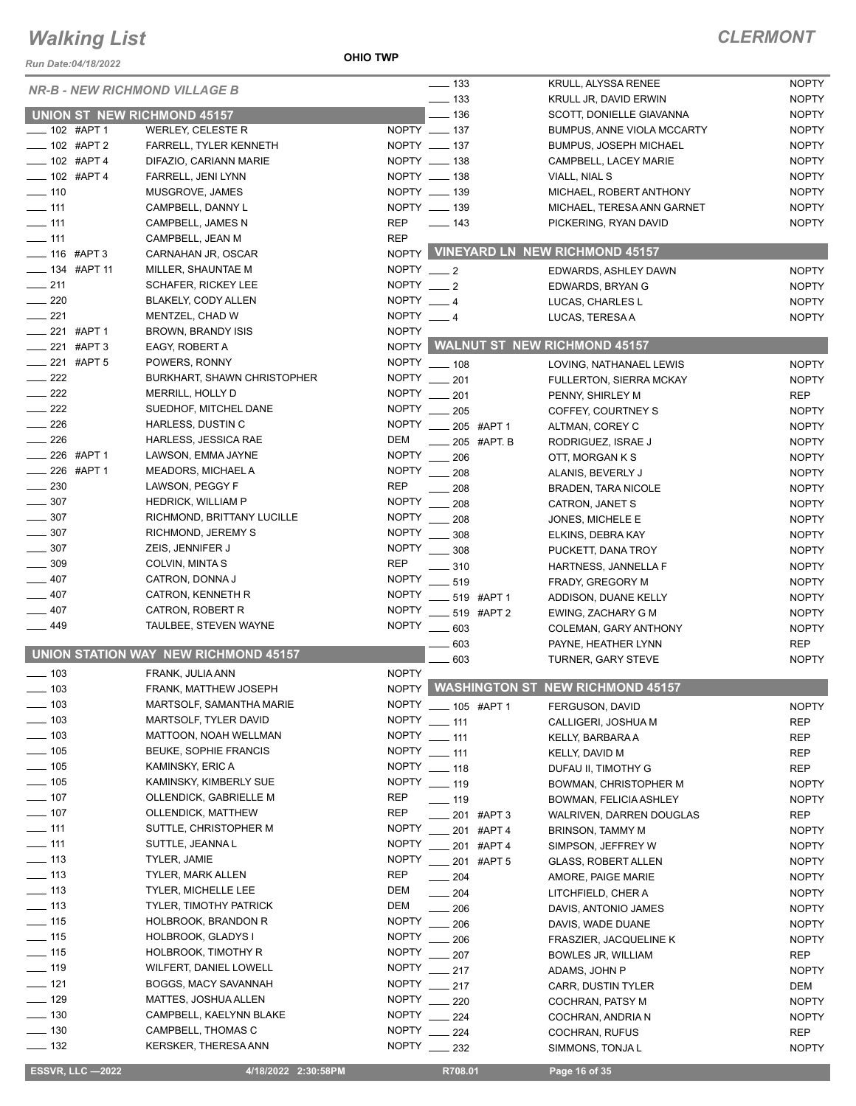*Run Date:04/18/2022*

**OHIO TWP**

### *CLERMONT*

| KUII DAIC.04/10/ZUZZ                   |                                      |                                 |                                         |                                              |                              |
|----------------------------------------|--------------------------------------|---------------------------------|-----------------------------------------|----------------------------------------------|------------------------------|
|                                        | <b>NR-B - NEW RICHMOND VILLAGE B</b> |                                 | $\frac{1}{2}$ 133<br>$\equiv$ 133       | KRULL, ALYSSA RENEE<br>KRULL JR, DAVID ERWIN | <b>NOPTY</b><br><b>NOPTY</b> |
|                                        | <b>UNION ST NEW RICHMOND 45157</b>   |                                 | $-136$                                  | SCOTT, DONIELLE GIAVANNA                     | <b>NOPTY</b>                 |
| $-102$ #APT 1                          | WERLEY, CELESTE R                    | NOPTY __ 137                    |                                         | <b>BUMPUS, ANNE VIOLA MCCARTY</b>            | <b>NOPTY</b>                 |
| $- 102$ #APT 2                         | <b>FARRELL, TYLER KENNETH</b>        | NOPTY __ 137                    |                                         | <b>BUMPUS, JOSEPH MICHAEL</b>                | <b>NOPTY</b>                 |
| $- 102$ #APT 4                         | DIFAZIO, CARIANN MARIE               | NOPTY __ 138                    |                                         | CAMPBELL, LACEY MARIE                        | <b>NOPTY</b>                 |
| $- 102$ #APT 4                         | FARRELL, JENI LYNN                   | NOPTY __ 138                    |                                         | VIALL, NIAL S                                | <b>NOPTY</b>                 |
| $- 110$                                | MUSGROVE, JAMES                      | NOPTY __ 139                    |                                         | MICHAEL, ROBERT ANTHONY                      | <b>NOPTY</b>                 |
| $- 111$                                | CAMPBELL, DANNY L                    | NOPTY __ 139                    |                                         | MICHAEL, TERESA ANN GARNET                   | <b>NOPTY</b>                 |
| $\equiv$ 111                           | CAMPBELL, JAMES N                    | <b>REP</b><br>$\frac{1}{2}$ 143 |                                         | PICKERING, RYAN DAVID                        | <b>NOPTY</b>                 |
| $\frac{1}{111}$                        | CAMPBELL, JEAN M                     | <b>REP</b>                      |                                         |                                              |                              |
| $- 116$ #APT 3                         | CARNAHAN JR, OSCAR                   |                                 |                                         | NOPTY VINEYARD LN NEW RICHMOND 45157         |                              |
| $\frac{1}{2}$ 134 #APT 11              | MILLER, SHAUNTAE M                   | NOPTY $-2$                      |                                         | EDWARDS, ASHLEY DAWN                         | <b>NOPTY</b>                 |
| $\frac{1}{211}$                        | <b>SCHAFER, RICKEY LEE</b>           | NOPTY $-2$                      |                                         | EDWARDS, BRYAN G                             | <b>NOPTY</b>                 |
| 220                                    | BLAKELY, CODY ALLEN                  | NOPTY $-4$                      |                                         | LUCAS, CHARLES L                             | <b>NOPTY</b>                 |
| $-221$                                 | MENTZEL, CHAD W                      | NOPTY $-4$                      |                                         | LUCAS, TERESAA                               | <b>NOPTY</b>                 |
| $\frac{1}{221}$ #APT 1                 | BROWN, BRANDY ISIS                   | <b>NOPTY</b>                    |                                         |                                              |                              |
| $\frac{1}{221}$ #APT 3                 | EAGY, ROBERT A                       | <b>NOPTY</b>                    |                                         | <b>WALNUT ST NEW RICHMOND 45157</b>          |                              |
| $\frac{1}{221}$ #APT 5                 | POWERS, RONNY                        | <b>NOPTY</b>                    | $- 108$                                 | LOVING, NATHANAEL LEWIS                      | <b>NOPTY</b>                 |
| $\frac{222}{2}$                        | <b>BURKHART, SHAWN CHRISTOPHER</b>   | <b>NOPTY</b>                    | 201                                     | <b>FULLERTON, SIERRA MCKAY</b>               | <b>NOPTY</b>                 |
| 222                                    | MERRILL, HOLLY D                     | <b>NOPTY</b>                    | 201                                     | PENNY, SHIRLEY M                             | <b>REP</b>                   |
| $\frac{1}{222}$                        | SUEDHOF, MITCHEL DANE                | <b>NOPTY</b>                    | $\frac{1}{205}$                         | COFFEY, COURTNEY S                           | <b>NOPTY</b>                 |
| 226                                    | HARLESS, DUSTIN C                    | <b>NOPTY</b>                    | $\frac{1}{205}$ #APT 1                  | ALTMAN, COREY C                              | <b>NOPTY</b>                 |
| $\frac{1}{226}$                        | <b>HARLESS, JESSICA RAE</b>          | <b>DEM</b>                      | 205 #APT. B                             | RODRIGUEZ, ISRAE J                           | <b>NOPTY</b>                 |
| $-226$ #APT 1                          | LAWSON, EMMA JAYNE                   | <b>NOPTY</b>                    | 206                                     | OTT, MORGAN K S                              | <b>NOPTY</b>                 |
| $226$ #APT 1                           | <b>MEADORS, MICHAEL A</b>            | NOPTY __ 208                    |                                         | ALANIS, BEVERLY J                            | <b>NOPTY</b>                 |
| 230<br>$\frac{1}{1}$                   | LAWSON, PEGGY F                      | <b>REP</b>                      | 208                                     | <b>BRADEN, TARA NICOLE</b>                   | <b>NOPTY</b>                 |
| 307                                    | <b>HEDRICK, WILLIAM P</b>            | NOPTY __ 208                    |                                         | CATRON, JANET S                              | <b>NOPTY</b>                 |
| $\frac{1}{2}$ 307<br>$\frac{1}{2}$ 307 | RICHMOND, BRITTANY LUCILLE           | <b>NOPTY</b>                    | $\frac{1}{208}$                         | JONES, MICHELE E                             | <b>NOPTY</b>                 |
| $\frac{1}{2}$ 307                      | RICHMOND, JEREMY S                   | <b>NOPTY</b><br><b>NOPTY</b>    | 308                                     | ELKINS, DEBRA KAY                            | <b>NOPTY</b>                 |
| $\frac{1}{2}$ 309                      | ZEIS, JENNIFER J<br>COLVIN, MINTA S  | <b>REP</b>                      | 308                                     | PUCKETT, DANA TROY                           | <b>NOPTY</b>                 |
| $-407$                                 | CATRON, DONNA J                      | <b>NOPTY</b>                    | 310                                     | HARTNESS, JANNELLA F                         | <b>NOPTY</b>                 |
| $-407$                                 | CATRON, KENNETH R                    | <b>NOPTY</b>                    | $-519$                                  | FRADY, GREGORY M                             | <b>NOPTY</b>                 |
| 407                                    | CATRON, ROBERT R                     |                                 | $-519$ #APT 1<br>NOPTY _____ 519 #APT 2 | ADDISON, DUANE KELLY<br>EWING, ZACHARY G M   | <b>NOPTY</b><br><b>NOPTY</b> |
| 449                                    | TAULBEE, STEVEN WAYNE                | NOPTY __ 603                    |                                         | COLEMAN, GARY ANTHONY                        | <b>NOPTY</b>                 |
|                                        |                                      |                                 | 603                                     | PAYNE, HEATHER LYNN                          | <b>REP</b>                   |
|                                        | UNION STATION WAY NEW RICHMOND 45157 |                                 | 603                                     | <b>TURNER, GARY STEVE</b>                    | <b>NOPTY</b>                 |
| $-103$                                 | FRANK, JULIA ANN                     | <b>NOPTY</b>                    |                                         |                                              |                              |
| 103                                    | FRANK, MATTHEW JOSEPH                |                                 |                                         | NOPTY WASHINGTON ST NEW RICHMOND 45157       |                              |
| $\frac{1}{2}$ 103                      | MARTSOLF, SAMANTHA MARIE             |                                 | NOPTY __ 105 #APT 1                     | FERGUSON, DAVID                              | <b>NOPTY</b>                 |
| $- 103$                                | MARTSOLF, TYLER DAVID                | NOPTY __ 111                    |                                         | CALLIGERI, JOSHUA M                          | REP                          |
| $-103$                                 | MATTOON, NOAH WELLMAN                | NOPTY __ 111                    |                                         | KELLY, BARBARA A                             | REP                          |
| $-105$                                 | BEUKE, SOPHIE FRANCIS                | NOPTY __ 111                    |                                         | KELLY, DAVID M                               | REP                          |
| $-105$                                 | KAMINSKY, ERIC A                     | NOPTY __ 118                    |                                         | DUFAU II, TIMOTHY G                          | REP                          |
| $- 105$                                | KAMINSKY, KIMBERLY SUE               | NOPTY __ 119                    |                                         | BOWMAN, CHRISTOPHER M                        | <b>NOPTY</b>                 |
| $- 107$                                | OLLENDICK, GABRIELLE M               | REP                             | $- 119$                                 | BOWMAN, FELICIA ASHLEY                       | <b>NOPTY</b>                 |
| $\frac{1}{2}$ 107                      | <b>OLLENDICK, MATTHEW</b>            | REP                             | $-201$ #APT 3                           | WALRIVEN, DARREN DOUGLAS                     | REP                          |
| $- 111$                                | SUTTLE, CHRISTOPHER M                | <b>NOPTY</b>                    | $-201$ #APT 4                           | BRINSON, TAMMY M                             | <b>NOPTY</b>                 |
| $-111$                                 | SUTTLE, JEANNA L                     | <b>NOPTY</b>                    | 201 #APT 4                              | SIMPSON, JEFFREY W                           | <b>NOPTY</b>                 |
| $\frac{1}{2}$ 113                      | TYLER, JAMIE                         | <b>NOPTY</b>                    | 201 #APT 5                              | <b>GLASS, ROBERT ALLEN</b>                   | <b>NOPTY</b>                 |
| $\frac{1}{2}$ 113                      | TYLER, MARK ALLEN                    | <b>REP</b>                      | $-204$                                  | AMORE, PAIGE MARIE                           | <b>NOPTY</b>                 |
| $\equiv$ 113                           | <b>TYLER, MICHELLE LEE</b>           | DEM                             | $\frac{1}{204}$                         | LITCHFIELD, CHER A                           | <b>NOPTY</b>                 |
| $\frac{1}{2}$ 113                      | TYLER, TIMOTHY PATRICK               | DEM                             | $-206$                                  | DAVIS, ANTONIO JAMES                         | <b>NOPTY</b>                 |
| $\frac{1}{2}$ 115                      | HOLBROOK, BRANDON R                  | NOPTY __ 206                    |                                         | DAVIS, WADE DUANE                            | <b>NOPTY</b>                 |
| $\frac{1}{2}$ 115                      | HOLBROOK, GLADYS I                   | NOPTY __ 206                    |                                         | FRASZIER, JACQUELINE K                       | <b>NOPTY</b>                 |
| $- 115$                                | HOLBROOK, TIMOTHY R                  | NOPTY __ 207                    |                                         | <b>BOWLES JR, WILLIAM</b>                    | REP                          |
| $- 119$                                | WILFERT, DANIEL LOWELL               | NOPTY __ 217                    |                                         | ADAMS, JOHN P                                | <b>NOPTY</b>                 |
| $- 121$                                | BOGGS, MACY SAVANNAH                 | NOPTY __ 217                    |                                         | CARR, DUSTIN TYLER                           | DEM                          |
| $- 129$                                | MATTES, JOSHUA ALLEN                 | NOPTY __ 220                    |                                         | COCHRAN, PATSY M                             | <b>NOPTY</b>                 |
| $- 130$                                | CAMPBELL, KAELYNN BLAKE              | NOPTY 224                       |                                         | COCHRAN, ANDRIA N                            | <b>NOPTY</b>                 |
| $\frac{1}{2}$ 130<br>$\frac{1}{2}$ 132 | CAMPBELL, THOMAS C                   | <b>NOPTY</b><br><b>NOPTY</b>    | $\frac{224}{ }$                         | COCHRAN, RUFUS                               | REP                          |
|                                        | <b>KERSKER, THERESA ANN</b>          |                                 | 232                                     | SIMMONS, TONJA L                             | <b>NOPTY</b>                 |

 **ESSVR, LLC —2022 4/18/2022 2:30:58PM R708.01 Page 16 of 35**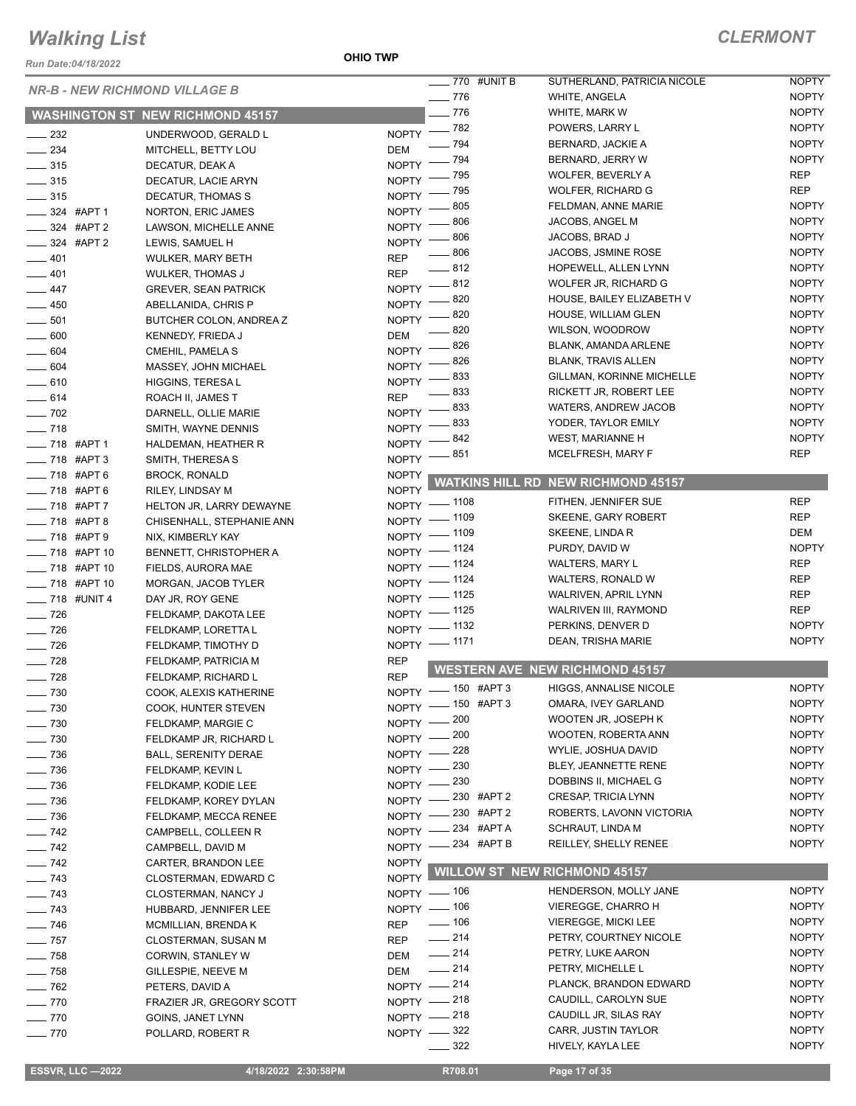*Run Date:04/18/2022*

**OHIO TWP**

| <b>NR-B - NEW RICHMOND VILLAGE B</b> |                                         |                    | $\frac{1}{2}$ 770 #UNIT B<br>$- 776$ | SUTHERLAND, PATRICIA NICOLE<br>WHITE, ANGELA | <b>NOPTY</b><br><b>NOPTY</b> |
|--------------------------------------|-----------------------------------------|--------------------|--------------------------------------|----------------------------------------------|------------------------------|
|                                      |                                         |                    | $-776$                               | WHITE, MARK W                                | <b>NOPTY</b>                 |
|                                      | <b>WASHINGTON ST NEW RICHMOND 45157</b> |                    | $- 782$                              | POWERS, LARRY L                              | <b>NOPTY</b>                 |
| $\frac{1}{2}$ 232                    | UNDERWOOD, GERALD L                     | <b>NOPTY</b>       | $-794$                               | BERNARD, JACKIE A                            | <b>NOPTY</b>                 |
| $\frac{234}{2}$                      | MITCHELL, BETTY LOU                     | <b>DEM</b>         | - 794                                | BERNARD, JERRY W                             | <b>NOPTY</b>                 |
| $\frac{1}{2}$ 315                    | DECATUR, DEAK A                         | <b>NOPTY</b>       | - 795                                | WOLFER, BEVERLY A                            | <b>REP</b>                   |
| $\frac{1}{2}$ 315                    | DECATUR, LACIE ARYN                     | NOPTY <sup>-</sup> | _ 795                                | <b>WOLFER, RICHARD G</b>                     | <b>REP</b>                   |
| $\frac{1}{2}$ 315                    | DECATUR, THOMAS S                       | $N$ OPTY -         | .805                                 | FELDMAN, ANNE MARIE                          | <b>NOPTY</b>                 |
| $-$ 324 #APT 1                       | NORTON, ERIC JAMES                      | $NOPTY$ -          | $-806$                               | JACOBS, ANGEL M                              | <b>NOPTY</b>                 |
| $\frac{1}{2}$ 324 #APT 2             | LAWSON, MICHELLE ANNE                   | <b>NOPTY</b>       | - 806                                | JACOBS, BRAD J                               | <b>NOPTY</b>                 |
| $\frac{1}{2}$ 324 #APT 2             | LEWIS, SAMUEL H                         | <b>NOPTY</b>       | $-806$                               | JACOBS, JSMINE ROSE                          | <b>NOPTY</b>                 |
| $-401$                               | WULKER, MARY BETH                       | <b>REP</b>         | $-812$                               | HOPEWELL, ALLEN LYNN                         | <b>NOPTY</b>                 |
| $-401$                               | <b>WULKER, THOMAS J</b>                 | <b>REP</b>         |                                      | WOLFER JR, RICHARD G                         | <b>NOPTY</b>                 |
| $-447$                               | <b>GREVER, SEAN PATRICK</b>             |                    | NOPTY -812<br>- 820                  | HOUSE, BAILEY ELIZABETH V                    | <b>NOPTY</b>                 |
| $-450$                               | ABELLANIDA, CHRIS P                     | <b>NOPTY</b>       | 820                                  | HOUSE, WILLIAM GLEN                          | <b>NOPTY</b>                 |
| $\frac{1}{2}$ 501                    | BUTCHER COLON, ANDREA Z                 | <b>NOPTY</b>       | 820                                  | WILSON, WOODROW                              | <b>NOPTY</b>                 |
| $\frac{1}{2}$ 600                    | KENNEDY, FRIEDA J                       | <b>DEM</b>         | . 826                                | BLANK, AMANDA ARLENE                         | <b>NOPTY</b>                 |
| $\frac{1}{2}$ 604                    | CMEHIL, PAMELA S                        | <b>NOPTY</b>       | . 826                                | <b>BLANK, TRAVIS ALLEN</b>                   | <b>NOPTY</b>                 |
| $\frac{1}{2}$ 604                    | MASSEY, JOHN MICHAEL                    | <b>NOPTY</b>       | 833                                  | <b>GILLMAN, KORINNE MICHELLE</b>             | <b>NOPTY</b>                 |
| $-610$                               | HIGGINS, TERESA L                       | <b>NOPTY</b>       | 833                                  | RICKETT JR, ROBERT LEE                       | <b>NOPTY</b>                 |
| $-614$                               | ROACH II, JAMES T                       | <b>REP</b>         | NOPTY -833                           | WATERS, ANDREW JACOB                         | <b>NOPTY</b>                 |
| $\frac{1}{2}$ 702                    | DARNELL, OLLIE MARIE                    |                    | 833                                  | YODER, TAYLOR EMILY                          | <b>NOPTY</b>                 |
| $- 718$                              | SMITH, WAYNE DENNIS                     | NOPTY -            | 842                                  | WEST, MARIANNE H                             | <b>NOPTY</b>                 |
| $- 718$ #APT 1                       | HALDEMAN, HEATHER R                     | <b>NOPTY</b>       | 851                                  | MCELFRESH, MARY F                            | <b>REP</b>                   |
| $\frac{1}{2}$ 718 #APT 3             | SMITH, THERESA S                        | <b>NOPTY</b>       |                                      |                                              |                              |
| $- 718$ #APT 6                       | <b>BROCK, RONALD</b>                    | <b>NOPTY</b>       | WATKINS HILL RD                      | <b>NEW RICHMOND 45157</b>                    |                              |
| $218$ #APT 6                         | RILEY, LINDSAY M                        | <b>NOPTY</b>       |                                      | FITHEN, JENNIFER SUE                         | <b>REP</b>                   |
| $218$ #APT 7                         | HELTON JR, LARRY DEWAYNE                |                    | NOPTY - 1108                         | SKEENE, GARY ROBERT                          | <b>REP</b>                   |
| $-718$ #APT 8                        | CHISENHALL, STEPHANIE ANN               |                    | NOPTY - 1109                         | SKEENE, LINDA R                              | <b>DEM</b>                   |
| $- 718$ #APT 9                       | NIX, KIMBERLY KAY                       |                    | NOPTY - 1109                         | PURDY, DAVID W                               | <b>NOPTY</b>                 |
| <b>____ 718 #APT 10</b>              | <b>BENNETT, CHRISTOPHER A</b>           |                    | NOPTY - 1124<br>NOPTY - 1124         | <b>WALTERS, MARY L</b>                       | <b>REP</b>                   |
| $\frac{1}{2}$ 718 #APT 10            | FIELDS, AURORA MAE                      |                    | NOPTY - 1124                         | WALTERS, RONALD W                            | <b>REP</b>                   |
| $\frac{1}{2}$ 718 #APT 10            | MORGAN, JACOB TYLER                     |                    | NOPTY - 1125                         | WALRIVEN, APRIL LYNN                         | <b>REP</b>                   |
| $- 718$ #UNIT 4                      | DAY JR, ROY GENE                        |                    | NOPTY - 1125                         | WALRIVEN III, RAYMOND                        | <b>REP</b>                   |
| $\frac{1}{2}$ 726                    | FELDKAMP, DAKOTA LEE                    |                    | NOPTY - 1132                         | PERKINS, DENVER D                            | <b>NOPTY</b>                 |
| $\frac{1}{2}$ 726                    | FELDKAMP, LORETTA L                     |                    |                                      | DEAN, TRISHA MARIE                           | <b>NOPTY</b>                 |
| $\frac{1}{2}$ 726                    | FELDKAMP, TIMOTHY D                     |                    | NOPTY - 1171                         |                                              |                              |
| $- 728$                              | FELDKAMP, PATRICIA M                    | <b>REP</b>         |                                      | <b>WESTERN AVE NEW RICHMOND 45157</b>        |                              |
| $\frac{1}{2}$ 728                    | FELDKAMP, RICHARD L                     | <b>REP</b>         | NOPTY - 150 #APT 3                   | HIGGS, ANNALISE NICOLE                       | <b>NOPTY</b>                 |
| $- 730$                              | COOK, ALEXIS KATHERINE                  |                    | NOPTY -8150 #APT 3                   | OMARA, IVEY GARLAND                          | <b>NOPTY</b>                 |
| $- 730$                              | COOK, HUNTER STEVEN                     |                    | NOPTY - 200                          | WOOTEN JR, JOSEPH K                          | <b>NOPTY</b>                 |
| $\frac{1}{2}$ 730                    | FELDKAMP, MARGIE C                      |                    | NOPTY - 200                          | <b>WOOTEN, ROBERTA ANN</b>                   | <b>NOPTY</b>                 |
| $\frac{1}{2}$ 730                    | FELDKAMP JR, RICHARD L                  |                    | NOPTY -228                           | WYLIE, JOSHUA DAVID                          | <b>NOPTY</b>                 |
| $\frac{1}{2}$ 736                    | <b>BALL, SERENITY DERAE</b>             |                    | NOPTY -230                           | BLEY, JEANNETTE RENE                         | <b>NOPTY</b>                 |
| $- 736$                              | FELDKAMP, KEVIN L                       |                    | NOPTY - 230                          | DOBBINS II, MICHAEL G                        | <b>NOPTY</b>                 |
| $- 736$                              | FELDKAMP, KODIE LEE                     |                    | NOPTY -230 #APT 2                    | CRESAP, TRICIA LYNN                          | <b>NOPTY</b>                 |
| $\frac{1}{2}$ 736                    | FELDKAMP, KOREY DYLAN                   |                    | NOPTY -230 #APT 2                    | ROBERTS, LAVONN VICTORIA                     | <b>NOPTY</b>                 |
| $- 736$                              | FELDKAMP, MECCA RENEE                   |                    | NOPTY -234 #APT A                    | SCHRAUT, LINDA M                             | <b>NOPTY</b>                 |
| $\frac{1}{2}$ 742                    | CAMPBELL, COLLEEN R                     |                    | NOPTY -234 #APT B                    | REILLEY, SHELLY RENEE                        | <b>NOPTY</b>                 |
| $- 742$                              | CAMPBELL, DAVID M                       |                    |                                      |                                              |                              |
| $\frac{1}{2}$ 742                    | CARTER, BRANDON LEE                     | <b>NOPTY</b>       | <b>WILLOW ST NEW RICHMOND 45157</b>  |                                              |                              |
| $- 743$                              | CLOSTERMAN, EDWARD C                    | NOPTY              |                                      | HENDERSON, MOLLY JANE                        | <b>NOPTY</b>                 |
| $- 743$                              | CLOSTERMAN, NANCY J                     |                    | NOPTY - 106                          | <b>VIEREGGE, CHARRO H</b>                    | <b>NOPTY</b>                 |
| $\frac{1}{2}$ 743                    | HUBBARD, JENNIFER LEE                   |                    | NOPTY - 106<br>$\frac{1}{2}$ 106     | <b>VIEREGGE, MICKI LEE</b>                   | <b>NOPTY</b>                 |
| $\frac{1}{2}$ 746                    | MCMILLIAN, BRENDA K                     | <b>REP</b>         | $\frac{1}{214}$                      |                                              | <b>NOPTY</b>                 |
| $\frac{1}{2}$ 757                    | CLOSTERMAN, SUSAN M                     | <b>REP</b>         | $-214$                               | PETRY, COURTNEY NICOLE<br>PETRY, LUKE AARON  | <b>NOPTY</b>                 |
| $\frac{1}{2}$ 758                    | CORWIN, STANLEY W                       | DEM                | $\frac{1}{214}$                      |                                              | <b>NOPTY</b>                 |
|                                      |                                         |                    |                                      | PETRY, MICHELLE L                            |                              |
| $- 758$                              | GILLESPIE, NEEVE M                      | DEM                |                                      |                                              |                              |
| $\frac{1}{2}$ 762                    | PETERS, DAVID A                         |                    | NOPTY - 214                          | PLANCK, BRANDON EDWARD                       | <b>NOPTY</b>                 |
| $- 770$                              | FRAZIER JR, GREGORY SCOTT               |                    | NOPTY - 218                          | CAUDILL, CAROLYN SUE                         | <b>NOPTY</b>                 |
| $- 770$                              | GOINS, JANET LYNN                       |                    | NOPTY -218                           | CAUDILL JR, SILAS RAY                        | <b>NOPTY</b>                 |
| $- 770$                              | POLLARD, ROBERT R                       |                    | NOPTY -822<br>322                    | CARR, JUSTIN TAYLOR<br>HIVELY, KAYLA LEE     | <b>NOPTY</b><br><b>NOPTY</b> |

 **ESSVR, LLC —2022 4/18/2022 2:30:58PM R708.01 Page 17 of 35**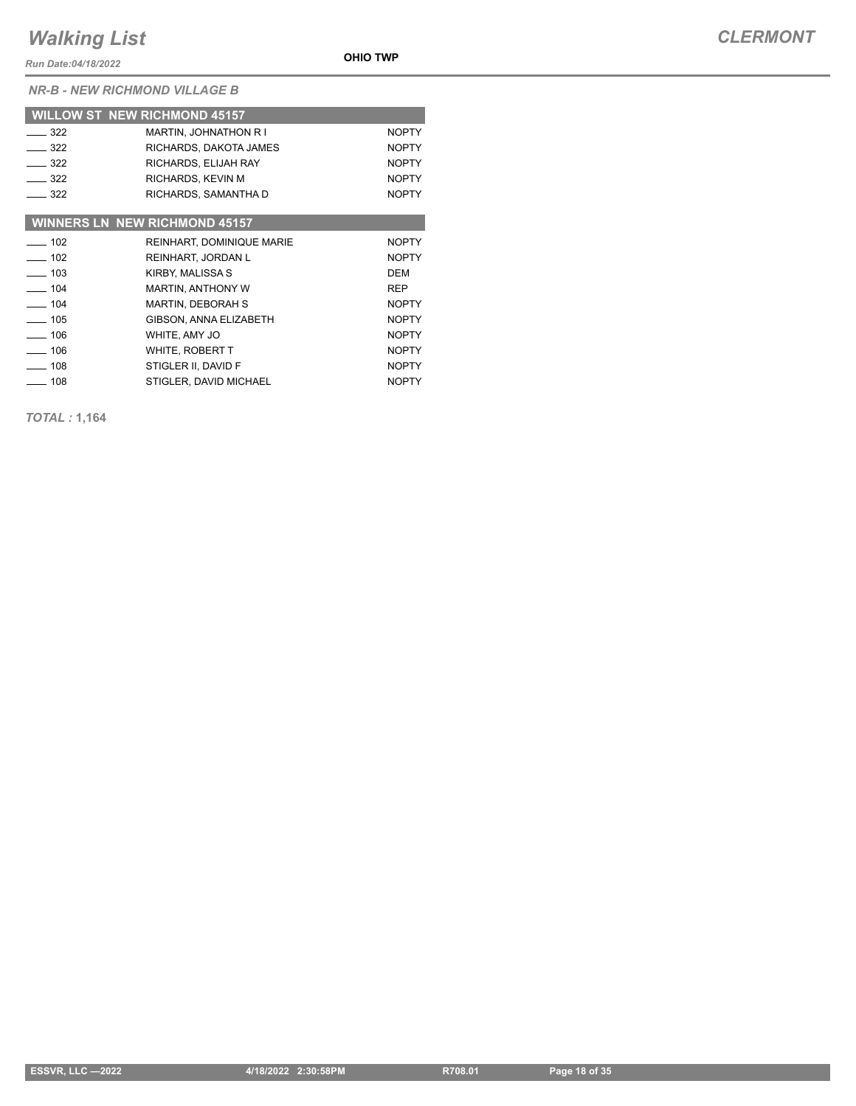*Run Date:04/18/2022*

*NR-B - NEW RICHMOND VILLAGE B*

|                   | <b>WILLOW ST NEW RICHMOND 45157</b>  |              |
|-------------------|--------------------------------------|--------------|
| $-322$            | <b>MARTIN, JOHNATHON R I</b>         | <b>NOPTY</b> |
| $\equiv$ 322      | RICHARDS, DAKOTA JAMES               | <b>NOPTY</b> |
| $-322$            | RICHARDS, ELIJAH RAY                 | <b>NOPTY</b> |
| $\equiv$ 322      | RICHARDS, KEVIN M                    | <b>NOPTY</b> |
| $\equiv$ 322      | RICHARDS, SAMANTHA D                 | <b>NOPTY</b> |
|                   |                                      |              |
|                   | <b>WINNERS LN NEW RICHMOND 45157</b> |              |
| $-102$            | REINHART, DOMINIQUE MARIE            | <b>NOPTY</b> |
| $-102$            | REINHART, JORDAN L                   | <b>NOPTY</b> |
| $\frac{103}{2}$   | KIRBY, MALISSA S                     | DEM          |
| $-104$            | <b>MARTIN, ANTHONY W</b>             | <b>REP</b>   |
| $- 104$           | <b>MARTIN, DEBORAH S</b>             | <b>NOPTY</b> |
| $\frac{1}{2}$ 105 | GIBSON, ANNA ELIZABETH               | <b>NOPTY</b> |
| $\frac{1}{2}$ 106 | WHITE, AMY JO                        | <b>NOPTY</b> |
| $- 106$           | WHITE, ROBERT T                      | <b>NOPTY</b> |
| $\frac{1}{2}$ 108 | STIGLER II, DAVID F                  | <b>NOPTY</b> |
| 108               | STIGLER, DAVID MICHAEL               | <b>NOPTY</b> |

**OHIO TWP**

*TOTAL :* **1,164**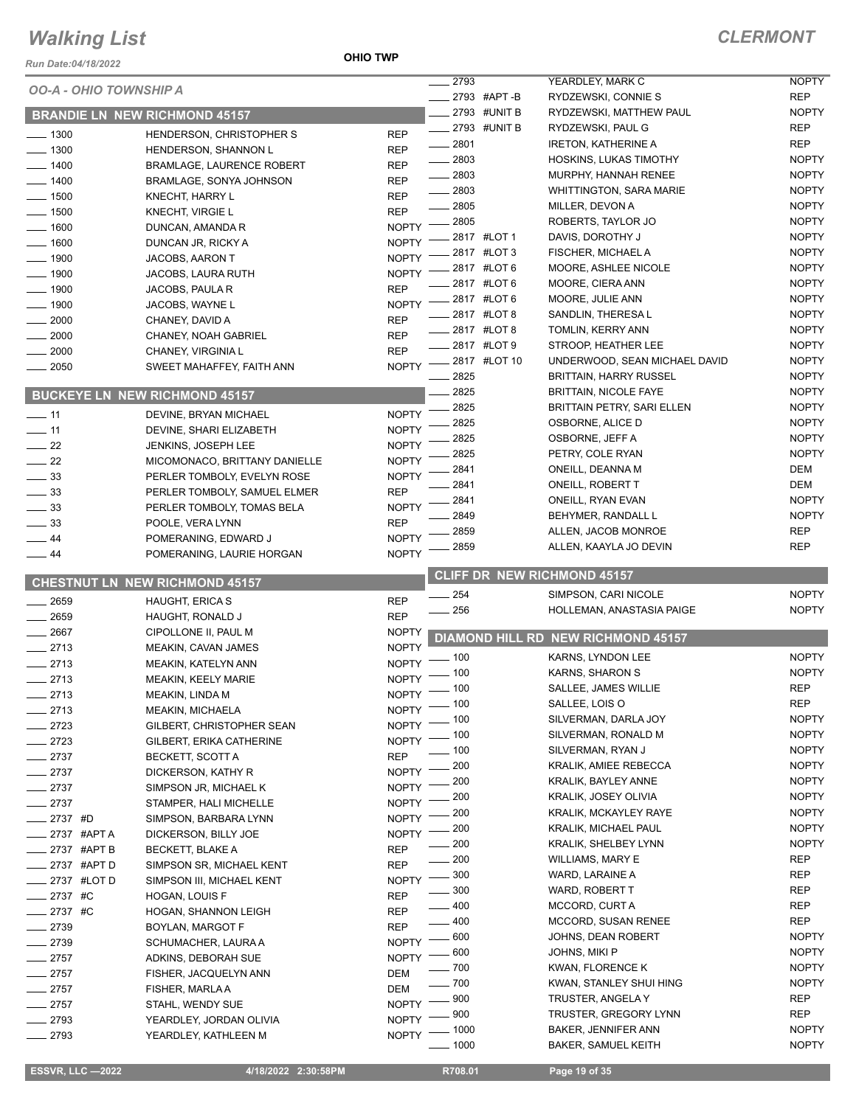#### **OHIO TWP**

### *CLERMONT*

| Run Date:04/18/2022 |                                                 | <b>OHIO TWP</b>              |                         |                                                   |                              |
|---------------------|-------------------------------------------------|------------------------------|-------------------------|---------------------------------------------------|------------------------------|
|                     | <b>OO-A - OHIO TOWNSHIP A</b>                   |                              | 2793                    | YEARDLEY, MARK C                                  | <b>NOPTY</b>                 |
|                     |                                                 |                              | 2793 #APT-B             | RYDZEWSKI, CONNIE S                               | <b>REP</b>                   |
|                     | <b>BRANDIE LN NEW RICHMOND 45157</b>            |                              | 2793 #UNIT B            | RYDZEWSKI, MATTHEW PAUL                           | <b>NOPTY</b>                 |
| $-1300$             | HENDERSON, CHRISTOPHER S                        | <b>REP</b>                   | 2793 #UNIT B<br>$-2801$ | RYDZEWSKI, PAUL G<br><b>IRETON, KATHERINE A</b>   | <b>REP</b><br><b>REP</b>     |
| $-1300$             | HENDERSON, SHANNON L                            | <b>REP</b>                   | 2803                    | HOSKINS, LUKAS TIMOTHY                            | <b>NOPTY</b>                 |
| 1400                | <b>BRAMLAGE, LAURENCE ROBERT</b>                | <b>REP</b>                   | $-2803$                 | MURPHY, HANNAH RENEE                              | <b>NOPTY</b>                 |
| 1400                | BRAMLAGE, SONYA JOHNSON                         | <b>REP</b>                   | 2803                    | <b>WHITTINGTON, SARA MARIE</b>                    | <b>NOPTY</b>                 |
| 1500                | KNECHT, HARRY L                                 | <b>REP</b>                   | 2805                    | MILLER, DEVON A                                   | <b>NOPTY</b>                 |
| 1500<br>1600        | KNECHT, VIRGIE L                                | <b>REP</b><br><b>NOPTY</b>   | 2805                    | ROBERTS, TAYLOR JO                                | <b>NOPTY</b>                 |
| 1600                | DUNCAN, AMANDA R<br>DUNCAN JR, RICKY A          | <b>NOPTY</b>                 | 2817 #LOT 1             | DAVIS, DOROTHY J                                  | <b>NOPTY</b>                 |
| 1900                | JACOBS, AARON T                                 | <b>NOPTY</b>                 | 2817 #LOT 3             | FISCHER, MICHAEL A                                | <b>NOPTY</b>                 |
| 1900                | <b>JACOBS, LAURA RUTH</b>                       | <b>NOPTY</b>                 | 2817 #LOT 6             | MOORE, ASHLEE NICOLE                              | <b>NOPTY</b>                 |
| 1900                | JACOBS, PAULA R                                 | <b>REP</b>                   | 2817 #LOT 6             | MOORE, CIERA ANN                                  | <b>NOPTY</b>                 |
| $-1900$             | JACOBS, WAYNE L                                 | <b>NOPTY</b>                 | 2817 #LOT 6             | MOORE, JULIE ANN                                  | <b>NOPTY</b>                 |
| 2000                | CHANEY, DAVID A                                 | <b>REP</b>                   | 2817 #LOT 8             | SANDLIN, THERESA L                                | <b>NOPTY</b>                 |
| 2000                | CHANEY, NOAH GABRIEL                            | <b>REP</b>                   | _ 2817 #LOT 8           | TOMLIN, KERRY ANN                                 | <b>NOPTY</b>                 |
| 2000                | CHANEY, VIRGINIA L                              | <b>REP</b>                   | 2817 #LOT 9             | STROOP, HEATHER LEE                               | <b>NOPTY</b>                 |
| 2050                | SWEET MAHAFFEY, FAITH ANN                       | <b>NOPTY</b>                 | 2817 #LOT 10            | UNDERWOOD, SEAN MICHAEL DAVID                     | <b>NOPTY</b>                 |
|                     |                                                 |                              | 2825<br>2825            | <b>BRITTAIN, HARRY RUSSEL</b>                     | <b>NOPTY</b>                 |
|                     | <b>BUCKEYE LN NEW RICHMOND 45157</b>            |                              | 2825                    | <b>BRITTAIN, NICOLE FAYE</b>                      | <b>NOPTY</b><br><b>NOPTY</b> |
| $\frac{1}{2}$ 11    | DEVINE, BRYAN MICHAEL                           | <b>NOPTY</b>                 | 2825                    | BRITTAIN PETRY, SARI ELLEN<br>OSBORNE, ALICE D    | <b>NOPTY</b>                 |
| $-11$               | DEVINE, SHARI ELIZABETH                         | <b>NOPTY</b>                 | 2825                    | OSBORNE, JEFF A                                   | <b>NOPTY</b>                 |
| $-22$               | JENKINS, JOSEPH LEE                             | <b>NOPTY</b>                 | 2825                    | PETRY, COLE RYAN                                  | <b>NOPTY</b>                 |
| 22                  | MICOMONACO, BRITTANY DANIELLE                   | <b>NOPTY</b>                 | 2841                    | ONEILL, DEANNA M                                  | <b>DEM</b>                   |
| $\frac{1}{2}$ 33    | PERLER TOMBOLY, EVELYN ROSE                     | <b>NOPTY</b>                 | 2841                    | ONEILL, ROBERT T                                  | DEM                          |
| $\frac{1}{2}$ 33    | PERLER TOMBOLY, SAMUEL ELMER                    | <b>REP</b>                   | 2841                    | ONEILL, RYAN EVAN                                 | <b>NOPTY</b>                 |
| $\equiv$ 33         | PERLER TOMBOLY, TOMAS BELA                      | <b>NOPTY</b>                 | 2849                    | BEHYMER, RANDALL L                                | <b>NOPTY</b>                 |
| 33<br>44            | POOLE, VERA LYNN<br>POMERANING, EDWARD J        | <b>REP</b><br><b>NOPTY</b>   | 2859                    | ALLEN, JACOB MONROE                               | <b>REP</b>                   |
|                     | POMERANING, LAURIE HORGAN                       | <b>NOPTY</b>                 | 2859                    | ALLEN, KAAYLA JO DEVIN                            | <b>REP</b>                   |
|                     |                                                 |                              |                         |                                                   |                              |
| $\equiv$ 44         |                                                 |                              |                         |                                                   |                              |
|                     | <b>CHESTNUT LN NEW RICHMOND 45157</b>           |                              |                         | <b>CLIFF DR NEW RICHMOND 45157</b>                |                              |
| 2659                | <b>HAUGHT, ERICA S</b>                          | <b>REP</b>                   | $\frac{1}{254}$         | SIMPSON, CARI NICOLE                              | <b>NOPTY</b>                 |
| 2659                | HAUGHT, RONALD J                                | <b>REP</b>                   | $-256$                  | HOLLEMAN, ANASTASIA PAIGE                         | <b>NOPTY</b>                 |
| 2667                | CIPOLLONE II, PAUL M                            | <b>NOPTY</b>                 |                         | DIAMOND HILL RD NEW RICHMOND 45157                |                              |
| $-2713$             | MEAKIN, CAVAN JAMES                             | <b>NOPTY</b>                 |                         |                                                   | <b>NOPTY</b>                 |
| $-2713$             | MEAKIN, KATELYN ANN                             | <b>NOPTY</b>                 | $-100$                  | KARNS, LYNDON LEE<br>KARNS, SHARON S              | <b>NOPTY</b>                 |
| 2713                | <b>MEAKIN, KEELY MARIE</b>                      |                              | NOPTY - 100             | SALLEE, JAMES WILLIE                              | <b>REP</b>                   |
| 2713                | MEAKIN, LINDA M                                 |                              | NOPTY - 100<br>100      | SALLEE, LOIS O                                    | <b>REP</b>                   |
| 2713                | <b>MEAKIN, MICHAELA</b>                         | <b>NOPTY</b>                 | . 100                   | SILVERMAN, DARLA JOY                              | <b>NOPTY</b>                 |
| 2723                | GILBERT, CHRISTOPHER SEAN                       | <b>NOPTY</b>                 | . 100                   | SILVERMAN, RONALD M                               | <b>NOPTY</b>                 |
| 2723                | GILBERT, ERIKA CATHERINE                        | <b>NOPTY</b><br><b>REP</b>   | . 100                   | SILVERMAN, RYAN J                                 | <b>NOPTY</b>                 |
| $= 2737$<br>$-2737$ | <b>BECKETT, SCOTT A</b><br>DICKERSON, KATHY R   | <b>NOPTY</b>                 | 200                     | KRALIK, AMIEE REBECCA                             | <b>NOPTY</b>                 |
| $-2737$             | SIMPSON JR, MICHAEL K                           | <b>NOPTY</b>                 | 200                     | KRALIK, BAYLEY ANNE                               | <b>NOPTY</b>                 |
| $-2737$             | STAMPER, HALI MICHELLE                          | <b>NOPTY</b>                 | 200                     | KRALIK, JOSEY OLIVIA                              | <b>NOPTY</b>                 |
| $-2737$ #D          | SIMPSON, BARBARA LYNN                           | <b>NOPTY</b>                 | 200                     | <b>KRALIK, MCKAYLEY RAYE</b>                      | <b>NOPTY</b>                 |
| _ 2737 #APT A       | DICKERSON, BILLY JOE                            | <b>NOPTY</b>                 | 200                     | <b>KRALIK, MICHAEL PAUL</b>                       | <b>NOPTY</b>                 |
| $-2737$ #APT B      | BECKETT, BLAKE A                                | <b>REP</b>                   | 200                     | KRALIK, SHELBEY LYNN                              | <b>NOPTY</b>                 |
| $-2737$ #APTD       | SIMPSON SR, MICHAEL KENT                        | <b>REP</b>                   | 200                     | <b>WILLIAMS, MARY E</b>                           | <b>REP</b>                   |
| _ 2737 #LOT D       | SIMPSON III, MICHAEL KENT                       | <b>NOPTY</b>                 | 300                     | WARD, LARAINE A                                   | <b>REP</b>                   |
| $-2737$ #C          | HOGAN, LOUIS F                                  | <b>REP</b>                   | 300                     | WARD, ROBERT T                                    | <b>REP</b>                   |
| _ 2737 #C           | HOGAN, SHANNON LEIGH                            | <b>REP</b>                   | $-400$                  | MCCORD, CURT A<br>MCCORD, SUSAN RENEE             | REP<br><b>REP</b>            |
| $-2739$             | BOYLAN, MARGOT F                                | <b>REP</b>                   | $- 400$<br>600          | JOHNS, DEAN ROBERT                                | <b>NOPTY</b>                 |
| $-2739$             | SCHUMACHER, LAURA A                             | <b>NOPTY</b>                 | . 600                   | JOHNS, MIKI P                                     | <b>NOPTY</b>                 |
| $-2757$             | ADKINS, DEBORAH SUE                             | <b>NOPTY</b>                 | - 700                   | KWAN, FLORENCE K                                  | <b>NOPTY</b>                 |
| $-2757$             | FISHER, JACQUELYN ANN                           | <b>DEM</b>                   | $-700$                  | KWAN, STANLEY SHUI HING                           | <b>NOPTY</b>                 |
| $-2757$             | FISHER, MARLA A                                 | <b>DEM</b>                   | 900                     | TRUSTER, ANGELA Y                                 | <b>REP</b>                   |
| $-2757$             | STAHL, WENDY SUE                                | <b>NOPTY</b>                 | 900                     | TRUSTER, GREGORY LYNN                             | <b>REP</b>                   |
| $-2793$<br>2793     | YEARDLEY, JORDAN OLIVIA<br>YEARDLEY, KATHLEEN M | <b>NOPTY</b><br><b>NOPTY</b> | $-1000$<br>$-1000$      | BAKER, JENNIFER ANN<br><b>BAKER, SAMUEL KEITH</b> | <b>NOPTY</b><br><b>NOPTY</b> |

**ESSVR, LLC -2022 4/18/2022 2:30:58PM** R708.01 **Page 19 of 35**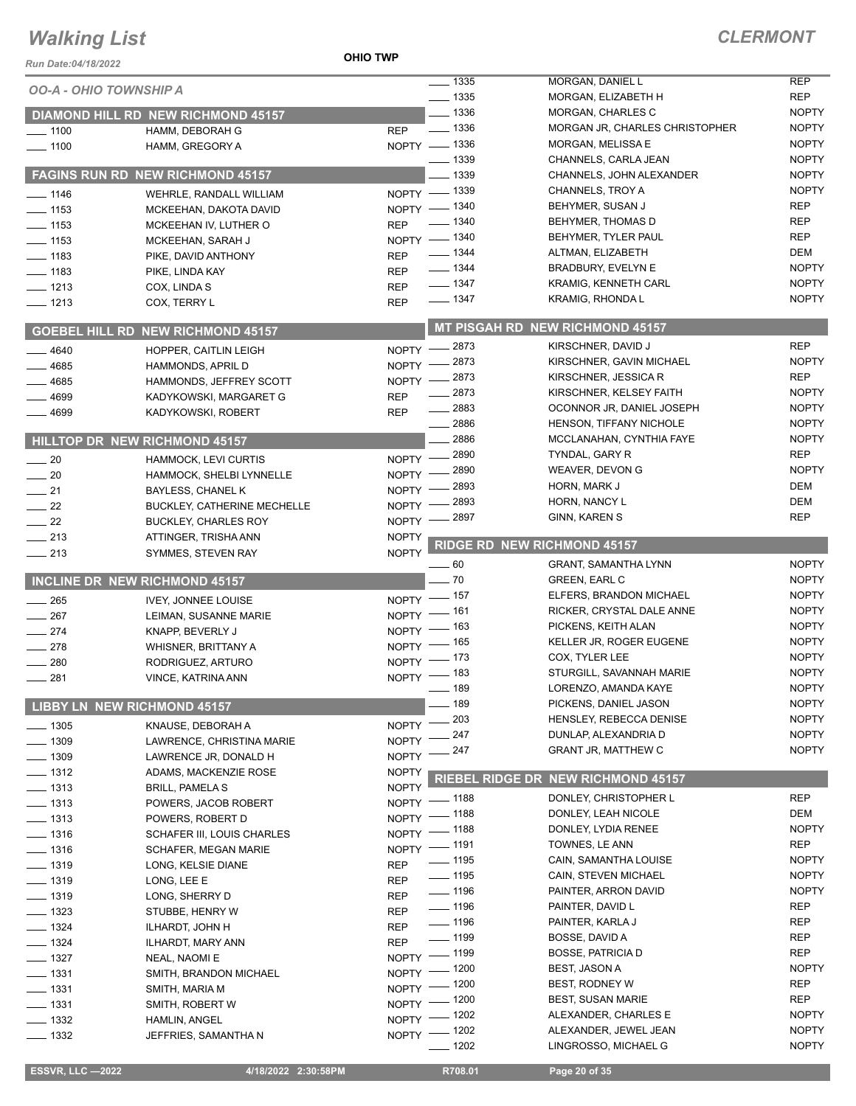#### **OHIO TWP**

| <b>OO-A - OHIO TOWNSHIP A</b>   |                                           | $\frac{1}{2}$ 1335                 | MORGAN, DANIEL L                              | <b>REP</b>                   |
|---------------------------------|-------------------------------------------|------------------------------------|-----------------------------------------------|------------------------------|
|                                 |                                           | $- 1335$                           | MORGAN, ELIZABETH H                           | <b>REP</b>                   |
|                                 | <b>DIAMOND HILL RD NEW RICHMOND 45157</b> | $- 1336$                           | MORGAN, CHARLES C                             | <b>NOPTY</b>                 |
| $\frac{1}{2}$ 1100              | HAMM, DEBORAH G                           | $\frac{1}{2}$ 1336<br><b>REP</b>   | MORGAN JR, CHARLES CHRISTOPHER                | <b>NOPTY</b>                 |
| $- 1100$                        | HAMM, GREGORY A                           | NOPTY - 1336<br>$\frac{1}{2}$ 1339 | MORGAN, MELISSA E<br>CHANNELS, CARLA JEAN     | <b>NOPTY</b><br><b>NOPTY</b> |
|                                 | FAGINS RUN RD NEW RICHMOND 45157          | _ 1339                             | CHANNELS, JOHN ALEXANDER                      | <b>NOPTY</b>                 |
|                                 |                                           | NOPTY - 1339                       | CHANNELS, TROY A                              | <b>NOPTY</b>                 |
| $- 1146$                        | WEHRLE, RANDALL WILLIAM                   | NOPTY - 1340                       | BEHYMER, SUSAN J                              | <b>REP</b>                   |
| $\frac{1}{2}$ 1153              | MCKEEHAN, DAKOTA DAVID                    | $\frac{1}{2}$ 1340                 | BEHYMER, THOMAS D                             | <b>REP</b>                   |
| $\frac{1}{2}$ 1153              | MCKEEHAN IV, LUTHER O                     | <b>REP</b><br>NOPTY - 1340         | BEHYMER, TYLER PAUL                           | <b>REP</b>                   |
| $- 1153$                        | MCKEEHAN, SARAH J                         | __ 1344                            | ALTMAN, ELIZABETH                             | DEM                          |
| $\frac{1}{2}$ 1183              | PIKE, DAVID ANTHONY                       | <b>REP</b><br>$- 1344$             | <b>BRADBURY, EVELYN E</b>                     | <b>NOPTY</b>                 |
| $- 1183$                        | PIKE, LINDA KAY                           | <b>REP</b><br>$- 1347$             | <b>KRAMIG, KENNETH CARL</b>                   | <b>NOPTY</b>                 |
| $- 1213$                        | COX, LINDA S                              | <b>REP</b><br>$- 1347$             | KRAMIG, RHONDA L                              | <b>NOPTY</b>                 |
| $- 1213$                        | COX, TERRY L                              | <b>REP</b>                         |                                               |                              |
|                                 | <b>GOEBEL HILL RD NEW RICHMOND 45157</b>  |                                    | <b>MT PISGAH RD NEW RICHMOND 45157</b>        |                              |
| 4640                            | HOPPER, CAITLIN LEIGH                     | NOPTY -2873                        | KIRSCHNER, DAVID J                            | <b>REP</b>                   |
| $-4685$                         | HAMMONDS, APRIL D                         | NOPTY -2873                        | KIRSCHNER, GAVIN MICHAEL                      | <b>NOPTY</b>                 |
| $-4685$                         | HAMMONDS, JEFFREY SCOTT                   | NOPTY -2873                        | KIRSCHNER, JESSICA R                          | <b>REP</b>                   |
| 4699                            | KADYKOWSKI, MARGARET G                    | $-2873$<br><b>REP</b>              | KIRSCHNER, KELSEY FAITH                       | <b>NOPTY</b>                 |
| 4699                            | KADYKOWSKI, ROBERT                        | $-2883$<br><b>REP</b>              | OCONNOR JR, DANIEL JOSEPH                     | <b>NOPTY</b>                 |
|                                 |                                           | $-2886$                            | HENSON, TIFFANY NICHOLE                       | <b>NOPTY</b>                 |
|                                 | <b>HILLTOP DR NEW RICHMOND 45157</b>      | 2886                               | MCCLANAHAN, CYNTHIA FAYE                      | <b>NOPTY</b>                 |
| $\sim$ 20                       | <b>HAMMOCK, LEVI CURTIS</b>               | 2890<br>$NOPTY$ –                  | TYNDAL, GARY R                                | <b>REP</b>                   |
| $\sim$ 20                       | HAMMOCK, SHELBI LYNNELLE                  | 2890<br>NOPTY -                    | WEAVER, DEVON G                               | <b>NOPTY</b>                 |
| $\sim$ 21                       | BAYLESS, CHANEL K                         | 2893<br><b>NOPTY</b>               | HORN, MARK J                                  | DEM                          |
| $\frac{1}{22}$                  | <b>BUCKLEY, CATHERINE MECHELLE</b>        | 2893<br><b>NOPTY</b>               | HORN, NANCY L                                 | DEM                          |
| $\frac{1}{2}$ 22                | <b>BUCKLEY, CHARLES ROY</b>               | 2897<br><b>NOPTY</b>               | GINN, KAREN S                                 | <b>REP</b>                   |
| $-213$                          | ATTINGER, TRISHA ANN                      | <b>NOPTY</b>                       |                                               |                              |
| $\frac{1}{213}$                 | SYMMES, STEVEN RAY                        | <b>NOPTY</b>                       | <b>RIDGE RD NEW RICHMOND 45157</b>            |                              |
|                                 |                                           | $\frac{1}{1}$ 60                   | <b>GRANT, SAMANTHA LYNN</b>                   | <b>NOPTY</b>                 |
|                                 | INCLINE DR NEW RICHMOND 45157             | $-70$                              | <b>GREEN, EARL C</b>                          | <b>NOPTY</b>                 |
|                                 |                                           | $=$ 157 $\,$                       | ELFERS, BRANDON MICHAEL                       | <b>NOPTY</b>                 |
| $\frac{1}{265}$                 | <b>IVEY, JONNEE LOUISE</b>                | $N$ OPTY $-$                       |                                               |                              |
| 267<br>$\overline{\phantom{0}}$ | LEIMAN, SUSANNE MARIE                     | NOPTY - 161                        | RICKER, CRYSTAL DALE ANNE                     | <b>NOPTY</b>                 |
| $\frac{274}{ }$                 | KNAPP, BEVERLY J                          | NOPTY - 163                        | PICKENS, KEITH ALAN                           | <b>NOPTY</b>                 |
| $\frac{1}{278}$                 | WHISNER, BRITTANY A                       | NOPTY - 165                        | KELLER JR, ROGER EUGENE                       | <b>NOPTY</b>                 |
| 280                             | RODRIGUEZ, ARTURO                         | NOPTY - 173                        | COX, TYLER LEE                                | <b>NOPTY</b>                 |
| $-281$                          | VINCE, KATRINA ANN                        | NOPTY - 183                        | STURGILL, SAVANNAH MARIE                      | <b>NOPTY</b>                 |
|                                 |                                           | $- 189$                            | LORENZO, AMANDA KAYE                          | <b>NOPTY</b>                 |
|                                 | <b>LIBBY LN NEW RICHMOND 45157</b>        | $-189$                             | PICKENS, DANIEL JASON                         | <b>NOPTY</b>                 |
| $\frac{1}{2}$ 1305              | KNAUSE, DEBORAH A                         | $-203$<br>NOPTY <sup>-</sup>       | HENSLEY, REBECCA DENISE                       | <b>NOPTY</b>                 |
| $- 1309$                        | LAWRENCE, CHRISTINA MARIE                 | $-247$<br>NOPTY <sup>-</sup>       | DUNLAP, ALEXANDRIA D                          | <b>NOPTY</b>                 |
| $\frac{1}{2}$ 1309              | LAWRENCE JR, DONALD H                     | 247<br>NOPTY <sup>-</sup>          | GRANT JR, MATTHEW C                           | <b>NOPTY</b>                 |
| $\frac{1}{2}$ 1312              | ADAMS, MACKENZIE ROSE                     | <b>NOPTY</b>                       |                                               |                              |
| $\frac{1}{2}$ 1313              | <b>BRILL, PAMELA S</b>                    | <b>NOPTY</b>                       | <b>RIEBEL RIDGE DR NEW RICHMOND 45157</b>     |                              |
| $- 1313$                        | POWERS, JACOB ROBERT                      | __ 1188<br>NOPTY $-$               | DONLEY, CHRISTOPHER L                         | <b>REP</b>                   |
| $- 1313$                        | POWERS, ROBERT D                          | _ 1188<br>NOPTY <sup>-</sup>       | DONLEY, LEAH NICOLE                           | DEM                          |
| $\frac{1}{2}$ 1316              | <b>SCHAFER III, LOUIS CHARLES</b>         | $-1188$<br>$NOPTY =$               | DONLEY, LYDIA RENEE                           | <b>NOPTY</b>                 |
| $- 1316$                        | <b>SCHAFER, MEGAN MARIE</b>               | NOPTY - 1191                       | TOWNES, LE ANN                                | <b>REP</b>                   |
| $- 1319$                        | LONG, KELSIE DIANE                        | $\frac{1}{2}$ 1195<br><b>REP</b>   | CAIN, SAMANTHA LOUISE                         | <b>NOPTY</b>                 |
| $- 1319$                        | LONG, LEE E                               | $\frac{1}{2}$ 1195<br><b>REP</b>   | CAIN, STEVEN MICHAEL                          | <b>NOPTY</b>                 |
| $- 1319$                        | LONG, SHERRY D                            | $- 1196$<br><b>REP</b>             | PAINTER, ARRON DAVID                          | <b>NOPTY</b>                 |
| $- 1323$                        | STUBBE, HENRY W                           | $\frac{1}{2}$ 1196<br><b>REP</b>   | PAINTER, DAVID L                              | <b>REP</b>                   |
| $- 1324$                        | ILHARDT, JOHN H                           | $- 1196$<br><b>REP</b>             | PAINTER, KARLA J                              | <b>REP</b>                   |
| $- 1324$                        | ILHARDT, MARY ANN                         | $\frac{1}{2}$ 1199<br><b>REP</b>   | BOSSE, DAVID A                                | <b>REP</b>                   |
| $\frac{1}{2}$ 1327              | NEAL, NAOMI E                             | NOPTY - 1199                       | <b>BOSSE, PATRICIA D</b>                      | <b>REP</b>                   |
| $\frac{1}{2}$ 1331              | SMITH, BRANDON MICHAEL                    | NOPTY - 1200                       | BEST, JASON A                                 | <b>NOPTY</b>                 |
| $- 1331$                        | SMITH, MARIA M                            | NOPTY - 1200                       | BEST, RODNEY W                                | <b>REP</b>                   |
| $- 1331$                        | SMITH, ROBERT W                           | — 1200<br>$N$ OPTY -               | <b>BEST, SUSAN MARIE</b>                      | <b>REP</b>                   |
| $\frac{1}{2}$ 1332              | HAMLIN, ANGEL                             | $=$ 1202<br>$NOPTY =$              | ALEXANDER, CHARLES E                          | <b>NOPTY</b>                 |
| $- 1332$                        | JEFFRIES, SAMANTHA N                      | NOPTY - 1202<br>$-1202$            | ALEXANDER, JEWEL JEAN<br>LINGROSSO, MICHAEL G | <b>NOPTY</b><br><b>NOPTY</b> |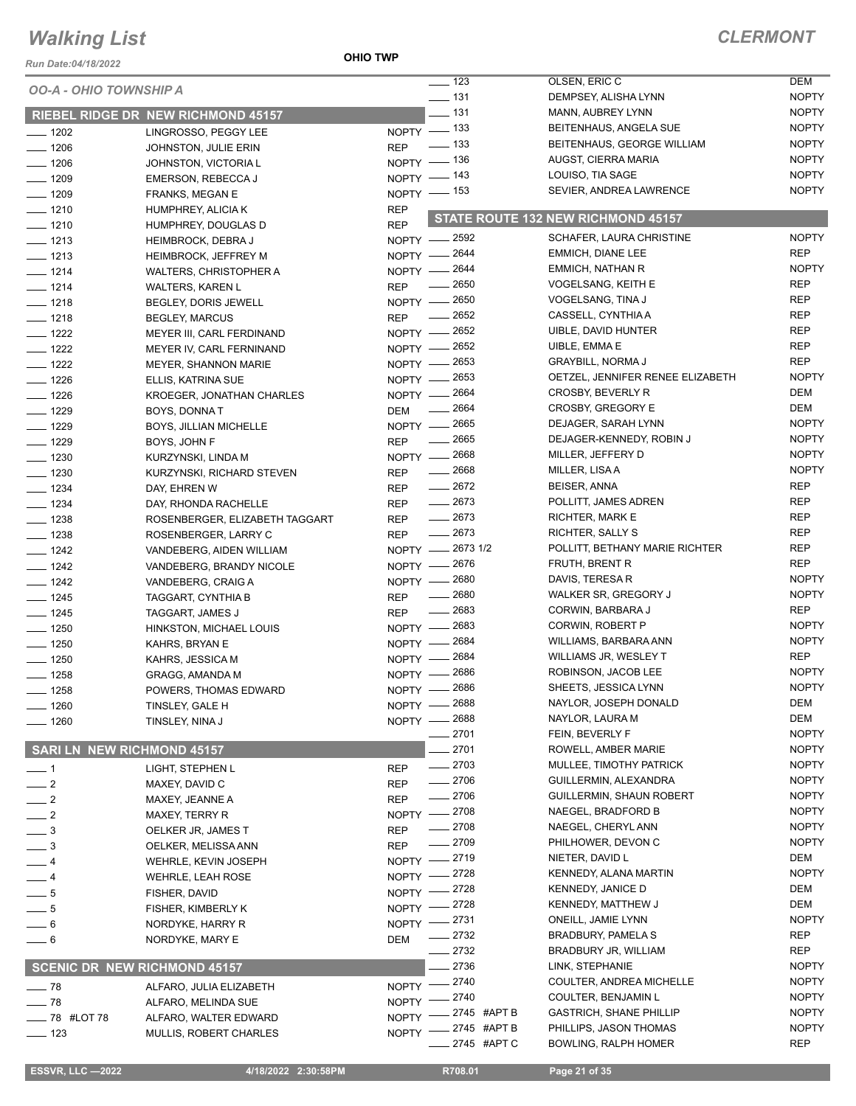#### **OHIO TWP**

### *CLERMONT*

| Run Date:04/18/2022               |                                           | <b>OHIO TWP</b> |                                         |                                               |                            |
|-----------------------------------|-------------------------------------------|-----------------|-----------------------------------------|-----------------------------------------------|----------------------------|
| <b>OO-A - OHIO TOWNSHIP A</b>     |                                           |                 | $\frac{1}{2}$ 123                       | OLSEN, ERIC C                                 | <b>DEM</b>                 |
|                                   |                                           |                 | $\frac{1}{2}$ 131                       | DEMPSEY, ALISHA LYNN                          | <b>NOPTY</b>               |
|                                   | <b>RIEBEL RIDGE DR NEW RICHMOND 45157</b> |                 | $-131$                                  | MANN, AUBREY LYNN                             | <b>NOPTY</b>               |
| $- 1202$                          | LINGROSSO, PEGGY LEE                      |                 | NOPTY - 133                             | BEITENHAUS, ANGELA SUE                        | <b>NOPTY</b>               |
| $\frac{1}{2}$ 1206                | JOHNSTON, JULIE ERIN                      | <b>REP</b>      | _ 133                                   | BEITENHAUS, GEORGE WILLIAM                    | <b>NOPTY</b>               |
| $- 1206$                          | JOHNSTON, VICTORIA L                      |                 | NOPTY - 136                             | AUGST, CIERRA MARIA                           | <b>NOPTY</b>               |
| $- 1209$                          | EMERSON, REBECCA J                        |                 | NOPTY - 143                             | LOUISO, TIA SAGE                              | <b>NOPTY</b>               |
| $- 1209$                          | <b>FRANKS, MEGAN E</b>                    |                 | NOPTY - 153                             | SEVIER, ANDREA LAWRENCE                       | <b>NOPTY</b>               |
| $- 1210$                          | HUMPHREY, ALICIA K                        | <b>REP</b>      |                                         | STATE ROUTE 132 NEW RICHMOND 45157            |                            |
| $- 1210$                          | HUMPHREY, DOUGLAS D                       | <b>REP</b>      |                                         |                                               |                            |
| $- 1213$                          | <b>HEIMBROCK, DEBRAJ</b>                  |                 | NOPTY - 2592                            | SCHAFER, LAURA CHRISTINE                      | <b>NOPTY</b>               |
| $- 1213$                          | <b>HEIMBROCK, JEFFREY M</b>               |                 | NOPTY - 2644                            | EMMICH, DIANE LEE                             | <b>REP</b>                 |
| $- 1214$                          | WALTERS, CHRISTOPHER A                    |                 | NOPTY - 2644                            | EMMICH, NATHAN R                              | <b>NOPTY</b>               |
| $- 1214$                          | <b>WALTERS, KAREN L</b>                   | <b>REP</b>      | $\frac{1}{2650}$                        | VOGELSANG, KEITH E                            | <b>REP</b>                 |
| $- 1218$                          | BEGLEY, DORIS JEWELL                      |                 | NOPTY - 2650                            | VOGELSANG, TINA J                             | <b>REP</b>                 |
| $- 1218$                          | <b>BEGLEY, MARCUS</b>                     | <b>REP</b>      | 2652<br>$\overline{\phantom{a}}$        | CASSELL, CYNTHIA A                            | <b>REP</b>                 |
| $- 1222$                          | MEYER III, CARL FERDINAND                 |                 | NOPTY - 2652                            | <b>UIBLE, DAVID HUNTER</b>                    | <b>REP</b>                 |
| $- 1222$                          | MEYER IV, CARL FERNINAND                  |                 | NOPTY - 2652                            | UIBLE, EMMA E                                 | <b>REP</b>                 |
| $\frac{1}{2}$ 1222                | <b>MEYER, SHANNON MARIE</b>               |                 | NOPTY - 2653                            | <b>GRAYBILL, NORMA J</b>                      | <b>REP</b>                 |
| $- 1226$                          | ELLIS, KATRINA SUE                        |                 | NOPTY - 2653                            | OETZEL, JENNIFER RENEE ELIZABETH              | <b>NOPTY</b>               |
| $\frac{1}{2}$ 1226                | KROEGER, JONATHAN CHARLES                 | $NOPTY$ -       | 2664                                    | CROSBY, BEVERLY R                             | <b>DEM</b>                 |
| $- 1229$                          | <b>BOYS, DONNAT</b>                       | DEM             | 2664<br>$\overline{\phantom{a}}$        | <b>CROSBY, GREGORY E</b>                      | <b>DEM</b>                 |
| $- 1229$                          | BOYS, JILLIAN MICHELLE                    |                 | NOPTY - 2665                            | DEJAGER, SARAH LYNN                           | <b>NOPTY</b>               |
| $- 1229$                          | BOYS, JOHN F                              | <b>REP</b>      | $\frac{1}{2665}$                        | DEJAGER-KENNEDY, ROBIN J                      | <b>NOPTY</b>               |
| $- 1230$                          | KURZYNSKI, LINDA M                        |                 | NOPTY - 2668                            | MILLER, JEFFERY D                             | <b>NOPTY</b>               |
| $- 1230$                          | KURZYNSKI, RICHARD STEVEN                 | <b>REP</b>      | $\frac{1}{2668}$                        | MILLER, LISA A                                | <b>NOPTY</b>               |
| $- 1234$                          | DAY, EHREN W                              | <b>REP</b>      | $-2672$                                 | BEISER, ANNA                                  | <b>REP</b>                 |
| $- 1234$                          | DAY, RHONDA RACHELLE                      | <b>REP</b>      | $-2673$                                 | POLLITT, JAMES ADREN                          | <b>REP</b>                 |
| $- 1238$                          | ROSENBERGER, ELIZABETH TAGGART            | <b>REP</b>      | $-2673$                                 | RICHTER, MARK E                               | REP                        |
| $- 1238$                          | ROSENBERGER, LARRY C                      | <b>REP</b>      | $-2673$                                 | RICHTER, SALLY S                              | <b>REP</b>                 |
| $- 1242$                          | VANDEBERG, AIDEN WILLIAM                  |                 | NOPTY -2673 1/2                         | POLLITT, BETHANY MARIE RICHTER                | <b>REP</b>                 |
| $- 1242$                          | VANDEBERG, BRANDY NICOLE                  |                 | NOPTY - 2676                            | FRUTH, BRENT R                                | <b>REP</b>                 |
| $-$ 1242                          | VANDEBERG, CRAIG A                        |                 | NOPTY - 2680                            | DAVIS, TERESA R                               | <b>NOPTY</b>               |
| $- 1245$                          | TAGGART, CYNTHIA B                        | <b>REP</b>      | 2680<br>$\frac{1}{2}$                   | WALKER SR, GREGORY J                          | <b>NOPTY</b>               |
| $- 1245$                          | TAGGART, JAMES J                          | <b>REP</b>      | $\frac{1}{2683}$                        | CORWIN, BARBARA J                             | <b>REP</b>                 |
| $\frac{1}{2}$ 1250                | HINKSTON, MICHAEL LOUIS                   | NOPTY -         | 2683                                    | CORWIN, ROBERT P                              | <b>NOPTY</b>               |
| $\frac{1}{2}$ 1250                | KAHRS, BRYAN E                            |                 | NOPTY - 2684                            | WILLIAMS, BARBARA ANN                         | <b>NOPTY</b><br><b>REP</b> |
| $- 1250$                          | KAHRS, JESSICA M                          |                 | NOPTY - 2684                            | WILLIAMS JR, WESLEY T                         | <b>NOPTY</b>               |
| $- 1258$                          | <b>GRAGG, AMANDA M</b>                    |                 | NOPTY - 2686                            | ROBINSON, JACOB LEE                           | <b>NOPTY</b>               |
| $-1258$                           | POWERS, THOMAS EDWARD                     |                 | NOPTY - 2686<br>2688                    | SHEETS, JESSICA LYNN<br>NAYLOR, JOSEPH DONALD | DEM                        |
| $-1260$                           | TINSLEY, GALE H                           | NOPTY -         |                                         | NAYLOR, LAURA M                               | DEM                        |
| $- 1260$                          | TINSLEY, NINA J                           |                 | NOPTY - 2688<br>2701                    |                                               | <b>NOPTY</b>               |
| <b>SARI LN NEW RICHMOND 45157</b> |                                           |                 | 2701                                    | FEIN, BEVERLY F<br>ROWELL, AMBER MARIE        | <b>NOPTY</b>               |
|                                   |                                           |                 | $-2703$                                 | MULLEE, TIMOTHY PATRICK                       | <b>NOPTY</b>               |
| $-1$                              | LIGHT, STEPHEN L                          | <b>REP</b>      | $-2706$                                 | GUILLERMIN, ALEXANDRA                         | <b>NOPTY</b>               |
| $\frac{1}{2}$                     | MAXEY, DAVID C                            | <b>REP</b>      | $-2706$                                 | <b>GUILLERMIN, SHAUN ROBERT</b>               | <b>NOPTY</b>               |
| $\frac{1}{2}$                     | MAXEY, JEANNE A                           | <b>REP</b>      |                                         | NAEGEL, BRADFORD B                            | <b>NOPTY</b>               |
| $\frac{1}{2}$                     | MAXEY, TERRY R                            |                 | NOPTY -2708<br>$-2708$                  | NAEGEL, CHERYL ANN                            | <b>NOPTY</b>               |
| $\frac{1}{2}$                     | OELKER JR, JAMES T                        | <b>REP</b>      | $- 2709$                                | PHILHOWER, DEVON C                            | <b>NOPTY</b>               |
| $\_\_$ 3                          | OELKER, MELISSA ANN                       | <b>REP</b>      | $-2719$                                 | NIETER, DAVID L                               | DEM                        |
| — 4                               | WEHRLE, KEVIN JOSEPH                      | $N$ OPTY $-$    | $=2728$                                 | KENNEDY, ALANA MARTIN                         | <b>NOPTY</b>               |
| $-4$                              | <b>WEHRLE, LEAH ROSE</b>                  | $NOPTY$ –       | 2728                                    | <b>KENNEDY, JANICE D</b>                      | <b>DEM</b>                 |
| $-5$                              | FISHER, DAVID                             | $NOPTY -$       | _ 2728                                  | KENNEDY, MATTHEW J                            | <b>DEM</b>                 |
| $-5$                              | FISHER, KIMBERLY K                        | $NOPTY$ -       |                                         | ONEILL, JAMIE LYNN                            | <b>NOPTY</b>               |
| $-6$                              | NORDYKE, HARRY R                          |                 | NOPTY -2731<br>2732                     | <b>BRADBURY, PAMELA S</b>                     | REP                        |
| $-6$                              | NORDYKE, MARY E                           | <b>DEM</b>      | 2732                                    | BRADBURY JR, WILLIAM                          | <b>REP</b>                 |
|                                   |                                           |                 | 2736                                    | LINK, STEPHANIE                               | <b>NOPTY</b>               |
|                                   | SCENIC DR NEW RICHMOND 45157              |                 |                                         | COULTER, ANDREA MICHELLE                      | <b>NOPTY</b>               |
| $\frac{1}{2}$ 78                  | ALFARO, JULIA ELIZABETH                   |                 | NOPTY -2740                             | COULTER, BENJAMIN L                           | <b>NOPTY</b>               |
| $\frac{1}{2}$ 78                  | ALFARO, MELINDA SUE                       |                 | NOPTY -2740<br><sub>–</sub> 2745 #APT B | <b>GASTRICH, SHANE PHILLIP</b>                | <b>NOPTY</b>               |
| - 78 #LOT 78                      | ALFARO, WALTER EDWARD                     | $N$ OPTY -      |                                         | PHILLIPS, JASON THOMAS                        | <b>NOPTY</b>               |
| $\frac{1}{2}$ 123                 | MULLIS, ROBERT CHARLES                    |                 | NOPTY -2745 #APT B<br>2745 #APT C       | <b>BOWLING, RALPH HOMER</b>                   | <b>REP</b>                 |
|                                   |                                           |                 |                                         |                                               |                            |

 **ESSVR, LLC —2022 4/18/2022 2:30:58PM R708.01 Page 21 of 35**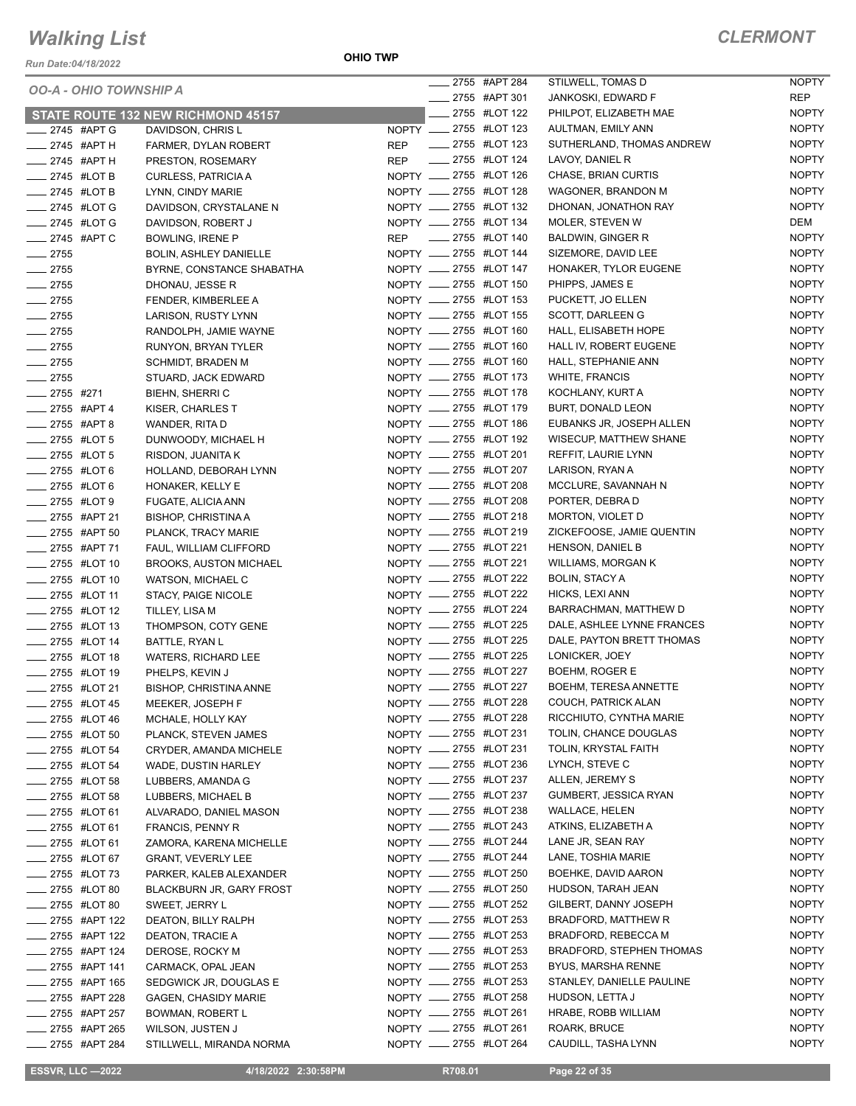*Run Date:04/18/2022*

**OHIO TWP**

| <i><b>OO-A - OHIO TOWNSHIP A</b></i> |                                    | _____ 2755 #APT 284    |                           | STILWELL, TOMAS D               | NOPTY        |
|--------------------------------------|------------------------------------|------------------------|---------------------------|---------------------------------|--------------|
|                                      |                                    | ____ 2755 #APT 301     |                           | JANKOSKI, EDWARD F              | <b>REP</b>   |
|                                      | STATE ROUTE 132 NEW RICHMOND 45157 |                        | <b>____ 2755 #LOT 122</b> | PHILPOT, ELIZABETH MAE          | <b>NOPTY</b> |
| $2745$ #APT G                        | DAVIDSON, CHRIS L                  | NOPTY __ 2755 #LOT 123 |                           | AULTMAN, EMILY ANN              | <b>NOPTY</b> |
| ____ 2745 #APT H                     | FARMER, DYLAN ROBERT               | REP __ 2755 #LOT 123   |                           | SUTHERLAND, THOMAS ANDREW       | <b>NOPTY</b> |
| $2745$ #APT H                        | PRESTON, ROSEMARY                  | REP __ 2755 #LOT 124   |                           | LAVOY, DANIEL R                 | <b>NOPTY</b> |
| __ 2745 #LOT B                       | <b>CURLESS, PATRICIA A</b>         | NOPTY __ 2755 #LOT 126 |                           | CHASE, BRIAN CURTIS             | <b>NOPTY</b> |
| __ 2745 #LOT B                       | LYNN, CINDY MARIE                  |                        | NOPTY __ 2755 #LOT 128    | WAGONER, BRANDON M              | <b>NOPTY</b> |
| __ 2745 #LOT G                       | DAVIDSON, CRYSTALANE N             |                        | NOPTY __ 2755 #LOT 132    | DHONAN, JONATHON RAY            | <b>NOPTY</b> |
| -2745 #LOT G                         | DAVIDSON, ROBERT J                 |                        | NOPTY __ 2755 #LOT 134    | MOLER, STEVEN W                 | DEM          |
| ____ 2745 #APT C                     | <b>BOWLING, IRENE P</b>            |                        | REP __ 2755 #LOT 140      | BALDWIN, GINGER R               | <b>NOPTY</b> |
| $-2755$                              | <b>BOLIN, ASHLEY DANIELLE</b>      |                        | NOPTY __ 2755 #LOT 144    | SIZEMORE, DAVID LEE             | <b>NOPTY</b> |
| $-2755$                              | BYRNE, CONSTANCE SHABATHA          |                        | NOPTY __ 2755 #LOT 147    | HONAKER, TYLOR EUGENE           | <b>NOPTY</b> |
| $-2755$                              | DHONAU, JESSE R                    |                        | NOPTY __ 2755 #LOT 150    | PHIPPS, JAMES E                 | <b>NOPTY</b> |
| $-2755$                              | FENDER, KIMBERLEE A                |                        | NOPTY __ 2755 #LOT 153    | PUCKETT, JO ELLEN               | <b>NOPTY</b> |
| $-2755$                              | LARISON, RUSTY LYNN                | NOPTY __ 2755 #LOT 155 |                           | SCOTT, DARLEEN G                | <b>NOPTY</b> |
| $-2755$                              | RANDOLPH, JAMIE WAYNE              |                        | NOPTY __ 2755 #LOT 160    | HALL, ELISABETH HOPE            | <b>NOPTY</b> |
| $-2755$                              | RUNYON, BRYAN TYLER                |                        | NOPTY __ 2755 #LOT 160    | HALL IV, ROBERT EUGENE          | <b>NOPTY</b> |
| $\frac{1}{2755}$                     | <b>SCHMIDT, BRADEN M</b>           | NOPTY __ 2755 #LOT 160 |                           | HALL, STEPHANIE ANN             | <b>NOPTY</b> |
| $-2755$                              | STUARD, JACK EDWARD                | NOPTY __ 2755 #LOT 173 |                           | <b>WHITE, FRANCIS</b>           | <b>NOPTY</b> |
| $-2755$ #271                         | <b>BIEHN, SHERRIC</b>              | NOPTY __ 2755 #LOT 178 |                           | KOCHLANY, KURT A                | <b>NOPTY</b> |
| ___ 2755 #APT 4                      | KISER, CHARLES T                   | NOPTY __ 2755 #LOT 179 |                           | <b>BURT, DONALD LEON</b>        | <b>NOPTY</b> |
| ____ 2755 #APT 8                     | WANDER, RITA D                     | NOPTY __ 2755 #LOT 186 |                           | EUBANKS JR, JOSEPH ALLEN        | <b>NOPTY</b> |
| ____ 2755 #LOT 5                     | DUNWOODY, MICHAEL H                |                        | NOPTY __ 2755 #LOT 192    | WISECUP, MATTHEW SHANE          | <b>NOPTY</b> |
| -2755 #LOT 5                         | RISDON, JUANITA K                  | NOPTY __ 2755 #LOT 201 |                           | REFFIT, LAURIE LYNN             | <b>NOPTY</b> |
| $-2755$ #LOT 6                       | HOLLAND, DEBORAH LYNN              |                        | NOPTY __ 2755 #LOT 207    | LARISON, RYAN A                 | <b>NOPTY</b> |
| -2755 #LOT 6                         | HONAKER, KELLY E                   | NOPTY __ 2755 #LOT 208 |                           | MCCLURE, SAVANNAH N             | <b>NOPTY</b> |
| __ 2755 #LOT 9                       | FUGATE, ALICIA ANN                 | NOPTY __ 2755 #LOT 208 |                           | PORTER, DEBRA D                 | <b>NOPTY</b> |
| ____ 2755 #APT 21                    | <b>BISHOP, CHRISTINA A</b>         | NOPTY __ 2755 #LOT 218 |                           | MORTON, VIOLET D                | <b>NOPTY</b> |
| ___ 2755 #APT 50                     | PLANCK, TRACY MARIE                | NOPTY __ 2755 #LOT 219 |                           | ZICKEFOOSE, JAMIE QUENTIN       | <b>NOPTY</b> |
| ___ 2755 #APT 71                     | FAUL, WILLIAM CLIFFORD             | NOPTY __ 2755 #LOT 221 |                           | <b>HENSON, DANIEL B</b>         | <b>NOPTY</b> |
| ____ 2755 #LOT 10                    | <b>BROOKS, AUSTON MICHAEL</b>      | NOPTY __ 2755 #LOT 221 |                           | WILLIAMS, MORGAN K              | <b>NOPTY</b> |
| <b>_____</b> 2755 #LOT 10            | WATSON, MICHAEL C                  |                        | NOPTY __ 2755 #LOT 222    | BOLIN, STACY A                  | <b>NOPTY</b> |
| ____ 2755 #LOT 11                    | STACY, PAIGE NICOLE                | NOPTY __ 2755 #LOT 222 |                           | HICKS, LEXI ANN                 | <b>NOPTY</b> |
| -2755 #LOT 12                        | TILLEY, LISA M                     | NOPTY __ 2755 #LOT 224 |                           | BARRACHMAN, MATTHEW D           | <b>NOPTY</b> |
| -2755 #LOT 13                        | THOMPSON, COTY GENE                | NOPTY __ 2755 #LOT 225 |                           | DALE, ASHLEE LYNNE FRANCES      | <b>NOPTY</b> |
| -2755 #LOT 14                        | <b>BATTLE, RYAN L</b>              | NOPTY __ 2755 #LOT 225 |                           | DALE, PAYTON BRETT THOMAS       | <b>NOPTY</b> |
| -2755 #LOT 18                        | <b>WATERS, RICHARD LEE</b>         |                        | NOPTY __ 2755 #LOT 225    | LONICKER, JOEY                  | <b>NOPTY</b> |
| __ 2755 #LOT 19                      | PHELPS, KEVIN J                    |                        | NOPTY __ 2755 #LOT 227    | BOEHM, ROGER E                  | <b>NOPTY</b> |
| __ 2755 #LOT 21                      | <b>BISHOP, CHRISTINA ANNE</b>      | NOPTY __ 2755 #LOT 227 |                           | <b>BOEHM, TERESA ANNETTE</b>    | <b>NOPTY</b> |
| 2755 #LOT 45                         | MEEKER, JOSEPH F                   |                        | NOPTY __ 2755 #LOT 228    | COUCH, PATRICK ALAN             | <b>NOPTY</b> |
| ____ 2755 #LOT 46                    | MCHALE, HOLLY KAY                  |                        | NOPTY _____ 2755 #LOT 228 | RICCHIUTO, CYNTHA MARIE         | <b>NOPTY</b> |
| _ 2755 #LOT 50                       | PLANCK, STEVEN JAMES               | NOPTY __ 2755 #LOT 231 |                           | TOLIN, CHANCE DOUGLAS           | <b>NOPTY</b> |
| _____ 2755 #LOT 54                   | CRYDER, AMANDA MICHELE             | NOPTY __ 2755 #LOT 231 |                           | TOLIN, KRYSTAL FAITH            | <b>NOPTY</b> |
| __ 2755 #LOT 54                      | WADE, DUSTIN HARLEY                | NOPTY __ 2755 #LOT 236 |                           | LYNCH, STEVE C                  | <b>NOPTY</b> |
| <b>______ 2755</b> #LOT 58           | LUBBERS, AMANDA G                  | NOPTY __ 2755 #LOT 237 |                           | ALLEN, JEREMY S                 | <b>NOPTY</b> |
| $-2755$ #LOT 58                      | LUBBERS, MICHAEL B                 | NOPTY __ 2755 #LOT 237 |                           | GUMBERT, JESSICA RYAN           | <b>NOPTY</b> |
| _ 2755 #LOT 61                       | ALVARADO, DANIEL MASON             | NOPTY __ 2755 #LOT 238 |                           | <b>WALLACE, HELEN</b>           | <b>NOPTY</b> |
| _ 2755 #LOT 61                       | <b>FRANCIS, PENNY R</b>            |                        | NOPTY __ 2755 #LOT 243    | ATKINS, ELIZABETH A             | <b>NOPTY</b> |
| _ 2755 #LOT 61                       | ZAMORA, KARENA MICHELLE            | NOPTY __ 2755 #LOT 244 |                           | LANE JR, SEAN RAY               | <b>NOPTY</b> |
| _ 2755 #LOT 67                       | <b>GRANT, VEVERLY LEE</b>          | NOPTY __ 2755 #LOT 244 |                           | LANE, TOSHIA MARIE              | <b>NOPTY</b> |
| ____ 2755 #LOT 73                    | PARKER, KALEB ALEXANDER            | NOPTY __ 2755 #LOT 250 |                           | BOEHKE, DAVID AARON             | NOPTY        |
| _ 2755 #LOT 80                       | <b>BLACKBURN JR, GARY FROST</b>    | NOPTY __ 2755 #LOT 250 |                           | HUDSON, TARAH JEAN              | <b>NOPTY</b> |
| ____ 2755 #LOT 80                    | SWEET, JERRY L                     |                        | NOPTY __ 2755 #LOT 252    | GILBERT, DANNY JOSEPH           | <b>NOPTY</b> |
| <sub>_</sub> __ 2755 #APT 122        | DEATON, BILLY RALPH                | NOPTY __ 2755 #LOT 253 |                           | BRADFORD, MATTHEW R             | <b>NOPTY</b> |
| _____ 2755 #APT 122                  | DEATON, TRACIE A                   |                        | NOPTY __ 2755 #LOT 253    | BRADFORD, REBECCA M             | <b>NOPTY</b> |
| _____ 2755 #APT 124                  | DEROSE, ROCKY M                    | NOPTY __ 2755 #LOT 253 |                           | <b>BRADFORD, STEPHEN THOMAS</b> | <b>NOPTY</b> |
| <sub>—</sub> 2755  #APT 141          | CARMACK, OPAL JEAN                 | NOPTY __ 2755 #LOT 253 |                           | BYUS, MARSHA RENNE              | <b>NOPTY</b> |
| _____ 2755 #APT 165                  | SEDGWICK JR, DOUGLAS E             | NOPTY __ 2755 #LOT 253 |                           | STANLEY, DANIELLE PAULINE       | NOPTY        |
| _ 2755 #APT 228                      | <b>GAGEN, CHASIDY MARIE</b>        | NOPTY __ 2755 #LOT 258 |                           | HUDSON, LETTA J                 | <b>NOPTY</b> |
| $-2755$ #APT 257                     | BOWMAN, ROBERT L                   | NOPTY __ 2755 #LOT 261 |                           | HRABE, ROBB WILLIAM             | <b>NOPTY</b> |
| __ 2755 #APT 265                     | WILSON, JUSTEN J                   | NOPTY __ 2755 #LOT 261 |                           | ROARK, BRUCE                    | <b>NOPTY</b> |
| _____ 2755 #APT 284                  | STILLWELL, MIRANDA NORMA           | NOPTY __ 2755 #LOT 264 |                           | CAUDILL, TASHA LYNN             | <b>NOPTY</b> |
|                                      |                                    |                        |                           |                                 |              |

 **ESSVR, LLC —2022 4/18/2022 2:30:58PM R708.01 Page 22 of 35**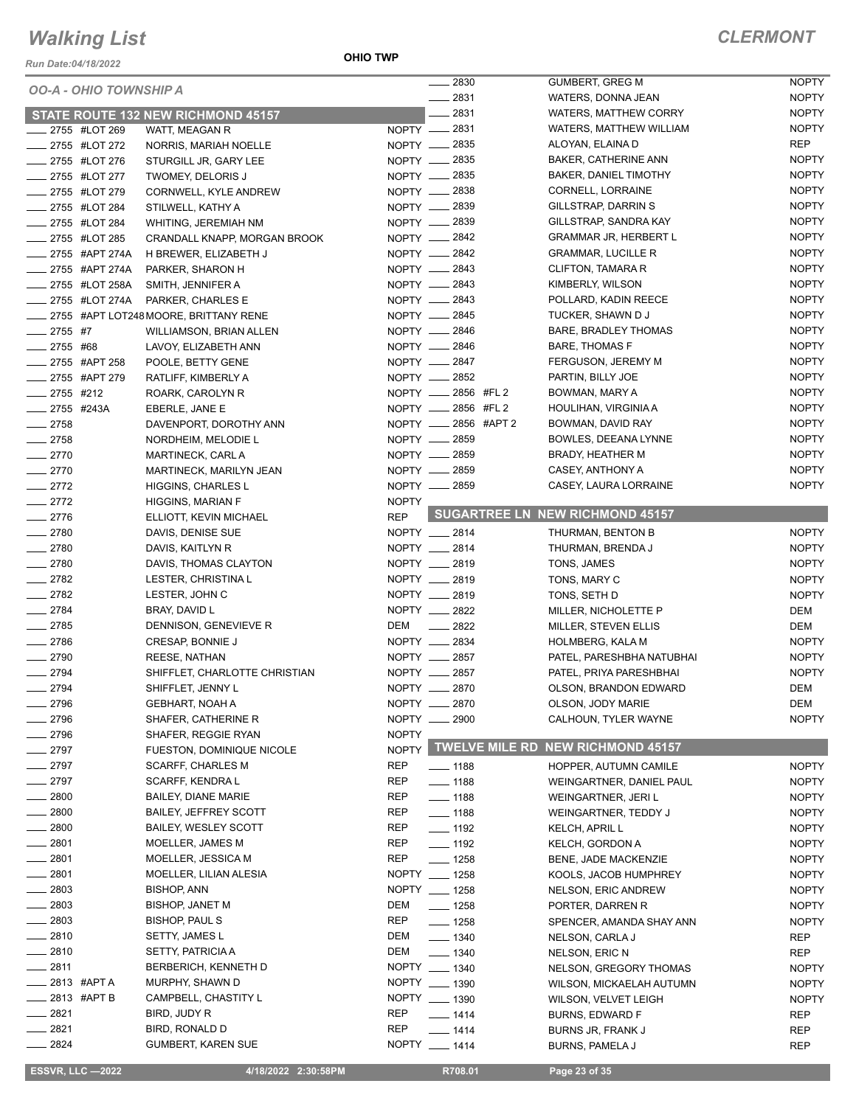*Run Date:04/18/2022*

**OHIO TWP**

|                        | <b>OO-A - OHIO TOWNSHIP A</b> |                                           |              | 2830                  | <b>GUMBERT, GREG M</b>                   | <b>NOPTY</b> |
|------------------------|-------------------------------|-------------------------------------------|--------------|-----------------------|------------------------------------------|--------------|
|                        |                               |                                           |              | 2831<br>$\frac{1}{2}$ | WATERS, DONNA JEAN                       | <b>NOPTY</b> |
|                        |                               | <b>STATE ROUTE 132 NEW RICHMOND 45157</b> |              | $-2831$               | <b>WATERS, MATTHEW CORRY</b>             | <b>NOPTY</b> |
|                        | ____ 2755 #LOT 269            | WATT, MEAGAN R                            |              | NOPTY __ 2831         | WATERS, MATTHEW WILLIAM                  | <b>NOPTY</b> |
|                        | ____ 2755 #LOT 272            | NORRIS, MARIAH NOELLE                     |              | NOPTY __ 2835         | ALOYAN, ELAINA D                         | REP          |
|                        | 2755 #LOT 276                 | STURGILL JR, GARY LEE                     |              | NOPTY __ 2835         | <b>BAKER, CATHERINE ANN</b>              | <b>NOPTY</b> |
|                        | _____ 2755 #LOT 277           | TWOMEY, DELORIS J                         |              | NOPTY - 2835          | <b>BAKER, DANIEL TIMOTHY</b>             | <b>NOPTY</b> |
|                        | _ 2755 #LOT 279               | CORNWELL, KYLE ANDREW                     |              | NOPTY __ 2838         | CORNELL, LORRAINE                        | <b>NOPTY</b> |
| _____ 2755 #LOT 284    |                               | STILWELL, KATHY A                         |              | NOPTY __ 2839         | GILLSTRAP, DARRIN S                      | <b>NOPTY</b> |
| ____ 2755 #LOT 284     |                               | WHITING, JEREMIAH NM                      |              | NOPTY __ 2839         | GILLSTRAP, SANDRA KAY                    | <b>NOPTY</b> |
|                        | 2755 #LOT 285                 | CRANDALL KNAPP, MORGAN BROOK              |              | NOPTY __ 2842         | <b>GRAMMAR JR, HERBERT L</b>             | <b>NOPTY</b> |
|                        | _ 2755 #APT 274A              | H BREWER, ELIZABETH J                     |              | NOPTY - 2842          | <b>GRAMMAR, LUCILLE R</b>                | <b>NOPTY</b> |
|                        | -2755 #APT 274A               | PARKER, SHARON H                          |              | NOPTY __ 2843         | CLIFTON, TAMARA R                        | <b>NOPTY</b> |
|                        | _____ 2755 #LOT 258A          | SMITH, JENNIFER A                         |              | NOPTY __ 2843         | KIMBERLY, WILSON                         | <b>NOPTY</b> |
|                        | _____ 2755 #LOT 274A          | PARKER, CHARLES E                         |              | NOPTY - 2843          | POLLARD, KADIN REECE                     | <b>NOPTY</b> |
|                        |                               | 2755 #APT LOT248 MOORE, BRITTANY RENE     |              | NOPTY __ 2845         | TUCKER, SHAWN D J                        | <b>NOPTY</b> |
| $-2755$ #7             |                               | WILLIAMSON, BRIAN ALLEN                   |              | NOPTY - 2846          | BARE, BRADLEY THOMAS                     | <b>NOPTY</b> |
|                        |                               |                                           |              | NOPTY __ 2846         | <b>BARE, THOMAS F</b>                    | <b>NOPTY</b> |
| $-2755$ #68            |                               | LAVOY, ELIZABETH ANN                      |              | NOPTY __ 2847         | FERGUSON, JEREMY M                       | <b>NOPTY</b> |
|                        | _ 2755 #APT 258               | POOLE, BETTY GENE                         |              |                       |                                          |              |
|                        | _ 2755 #APT 279               | RATLIFF, KIMBERLY A                       |              | NOPTY - 2852          | PARTIN, BILLY JOE                        | <b>NOPTY</b> |
| $2755$ #212            |                               | ROARK, CAROLYN R                          |              | NOPTY __ 2856 #FL 2   | BOWMAN, MARY A                           | <b>NOPTY</b> |
| $\frac{1}{2755}$ #243A |                               | EBERLE, JANE E                            |              | NOPTY __ 2856 #FL 2   | HOULIHAN, VIRGINIA A                     | <b>NOPTY</b> |
| $-2758$                |                               | DAVENPORT, DOROTHY ANN                    |              | NOPTY __ 2856 #APT 2  | BOWMAN, DAVID RAY                        | <b>NOPTY</b> |
| $-2758$                |                               | NORDHEIM, MELODIE L                       |              | NOPTY __ 2859         | BOWLES, DEEANA LYNNE                     | <b>NOPTY</b> |
| $-2770$                |                               | <b>MARTINECK, CARL A</b>                  |              | NOPTY __ 2859         | BRADY, HEATHER M                         | <b>NOPTY</b> |
| $-2770$                |                               | MARTINECK, MARILYN JEAN                   |              | NOPTY __ 2859         | CASEY, ANTHONY A                         | <b>NOPTY</b> |
| $-2772$                |                               | HIGGINS, CHARLES L                        |              | NOPTY - 2859          | CASEY, LAURA LORRAINE                    | <b>NOPTY</b> |
| $-2772$                |                               | <b>HIGGINS, MARIAN F</b>                  | <b>NOPTY</b> |                       |                                          |              |
| $-2776$                |                               | ELLIOTT, KEVIN MICHAEL                    | <b>REP</b>   |                       | <b>SUGARTREE LN NEW RICHMOND 45157</b>   |              |
| $-2780$                |                               | DAVIS, DENISE SUE                         |              | NOPTY __ 2814         | THURMAN, BENTON B                        | <b>NOPTY</b> |
| $-2780$                |                               | DAVIS, KAITLYN R                          |              | NOPTY __ 2814         | THURMAN, BRENDA J                        | <b>NOPTY</b> |
| $-2780$                |                               | DAVIS, THOMAS CLAYTON                     |              | NOPTY __ 2819         | TONS, JAMES                              | <b>NOPTY</b> |
| $-2782$                |                               | LESTER, CHRISTINA L                       |              | NOPTY __ 2819         | TONS, MARY C                             | <b>NOPTY</b> |
| $\frac{2782}{2}$       |                               | LESTER, JOHN C                            |              | NOPTY __ 2819         | TONS, SETH D                             | <b>NOPTY</b> |
| $-2784$                |                               | BRAY, DAVID L                             |              | NOPTY __ 2822         | MILLER, NICHOLETTE P                     | DEM          |
| $-2785$                |                               | DENNISON, GENEVIEVE R                     |              | DEM _____ 2822        | MILLER, STEVEN ELLIS                     | DEM          |
| $-2786$                |                               | CRESAP, BONNIE J                          |              | NOPTY __ 2834         | <b>HOLMBERG, KALA M</b>                  | <b>NOPTY</b> |
| $-2790$                |                               | <b>REESE, NATHAN</b>                      |              | NOPTY __ 2857         | PATEL, PARESHBHA NATUBHAI                | <b>NOPTY</b> |
| $-2794$                |                               |                                           |              | NOPTY __ 2857         | PATEL, PRIYA PARESHBHAI                  | <b>NOPTY</b> |
|                        |                               | SHIFFLET, CHARLOTTE CHRISTIAN             |              |                       |                                          |              |
| $-2794$                |                               | SHIFFLET, JENNY L                         |              | NOPTY __ 2870         | OLSON, BRANDON EDWARD                    | DEM          |
| _ 2796                 |                               | GEBHART, NOAH A                           |              | NOPTY __ 2870         | OLSON, JODY MARIE                        | DEM          |
| $-2796$                |                               | SHAFER, CATHERINE R                       |              | NOPTY __ 2900         | CALHOUN, TYLER WAYNE                     | <b>NOPTY</b> |
| $-2796$                |                               | SHAFER, REGGIE RYAN                       | <b>NOPTY</b> |                       |                                          |              |
| $\frac{2797}{2}$       |                               | FUESTON, DOMINIQUE NICOLE                 | <b>NOPTY</b> |                       | <b>TWELVE MILE RD NEW RICHMOND 45157</b> |              |
| $-2797$                |                               | <b>SCARFF, CHARLES M</b>                  | <b>REP</b>   | ___ 1188              | HOPPER, AUTUMN CAMILE                    | <b>NOPTY</b> |
| $-2797$                |                               | SCARFF, KENDRA L                          | <b>REP</b>   | $- 1188$              | WEINGARTNER, DANIEL PAUL                 | <b>NOPTY</b> |
| $\frac{1}{2800}$       |                               | BAILEY, DIANE MARIE                       | REP          | $- 1188$              | WEINGARTNER, JERI L                      | <b>NOPTY</b> |
| $- 2800$               |                               | BAILEY, JEFFREY SCOTT                     | <b>REP</b>   | $\frac{1}{2}$ 1188    | WEINGARTNER, TEDDY J                     | <b>NOPTY</b> |
| $- 2800$               |                               | <b>BAILEY, WESLEY SCOTT</b>               | REP          | $- 1192$              | KELCH, APRIL L                           | <b>NOPTY</b> |
| $-2801$                |                               | MOELLER, JAMES M                          | REP          | $- 1192$              | KELCH, GORDON A                          | <b>NOPTY</b> |
| $-2801$                |                               | MOELLER, JESSICA M                        | <b>REP</b>   | $- 1258$              | BENE, JADE MACKENZIE                     | <b>NOPTY</b> |
| $-2801$                |                               | MOELLER, LILIAN ALESIA                    |              | NOPTY __ 1258         | KOOLS, JACOB HUMPHREY                    | <b>NOPTY</b> |
| $-2803$                |                               | <b>BISHOP, ANN</b>                        |              | NOPTY __ 1258         | <b>NELSON, ERIC ANDREW</b>               | <b>NOPTY</b> |
| $\frac{2803}{2000}$    |                               | <b>BISHOP, JANET M</b>                    | DEM          | $- 1258$              | PORTER, DARREN R                         | <b>NOPTY</b> |
| $-2803$                |                               | <b>BISHOP, PAUL S</b>                     | REP          | $- 1258$              | SPENCER, AMANDA SHAY ANN                 | <b>NOPTY</b> |
| $-2810$                |                               | SETTY, JAMES L                            | DEM          | $\frac{1}{2}$ 1340    | NELSON, CARLA J                          | REP          |
| $-2810$                |                               | SETTY, PATRICIA A                         | DEM          | $- 1340$              | NELSON, ERIC N                           | REP          |
| $-2811$                |                               | BERBERICH, KENNETH D                      |              | NOPTY __ 1340         | NELSON, GREGORY THOMAS                   | <b>NOPTY</b> |
|                        | <sub>—</sub> 2813 #APT A      | MURPHY, SHAWN D                           |              | NOPTY __ 1390         |                                          | <b>NOPTY</b> |
| ____ 2813 #APT B       |                               | CAMPBELL, CHASTITY L                      |              | NOPTY __ 1390         | WILSON, MICKAELAH AUTUMN                 |              |
| $-2821$                |                               |                                           | REP          |                       | WILSON, VELVET LEIGH                     | <b>NOPTY</b> |
|                        |                               | BIRD, JUDY R                              |              | $- 1414$              | <b>BURNS, EDWARD F</b>                   | REP          |
| $-2821$                |                               | BIRD, RONALD D                            | <b>REP</b>   | $- 1414$              | BURNS JR, FRANK J                        | REP          |
| $- 2824$               |                               | <b>GUMBERT, KAREN SUE</b>                 |              | NOPTY __ 1414         | BURNS, PAMELA J                          | <b>REP</b>   |

 **ESSVR, LLC —2022 4/18/2022 2:30:58PM R708.01 Page 23 of 35**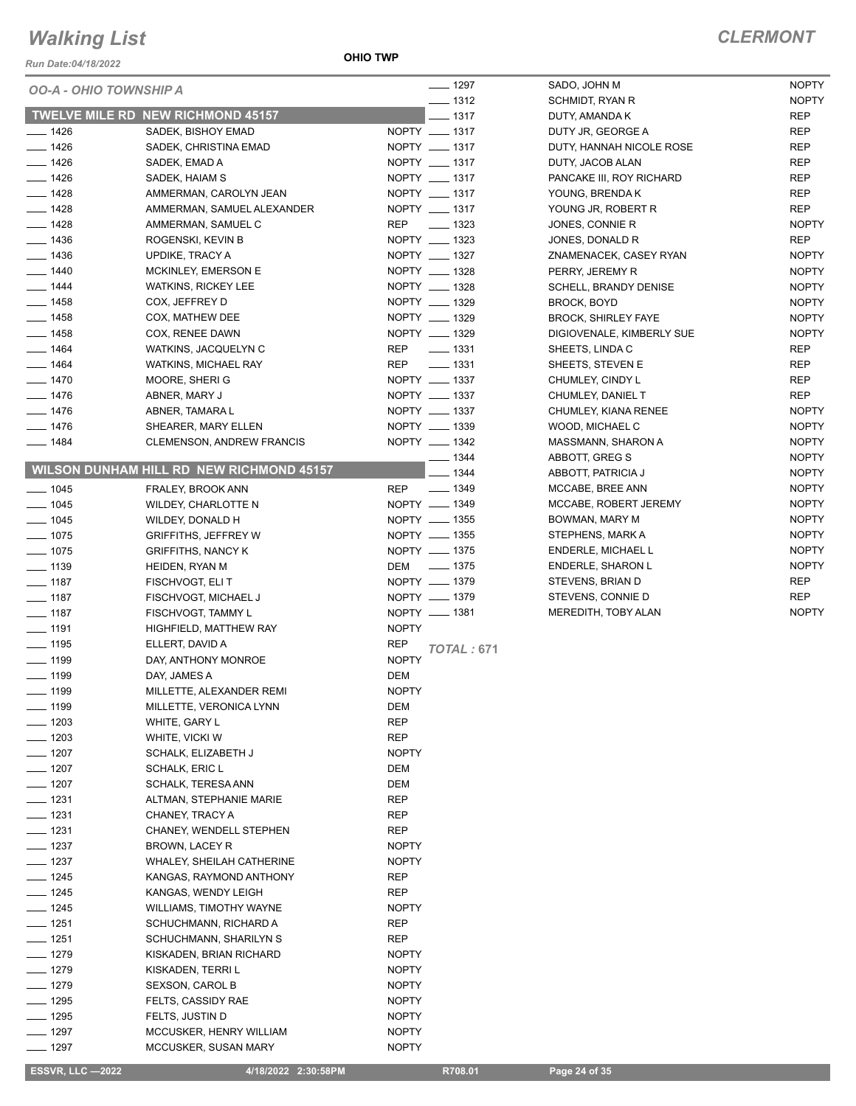*Run Date:04/18/2022*

**OHIO TWP**

| <i><b>OO-A - OHIO TOWNSHIP A</b></i> |                                                 | $- 1297$                        | SADO, JOHN M                                  | <b>NOPTY</b>               |
|--------------------------------------|-------------------------------------------------|---------------------------------|-----------------------------------------------|----------------------------|
|                                      | <b>TWELVE MILE RD NEW RICHMOND 45157</b>        | $- 1312$<br>$-1317$             | SCHMIDT, RYAN R                               | <b>NOPTY</b><br><b>REP</b> |
|                                      |                                                 |                                 | DUTY, AMANDA K                                | <b>REP</b>                 |
| $- 1426$<br>$- 1426$                 | SADEK, BISHOY EMAD<br>SADEK, CHRISTINA EMAD     | NOPTY __ 1317<br>NOPTY __ 1317  | DUTY JR, GEORGE A<br>DUTY, HANNAH NICOLE ROSE | <b>REP</b>                 |
| $- 1426$                             | SADEK, EMAD A                                   | NOPTY __ 1317                   | DUTY, JACOB ALAN                              | <b>REP</b>                 |
| $- 1426$                             |                                                 | NOPTY __ 1317                   |                                               | <b>REP</b>                 |
| $- 1428$                             | SADEK, HAIAM S                                  | NOPTY __ 1317                   | PANCAKE III, ROY RICHARD                      | <b>REP</b>                 |
|                                      | AMMERMAN, CAROLYN JEAN                          |                                 | YOUNG, BRENDA K                               |                            |
| $\frac{1}{2}$ 1428                   | AMMERMAN, SAMUEL ALEXANDER                      | NOPTY __ 1317                   | YOUNG JR, ROBERT R                            | <b>REP</b>                 |
| $- 1428$                             | AMMERMAN, SAMUEL C                              | REP<br>$\frac{1}{2}$ 1323       | JONES, CONNIE R                               | <b>NOPTY</b>               |
| $- 1436$                             | ROGENSKI, KEVIN B                               | NOPTY __ 1323                   | JONES, DONALD R                               | <b>REP</b>                 |
| $- 1436$                             | UPDIKE, TRACY A                                 | NOPTY __ 1327                   | ZNAMENACEK, CASEY RYAN                        | <b>NOPTY</b>               |
| $- 1440$                             | MCKINLEY, EMERSON E                             | NOPTY __ 1328                   | PERRY, JEREMY R                               | <b>NOPTY</b>               |
| $- 1444$                             | <b>WATKINS, RICKEY LEE</b>                      | NOPTY __ 1328                   | <b>SCHELL, BRANDY DENISE</b>                  | <b>NOPTY</b>               |
| $- 1458$                             | COX, JEFFREY D                                  | NOPTY __ 1329                   | BROCK, BOYD                                   | <b>NOPTY</b>               |
| $- 1458$                             | COX, MATHEW DEE                                 | NOPTY __ 1329                   | <b>BROCK, SHIRLEY FAYE</b>                    | <b>NOPTY</b>               |
| $\frac{1}{2}$ 1458                   | COX, RENEE DAWN                                 | NOPTY __ 1329                   | DIGIOVENALE, KIMBERLY SUE                     | <b>NOPTY</b>               |
| $- 1464$                             | WATKINS, JACQUELYN C                            | $\frac{1}{2}$ 1331<br>REP       | SHEETS, LINDAC                                | <b>REP</b>                 |
| $- 1464$                             | WATKINS, MICHAEL RAY                            | $- 1331$<br><b>REP</b>          | SHEETS, STEVEN E                              | <b>REP</b>                 |
| $- 1470$                             | MOORE, SHERI G                                  | NOPTY __ 1337                   | CHUMLEY, CINDY L                              | <b>REP</b>                 |
| $- 1476$                             | ABNER, MARY J                                   | NOPTY __ 1337                   | CHUMLEY, DANIEL T                             | <b>REP</b>                 |
| $- 1476$                             | ABNER, TAMARA L                                 | NOPTY __ 1337                   | CHUMLEY, KIANA RENEE                          | <b>NOPTY</b>               |
| $- 1476$                             | SHEARER, MARY ELLEN                             | NOPTY __ 1339                   | WOOD, MICHAEL C                               | <b>NOPTY</b>               |
| $- 1484$                             | <b>CLEMENSON, ANDREW FRANCIS</b>                | NOPTY __ 1342                   | MASSMANN, SHARON A                            | <b>NOPTY</b>               |
|                                      |                                                 | $-1344$                         | ABBOTT, GREG S                                | <b>NOPTY</b>               |
|                                      | <b>WILSON DUNHAM HILL RD NEW RICHMOND 45157</b> | $-1344$                         | ABBOTT, PATRICIA J                            | <b>NOPTY</b>               |
| $- 1045$                             | FRALEY, BROOK ANN                               | $\frac{1}{2}$ 1349<br>REP       | MCCABE, BREE ANN                              | <b>NOPTY</b>               |
| $- 1045$                             | WILDEY, CHARLOTTE N                             | NOPTY __ 1349                   | MCCABE, ROBERT JEREMY                         | <b>NOPTY</b>               |
| $- 1045$                             | WILDEY, DONALD H                                | NOPTY __ 1355                   | BOWMAN, MARY M                                | <b>NOPTY</b>               |
| $\frac{1}{2}$ 1075                   | <b>GRIFFITHS, JEFFREY W</b>                     | NOPTY __ 1355                   | STEPHENS, MARK A                              | <b>NOPTY</b>               |
| $- 1075$                             | <b>GRIFFITHS, NANCY K</b>                       | NOPTY __ 1375                   | ENDERLE, MICHAEL L                            | <b>NOPTY</b>               |
| $\frac{1}{2}$ 1139                   | HEIDEN, RYAN M                                  | DEM - 1375                      | <b>ENDERLE, SHARON L</b>                      | <b>NOPTY</b>               |
| $- 1187$                             | FISCHVOGT, ELI T                                | NOPTY __ 1379                   | STEVENS, BRIAN D                              | <b>REP</b>                 |
| $- 1187$                             | FISCHVOGT, MICHAEL J                            | NOPTY - 1379                    | STEVENS, CONNIE D                             | <b>REP</b>                 |
| $\frac{1}{2}$ 1187                   | FISCHVOGT, TAMMY L                              | NOPTY __ 1381                   | MEREDITH, TOBY ALAN                           | <b>NOPTY</b>               |
| $- 1191$                             | HIGHFIELD, MATTHEW RAY                          | <b>NOPTY</b>                    |                                               |                            |
| $\frac{1}{2}$ 1195                   | ELLERT, DAVID A                                 | <b>REP</b><br><b>TOTAL: 671</b> |                                               |                            |
| $\frac{1}{2}$ 1199                   | DAY, ANTHONY MONROE                             | <b>NOPTY</b>                    |                                               |                            |
| $\frac{1}{2}$ 1199                   | DAY, JAMES A                                    | DEM                             |                                               |                            |
| $\frac{1}{2}$ 1199                   | MILLETTE, ALEXANDER REMI                        | <b>NOPTY</b>                    |                                               |                            |
| <u>—</u> 1199                        | MILLETTE, VERONICA LYNN                         | DEM                             |                                               |                            |
| $- 1203$                             | WHITE, GARY L                                   | <b>REP</b>                      |                                               |                            |
| $- 1203$                             | WHITE, VICKI W                                  | <b>REP</b>                      |                                               |                            |
| $- 1207$                             | SCHALK, ELIZABETH J                             | <b>NOPTY</b>                    |                                               |                            |
| $\frac{1}{2}$ 1207                   | <b>SCHALK, ERIC L</b>                           | DEM                             |                                               |                            |
| $- 1207$                             | <b>SCHALK, TERESA ANN</b>                       | DEM                             |                                               |                            |
| $- 1231$                             | ALTMAN, STEPHANIE MARIE                         | <b>REP</b>                      |                                               |                            |
| $- 1231$                             | CHANEY, TRACY A                                 | <b>REP</b>                      |                                               |                            |
| $- 1231$                             | CHANEY, WENDELL STEPHEN                         | REP                             |                                               |                            |
| $\frac{1}{2}$ 1237                   | BROWN, LACEY R                                  | <b>NOPTY</b>                    |                                               |                            |
| — 1237                               | <b>WHALEY, SHEILAH CATHERINE</b>                | <b>NOPTY</b>                    |                                               |                            |
| $- 1245$                             | KANGAS, RAYMOND ANTHONY                         | REP                             |                                               |                            |
| $- 1245$                             | KANGAS, WENDY LEIGH                             | <b>REP</b>                      |                                               |                            |
| —— 1245                              | <b>WILLIAMS, TIMOTHY WAYNE</b>                  | <b>NOPTY</b>                    |                                               |                            |
| $- 1251$                             | SCHUCHMANN, RICHARD A                           | REP                             |                                               |                            |
| $- 1251$                             | SCHUCHMANN, SHARILYN S                          | REP                             |                                               |                            |
| $- 1279$                             | KISKADEN, BRIAN RICHARD                         | <b>NOPTY</b>                    |                                               |                            |
| $- 1279$                             | KISKADEN, TERRI L                               | <b>NOPTY</b>                    |                                               |                            |
| $- 1279$                             | SEXSON, CAROL B                                 | <b>NOPTY</b>                    |                                               |                            |
| $- 1295$                             |                                                 | <b>NOPTY</b>                    |                                               |                            |
| $- 1295$                             | FELTS, CASSIDY RAE                              | <b>NOPTY</b>                    |                                               |                            |
| $- 1297$                             | FELTS, JUSTIN D<br>MCCUSKER, HENRY WILLIAM      | <b>NOPTY</b>                    |                                               |                            |
| ____ 1297                            | MCCUSKER, SUSAN MARY                            | <b>NOPTY</b>                    |                                               |                            |
|                                      |                                                 |                                 |                                               |                            |
| <b>ESSVR, LLC -2022</b>              | 4/18/2022 2:30:58PM                             | R708.01                         | Page 24 of 35                                 |                            |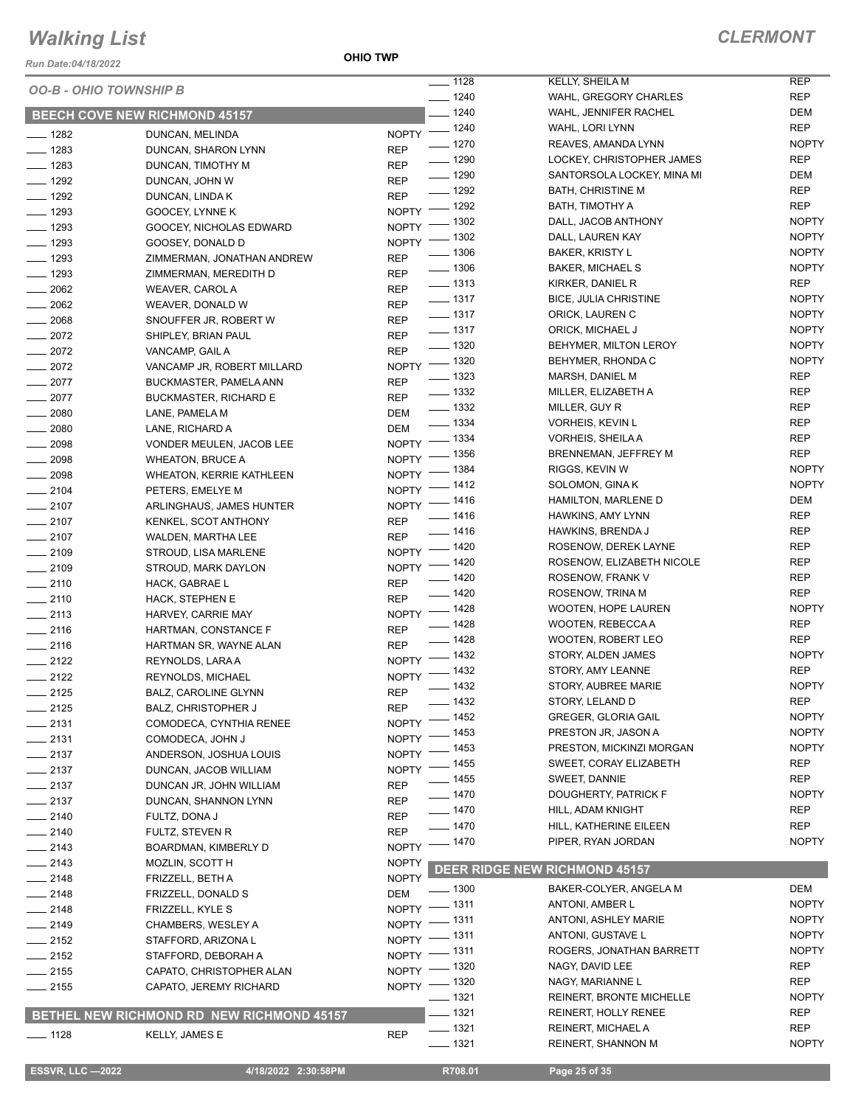*Run Date:04/18/2022*

**OHIO TWP**

*CLERMONT*

| <b>OO-B - OHIO TOWNSHIP B</b> |                                           |                          | $- 1128$<br>$\frac{1}{2}$ 1240 | KELLY, SHEILA M                                | REP<br><b>REP</b>          |
|-------------------------------|-------------------------------------------|--------------------------|--------------------------------|------------------------------------------------|----------------------------|
|                               |                                           |                          | $- 1240$                       | WAHL, GREGORY CHARLES<br>WAHL, JENNIFER RACHEL | DEM                        |
|                               | <b>BEECH COVE NEW RICHMOND 45157</b>      |                          | NOPTY - 1240                   | WAHL, LORI LYNN                                | <b>REP</b>                 |
| $- 1282$                      | DUNCAN, MELINDA                           |                          | $- 1270$                       | REAVES, AMANDA LYNN                            | <b>NOPTY</b>               |
| $- 1283$                      | DUNCAN, SHARON LYNN                       | <b>REP</b>               | $- 1290$                       | LOCKEY, CHRISTOPHER JAMES                      | <b>REP</b>                 |
| $- 1283$<br>$- 1292$          | DUNCAN, TIMOTHY M                         | <b>REP</b><br><b>REP</b> | $\frac{1}{2}$ 1290             | SANTORSOLA LOCKEY, MINA MI                     | DEM                        |
| $- 1292$                      | DUNCAN, JOHN W                            | <b>REP</b>               | $\frac{1}{2}$ 1292             | <b>BATH, CHRISTINE M</b>                       | REP                        |
| $- 1293$                      | DUNCAN, LINDA K<br>GOOCEY, LYNNE K        |                          | NOPTY - 1292                   | BATH, TIMOTHY A                                | REP                        |
| $- 1293$                      | GOOCEY, NICHOLAS EDWARD                   | <b>NOPTY</b>             | $-1302$                        | DALL, JACOB ANTHONY                            | <b>NOPTY</b>               |
| $- 1293$                      | GOOSEY, DONALD D                          | <b>NOPTY</b>             | $-1302$                        | DALL, LAUREN KAY                               | <b>NOPTY</b>               |
| $\frac{1}{2}$ 1293            | ZIMMERMAN, JONATHAN ANDREW                | <b>REP</b>               | $- 1306$                       | <b>BAKER, KRISTY L</b>                         | <b>NOPTY</b>               |
| $- 1293$                      | ZIMMERMAN, MEREDITH D                     | <b>REP</b>               | $\frac{1}{2}$ 1306             | BAKER, MICHAEL S                               | <b>NOPTY</b>               |
| $-2062$                       | WEAVER, CAROL A                           | <b>REP</b>               | $\frac{1}{2}$ 1313             | KIRKER, DANIEL R                               | REP                        |
| $-2062$                       | WEAVER, DONALD W                          | <b>REP</b>               | $\frac{1}{2}$ 1317             | <b>BICE, JULIA CHRISTINE</b>                   | <b>NOPTY</b>               |
| $- 2068$                      | SNOUFFER JR, ROBERT W                     | <b>REP</b>               | $\frac{1}{2}$ 1317             | ORICK, LAUREN C                                | <b>NOPTY</b>               |
| $-2072$                       | SHIPLEY, BRIAN PAUL                       | <b>REP</b>               | $\frac{1}{2}$ 1317             | ORICK, MICHAEL J                               | <b>NOPTY</b>               |
| $-2072$                       | VANCAMP, GAIL A                           | <b>REP</b>               | $\frac{1}{2}$ 1320             | BEHYMER, MILTON LEROY                          | <b>NOPTY</b>               |
| $-2072$                       | VANCAMP JR, ROBERT MILLARD                |                          | NOPTY - 1320                   | BEHYMER, RHONDA C                              | <b>NOPTY</b>               |
| $-2077$                       | BUCKMASTER, PAMELA ANN                    | <b>REP</b>               | $\frac{1}{2}$ 1323             | MARSH, DANIEL M                                | REP                        |
| $-2077$                       | <b>BUCKMASTER, RICHARD E</b>              | <b>REP</b>               | $\frac{1}{2}$ 1332             | MILLER, ELIZABETH A                            | REP                        |
| $- 2080$                      | LANE, PAMELA M                            | DEM                      | $\frac{1}{2}$ 1332             | MILLER, GUY R                                  | REP                        |
| $- 2080$                      | LANE, RICHARD A                           | <b>DEM</b>               | $\frac{1}{2}$ 1334             | VORHEIS, KEVIN L                               | <b>REP</b>                 |
| $-2098$                       | VONDER MEULEN, JACOB LEE                  | NOPTY -                  | _ 1334                         | VORHEIS, SHEILA A                              | REP                        |
| $-2098$                       | <b>WHEATON, BRUCE A</b>                   | NOPTY <sup>-</sup>       | _ 1356                         | BRENNEMAN, JEFFREY M                           | <b>REP</b>                 |
| $- 2098$                      | <b>WHEATON, KERRIE KATHLEEN</b>           | NOPTY <sup>-</sup>       | _ 1384                         | RIGGS, KEVIN W                                 | <b>NOPTY</b>               |
| $-2104$                       | PETERS, EMELYE M                          | $NOPTY =$                | _ 1412                         | SOLOMON, GINA K                                | <b>NOPTY</b>               |
| $-2107$                       | ARLINGHAUS, JAMES HUNTER                  |                          | NOPTY - 1416                   | HAMILTON, MARLENE D                            | DEM                        |
| $-2107$                       | KENKEL, SCOT ANTHONY                      | <b>REP</b>               | $- 1416$                       | HAWKINS, AMY LYNN                              | REP                        |
| $-2107$                       | WALDEN, MARTHA LEE                        | <b>REP</b>               | $- 1416$                       | HAWKINS, BRENDA J                              | <b>REP</b>                 |
| $-2109$                       | STROUD, LISA MARLENE                      |                          | NOPTY - 1420                   | ROSENOW, DEREK LAYNE                           | REP                        |
| $-2109$                       | STROUD, MARK DAYLON                       |                          | NOPTY - 1420                   | ROSENOW, ELIZABETH NICOLE                      | REP                        |
| $-2110$                       | HACK, GABRAE L                            | <b>REP</b>               | $\frac{1}{2}$ 1420             | ROSENOW, FRANK V                               | <b>REP</b>                 |
| $-2110$                       | HACK, STEPHEN E                           | <b>REP</b>               | $- 1420$                       | ROSENOW, TRINA M                               | <b>REP</b>                 |
| $-2113$                       | HARVEY, CARRIE MAY                        |                          | NOPTY - 1428                   | WOOTEN, HOPE LAUREN                            | <b>NOPTY</b>               |
| $-2116$                       | HARTMAN, CONSTANCE F                      | <b>REP</b>               | $- 1428$                       | WOOTEN, REBECCA A                              | REP                        |
| $-2116$                       | HARTMAN SR, WAYNE ALAN                    | <b>REP</b>               | $- 1428$                       | WOOTEN, ROBERT LEO                             | REP                        |
| $-2122$                       | REYNOLDS, LARA A                          |                          | NOPTY - 1432                   | STORY, ALDEN JAMES                             | <b>NOPTY</b><br><b>REP</b> |
| $-2122$                       | REYNOLDS, MICHAEL                         | $N$ OPTY $-$             | $-1432$                        | STORY, AMY LEANNE                              | <b>NOPTY</b>               |
| $-2125$                       | BALZ, CAROLINE GLYNN                      | <b>REP</b>               | $\frac{1}{2}$ 1432             | STORY, AUBREE MARIE<br>STORY, LELAND D         | <b>REP</b>                 |
| $-2125$                       | <b>BALZ, CHRISTOPHER J</b>                |                          | REP - 1432                     | <b>GREGER, GLORIA GAIL</b>                     | <b>NOPTY</b>               |
| ____ 2131                     | COMODECA, CYNTHIA RENEE                   |                          | NOPTY - 1452                   | PRESTON JR, JASON A                            | <b>NOPTY</b>               |
| $-2131$                       | COMODECA, JOHN J                          |                          | NOPTY - 1453<br>$-1453$        | PRESTON, MICKINZI MORGAN                       | <b>NOPTY</b>               |
| $-2137$                       | ANDERSON, JOSHUA LOUIS                    | $NOPTY$ -                |                                | SWEET, CORAY ELIZABETH                         | REP                        |
| $-2137$                       | DUNCAN, JACOB WILLIAM                     | NOPTY -                  | $-1455$<br>$- 1455$            | SWEET, DANNIE                                  | <b>REP</b>                 |
| $-2137$                       | DUNCAN JR, JOHN WILLIAM                   | <b>REP</b>               | $- 1470$                       | DOUGHERTY, PATRICK F                           | <b>NOPTY</b>               |
| $-2137$                       | DUNCAN, SHANNON LYNN                      | <b>REP</b>               | $- 1470$                       | HILL, ADAM KNIGHT                              | REP                        |
| $-2140$                       | FULTZ, DONA J                             | <b>REP</b>               | $- 1470$                       | HILL, KATHERINE EILEEN                         | REP                        |
| $-2140$                       | FULTZ, STEVEN R                           | <b>REP</b>               |                                | PIPER, RYAN JORDAN                             | <b>NOPTY</b>               |
| $-2143$                       | BOARDMAN, KIMBERLY D                      |                          | NOPTY - 1470                   |                                                |                            |
| $-2143$                       | MOZLIN, SCOTT H                           | <b>NOPTY</b>             |                                | <b>DEER RIDGE NEW RICHMOND 45157</b>           |                            |
| $\frac{1}{2148}$              | FRIZZELL, BETH A                          | <b>NOPTY</b>             | $- 1300$                       | BAKER-COLYER, ANGELA M                         | DEM                        |
| $-2148$                       | FRIZZELL, DONALD S                        | <b>DEM</b>               | NOPTY - 1311                   | ANTONI, AMBER L                                | <b>NOPTY</b>               |
| $-2148$                       | FRIZZELL, KYLE S                          |                          | NOPTY - 1311                   | ANTONI, ASHLEY MARIE                           | <b>NOPTY</b>               |
| $-2149$                       | CHAMBERS, WESLEY A                        |                          | NOPTY - 1311                   | ANTONI, GUSTAVE L                              | <b>NOPTY</b>               |
| $-2152$                       | STAFFORD, ARIZONA L                       |                          | NOPTY - 1311                   | ROGERS, JONATHAN BARRETT                       | <b>NOPTY</b>               |
| $-2152$                       | STAFFORD, DEBORAH A                       |                          | NOPTY - 1320                   | NAGY, DAVID LEE                                | REP                        |
| $-2155$                       | CAPATO, CHRISTOPHER ALAN                  |                          | NOPTY - 1320                   | NAGY, MARIANNE L                               | <b>REP</b>                 |
| $-2155$                       | CAPATO, JEREMY RICHARD                    |                          | $- 1321$                       | <b>REINERT, BRONTE MICHELLE</b>                | <b>NOPTY</b>               |
|                               | BETHEL NEW RICHMOND RD NEW RICHMOND 45157 |                          | $- 1321$                       | REINERT, HOLLY RENEE                           | REP                        |
|                               |                                           |                          | $- 1321$                       | REINERT, MICHAEL A                             | REP                        |
| $- 1128$                      | KELLY, JAMES E                            | <b>REP</b>               | $- 1321$                       | REINERT, SHANNON M                             | <b>NOPTY</b>               |
|                               |                                           |                          |                                |                                                |                            |
| <b>ESSVR, LLC -2022</b>       | 4/18/2022 2:30:58PM                       |                          | R708.01                        | Page 25 of 35                                  |                            |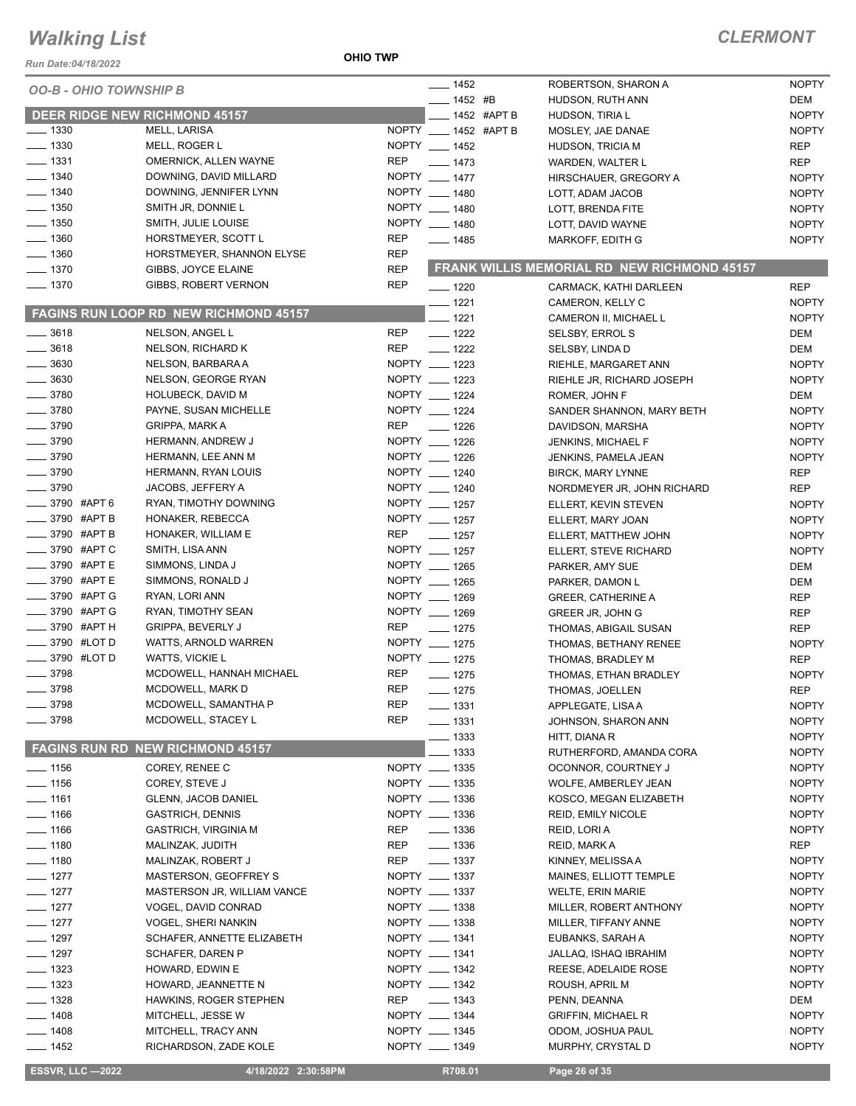#### **OHIO TWP**

| Run Date:04/18/2022                  |                                              | <b>OHIO TWP</b> |                      |                                             |              |
|--------------------------------------|----------------------------------------------|-----------------|----------------------|---------------------------------------------|--------------|
| <b>OO-B - OHIO TOWNSHIP B</b>        |                                              |                 | $- 1452$             | ROBERTSON, SHARON A                         | <b>NOPTY</b> |
|                                      |                                              |                 | $- 1452$ #B          | HUDSON, RUTH ANN                            | <b>DEM</b>   |
| <b>DEER RIDGE NEW RICHMOND 45157</b> |                                              |                 | ____ 1452 #APT B     | HUDSON, TIRIA L                             | <b>NOPTY</b> |
| $\frac{1}{2}$ 1330                   | MELL, LARISA                                 |                 | NOPTY __ 1452 #APT B | MOSLEY, JAE DANAE                           | <b>NOPTY</b> |
| $\frac{1}{2}$ 1330                   | MELL, ROGER L                                |                 | NOPTY __ 1452        | <b>HUDSON, TRICIA M</b>                     | <b>REP</b>   |
| $- 1331$                             | OMERNICK, ALLEN WAYNE                        | <b>REP</b>      | $- 1473$             | <b>WARDEN, WALTER L</b>                     | <b>REP</b>   |
| $- 1340$                             | DOWNING, DAVID MILLARD                       |                 | NOPTY __ 1477        | HIRSCHAUER, GREGORY A                       | <b>NOPTY</b> |
| $- 1340$                             | DOWNING, JENNIFER LYNN                       |                 | NOPTY __ 1480        | LOTT, ADAM JACOB                            | <b>NOPTY</b> |
| $- 1350$                             | SMITH JR, DONNIE L                           |                 | NOPTY __ 1480        | <b>LOTT. BRENDA FITE</b>                    | <b>NOPTY</b> |
| $- 1350$                             | SMITH, JULIE LOUISE                          |                 | NOPTY __ 1480        | LOTT, DAVID WAYNE                           | <b>NOPTY</b> |
| $- 1360$                             | HORSTMEYER, SCOTT L                          | <b>REP</b>      | $- 1485$             | MARKOFF, EDITH G                            | <b>NOPTY</b> |
| $- 1360$                             | HORSTMEYER, SHANNON ELYSE                    | <b>REP</b>      |                      |                                             |              |
| $- 1370$                             | GIBBS, JOYCE ELAINE                          | <b>REP</b>      |                      | FRANK WILLIS MEMORIAL RD NEW RICHMOND 45157 |              |
| $- 1370$                             | GIBBS, ROBERT VERNON                         | <b>REP</b>      | $- 1220$             | CARMACK, KATHI DARLEEN                      | <b>REP</b>   |
|                                      |                                              |                 | $- 1221$             | CAMERON, KELLY C                            | <b>NOPTY</b> |
|                                      | <b>FAGINS RUN LOOP RD NEW RICHMOND 45157</b> |                 | $- 1221$             | CAMERON II, MICHAEL L                       | <b>NOPTY</b> |
| $\frac{1}{2}$ 3618                   | NELSON, ANGEL L                              | REP             | $\frac{1}{2}$ 1222   | <b>SELSBY, ERROL S</b>                      | DEM          |
| $-3618$                              | NELSON, RICHARD K                            | REP             | $- 1222$             | SELSBY, LINDA D                             | <b>DEM</b>   |
| $\frac{1}{2}$ 3630                   | NELSON, BARBARA A                            |                 | NOPTY __ 1223        | RIEHLE, MARGARET ANN                        | <b>NOPTY</b> |
| $=$ 3630                             | NELSON, GEORGE RYAN                          |                 | NOPTY __ 1223        | RIEHLE JR, RICHARD JOSEPH                   | <b>NOPTY</b> |
| $- 3780$                             | <b>HOLUBECK, DAVID M</b>                     |                 | NOPTY __ 1224        | ROMER, JOHN F                               | DEM          |
| $- 3780$                             | PAYNE, SUSAN MICHELLE                        |                 | NOPTY __ 1224        | SANDER SHANNON, MARY BETH                   | <b>NOPTY</b> |
| $- 3790$                             | <b>GRIPPA, MARK A</b>                        | <b>REP</b>      | $- 1226$             | DAVIDSON, MARSHA                            | <b>NOPTY</b> |
| $\frac{1}{2}$ 3790                   | HERMANN, ANDREW J                            |                 | NOPTY __ 1226        | JENKINS, MICHAEL F                          | <b>NOPTY</b> |
| $\frac{1}{2}$ 3790                   | HERMANN, LEE ANN M                           |                 | NOPTY __ 1226        | JENKINS, PAMELA JEAN                        | <b>NOPTY</b> |
| $- 3790$                             | HERMANN, RYAN LOUIS                          |                 | NOPTY __ 1240        | <b>BIRCK, MARY LYNNE</b>                    | <b>REP</b>   |
| $\frac{1}{2}$ 3790                   | JACOBS, JEFFERY A                            |                 | NOPTY __ 1240        | NORDMEYER JR, JOHN RICHARD                  | <b>REP</b>   |
| _____ 3790 #APT 6                    | RYAN, TIMOTHY DOWNING                        |                 | NOPTY __ 1257        | ELLERT, KEVIN STEVEN                        | <b>NOPTY</b> |
| $\frac{1}{2}$ 3790 #APT B            | HONAKER, REBECCA                             |                 | NOPTY __ 1257        | ELLERT, MARY JOAN                           | <b>NOPTY</b> |
| 3790 #APT B                          | HONAKER, WILLIAM E                           | <b>REP</b>      | $\frac{1}{2}$ 1257   | ELLERT, MATTHEW JOHN                        | <b>NOPTY</b> |
| ____ 3790 #APT C                     | SMITH, LISA ANN                              |                 | NOPTY __ 1257        | ELLERT, STEVE RICHARD                       | <b>NOPTY</b> |
| _ 3790 #APT E                        | SIMMONS, LINDA J                             |                 | NOPTY __ 1265        | PARKER, AMY SUE                             | <b>DEM</b>   |
| _3790 #APTE                          | SIMMONS, RONALD J                            |                 | NOPTY __ 1265        | PARKER, DAMON L                             | <b>DEM</b>   |
| 3790 #APT G                          | RYAN, LORI ANN                               |                 | NOPTY __ 1269        | <b>GREER, CATHERINE A</b>                   | <b>REP</b>   |
| _3790 #APT G                         | RYAN, TIMOTHY SEAN                           |                 | NOPTY __ 1269        | GREER JR, JOHN G                            | <b>REP</b>   |
| -8790 #APT H                         | <b>GRIPPA, BEVERLY J</b>                     | <b>REP</b>      | $- 1275$             | THOMAS, ABIGAIL SUSAN                       | <b>REP</b>   |
| <b>_____ 3790 #LOT D</b>             | WATTS, ARNOLD WARREN                         |                 | NOPTY __ 1275        | THOMAS, BETHANY RENEE                       | <b>NOPTY</b> |
| <b>_____</b> 3790 #LOT D             | <b>WATTS, VICKIE L</b>                       |                 | NOPTY __ 1275        | THOMAS, BRADLEY M                           | <b>REP</b>   |
| $- 3798$                             | MCDOWELL, HANNAH MICHAEL                     | <b>REP</b>      | $- 1275$             | THOMAS, ETHAN BRADLEY                       | <b>NOPTY</b> |
| .3798                                | MCDOWELL, MARK D                             | REP             | $- 1275$             | THOMAS, JOELLEN                             | REP          |
| 3798                                 | MCDOWELL, SAMANTHA P                         | <b>REP</b>      | $\frac{1}{2}$ 1331   | APPLEGATE, LISA A                           | <b>NOPTY</b> |
| 3798                                 | MCDOWELL, STACEY L                           | <b>REP</b>      | $- 1331$             | JOHNSON, SHARON ANN                         | <b>NOPTY</b> |
|                                      |                                              |                 | $\frac{1}{2}$ 1333   | HITT, DIANA R                               | <b>NOPTY</b> |
|                                      | <b>FAGINS RUN RD NEW RICHMOND 45157</b>      |                 | 1333                 | RUTHERFORD, AMANDA CORA                     | <b>NOPTY</b> |
| $\frac{1}{2}$ 1156                   | COREY, RENEE C                               |                 | NOPTY __ 1335        | OCONNOR, COURTNEY J                         | <b>NOPTY</b> |
| $- 1156$                             | COREY, STEVE J                               |                 | NOPTY __ 1335        | WOLFE, AMBERLEY JEAN                        | <b>NOPTY</b> |
| $- 1161$                             | <b>GLENN, JACOB DANIEL</b>                   |                 | NOPTY __ 1336        | KOSCO, MEGAN ELIZABETH                      | <b>NOPTY</b> |
| $- 1166$                             | <b>GASTRICH, DENNIS</b>                      |                 | NOPTY __ 1336        | <b>REID, EMILY NICOLE</b>                   | <b>NOPTY</b> |
| $- 1166$                             | <b>GASTRICH, VIRGINIA M</b>                  | REP             | $\frac{1}{2}$ 1336   | REID, LORI A                                | <b>NOPTY</b> |
| $- 1180$                             | MALINZAK, JUDITH                             | REP             | $\frac{1}{2}$ 1336   | REID, MARK A                                | <b>REP</b>   |
| $\frac{1}{2}$ 1180                   | MALINZAK, ROBERT J                           | REP             | $\frac{1}{2}$ 1337   | KINNEY, MELISSA A                           | <b>NOPTY</b> |
| $- 1277$                             | MASTERSON, GEOFFREY S                        |                 | NOPTY __ 1337        | MAINES, ELLIOTT TEMPLE                      | <b>NOPTY</b> |
| $- 1277$                             | MASTERSON JR, WILLIAM VANCE                  |                 | NOPTY __ 1337        | <b>WELTE, ERIN MARIE</b>                    | <b>NOPTY</b> |
| $-1277$                              | VOGEL, DAVID CONRAD                          |                 | NOPTY __ 1338        | MILLER, ROBERT ANTHONY                      | <b>NOPTY</b> |
| $-1277$                              | VOGEL, SHERI NANKIN                          |                 | NOPTY __ 1338        | MILLER, TIFFANY ANNE                        | <b>NOPTY</b> |
| $-1297$                              | SCHAFER, ANNETTE ELIZABETH                   |                 | NOPTY __ 1341        | EUBANKS, SARAH A                            | <b>NOPTY</b> |
| $- 1297$                             | SCHAFER, DAREN P                             |                 | NOPTY __ 1341        | JALLAQ, ISHAQ IBRAHIM                       | <b>NOPTY</b> |
| $- 1323$                             | HOWARD, EDWIN E                              |                 | NOPTY __ 1342        | REESE, ADELAIDE ROSE                        | <b>NOPTY</b> |
| $- 1323$                             | HOWARD, JEANNETTE N                          |                 | NOPTY __ 1342        | ROUSH, APRIL M                              | <b>NOPTY</b> |
| $- 1328$                             | HAWKINS, ROGER STEPHEN                       | REP             | $\frac{1}{2}$ 1343   | PENN, DEANNA                                | DEM          |
| $-1408$                              | MITCHELL, JESSE W                            |                 | NOPTY __ 1344        | <b>GRIFFIN, MICHAEL R</b>                   | <b>NOPTY</b> |
| $- 1408$                             | MITCHELL, TRACY ANN                          |                 | NOPTY __ 1345        | ODOM, JOSHUA PAUL                           | <b>NOPTY</b> |
| —— 1452                              | RICHARDSON, ZADE KOLE                        |                 | NOPTY __ 1349        | MURPHY, CRYSTAL D                           | <b>NOPTY</b> |
| <b>ESSVR, LLC -2022</b>              | 4/18/2022 2:30:58PM                          |                 | R708.01              | Page 26 of 35                               |              |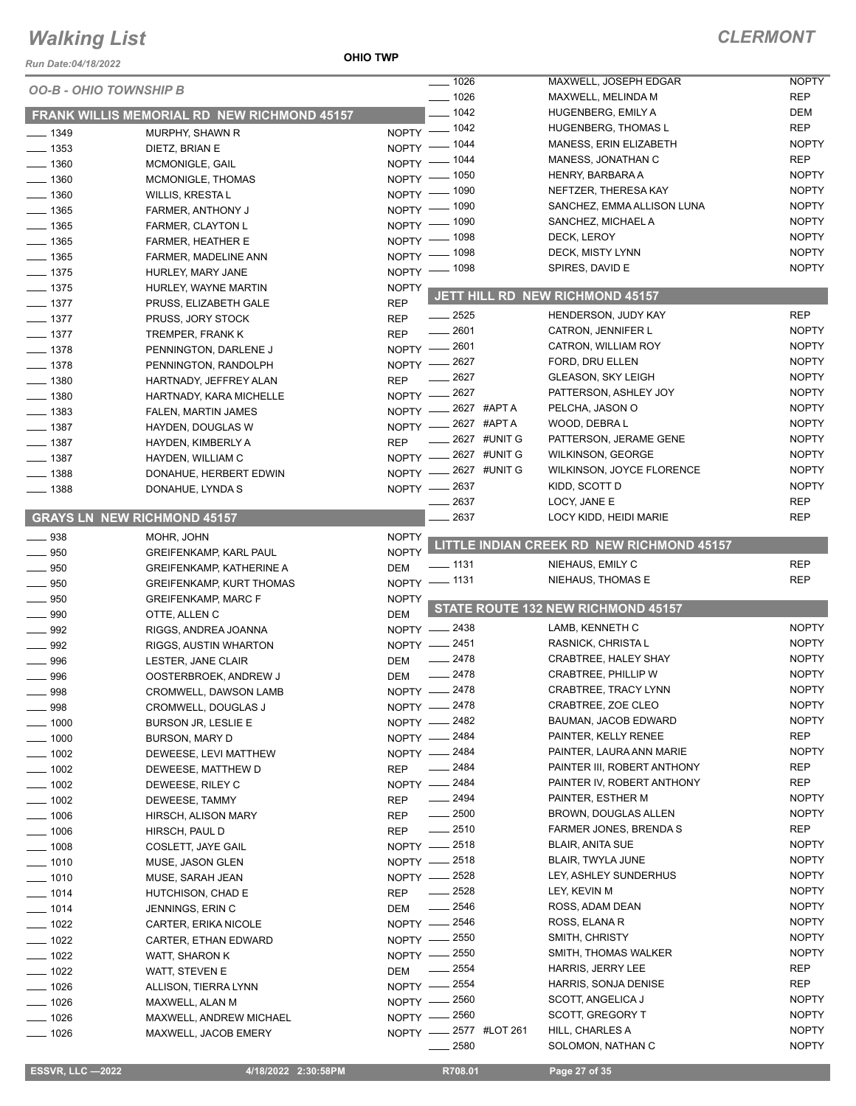#### **OHIO TWP**

| Run Date:04/18/2022           |                                                    | <b>OHIO TWP</b>                   |                  |              |                                                       |                              |
|-------------------------------|----------------------------------------------------|-----------------------------------|------------------|--------------|-------------------------------------------------------|------------------------------|
| <b>OO-B - OHIO TOWNSHIP B</b> |                                                    |                                   | $- 1026$         |              | MAXWELL, JOSEPH EDGAR                                 | <b>NOPTY</b>                 |
|                               |                                                    |                                   | $- 1026$         |              | MAXWELL, MELINDA M                                    | <b>REP</b>                   |
|                               | <b>FRANK WILLIS MEMORIAL RD NEW RICHMOND 45157</b> |                                   | $- 1042$         |              | HUGENBERG, EMILY A                                    | DEM                          |
| $- 1349$                      | MURPHY, SHAWN R                                    | NOPTY - 1042                      |                  |              | <b>HUGENBERG, THOMAS L</b>                            | <b>REP</b>                   |
| $- 1353$                      | DIETZ, BRIAN E                                     | NOPTY $-$                         | $-1044$          |              | MANESS, ERIN ELIZABETH                                | <b>NOPTY</b>                 |
| $- 1360$                      | MCMONIGLE, GAIL                                    | $NOPTY$ -                         | _ 1044           |              | MANESS, JONATHAN C                                    | <b>REP</b>                   |
| $-1360$                       | MCMONIGLE, THOMAS                                  | NOPTY - 1050                      |                  |              | HENRY, BARBARA A                                      | <b>NOPTY</b>                 |
| $-1360$                       | <b>WILLIS, KRESTA L</b>                            | NOPTY - 1090                      |                  |              | NEFTZER, THERESA KAY                                  | <b>NOPTY</b>                 |
| $-1365$                       | FARMER, ANTHONY J                                  | NOPTY - 1090                      |                  |              | SANCHEZ, EMMA ALLISON LUNA                            | <b>NOPTY</b>                 |
| $- 1365$                      | FARMER, CLAYTON L                                  | NOPTY $-$                         | _ 1090           |              | SANCHEZ, MICHAEL A                                    | <b>NOPTY</b>                 |
| $- 1365$                      | <b>FARMER, HEATHER E</b>                           | $NOPTY -$                         | $-1098$          |              | DECK, LEROY                                           | <b>NOPTY</b>                 |
| $\frac{1}{2}$ 1365            | FARMER, MADELINE ANN                               | NOPTY - 1098                      |                  |              | DECK, MISTY LYNN                                      | <b>NOPTY</b>                 |
| $- 1375$                      | HURLEY, MARY JANE                                  | NOPTY - 1098                      |                  |              | SPIRES, DAVID E                                       | <b>NOPTY</b>                 |
| $- 1375$                      | HURLEY, WAYNE MARTIN                               | <b>NOPTY</b>                      |                  |              | JETT HILL RD NEW RICHMOND 45157                       |                              |
| $- 1377$                      | PRUSS, ELIZABETH GALE                              | <b>REP</b>                        |                  |              |                                                       |                              |
| $- 1377$                      | PRUSS, JORY STOCK                                  | <b>REP</b>                        | $\frac{1}{2525}$ |              | HENDERSON, JUDY KAY                                   | <b>REP</b>                   |
| $- 1377$                      | TREMPER, FRANK K                                   | <b>REP</b>                        | $-2601$          |              | CATRON, JENNIFER L                                    | <b>NOPTY</b>                 |
| $- 1378$                      | PENNINGTON, DARLENE J                              | NOPTY - 2601                      |                  |              | CATRON, WILLIAM ROY                                   | <b>NOPTY</b>                 |
| $- 1378$                      | PENNINGTON, RANDOLPH                               | NOPTY -2627                       |                  |              | FORD, DRU ELLEN                                       | <b>NOPTY</b>                 |
| $- 1380$                      | HARTNADY, JEFFREY ALAN                             | <b>REP</b>                        | 2627             |              | <b>GLEASON, SKY LEIGH</b>                             | <b>NOPTY</b>                 |
| $-1380$                       | HARTNADY, KARA MICHELLE                            | NOPTY -2627                       |                  |              | PATTERSON, ASHLEY JOY                                 | <b>NOPTY</b><br><b>NOPTY</b> |
| $-1383$                       | FALEN, MARTIN JAMES                                | NOPTY -2627 #APTA                 |                  |              | PELCHA, JASON O                                       |                              |
| $-1387$                       | HAYDEN, DOUGLAS W                                  | NOPTY -2627 #APTA                 |                  | 2627 #UNIT G | WOOD, DEBRA L                                         | <b>NOPTY</b><br><b>NOPTY</b> |
| $- 1387$                      | HAYDEN, KIMBERLY A                                 | <b>REP</b><br>NOPTY -2627 #UNIT G |                  |              | PATTERSON, JERAME GENE                                | <b>NOPTY</b>                 |
| $- 1387$                      | HAYDEN, WILLIAM C                                  | NOPTY -2627 #UNIT G               |                  |              | <b>WILKINSON, GEORGE</b><br>WILKINSON, JOYCE FLORENCE | <b>NOPTY</b>                 |
| $- 1388$                      | DONAHUE, HERBERT EDWIN                             |                                   |                  |              | KIDD, SCOTT D                                         | <b>NOPTY</b>                 |
| $- 1388$                      | DONAHUE, LYNDA S                                   | NOPTY - 2637                      | 2637             |              | LOCY, JANE E                                          | <b>REP</b>                   |
|                               | <b>GRAYS LN NEW RICHMOND 45157</b>                 |                                   | 2637             |              | LOCY KIDD, HEIDI MARIE                                | <b>REP</b>                   |
|                               |                                                    |                                   |                  |              |                                                       |                              |
| $\equiv$ 938                  | MOHR, JOHN                                         | <b>NOPTY</b>                      |                  |              | LITTLE INDIAN CREEK RD NEW RICHMOND 45157             |                              |
| $\frac{1}{2}$ 950             | <b>GREIFENKAMP, KARL PAUL</b>                      | <b>NOPTY</b>                      | _ 1131           |              | NIEHAUS, EMILY C                                      | <b>REP</b>                   |
| $\frac{1}{2}$ 950             | <b>GREIFENKAMP, KATHERINE A</b>                    | <b>DEM</b><br>NOPTY - 1131        |                  |              | NIEHAUS, THOMAS E                                     | <b>REP</b>                   |
| 950                           | <b>GREIFENKAMP, KURT THOMAS</b>                    |                                   |                  |              |                                                       |                              |
| 950<br>- 990                  | <b>GREIFENKAMP, MARC F</b>                         | <b>NOPTY</b><br><b>DEM</b>        |                  |              | STATE ROUTE 132 NEW RICHMOND 45157                    |                              |
| $\frac{1}{2}$ 992             | OTTE, ALLEN C<br>RIGGS, ANDREA JOANNA              | NOPTY -2438                       |                  |              | LAMB, KENNETH C                                       | <b>NOPTY</b>                 |
| $\equiv$ 992                  | RIGGS, AUSTIN WHARTON                              | NOPTY - 2451                      |                  |              | RASNICK, CHRISTA L                                    | <b>NOPTY</b>                 |
| 996                           | LESTER, JANE CLAIR                                 | <b>DEM</b>                        | $-2478$          |              | CRABTREE, HALEY SHAY                                  | <b>NOPTY</b>                 |
| 996                           | OOSTERBROEK, ANDREW J                              | DEM                               | 2478             |              | <b>CRABTREE, PHILLIP W</b>                            | <b>NOPTY</b>                 |
| $-998$                        | CROMWELL, DAWSON LAMB                              | NOPTY -2478                       |                  |              | CRABTREE, TRACY LYNN                                  | <b>NOPTY</b>                 |
| 998                           | CROMWELL, DOUGLAS J                                | NOPTY - 2478                      |                  |              | CRABTREE, ZOE CLEO                                    | <b>NOPTY</b>                 |
| _ 1000                        | <b>BURSON JR, LESLIE E</b>                         | NOPTY - 2482                      |                  |              | BAUMAN, JACOB EDWARD                                  | <b>NOPTY</b>                 |
| $-1000$                       | BURSON, MARY D                                     | NOPTY - 2484                      |                  |              | PAINTER, KELLY RENEE                                  | <b>REP</b>                   |
| $-1002$                       | DEWEESE, LEVI MATTHEW                              | NOPTY - 2484                      |                  |              | PAINTER, LAURA ANN MARIE                              | <b>NOPTY</b>                 |
| $\frac{1}{2}$ 1002            | DEWEESE, MATTHEW D                                 | <b>REP</b>                        | $-2484$          |              | PAINTER III, ROBERT ANTHONY                           | REP                          |
| $\frac{1}{2}$ 1002            | DEWEESE, RILEY C                                   | NOPTY -2484                       |                  |              | PAINTER IV, ROBERT ANTHONY                            | <b>REP</b>                   |
| $\frac{1}{2}$ 1002            | DEWEESE, TAMMY                                     | <b>REP</b>                        | $- 2494$         |              | PAINTER, ESTHER M                                     | <b>NOPTY</b>                 |
| $- 1006$                      | HIRSCH, ALISON MARY                                | <b>REP</b>                        | $\frac{1}{2500}$ |              | BROWN, DOUGLAS ALLEN                                  | <b>NOPTY</b>                 |
| $\frac{1006}{1000}$           | HIRSCH, PAUL D                                     | <b>REP</b>                        | $-2510$          |              | FARMER JONES, BRENDA S                                | REP                          |
| $- 1008$                      | COSLETT, JAYE GAIL                                 | NOPTY - 2518                      |                  |              | <b>BLAIR, ANITA SUE</b>                               | <b>NOPTY</b>                 |
| $- 1010$                      | MUSE, JASON GLEN                                   | NOPTY -2518                       |                  |              | <b>BLAIR, TWYLA JUNE</b>                              | <b>NOPTY</b>                 |
| $\frac{1}{2}$ 1010            | MUSE, SARAH JEAN                                   | NOPTY - 2528                      |                  |              | LEY, ASHLEY SUNDERHUS                                 | <b>NOPTY</b>                 |
| $- 1014$                      | HUTCHISON, CHAD E                                  | <b>REP</b>                        | $-2528$          |              | LEY, KEVIN M                                          | <b>NOPTY</b>                 |
| $- 1014$                      | JENNINGS, ERIN C                                   | <b>DEM</b>                        | 2546             |              | ROSS, ADAM DEAN                                       | <b>NOPTY</b>                 |
| $- 1022$                      | CARTER, ERIKA NICOLE                               | NOPTY -2546                       |                  |              | ROSS, ELANA R                                         | <b>NOPTY</b>                 |
| $- 1022$                      | CARTER, ETHAN EDWARD                               | NOPTY - 2550                      |                  |              | SMITH, CHRISTY                                        | <b>NOPTY</b>                 |
| $-1022$                       | WATT, SHARON K                                     | NOPTY - 2550                      |                  |              | SMITH, THOMAS WALKER                                  | <b>NOPTY</b>                 |
| $\frac{1}{2}$ 1022            | WATT, STEVEN E                                     | DEM                               | $\frac{1}{2554}$ |              | <b>HARRIS, JERRY LEE</b>                              | <b>REP</b>                   |
| $- 1026$                      | ALLISON, TIERRA LYNN                               | NOPTY - 2554                      |                  |              | HARRIS, SONJA DENISE                                  | REP                          |
| $- 1026$                      | MAXWELL, ALAN M                                    | NOPTY - 2560                      |                  |              | SCOTT, ANGELICA J                                     | <b>NOPTY</b>                 |
| $- 1026$                      | MAXWELL, ANDREW MICHAEL                            | NOPTY - 2560                      |                  |              | SCOTT, GREGORY T                                      | <b>NOPTY</b>                 |
| $-1026$                       | MAXWELL, JACOB EMERY                               | NOPTY -2577 #LOT 261              |                  |              | HILL, CHARLES A                                       | <b>NOPTY</b>                 |
|                               |                                                    |                                   | $-2580$          |              | SOLOMON, NATHAN C                                     | <b>NOPTY</b>                 |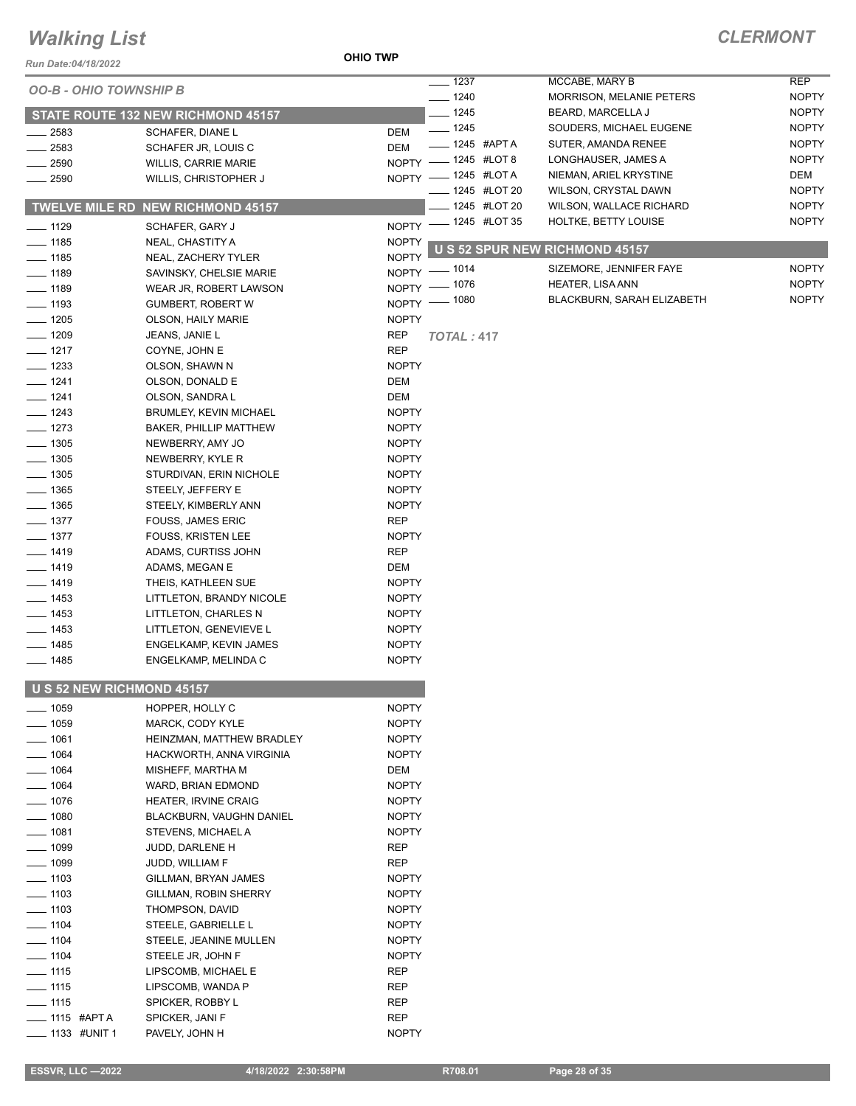### **OHIO TWP**

| Run Date:04/18/2022           |                                                | <b>OHIO TWP</b>              |                              |                |                                                 |              |
|-------------------------------|------------------------------------------------|------------------------------|------------------------------|----------------|-------------------------------------------------|--------------|
| <b>OO-B - OHIO TOWNSHIP B</b> |                                                |                              | $- 1237$                     |                | MCCABE, MARY B                                  | <b>REP</b>   |
|                               |                                                |                              | $- 1240$                     |                | <b>MORRISON, MELANIE PETERS</b>                 | <b>NOPTY</b> |
|                               | STATE ROUTE 132 NEW RICHMOND 45157             |                              | $- 1245$                     |                | BEARD, MARCELLA J                               | <b>NOPTY</b> |
| 2583                          | SCHAFER, DIANE L                               | DEM                          | $- 1245$                     |                | SOUDERS, MICHAEL EUGENE                         | <b>NOPTY</b> |
| 2583                          | SCHAFER JR, LOUIS C                            | DEM                          | ____ 1245 #APT A             |                | SUTER, AMANDA RENEE                             | <b>NOPTY</b> |
| 2590                          | <b>WILLIS, CARRIE MARIE</b>                    |                              | NOPTY - 1245 #LOT 8          |                | LONGHAUSER, JAMES A                             | <b>NOPTY</b> |
| 2590                          | WILLIS, CHRISTOPHER J                          |                              | NOPTY - 1245 #LOTA           |                | NIEMAN, ARIEL KRYSTINE                          | DEM          |
|                               |                                                |                              | ___ 1245 #LOT 20             |                | WILSON, CRYSTAL DAWN                            | <b>NOPTY</b> |
|                               | <b>TWELVE MILE RD NEW RICHMOND 45157</b>       |                              |                              | _ 1245 #LOT 20 | WILSON, WALLACE RICHARD<br>HOLTKE, BETTY LOUISE | <b>NOPTY</b> |
| $- 1129$                      | SCHAFER, GARY J                                |                              | NOPTY - 1245 #LOT 35         |                |                                                 | <b>NOPTY</b> |
| $- 1185$                      | NEAL, CHASTITY A                               | <b>NOPTY</b>                 |                              |                | U S 52 SPUR NEW RICHMOND 45157                  |              |
| $- 1185$                      | NEAL, ZACHERY TYLER                            | <b>NOPTY</b>                 |                              |                | SIZEMORE, JENNIFER FAYE                         | <b>NOPTY</b> |
| $- 1189$                      | SAVINSKY, CHELSIE MARIE                        |                              | NOPTY - 1014<br>NOPTY - 1076 |                | <b>HEATER, LISA ANN</b>                         | <b>NOPTY</b> |
| $- 1189$                      | WEAR JR, ROBERT LAWSON                         |                              | NOPTY - 1080                 |                | BLACKBURN, SARAH ELIZABETH                      | <b>NOPTY</b> |
| $- 1193$                      | <b>GUMBERT, ROBERT W</b>                       |                              |                              |                |                                                 |              |
| $- 1205$                      | OLSON, HAILY MARIE                             | <b>NOPTY</b>                 |                              |                |                                                 |              |
| $- 1209$<br>$- 1217$          | JEANS, JANIE L<br>COYNE, JOHN E                | REP<br><b>REP</b>            | <b>TOTAL: 417</b>            |                |                                                 |              |
| $-1233$                       | OLSON, SHAWN N                                 | <b>NOPTY</b>                 |                              |                |                                                 |              |
| $-1241$                       | OLSON, DONALD E                                | DEM                          |                              |                |                                                 |              |
| $- 1241$                      | OLSON, SANDRA L                                | DEM                          |                              |                |                                                 |              |
| $- 1243$                      | <b>BRUMLEY, KEVIN MICHAEL</b>                  | <b>NOPTY</b>                 |                              |                |                                                 |              |
| $- 1273$                      | <b>BAKER, PHILLIP MATTHEW</b>                  | <b>NOPTY</b>                 |                              |                |                                                 |              |
| $-1305$                       | NEWBERRY, AMY JO                               | <b>NOPTY</b>                 |                              |                |                                                 |              |
| $-1305$                       | NEWBERRY, KYLE R                               | NOPTY                        |                              |                |                                                 |              |
| $- 1305$                      | STURDIVAN, ERIN NICHOLE                        | <b>NOPTY</b>                 |                              |                |                                                 |              |
| $- 1365$                      | STEELY, JEFFERY E                              | <b>NOPTY</b>                 |                              |                |                                                 |              |
| $- 1365$                      | STEELY, KIMBERLY ANN                           | <b>NOPTY</b>                 |                              |                |                                                 |              |
| $- 1377$                      | <b>FOUSS, JAMES ERIC</b>                       | REP                          |                              |                |                                                 |              |
| $- 1377$                      | <b>FOUSS, KRISTEN LEE</b>                      | <b>NOPTY</b>                 |                              |                |                                                 |              |
| __ 1419                       | ADAMS, CURTISS JOHN                            | <b>REP</b>                   |                              |                |                                                 |              |
| $-1419$                       | ADAMS, MEGAN E                                 | DEM                          |                              |                |                                                 |              |
| $-1419$                       | THEIS, KATHLEEN SUE                            | <b>NOPTY</b>                 |                              |                |                                                 |              |
| $-1453$<br>$-1453$            | LITTLETON, BRANDY NICOLE                       | <b>NOPTY</b>                 |                              |                |                                                 |              |
| $- 1453$                      | LITTLETON, CHARLES N<br>LITTLETON, GENEVIEVE L | <b>NOPTY</b><br><b>NOPTY</b> |                              |                |                                                 |              |
| $- 1485$                      | ENGELKAMP, KEVIN JAMES                         | <b>NOPTY</b>                 |                              |                |                                                 |              |
| $- 1485$                      | ENGELKAMP, MELINDA C                           | <b>NOPTY</b>                 |                              |                |                                                 |              |
|                               |                                                |                              |                              |                |                                                 |              |
| U S 52 NEW RICHMOND 45157     |                                                |                              |                              |                |                                                 |              |
| $-1059$                       | HOPPER, HOLLY C                                | <b>NOPTY</b>                 |                              |                |                                                 |              |
| 1059                          | MARCK, CODY KYLE                               | <b>NOPTY</b>                 |                              |                |                                                 |              |
| $-1061$                       | HEINZMAN, MATTHEW BRADLEY                      | NOPTY                        |                              |                |                                                 |              |
| 1064                          | HACKWORTH, ANNA VIRGINIA                       | <b>NOPTY</b>                 |                              |                |                                                 |              |
| 1064                          | MISHEFF, MARTHA M                              | DEM                          |                              |                |                                                 |              |
| $-1064$                       | WARD, BRIAN EDMOND                             | NOPTY                        |                              |                |                                                 |              |
| $-1076$                       | <b>HEATER, IRVINE CRAIG</b>                    | <b>NOPTY</b>                 |                              |                |                                                 |              |
| $- 1080$                      | BLACKBURN, VAUGHN DANIEL                       | NOPTY                        |                              |                |                                                 |              |
| $-1081$<br>$-1099$            | STEVENS, MICHAEL A<br>JUDD, DARLENE H          | <b>NOPTY</b><br>REP          |                              |                |                                                 |              |
| $\frac{1}{2}$ 1099            | JUDD, WILLIAM F                                | REP                          |                              |                |                                                 |              |
| $-1103$                       | GILLMAN, BRYAN JAMES                           | <b>NOPTY</b>                 |                              |                |                                                 |              |
| $-1103$                       | GILLMAN, ROBIN SHERRY                          | NOPTY                        |                              |                |                                                 |              |
| $-1103$                       | THOMPSON, DAVID                                | <b>NOPTY</b>                 |                              |                |                                                 |              |
| $-1104$                       | STEELE, GABRIELLE L                            | NOPTY                        |                              |                |                                                 |              |
| $- 1104$                      | STEELE, JEANINE MULLEN                         | NOPTY                        |                              |                |                                                 |              |
| $\frac{1}{2}$ 1104            | STEELE JR, JOHN F                              | <b>NOPTY</b>                 |                              |                |                                                 |              |
| $\frac{1}{115}$               | LIPSCOMB, MICHAEL E                            | REP                          |                              |                |                                                 |              |
| $\frac{1}{115}$               | LIPSCOMB, WANDA P                              | REP                          |                              |                |                                                 |              |
| $\frac{1}{115}$               | SPICKER, ROBBY L                               | REP                          |                              |                |                                                 |              |
| $-$ 1115 #APT A               | SPICKER, JANI F                                | REP                          |                              |                |                                                 |              |
| _ 1133 #UNIT 1                | PAVELY, JOHN H                                 | <b>NOPTY</b>                 |                              |                |                                                 |              |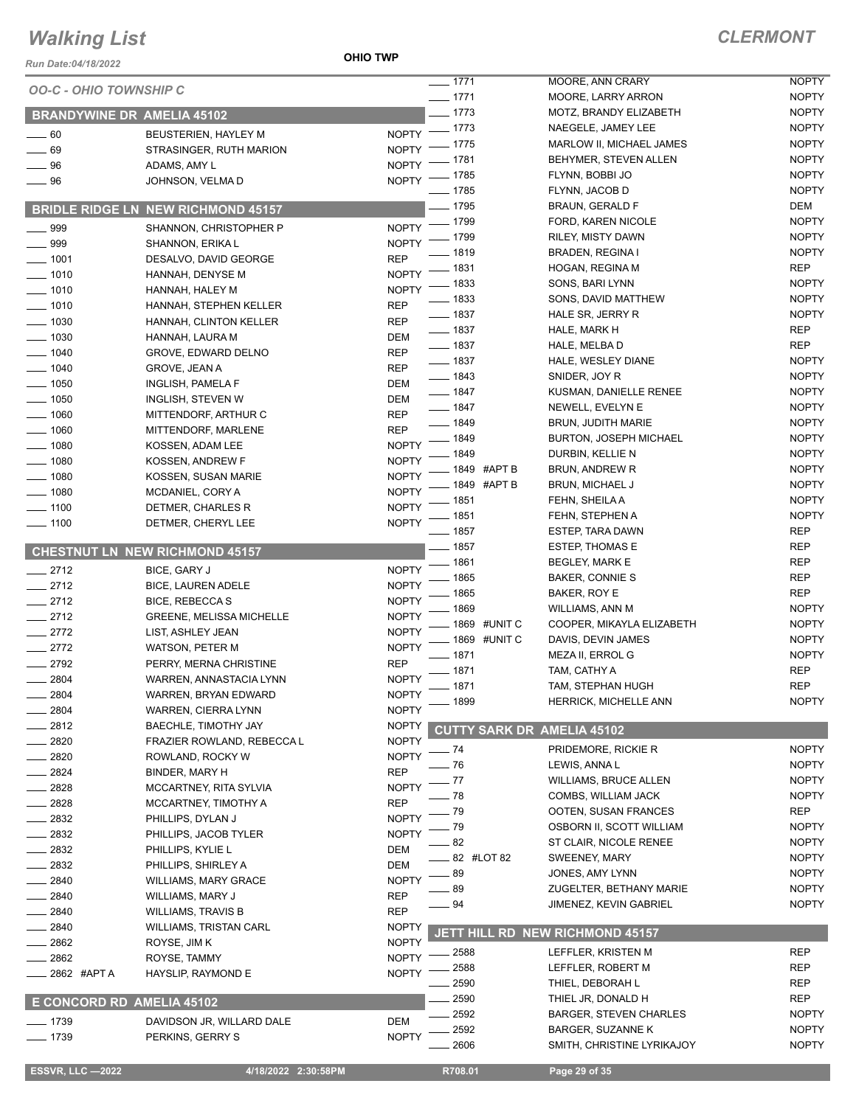#### **OHIO TWP**

| <b>NOPTY</b><br>$-1771$<br>MOORE, ANN CRARY<br><b>OO-C - OHIO TOWNSHIP C</b><br>$- 1771$<br><b>NOPTY</b><br>MOORE, LARRY ARRON<br>$-1773$<br><b>NOPTY</b><br>MOTZ, BRANDY ELIZABETH<br><b>BRANDYWINE DR AMELIA 45102</b><br>$- 1773$<br><b>NOPTY</b><br>NAEGELE, JAMEY LEE<br><b>NOPTY</b><br>$\sim$ 60<br>BEUSTERIEN, HAYLEY M<br><b>NOPTY</b><br>_ 1775<br>MARLOW II, MICHAEL JAMES<br><b>NOPTY</b><br>$-69$<br>STRASINGER, RUTH MARION<br><b>NOPTY</b><br>. 1781<br>BEHYMER, STEVEN ALLEN<br><b>NOPTY</b><br>$-96$<br>ADAMS, AMY L<br><b>NOPTY</b><br>_ 1785<br>FLYNN, BOBBI JO<br>NOPTY -<br>$\_\_$ 96<br>JOHNSON, VELMA D<br>$- 1785$<br><b>NOPTY</b><br>FLYNN, JACOB D<br><sup>2</sup> 1795<br>BRAUN, GERALD F<br>DEM<br><b>BRIDLE RIDGE LN NEW RICHMOND 45157</b><br>$-1799$<br><b>NOPTY</b><br>FORD, KAREN NICOLE<br>$\equiv$ 999<br><b>NOPTY</b><br>SHANNON, CHRISTOPHER P<br>1799<br><b>NOPTY</b><br>RILEY, MISTY DAWN<br><b>NOPTY</b><br>$\frac{1}{2}$ 999<br>SHANNON, ERIKA L<br><b>NOPTY</b><br>_ 1819<br>BRADEN, REGINA I<br><b>REP</b><br>$\frac{1}{2}$ 1001<br>DESALVO, DAVID GEORGE<br>_ 1831<br><b>REP</b><br>HOGAN, REGINA M<br><b>NOPTY</b><br>$- 1010$<br>HANNAH, DENYSE M<br><b>NOPTY</b><br>_ 1833<br>SONS, BARI LYNN<br><b>NOPTY</b><br>$\frac{1}{2}$ 1010<br>HANNAH, HALEY M<br>$- 1833$<br><b>NOPTY</b><br>SONS, DAVID MATTHEW<br><b>REP</b><br>$- 1010$<br>HANNAH, STEPHEN KELLER<br>$- 1837$<br><b>NOPTY</b><br>HALE SR, JERRY R<br>$\frac{1}{2}$ 1030<br><b>REP</b><br>HANNAH, CLINTON KELLER<br><b>REP</b><br>$- 1837$<br>HALE, MARK H<br>$\frac{1}{2}$ 1030<br><b>DEM</b><br>HANNAH, LAURA M<br>$- 1837$<br><b>REP</b><br>HALE, MELBA D<br>$- 1040$<br><b>REP</b><br>GROVE, EDWARD DELNO<br>$- 1837$<br><b>NOPTY</b><br>HALE, WESLEY DIANE<br>$- 1040$<br><b>REP</b><br><b>GROVE, JEAN A</b><br>$- 1843$<br><b>NOPTY</b><br>SNIDER, JOY R<br>$\frac{1}{2}$ 1050<br>DEM<br>INGLISH, PAMELA F<br>$- 1847$<br><b>NOPTY</b><br>KUSMAN, DANIELLE RENEE<br>$- 1050$<br>INGLISH, STEVEN W<br>DEM<br>$- 1847$<br><b>NOPTY</b><br>NEWELL, EVELYN E<br>$-1060$<br><b>REP</b><br>MITTENDORF, ARTHUR C<br>$- 1849$<br><b>NOPTY</b><br><b>BRUN, JUDITH MARIE</b><br>$-1060$<br><b>REP</b><br>MITTENDORF, MARLENE<br><b>NOPTY</b><br>- 1849<br><b>BURTON, JOSEPH MICHAEL</b><br>$-1080$<br><b>NOPTY</b><br>KOSSEN, ADAM LEE<br><b>NOPTY</b><br>1849<br>DURBIN, KELLIE N<br><b>NOPTY</b><br>$-1080$<br>KOSSEN, ANDREW F<br><b>NOPTY</b><br>. 1849 #APT B<br>BRUN, ANDREW R<br><b>NOPTY</b><br>$- 1080$<br>KOSSEN, SUSAN MARIE<br>- 1849 #APT B<br><b>NOPTY</b><br><b>BRUN, MICHAEL J</b><br><b>NOPTY</b><br>$- 1080$<br>MCDANIEL, CORY A<br><b>NOPTY</b><br>_ 1851<br>FEHN, SHEILA A<br><b>NOPTY</b><br>$- 1100$<br>DETMER, CHARLES R<br><b>NOPTY</b><br>FEHN, STEPHEN A<br>_ 1851<br><b>NOPTY</b><br>$- 1100$<br>DETMER, CHERYL LEE<br>$- 1857$<br><b>REP</b><br><b>ESTEP, TARA DAWN</b><br>$-1857$<br><b>REP</b><br><b>ESTEP, THOMAS E</b><br><b>CHESTNUT LN NEW RICHMOND 45157</b><br>$-1861$<br><b>REP</b><br>BEGLEY, MARK E<br><b>NOPTY</b><br>$-2712$<br>BICE, GARY J<br>1865<br><b>REP</b><br>BAKER, CONNIE S<br>$-2712$<br><b>NOPTY</b><br>BICE, LAUREN ADELE<br>1865<br><b>REP</b><br>BAKER, ROY E<br>$-2712$<br><b>NOPTY</b><br><b>BICE, REBECCAS</b><br>1869<br><b>NOPTY</b><br>WILLIAMS, ANN M<br>$-2712$<br><b>NOPTY</b><br><b>GREENE, MELISSA MICHELLE</b><br>1869 #UNIT C<br><b>NOPTY</b><br>COOPER, MIKAYLA ELIZABETH<br>$-2772$<br><b>NOPTY</b><br>LIST, ASHLEY JEAN<br>1869 #UNIT C<br><b>NOPTY</b><br>DAVIS, DEVIN JAMES<br>$-2772$<br><b>NOPTY</b><br><b>WATSON, PETER M</b><br>1871<br><b>NOPTY</b><br>MEZA II, ERROL G<br>2792<br><b>REP</b><br>PERRY, MERNA CHRISTINE<br>_ 1871<br><b>REP</b><br>TAM, CATHY A<br><b>NOPTY</b><br>2804<br>WARREN, ANNASTACIA LYNN<br>1871<br>TAM, STEPHAN HUGH<br><b>REP</b><br>2804<br><b>NOPTY</b><br>WARREN, BRYAN EDWARD<br>1899<br><b>NOPTY</b><br><b>HERRICK, MICHELLE ANN</b><br><b>NOPTY</b><br>2804<br>WARREN, CIERRA LYNN<br>2812<br>BAECHLE, TIMOTHY JAY<br><b>NOPTY</b><br><b>CUTTY SARK DR AMELIA 45102</b><br>2820<br><b>NOPTY</b><br>FRAZIER ROWLAND, REBECCA L<br>PRIDEMORE, RICKIE R<br><b>NOPTY</b><br>74<br>2820<br><b>NOPTY</b><br>ROWLAND, ROCKY W<br>76<br>LEWIS, ANNA L<br><b>NOPTY</b><br><b>REP</b><br>2824<br>BINDER, MARY H<br>77<br>WILLIAMS, BRUCE ALLEN<br><b>NOPTY</b><br><b>NOPTY</b><br>2828<br>MCCARTNEY, RITA SYLVIA<br>78<br><b>NOPTY</b><br>COMBS, WILLIAM JACK<br><b>REP</b><br>2828<br>MCCARTNEY, TIMOTHY A<br><b>REP</b><br>79<br>OOTEN, SUSAN FRANCES<br>2832<br><b>NOPTY</b><br>PHILLIPS, DYLAN J<br><b>NOPTY</b><br>79<br>OSBORN II, SCOTT WILLIAM<br><b>NOPTY</b><br>2832<br>PHILLIPS, JACOB TYLER<br>82<br><b>NOPTY</b><br>ST CLAIR, NICOLE RENEE<br>2832<br>PHILLIPS, KYLIE L<br>DEM<br>82 #LOT 82<br>SWEENEY, MARY<br><b>NOPTY</b><br>2832<br>DEM<br>PHILLIPS, SHIRLEY A<br>89<br><b>NOPTY</b><br>JONES, AMY LYNN<br>2840<br><b>NOPTY</b><br><b>WILLIAMS, MARY GRACE</b><br>89<br><b>NOPTY</b><br>ZUGELTER, BETHANY MARIE<br>2840<br><b>REP</b><br>WILLIAMS, MARY J<br>94<br><b>NOPTY</b><br>JIMENEZ, KEVIN GABRIEL<br>2840<br><b>REP</b><br><b>WILLIAMS, TRAVIS B</b><br>2840<br><b>WILLIAMS, TRISTAN CARL</b><br><b>NOPTY</b><br>JETT HILL RD NEW RICHMOND 45157<br>2862<br><b>NOPTY</b><br>ROYSE, JIM K<br><b>REP</b><br>2588<br>LEFFLER, KRISTEN M<br>2862<br><b>NOPTY</b><br>ROYSE, TAMMY<br><b>REP</b><br>2588<br>LEFFLER, ROBERT M<br>2862 #APT A<br><b>NOPTY</b><br>HAYSLIP, RAYMOND E<br>2590<br>THIEL, DEBORAH L<br>REP<br>2590<br><b>REP</b><br>THIEL JR, DONALD H<br>E CONCORD RD AMELIA 45102<br>2592<br><b>NOPTY</b><br><b>BARGER, STEVEN CHARLES</b><br>$-1739$<br>DAVIDSON JR, WILLARD DALE<br><b>DEM</b><br>2592<br><b>NOPTY</b><br><b>BARGER, SUZANNE K</b><br>$- 1739$<br><b>NOPTY</b><br>PERKINS, GERRY S<br><b>NOPTY</b><br>2606<br>SMITH, CHRISTINE LYRIKAJOY<br><b>ESSVR, LLC -2022</b><br>4/18/2022 2:30:58PM<br>R708.01<br>Page 29 of 35 | Run Date:04/18/2022 | <b>OHIO TWP</b> |  |  |
|----------------------------------------------------------------------------------------------------------------------------------------------------------------------------------------------------------------------------------------------------------------------------------------------------------------------------------------------------------------------------------------------------------------------------------------------------------------------------------------------------------------------------------------------------------------------------------------------------------------------------------------------------------------------------------------------------------------------------------------------------------------------------------------------------------------------------------------------------------------------------------------------------------------------------------------------------------------------------------------------------------------------------------------------------------------------------------------------------------------------------------------------------------------------------------------------------------------------------------------------------------------------------------------------------------------------------------------------------------------------------------------------------------------------------------------------------------------------------------------------------------------------------------------------------------------------------------------------------------------------------------------------------------------------------------------------------------------------------------------------------------------------------------------------------------------------------------------------------------------------------------------------------------------------------------------------------------------------------------------------------------------------------------------------------------------------------------------------------------------------------------------------------------------------------------------------------------------------------------------------------------------------------------------------------------------------------------------------------------------------------------------------------------------------------------------------------------------------------------------------------------------------------------------------------------------------------------------------------------------------------------------------------------------------------------------------------------------------------------------------------------------------------------------------------------------------------------------------------------------------------------------------------------------------------------------------------------------------------------------------------------------------------------------------------------------------------------------------------------------------------------------------------------------------------------------------------------------------------------------------------------------------------------------------------------------------------------------------------------------------------------------------------------------------------------------------------------------------------------------------------------------------------------------------------------------------------------------------------------------------------------------------------------------------------------------------------------------------------------------------------------------------------------------------------------------------------------------------------------------------------------------------------------------------------------------------------------------------------------------------------------------------------------------------------------------------------------------------------------------------------------------------------------------------------------------------------------------------------------------------------------------------------------------------------------------------------------------------------------------------------------------------------------------------------------------------------------------------------------------------------------------------------------------------------------------------------------------------------------------------------------------------------------------------------------------------------------------------------------------------------------------------------------------------------------------------------------------------------------------------------------------------------------------------------------------------------------------------------------------------------------------------------------------------------------------------------------------------------------------------------------------------------------------------------------------------------------------------------------------------------------------------------------------------------------------------------------------------------------------------------------------------------------------------------------------------------------------------------------------------------------------------------------------------------------------------------------------------------------------------------------------------------------------------------------------------------------------------------------------------------------------------------------------------------------------------------------------------------------------------------------------------------------------------------------------------------------------------------------------|---------------------|-----------------|--|--|
|                                                                                                                                                                                                                                                                                                                                                                                                                                                                                                                                                                                                                                                                                                                                                                                                                                                                                                                                                                                                                                                                                                                                                                                                                                                                                                                                                                                                                                                                                                                                                                                                                                                                                                                                                                                                                                                                                                                                                                                                                                                                                                                                                                                                                                                                                                                                                                                                                                                                                                                                                                                                                                                                                                                                                                                                                                                                                                                                                                                                                                                                                                                                                                                                                                                                                                                                                                                                                                                                                                                                                                                                                                                                                                                                                                                                                                                                                                                                                                                                                                                                                                                                                                                                                                                                                                                                                                                                                                                                                                                                                                                                                                                                                                                                                                                                                                                                                                                                                                                                                                                                                                                                                                                                                                                                                                                                                                                                                                                                                                                                                                                                                                                                                                                                                                                                                                                                                                                                                                                        |                     |                 |  |  |
|                                                                                                                                                                                                                                                                                                                                                                                                                                                                                                                                                                                                                                                                                                                                                                                                                                                                                                                                                                                                                                                                                                                                                                                                                                                                                                                                                                                                                                                                                                                                                                                                                                                                                                                                                                                                                                                                                                                                                                                                                                                                                                                                                                                                                                                                                                                                                                                                                                                                                                                                                                                                                                                                                                                                                                                                                                                                                                                                                                                                                                                                                                                                                                                                                                                                                                                                                                                                                                                                                                                                                                                                                                                                                                                                                                                                                                                                                                                                                                                                                                                                                                                                                                                                                                                                                                                                                                                                                                                                                                                                                                                                                                                                                                                                                                                                                                                                                                                                                                                                                                                                                                                                                                                                                                                                                                                                                                                                                                                                                                                                                                                                                                                                                                                                                                                                                                                                                                                                                                                        |                     |                 |  |  |
|                                                                                                                                                                                                                                                                                                                                                                                                                                                                                                                                                                                                                                                                                                                                                                                                                                                                                                                                                                                                                                                                                                                                                                                                                                                                                                                                                                                                                                                                                                                                                                                                                                                                                                                                                                                                                                                                                                                                                                                                                                                                                                                                                                                                                                                                                                                                                                                                                                                                                                                                                                                                                                                                                                                                                                                                                                                                                                                                                                                                                                                                                                                                                                                                                                                                                                                                                                                                                                                                                                                                                                                                                                                                                                                                                                                                                                                                                                                                                                                                                                                                                                                                                                                                                                                                                                                                                                                                                                                                                                                                                                                                                                                                                                                                                                                                                                                                                                                                                                                                                                                                                                                                                                                                                                                                                                                                                                                                                                                                                                                                                                                                                                                                                                                                                                                                                                                                                                                                                                                        |                     |                 |  |  |
|                                                                                                                                                                                                                                                                                                                                                                                                                                                                                                                                                                                                                                                                                                                                                                                                                                                                                                                                                                                                                                                                                                                                                                                                                                                                                                                                                                                                                                                                                                                                                                                                                                                                                                                                                                                                                                                                                                                                                                                                                                                                                                                                                                                                                                                                                                                                                                                                                                                                                                                                                                                                                                                                                                                                                                                                                                                                                                                                                                                                                                                                                                                                                                                                                                                                                                                                                                                                                                                                                                                                                                                                                                                                                                                                                                                                                                                                                                                                                                                                                                                                                                                                                                                                                                                                                                                                                                                                                                                                                                                                                                                                                                                                                                                                                                                                                                                                                                                                                                                                                                                                                                                                                                                                                                                                                                                                                                                                                                                                                                                                                                                                                                                                                                                                                                                                                                                                                                                                                                                        |                     |                 |  |  |
|                                                                                                                                                                                                                                                                                                                                                                                                                                                                                                                                                                                                                                                                                                                                                                                                                                                                                                                                                                                                                                                                                                                                                                                                                                                                                                                                                                                                                                                                                                                                                                                                                                                                                                                                                                                                                                                                                                                                                                                                                                                                                                                                                                                                                                                                                                                                                                                                                                                                                                                                                                                                                                                                                                                                                                                                                                                                                                                                                                                                                                                                                                                                                                                                                                                                                                                                                                                                                                                                                                                                                                                                                                                                                                                                                                                                                                                                                                                                                                                                                                                                                                                                                                                                                                                                                                                                                                                                                                                                                                                                                                                                                                                                                                                                                                                                                                                                                                                                                                                                                                                                                                                                                                                                                                                                                                                                                                                                                                                                                                                                                                                                                                                                                                                                                                                                                                                                                                                                                                                        |                     |                 |  |  |
|                                                                                                                                                                                                                                                                                                                                                                                                                                                                                                                                                                                                                                                                                                                                                                                                                                                                                                                                                                                                                                                                                                                                                                                                                                                                                                                                                                                                                                                                                                                                                                                                                                                                                                                                                                                                                                                                                                                                                                                                                                                                                                                                                                                                                                                                                                                                                                                                                                                                                                                                                                                                                                                                                                                                                                                                                                                                                                                                                                                                                                                                                                                                                                                                                                                                                                                                                                                                                                                                                                                                                                                                                                                                                                                                                                                                                                                                                                                                                                                                                                                                                                                                                                                                                                                                                                                                                                                                                                                                                                                                                                                                                                                                                                                                                                                                                                                                                                                                                                                                                                                                                                                                                                                                                                                                                                                                                                                                                                                                                                                                                                                                                                                                                                                                                                                                                                                                                                                                                                                        |                     |                 |  |  |
|                                                                                                                                                                                                                                                                                                                                                                                                                                                                                                                                                                                                                                                                                                                                                                                                                                                                                                                                                                                                                                                                                                                                                                                                                                                                                                                                                                                                                                                                                                                                                                                                                                                                                                                                                                                                                                                                                                                                                                                                                                                                                                                                                                                                                                                                                                                                                                                                                                                                                                                                                                                                                                                                                                                                                                                                                                                                                                                                                                                                                                                                                                                                                                                                                                                                                                                                                                                                                                                                                                                                                                                                                                                                                                                                                                                                                                                                                                                                                                                                                                                                                                                                                                                                                                                                                                                                                                                                                                                                                                                                                                                                                                                                                                                                                                                                                                                                                                                                                                                                                                                                                                                                                                                                                                                                                                                                                                                                                                                                                                                                                                                                                                                                                                                                                                                                                                                                                                                                                                                        |                     |                 |  |  |
|                                                                                                                                                                                                                                                                                                                                                                                                                                                                                                                                                                                                                                                                                                                                                                                                                                                                                                                                                                                                                                                                                                                                                                                                                                                                                                                                                                                                                                                                                                                                                                                                                                                                                                                                                                                                                                                                                                                                                                                                                                                                                                                                                                                                                                                                                                                                                                                                                                                                                                                                                                                                                                                                                                                                                                                                                                                                                                                                                                                                                                                                                                                                                                                                                                                                                                                                                                                                                                                                                                                                                                                                                                                                                                                                                                                                                                                                                                                                                                                                                                                                                                                                                                                                                                                                                                                                                                                                                                                                                                                                                                                                                                                                                                                                                                                                                                                                                                                                                                                                                                                                                                                                                                                                                                                                                                                                                                                                                                                                                                                                                                                                                                                                                                                                                                                                                                                                                                                                                                                        |                     |                 |  |  |
|                                                                                                                                                                                                                                                                                                                                                                                                                                                                                                                                                                                                                                                                                                                                                                                                                                                                                                                                                                                                                                                                                                                                                                                                                                                                                                                                                                                                                                                                                                                                                                                                                                                                                                                                                                                                                                                                                                                                                                                                                                                                                                                                                                                                                                                                                                                                                                                                                                                                                                                                                                                                                                                                                                                                                                                                                                                                                                                                                                                                                                                                                                                                                                                                                                                                                                                                                                                                                                                                                                                                                                                                                                                                                                                                                                                                                                                                                                                                                                                                                                                                                                                                                                                                                                                                                                                                                                                                                                                                                                                                                                                                                                                                                                                                                                                                                                                                                                                                                                                                                                                                                                                                                                                                                                                                                                                                                                                                                                                                                                                                                                                                                                                                                                                                                                                                                                                                                                                                                                                        |                     |                 |  |  |
|                                                                                                                                                                                                                                                                                                                                                                                                                                                                                                                                                                                                                                                                                                                                                                                                                                                                                                                                                                                                                                                                                                                                                                                                                                                                                                                                                                                                                                                                                                                                                                                                                                                                                                                                                                                                                                                                                                                                                                                                                                                                                                                                                                                                                                                                                                                                                                                                                                                                                                                                                                                                                                                                                                                                                                                                                                                                                                                                                                                                                                                                                                                                                                                                                                                                                                                                                                                                                                                                                                                                                                                                                                                                                                                                                                                                                                                                                                                                                                                                                                                                                                                                                                                                                                                                                                                                                                                                                                                                                                                                                                                                                                                                                                                                                                                                                                                                                                                                                                                                                                                                                                                                                                                                                                                                                                                                                                                                                                                                                                                                                                                                                                                                                                                                                                                                                                                                                                                                                                                        |                     |                 |  |  |
|                                                                                                                                                                                                                                                                                                                                                                                                                                                                                                                                                                                                                                                                                                                                                                                                                                                                                                                                                                                                                                                                                                                                                                                                                                                                                                                                                                                                                                                                                                                                                                                                                                                                                                                                                                                                                                                                                                                                                                                                                                                                                                                                                                                                                                                                                                                                                                                                                                                                                                                                                                                                                                                                                                                                                                                                                                                                                                                                                                                                                                                                                                                                                                                                                                                                                                                                                                                                                                                                                                                                                                                                                                                                                                                                                                                                                                                                                                                                                                                                                                                                                                                                                                                                                                                                                                                                                                                                                                                                                                                                                                                                                                                                                                                                                                                                                                                                                                                                                                                                                                                                                                                                                                                                                                                                                                                                                                                                                                                                                                                                                                                                                                                                                                                                                                                                                                                                                                                                                                                        |                     |                 |  |  |
|                                                                                                                                                                                                                                                                                                                                                                                                                                                                                                                                                                                                                                                                                                                                                                                                                                                                                                                                                                                                                                                                                                                                                                                                                                                                                                                                                                                                                                                                                                                                                                                                                                                                                                                                                                                                                                                                                                                                                                                                                                                                                                                                                                                                                                                                                                                                                                                                                                                                                                                                                                                                                                                                                                                                                                                                                                                                                                                                                                                                                                                                                                                                                                                                                                                                                                                                                                                                                                                                                                                                                                                                                                                                                                                                                                                                                                                                                                                                                                                                                                                                                                                                                                                                                                                                                                                                                                                                                                                                                                                                                                                                                                                                                                                                                                                                                                                                                                                                                                                                                                                                                                                                                                                                                                                                                                                                                                                                                                                                                                                                                                                                                                                                                                                                                                                                                                                                                                                                                                                        |                     |                 |  |  |
|                                                                                                                                                                                                                                                                                                                                                                                                                                                                                                                                                                                                                                                                                                                                                                                                                                                                                                                                                                                                                                                                                                                                                                                                                                                                                                                                                                                                                                                                                                                                                                                                                                                                                                                                                                                                                                                                                                                                                                                                                                                                                                                                                                                                                                                                                                                                                                                                                                                                                                                                                                                                                                                                                                                                                                                                                                                                                                                                                                                                                                                                                                                                                                                                                                                                                                                                                                                                                                                                                                                                                                                                                                                                                                                                                                                                                                                                                                                                                                                                                                                                                                                                                                                                                                                                                                                                                                                                                                                                                                                                                                                                                                                                                                                                                                                                                                                                                                                                                                                                                                                                                                                                                                                                                                                                                                                                                                                                                                                                                                                                                                                                                                                                                                                                                                                                                                                                                                                                                                                        |                     |                 |  |  |
|                                                                                                                                                                                                                                                                                                                                                                                                                                                                                                                                                                                                                                                                                                                                                                                                                                                                                                                                                                                                                                                                                                                                                                                                                                                                                                                                                                                                                                                                                                                                                                                                                                                                                                                                                                                                                                                                                                                                                                                                                                                                                                                                                                                                                                                                                                                                                                                                                                                                                                                                                                                                                                                                                                                                                                                                                                                                                                                                                                                                                                                                                                                                                                                                                                                                                                                                                                                                                                                                                                                                                                                                                                                                                                                                                                                                                                                                                                                                                                                                                                                                                                                                                                                                                                                                                                                                                                                                                                                                                                                                                                                                                                                                                                                                                                                                                                                                                                                                                                                                                                                                                                                                                                                                                                                                                                                                                                                                                                                                                                                                                                                                                                                                                                                                                                                                                                                                                                                                                                                        |                     |                 |  |  |
|                                                                                                                                                                                                                                                                                                                                                                                                                                                                                                                                                                                                                                                                                                                                                                                                                                                                                                                                                                                                                                                                                                                                                                                                                                                                                                                                                                                                                                                                                                                                                                                                                                                                                                                                                                                                                                                                                                                                                                                                                                                                                                                                                                                                                                                                                                                                                                                                                                                                                                                                                                                                                                                                                                                                                                                                                                                                                                                                                                                                                                                                                                                                                                                                                                                                                                                                                                                                                                                                                                                                                                                                                                                                                                                                                                                                                                                                                                                                                                                                                                                                                                                                                                                                                                                                                                                                                                                                                                                                                                                                                                                                                                                                                                                                                                                                                                                                                                                                                                                                                                                                                                                                                                                                                                                                                                                                                                                                                                                                                                                                                                                                                                                                                                                                                                                                                                                                                                                                                                                        |                     |                 |  |  |
|                                                                                                                                                                                                                                                                                                                                                                                                                                                                                                                                                                                                                                                                                                                                                                                                                                                                                                                                                                                                                                                                                                                                                                                                                                                                                                                                                                                                                                                                                                                                                                                                                                                                                                                                                                                                                                                                                                                                                                                                                                                                                                                                                                                                                                                                                                                                                                                                                                                                                                                                                                                                                                                                                                                                                                                                                                                                                                                                                                                                                                                                                                                                                                                                                                                                                                                                                                                                                                                                                                                                                                                                                                                                                                                                                                                                                                                                                                                                                                                                                                                                                                                                                                                                                                                                                                                                                                                                                                                                                                                                                                                                                                                                                                                                                                                                                                                                                                                                                                                                                                                                                                                                                                                                                                                                                                                                                                                                                                                                                                                                                                                                                                                                                                                                                                                                                                                                                                                                                                                        |                     |                 |  |  |
|                                                                                                                                                                                                                                                                                                                                                                                                                                                                                                                                                                                                                                                                                                                                                                                                                                                                                                                                                                                                                                                                                                                                                                                                                                                                                                                                                                                                                                                                                                                                                                                                                                                                                                                                                                                                                                                                                                                                                                                                                                                                                                                                                                                                                                                                                                                                                                                                                                                                                                                                                                                                                                                                                                                                                                                                                                                                                                                                                                                                                                                                                                                                                                                                                                                                                                                                                                                                                                                                                                                                                                                                                                                                                                                                                                                                                                                                                                                                                                                                                                                                                                                                                                                                                                                                                                                                                                                                                                                                                                                                                                                                                                                                                                                                                                                                                                                                                                                                                                                                                                                                                                                                                                                                                                                                                                                                                                                                                                                                                                                                                                                                                                                                                                                                                                                                                                                                                                                                                                                        |                     |                 |  |  |
|                                                                                                                                                                                                                                                                                                                                                                                                                                                                                                                                                                                                                                                                                                                                                                                                                                                                                                                                                                                                                                                                                                                                                                                                                                                                                                                                                                                                                                                                                                                                                                                                                                                                                                                                                                                                                                                                                                                                                                                                                                                                                                                                                                                                                                                                                                                                                                                                                                                                                                                                                                                                                                                                                                                                                                                                                                                                                                                                                                                                                                                                                                                                                                                                                                                                                                                                                                                                                                                                                                                                                                                                                                                                                                                                                                                                                                                                                                                                                                                                                                                                                                                                                                                                                                                                                                                                                                                                                                                                                                                                                                                                                                                                                                                                                                                                                                                                                                                                                                                                                                                                                                                                                                                                                                                                                                                                                                                                                                                                                                                                                                                                                                                                                                                                                                                                                                                                                                                                                                                        |                     |                 |  |  |
|                                                                                                                                                                                                                                                                                                                                                                                                                                                                                                                                                                                                                                                                                                                                                                                                                                                                                                                                                                                                                                                                                                                                                                                                                                                                                                                                                                                                                                                                                                                                                                                                                                                                                                                                                                                                                                                                                                                                                                                                                                                                                                                                                                                                                                                                                                                                                                                                                                                                                                                                                                                                                                                                                                                                                                                                                                                                                                                                                                                                                                                                                                                                                                                                                                                                                                                                                                                                                                                                                                                                                                                                                                                                                                                                                                                                                                                                                                                                                                                                                                                                                                                                                                                                                                                                                                                                                                                                                                                                                                                                                                                                                                                                                                                                                                                                                                                                                                                                                                                                                                                                                                                                                                                                                                                                                                                                                                                                                                                                                                                                                                                                                                                                                                                                                                                                                                                                                                                                                                                        |                     |                 |  |  |
|                                                                                                                                                                                                                                                                                                                                                                                                                                                                                                                                                                                                                                                                                                                                                                                                                                                                                                                                                                                                                                                                                                                                                                                                                                                                                                                                                                                                                                                                                                                                                                                                                                                                                                                                                                                                                                                                                                                                                                                                                                                                                                                                                                                                                                                                                                                                                                                                                                                                                                                                                                                                                                                                                                                                                                                                                                                                                                                                                                                                                                                                                                                                                                                                                                                                                                                                                                                                                                                                                                                                                                                                                                                                                                                                                                                                                                                                                                                                                                                                                                                                                                                                                                                                                                                                                                                                                                                                                                                                                                                                                                                                                                                                                                                                                                                                                                                                                                                                                                                                                                                                                                                                                                                                                                                                                                                                                                                                                                                                                                                                                                                                                                                                                                                                                                                                                                                                                                                                                                                        |                     |                 |  |  |
|                                                                                                                                                                                                                                                                                                                                                                                                                                                                                                                                                                                                                                                                                                                                                                                                                                                                                                                                                                                                                                                                                                                                                                                                                                                                                                                                                                                                                                                                                                                                                                                                                                                                                                                                                                                                                                                                                                                                                                                                                                                                                                                                                                                                                                                                                                                                                                                                                                                                                                                                                                                                                                                                                                                                                                                                                                                                                                                                                                                                                                                                                                                                                                                                                                                                                                                                                                                                                                                                                                                                                                                                                                                                                                                                                                                                                                                                                                                                                                                                                                                                                                                                                                                                                                                                                                                                                                                                                                                                                                                                                                                                                                                                                                                                                                                                                                                                                                                                                                                                                                                                                                                                                                                                                                                                                                                                                                                                                                                                                                                                                                                                                                                                                                                                                                                                                                                                                                                                                                                        |                     |                 |  |  |
|                                                                                                                                                                                                                                                                                                                                                                                                                                                                                                                                                                                                                                                                                                                                                                                                                                                                                                                                                                                                                                                                                                                                                                                                                                                                                                                                                                                                                                                                                                                                                                                                                                                                                                                                                                                                                                                                                                                                                                                                                                                                                                                                                                                                                                                                                                                                                                                                                                                                                                                                                                                                                                                                                                                                                                                                                                                                                                                                                                                                                                                                                                                                                                                                                                                                                                                                                                                                                                                                                                                                                                                                                                                                                                                                                                                                                                                                                                                                                                                                                                                                                                                                                                                                                                                                                                                                                                                                                                                                                                                                                                                                                                                                                                                                                                                                                                                                                                                                                                                                                                                                                                                                                                                                                                                                                                                                                                                                                                                                                                                                                                                                                                                                                                                                                                                                                                                                                                                                                                                        |                     |                 |  |  |
|                                                                                                                                                                                                                                                                                                                                                                                                                                                                                                                                                                                                                                                                                                                                                                                                                                                                                                                                                                                                                                                                                                                                                                                                                                                                                                                                                                                                                                                                                                                                                                                                                                                                                                                                                                                                                                                                                                                                                                                                                                                                                                                                                                                                                                                                                                                                                                                                                                                                                                                                                                                                                                                                                                                                                                                                                                                                                                                                                                                                                                                                                                                                                                                                                                                                                                                                                                                                                                                                                                                                                                                                                                                                                                                                                                                                                                                                                                                                                                                                                                                                                                                                                                                                                                                                                                                                                                                                                                                                                                                                                                                                                                                                                                                                                                                                                                                                                                                                                                                                                                                                                                                                                                                                                                                                                                                                                                                                                                                                                                                                                                                                                                                                                                                                                                                                                                                                                                                                                                                        |                     |                 |  |  |
|                                                                                                                                                                                                                                                                                                                                                                                                                                                                                                                                                                                                                                                                                                                                                                                                                                                                                                                                                                                                                                                                                                                                                                                                                                                                                                                                                                                                                                                                                                                                                                                                                                                                                                                                                                                                                                                                                                                                                                                                                                                                                                                                                                                                                                                                                                                                                                                                                                                                                                                                                                                                                                                                                                                                                                                                                                                                                                                                                                                                                                                                                                                                                                                                                                                                                                                                                                                                                                                                                                                                                                                                                                                                                                                                                                                                                                                                                                                                                                                                                                                                                                                                                                                                                                                                                                                                                                                                                                                                                                                                                                                                                                                                                                                                                                                                                                                                                                                                                                                                                                                                                                                                                                                                                                                                                                                                                                                                                                                                                                                                                                                                                                                                                                                                                                                                                                                                                                                                                                                        |                     |                 |  |  |
|                                                                                                                                                                                                                                                                                                                                                                                                                                                                                                                                                                                                                                                                                                                                                                                                                                                                                                                                                                                                                                                                                                                                                                                                                                                                                                                                                                                                                                                                                                                                                                                                                                                                                                                                                                                                                                                                                                                                                                                                                                                                                                                                                                                                                                                                                                                                                                                                                                                                                                                                                                                                                                                                                                                                                                                                                                                                                                                                                                                                                                                                                                                                                                                                                                                                                                                                                                                                                                                                                                                                                                                                                                                                                                                                                                                                                                                                                                                                                                                                                                                                                                                                                                                                                                                                                                                                                                                                                                                                                                                                                                                                                                                                                                                                                                                                                                                                                                                                                                                                                                                                                                                                                                                                                                                                                                                                                                                                                                                                                                                                                                                                                                                                                                                                                                                                                                                                                                                                                                                        |                     |                 |  |  |
|                                                                                                                                                                                                                                                                                                                                                                                                                                                                                                                                                                                                                                                                                                                                                                                                                                                                                                                                                                                                                                                                                                                                                                                                                                                                                                                                                                                                                                                                                                                                                                                                                                                                                                                                                                                                                                                                                                                                                                                                                                                                                                                                                                                                                                                                                                                                                                                                                                                                                                                                                                                                                                                                                                                                                                                                                                                                                                                                                                                                                                                                                                                                                                                                                                                                                                                                                                                                                                                                                                                                                                                                                                                                                                                                                                                                                                                                                                                                                                                                                                                                                                                                                                                                                                                                                                                                                                                                                                                                                                                                                                                                                                                                                                                                                                                                                                                                                                                                                                                                                                                                                                                                                                                                                                                                                                                                                                                                                                                                                                                                                                                                                                                                                                                                                                                                                                                                                                                                                                                        |                     |                 |  |  |
|                                                                                                                                                                                                                                                                                                                                                                                                                                                                                                                                                                                                                                                                                                                                                                                                                                                                                                                                                                                                                                                                                                                                                                                                                                                                                                                                                                                                                                                                                                                                                                                                                                                                                                                                                                                                                                                                                                                                                                                                                                                                                                                                                                                                                                                                                                                                                                                                                                                                                                                                                                                                                                                                                                                                                                                                                                                                                                                                                                                                                                                                                                                                                                                                                                                                                                                                                                                                                                                                                                                                                                                                                                                                                                                                                                                                                                                                                                                                                                                                                                                                                                                                                                                                                                                                                                                                                                                                                                                                                                                                                                                                                                                                                                                                                                                                                                                                                                                                                                                                                                                                                                                                                                                                                                                                                                                                                                                                                                                                                                                                                                                                                                                                                                                                                                                                                                                                                                                                                                                        |                     |                 |  |  |
|                                                                                                                                                                                                                                                                                                                                                                                                                                                                                                                                                                                                                                                                                                                                                                                                                                                                                                                                                                                                                                                                                                                                                                                                                                                                                                                                                                                                                                                                                                                                                                                                                                                                                                                                                                                                                                                                                                                                                                                                                                                                                                                                                                                                                                                                                                                                                                                                                                                                                                                                                                                                                                                                                                                                                                                                                                                                                                                                                                                                                                                                                                                                                                                                                                                                                                                                                                                                                                                                                                                                                                                                                                                                                                                                                                                                                                                                                                                                                                                                                                                                                                                                                                                                                                                                                                                                                                                                                                                                                                                                                                                                                                                                                                                                                                                                                                                                                                                                                                                                                                                                                                                                                                                                                                                                                                                                                                                                                                                                                                                                                                                                                                                                                                                                                                                                                                                                                                                                                                                        |                     |                 |  |  |
|                                                                                                                                                                                                                                                                                                                                                                                                                                                                                                                                                                                                                                                                                                                                                                                                                                                                                                                                                                                                                                                                                                                                                                                                                                                                                                                                                                                                                                                                                                                                                                                                                                                                                                                                                                                                                                                                                                                                                                                                                                                                                                                                                                                                                                                                                                                                                                                                                                                                                                                                                                                                                                                                                                                                                                                                                                                                                                                                                                                                                                                                                                                                                                                                                                                                                                                                                                                                                                                                                                                                                                                                                                                                                                                                                                                                                                                                                                                                                                                                                                                                                                                                                                                                                                                                                                                                                                                                                                                                                                                                                                                                                                                                                                                                                                                                                                                                                                                                                                                                                                                                                                                                                                                                                                                                                                                                                                                                                                                                                                                                                                                                                                                                                                                                                                                                                                                                                                                                                                                        |                     |                 |  |  |
|                                                                                                                                                                                                                                                                                                                                                                                                                                                                                                                                                                                                                                                                                                                                                                                                                                                                                                                                                                                                                                                                                                                                                                                                                                                                                                                                                                                                                                                                                                                                                                                                                                                                                                                                                                                                                                                                                                                                                                                                                                                                                                                                                                                                                                                                                                                                                                                                                                                                                                                                                                                                                                                                                                                                                                                                                                                                                                                                                                                                                                                                                                                                                                                                                                                                                                                                                                                                                                                                                                                                                                                                                                                                                                                                                                                                                                                                                                                                                                                                                                                                                                                                                                                                                                                                                                                                                                                                                                                                                                                                                                                                                                                                                                                                                                                                                                                                                                                                                                                                                                                                                                                                                                                                                                                                                                                                                                                                                                                                                                                                                                                                                                                                                                                                                                                                                                                                                                                                                                                        |                     |                 |  |  |
|                                                                                                                                                                                                                                                                                                                                                                                                                                                                                                                                                                                                                                                                                                                                                                                                                                                                                                                                                                                                                                                                                                                                                                                                                                                                                                                                                                                                                                                                                                                                                                                                                                                                                                                                                                                                                                                                                                                                                                                                                                                                                                                                                                                                                                                                                                                                                                                                                                                                                                                                                                                                                                                                                                                                                                                                                                                                                                                                                                                                                                                                                                                                                                                                                                                                                                                                                                                                                                                                                                                                                                                                                                                                                                                                                                                                                                                                                                                                                                                                                                                                                                                                                                                                                                                                                                                                                                                                                                                                                                                                                                                                                                                                                                                                                                                                                                                                                                                                                                                                                                                                                                                                                                                                                                                                                                                                                                                                                                                                                                                                                                                                                                                                                                                                                                                                                                                                                                                                                                                        |                     |                 |  |  |
|                                                                                                                                                                                                                                                                                                                                                                                                                                                                                                                                                                                                                                                                                                                                                                                                                                                                                                                                                                                                                                                                                                                                                                                                                                                                                                                                                                                                                                                                                                                                                                                                                                                                                                                                                                                                                                                                                                                                                                                                                                                                                                                                                                                                                                                                                                                                                                                                                                                                                                                                                                                                                                                                                                                                                                                                                                                                                                                                                                                                                                                                                                                                                                                                                                                                                                                                                                                                                                                                                                                                                                                                                                                                                                                                                                                                                                                                                                                                                                                                                                                                                                                                                                                                                                                                                                                                                                                                                                                                                                                                                                                                                                                                                                                                                                                                                                                                                                                                                                                                                                                                                                                                                                                                                                                                                                                                                                                                                                                                                                                                                                                                                                                                                                                                                                                                                                                                                                                                                                                        |                     |                 |  |  |
|                                                                                                                                                                                                                                                                                                                                                                                                                                                                                                                                                                                                                                                                                                                                                                                                                                                                                                                                                                                                                                                                                                                                                                                                                                                                                                                                                                                                                                                                                                                                                                                                                                                                                                                                                                                                                                                                                                                                                                                                                                                                                                                                                                                                                                                                                                                                                                                                                                                                                                                                                                                                                                                                                                                                                                                                                                                                                                                                                                                                                                                                                                                                                                                                                                                                                                                                                                                                                                                                                                                                                                                                                                                                                                                                                                                                                                                                                                                                                                                                                                                                                                                                                                                                                                                                                                                                                                                                                                                                                                                                                                                                                                                                                                                                                                                                                                                                                                                                                                                                                                                                                                                                                                                                                                                                                                                                                                                                                                                                                                                                                                                                                                                                                                                                                                                                                                                                                                                                                                                        |                     |                 |  |  |
|                                                                                                                                                                                                                                                                                                                                                                                                                                                                                                                                                                                                                                                                                                                                                                                                                                                                                                                                                                                                                                                                                                                                                                                                                                                                                                                                                                                                                                                                                                                                                                                                                                                                                                                                                                                                                                                                                                                                                                                                                                                                                                                                                                                                                                                                                                                                                                                                                                                                                                                                                                                                                                                                                                                                                                                                                                                                                                                                                                                                                                                                                                                                                                                                                                                                                                                                                                                                                                                                                                                                                                                                                                                                                                                                                                                                                                                                                                                                                                                                                                                                                                                                                                                                                                                                                                                                                                                                                                                                                                                                                                                                                                                                                                                                                                                                                                                                                                                                                                                                                                                                                                                                                                                                                                                                                                                                                                                                                                                                                                                                                                                                                                                                                                                                                                                                                                                                                                                                                                                        |                     |                 |  |  |
|                                                                                                                                                                                                                                                                                                                                                                                                                                                                                                                                                                                                                                                                                                                                                                                                                                                                                                                                                                                                                                                                                                                                                                                                                                                                                                                                                                                                                                                                                                                                                                                                                                                                                                                                                                                                                                                                                                                                                                                                                                                                                                                                                                                                                                                                                                                                                                                                                                                                                                                                                                                                                                                                                                                                                                                                                                                                                                                                                                                                                                                                                                                                                                                                                                                                                                                                                                                                                                                                                                                                                                                                                                                                                                                                                                                                                                                                                                                                                                                                                                                                                                                                                                                                                                                                                                                                                                                                                                                                                                                                                                                                                                                                                                                                                                                                                                                                                                                                                                                                                                                                                                                                                                                                                                                                                                                                                                                                                                                                                                                                                                                                                                                                                                                                                                                                                                                                                                                                                                                        |                     |                 |  |  |
|                                                                                                                                                                                                                                                                                                                                                                                                                                                                                                                                                                                                                                                                                                                                                                                                                                                                                                                                                                                                                                                                                                                                                                                                                                                                                                                                                                                                                                                                                                                                                                                                                                                                                                                                                                                                                                                                                                                                                                                                                                                                                                                                                                                                                                                                                                                                                                                                                                                                                                                                                                                                                                                                                                                                                                                                                                                                                                                                                                                                                                                                                                                                                                                                                                                                                                                                                                                                                                                                                                                                                                                                                                                                                                                                                                                                                                                                                                                                                                                                                                                                                                                                                                                                                                                                                                                                                                                                                                                                                                                                                                                                                                                                                                                                                                                                                                                                                                                                                                                                                                                                                                                                                                                                                                                                                                                                                                                                                                                                                                                                                                                                                                                                                                                                                                                                                                                                                                                                                                                        |                     |                 |  |  |
|                                                                                                                                                                                                                                                                                                                                                                                                                                                                                                                                                                                                                                                                                                                                                                                                                                                                                                                                                                                                                                                                                                                                                                                                                                                                                                                                                                                                                                                                                                                                                                                                                                                                                                                                                                                                                                                                                                                                                                                                                                                                                                                                                                                                                                                                                                                                                                                                                                                                                                                                                                                                                                                                                                                                                                                                                                                                                                                                                                                                                                                                                                                                                                                                                                                                                                                                                                                                                                                                                                                                                                                                                                                                                                                                                                                                                                                                                                                                                                                                                                                                                                                                                                                                                                                                                                                                                                                                                                                                                                                                                                                                                                                                                                                                                                                                                                                                                                                                                                                                                                                                                                                                                                                                                                                                                                                                                                                                                                                                                                                                                                                                                                                                                                                                                                                                                                                                                                                                                                                        |                     |                 |  |  |
|                                                                                                                                                                                                                                                                                                                                                                                                                                                                                                                                                                                                                                                                                                                                                                                                                                                                                                                                                                                                                                                                                                                                                                                                                                                                                                                                                                                                                                                                                                                                                                                                                                                                                                                                                                                                                                                                                                                                                                                                                                                                                                                                                                                                                                                                                                                                                                                                                                                                                                                                                                                                                                                                                                                                                                                                                                                                                                                                                                                                                                                                                                                                                                                                                                                                                                                                                                                                                                                                                                                                                                                                                                                                                                                                                                                                                                                                                                                                                                                                                                                                                                                                                                                                                                                                                                                                                                                                                                                                                                                                                                                                                                                                                                                                                                                                                                                                                                                                                                                                                                                                                                                                                                                                                                                                                                                                                                                                                                                                                                                                                                                                                                                                                                                                                                                                                                                                                                                                                                                        |                     |                 |  |  |
|                                                                                                                                                                                                                                                                                                                                                                                                                                                                                                                                                                                                                                                                                                                                                                                                                                                                                                                                                                                                                                                                                                                                                                                                                                                                                                                                                                                                                                                                                                                                                                                                                                                                                                                                                                                                                                                                                                                                                                                                                                                                                                                                                                                                                                                                                                                                                                                                                                                                                                                                                                                                                                                                                                                                                                                                                                                                                                                                                                                                                                                                                                                                                                                                                                                                                                                                                                                                                                                                                                                                                                                                                                                                                                                                                                                                                                                                                                                                                                                                                                                                                                                                                                                                                                                                                                                                                                                                                                                                                                                                                                                                                                                                                                                                                                                                                                                                                                                                                                                                                                                                                                                                                                                                                                                                                                                                                                                                                                                                                                                                                                                                                                                                                                                                                                                                                                                                                                                                                                                        |                     |                 |  |  |
|                                                                                                                                                                                                                                                                                                                                                                                                                                                                                                                                                                                                                                                                                                                                                                                                                                                                                                                                                                                                                                                                                                                                                                                                                                                                                                                                                                                                                                                                                                                                                                                                                                                                                                                                                                                                                                                                                                                                                                                                                                                                                                                                                                                                                                                                                                                                                                                                                                                                                                                                                                                                                                                                                                                                                                                                                                                                                                                                                                                                                                                                                                                                                                                                                                                                                                                                                                                                                                                                                                                                                                                                                                                                                                                                                                                                                                                                                                                                                                                                                                                                                                                                                                                                                                                                                                                                                                                                                                                                                                                                                                                                                                                                                                                                                                                                                                                                                                                                                                                                                                                                                                                                                                                                                                                                                                                                                                                                                                                                                                                                                                                                                                                                                                                                                                                                                                                                                                                                                                                        |                     |                 |  |  |
|                                                                                                                                                                                                                                                                                                                                                                                                                                                                                                                                                                                                                                                                                                                                                                                                                                                                                                                                                                                                                                                                                                                                                                                                                                                                                                                                                                                                                                                                                                                                                                                                                                                                                                                                                                                                                                                                                                                                                                                                                                                                                                                                                                                                                                                                                                                                                                                                                                                                                                                                                                                                                                                                                                                                                                                                                                                                                                                                                                                                                                                                                                                                                                                                                                                                                                                                                                                                                                                                                                                                                                                                                                                                                                                                                                                                                                                                                                                                                                                                                                                                                                                                                                                                                                                                                                                                                                                                                                                                                                                                                                                                                                                                                                                                                                                                                                                                                                                                                                                                                                                                                                                                                                                                                                                                                                                                                                                                                                                                                                                                                                                                                                                                                                                                                                                                                                                                                                                                                                                        |                     |                 |  |  |
|                                                                                                                                                                                                                                                                                                                                                                                                                                                                                                                                                                                                                                                                                                                                                                                                                                                                                                                                                                                                                                                                                                                                                                                                                                                                                                                                                                                                                                                                                                                                                                                                                                                                                                                                                                                                                                                                                                                                                                                                                                                                                                                                                                                                                                                                                                                                                                                                                                                                                                                                                                                                                                                                                                                                                                                                                                                                                                                                                                                                                                                                                                                                                                                                                                                                                                                                                                                                                                                                                                                                                                                                                                                                                                                                                                                                                                                                                                                                                                                                                                                                                                                                                                                                                                                                                                                                                                                                                                                                                                                                                                                                                                                                                                                                                                                                                                                                                                                                                                                                                                                                                                                                                                                                                                                                                                                                                                                                                                                                                                                                                                                                                                                                                                                                                                                                                                                                                                                                                                                        |                     |                 |  |  |
|                                                                                                                                                                                                                                                                                                                                                                                                                                                                                                                                                                                                                                                                                                                                                                                                                                                                                                                                                                                                                                                                                                                                                                                                                                                                                                                                                                                                                                                                                                                                                                                                                                                                                                                                                                                                                                                                                                                                                                                                                                                                                                                                                                                                                                                                                                                                                                                                                                                                                                                                                                                                                                                                                                                                                                                                                                                                                                                                                                                                                                                                                                                                                                                                                                                                                                                                                                                                                                                                                                                                                                                                                                                                                                                                                                                                                                                                                                                                                                                                                                                                                                                                                                                                                                                                                                                                                                                                                                                                                                                                                                                                                                                                                                                                                                                                                                                                                                                                                                                                                                                                                                                                                                                                                                                                                                                                                                                                                                                                                                                                                                                                                                                                                                                                                                                                                                                                                                                                                                                        |                     |                 |  |  |
|                                                                                                                                                                                                                                                                                                                                                                                                                                                                                                                                                                                                                                                                                                                                                                                                                                                                                                                                                                                                                                                                                                                                                                                                                                                                                                                                                                                                                                                                                                                                                                                                                                                                                                                                                                                                                                                                                                                                                                                                                                                                                                                                                                                                                                                                                                                                                                                                                                                                                                                                                                                                                                                                                                                                                                                                                                                                                                                                                                                                                                                                                                                                                                                                                                                                                                                                                                                                                                                                                                                                                                                                                                                                                                                                                                                                                                                                                                                                                                                                                                                                                                                                                                                                                                                                                                                                                                                                                                                                                                                                                                                                                                                                                                                                                                                                                                                                                                                                                                                                                                                                                                                                                                                                                                                                                                                                                                                                                                                                                                                                                                                                                                                                                                                                                                                                                                                                                                                                                                                        |                     |                 |  |  |
|                                                                                                                                                                                                                                                                                                                                                                                                                                                                                                                                                                                                                                                                                                                                                                                                                                                                                                                                                                                                                                                                                                                                                                                                                                                                                                                                                                                                                                                                                                                                                                                                                                                                                                                                                                                                                                                                                                                                                                                                                                                                                                                                                                                                                                                                                                                                                                                                                                                                                                                                                                                                                                                                                                                                                                                                                                                                                                                                                                                                                                                                                                                                                                                                                                                                                                                                                                                                                                                                                                                                                                                                                                                                                                                                                                                                                                                                                                                                                                                                                                                                                                                                                                                                                                                                                                                                                                                                                                                                                                                                                                                                                                                                                                                                                                                                                                                                                                                                                                                                                                                                                                                                                                                                                                                                                                                                                                                                                                                                                                                                                                                                                                                                                                                                                                                                                                                                                                                                                                                        |                     |                 |  |  |
|                                                                                                                                                                                                                                                                                                                                                                                                                                                                                                                                                                                                                                                                                                                                                                                                                                                                                                                                                                                                                                                                                                                                                                                                                                                                                                                                                                                                                                                                                                                                                                                                                                                                                                                                                                                                                                                                                                                                                                                                                                                                                                                                                                                                                                                                                                                                                                                                                                                                                                                                                                                                                                                                                                                                                                                                                                                                                                                                                                                                                                                                                                                                                                                                                                                                                                                                                                                                                                                                                                                                                                                                                                                                                                                                                                                                                                                                                                                                                                                                                                                                                                                                                                                                                                                                                                                                                                                                                                                                                                                                                                                                                                                                                                                                                                                                                                                                                                                                                                                                                                                                                                                                                                                                                                                                                                                                                                                                                                                                                                                                                                                                                                                                                                                                                                                                                                                                                                                                                                                        |                     |                 |  |  |
|                                                                                                                                                                                                                                                                                                                                                                                                                                                                                                                                                                                                                                                                                                                                                                                                                                                                                                                                                                                                                                                                                                                                                                                                                                                                                                                                                                                                                                                                                                                                                                                                                                                                                                                                                                                                                                                                                                                                                                                                                                                                                                                                                                                                                                                                                                                                                                                                                                                                                                                                                                                                                                                                                                                                                                                                                                                                                                                                                                                                                                                                                                                                                                                                                                                                                                                                                                                                                                                                                                                                                                                                                                                                                                                                                                                                                                                                                                                                                                                                                                                                                                                                                                                                                                                                                                                                                                                                                                                                                                                                                                                                                                                                                                                                                                                                                                                                                                                                                                                                                                                                                                                                                                                                                                                                                                                                                                                                                                                                                                                                                                                                                                                                                                                                                                                                                                                                                                                                                                                        |                     |                 |  |  |
|                                                                                                                                                                                                                                                                                                                                                                                                                                                                                                                                                                                                                                                                                                                                                                                                                                                                                                                                                                                                                                                                                                                                                                                                                                                                                                                                                                                                                                                                                                                                                                                                                                                                                                                                                                                                                                                                                                                                                                                                                                                                                                                                                                                                                                                                                                                                                                                                                                                                                                                                                                                                                                                                                                                                                                                                                                                                                                                                                                                                                                                                                                                                                                                                                                                                                                                                                                                                                                                                                                                                                                                                                                                                                                                                                                                                                                                                                                                                                                                                                                                                                                                                                                                                                                                                                                                                                                                                                                                                                                                                                                                                                                                                                                                                                                                                                                                                                                                                                                                                                                                                                                                                                                                                                                                                                                                                                                                                                                                                                                                                                                                                                                                                                                                                                                                                                                                                                                                                                                                        |                     |                 |  |  |
|                                                                                                                                                                                                                                                                                                                                                                                                                                                                                                                                                                                                                                                                                                                                                                                                                                                                                                                                                                                                                                                                                                                                                                                                                                                                                                                                                                                                                                                                                                                                                                                                                                                                                                                                                                                                                                                                                                                                                                                                                                                                                                                                                                                                                                                                                                                                                                                                                                                                                                                                                                                                                                                                                                                                                                                                                                                                                                                                                                                                                                                                                                                                                                                                                                                                                                                                                                                                                                                                                                                                                                                                                                                                                                                                                                                                                                                                                                                                                                                                                                                                                                                                                                                                                                                                                                                                                                                                                                                                                                                                                                                                                                                                                                                                                                                                                                                                                                                                                                                                                                                                                                                                                                                                                                                                                                                                                                                                                                                                                                                                                                                                                                                                                                                                                                                                                                                                                                                                                                                        |                     |                 |  |  |
|                                                                                                                                                                                                                                                                                                                                                                                                                                                                                                                                                                                                                                                                                                                                                                                                                                                                                                                                                                                                                                                                                                                                                                                                                                                                                                                                                                                                                                                                                                                                                                                                                                                                                                                                                                                                                                                                                                                                                                                                                                                                                                                                                                                                                                                                                                                                                                                                                                                                                                                                                                                                                                                                                                                                                                                                                                                                                                                                                                                                                                                                                                                                                                                                                                                                                                                                                                                                                                                                                                                                                                                                                                                                                                                                                                                                                                                                                                                                                                                                                                                                                                                                                                                                                                                                                                                                                                                                                                                                                                                                                                                                                                                                                                                                                                                                                                                                                                                                                                                                                                                                                                                                                                                                                                                                                                                                                                                                                                                                                                                                                                                                                                                                                                                                                                                                                                                                                                                                                                                        |                     |                 |  |  |
|                                                                                                                                                                                                                                                                                                                                                                                                                                                                                                                                                                                                                                                                                                                                                                                                                                                                                                                                                                                                                                                                                                                                                                                                                                                                                                                                                                                                                                                                                                                                                                                                                                                                                                                                                                                                                                                                                                                                                                                                                                                                                                                                                                                                                                                                                                                                                                                                                                                                                                                                                                                                                                                                                                                                                                                                                                                                                                                                                                                                                                                                                                                                                                                                                                                                                                                                                                                                                                                                                                                                                                                                                                                                                                                                                                                                                                                                                                                                                                                                                                                                                                                                                                                                                                                                                                                                                                                                                                                                                                                                                                                                                                                                                                                                                                                                                                                                                                                                                                                                                                                                                                                                                                                                                                                                                                                                                                                                                                                                                                                                                                                                                                                                                                                                                                                                                                                                                                                                                                                        |                     |                 |  |  |
|                                                                                                                                                                                                                                                                                                                                                                                                                                                                                                                                                                                                                                                                                                                                                                                                                                                                                                                                                                                                                                                                                                                                                                                                                                                                                                                                                                                                                                                                                                                                                                                                                                                                                                                                                                                                                                                                                                                                                                                                                                                                                                                                                                                                                                                                                                                                                                                                                                                                                                                                                                                                                                                                                                                                                                                                                                                                                                                                                                                                                                                                                                                                                                                                                                                                                                                                                                                                                                                                                                                                                                                                                                                                                                                                                                                                                                                                                                                                                                                                                                                                                                                                                                                                                                                                                                                                                                                                                                                                                                                                                                                                                                                                                                                                                                                                                                                                                                                                                                                                                                                                                                                                                                                                                                                                                                                                                                                                                                                                                                                                                                                                                                                                                                                                                                                                                                                                                                                                                                                        |                     |                 |  |  |
|                                                                                                                                                                                                                                                                                                                                                                                                                                                                                                                                                                                                                                                                                                                                                                                                                                                                                                                                                                                                                                                                                                                                                                                                                                                                                                                                                                                                                                                                                                                                                                                                                                                                                                                                                                                                                                                                                                                                                                                                                                                                                                                                                                                                                                                                                                                                                                                                                                                                                                                                                                                                                                                                                                                                                                                                                                                                                                                                                                                                                                                                                                                                                                                                                                                                                                                                                                                                                                                                                                                                                                                                                                                                                                                                                                                                                                                                                                                                                                                                                                                                                                                                                                                                                                                                                                                                                                                                                                                                                                                                                                                                                                                                                                                                                                                                                                                                                                                                                                                                                                                                                                                                                                                                                                                                                                                                                                                                                                                                                                                                                                                                                                                                                                                                                                                                                                                                                                                                                                                        |                     |                 |  |  |
|                                                                                                                                                                                                                                                                                                                                                                                                                                                                                                                                                                                                                                                                                                                                                                                                                                                                                                                                                                                                                                                                                                                                                                                                                                                                                                                                                                                                                                                                                                                                                                                                                                                                                                                                                                                                                                                                                                                                                                                                                                                                                                                                                                                                                                                                                                                                                                                                                                                                                                                                                                                                                                                                                                                                                                                                                                                                                                                                                                                                                                                                                                                                                                                                                                                                                                                                                                                                                                                                                                                                                                                                                                                                                                                                                                                                                                                                                                                                                                                                                                                                                                                                                                                                                                                                                                                                                                                                                                                                                                                                                                                                                                                                                                                                                                                                                                                                                                                                                                                                                                                                                                                                                                                                                                                                                                                                                                                                                                                                                                                                                                                                                                                                                                                                                                                                                                                                                                                                                                                        |                     |                 |  |  |
|                                                                                                                                                                                                                                                                                                                                                                                                                                                                                                                                                                                                                                                                                                                                                                                                                                                                                                                                                                                                                                                                                                                                                                                                                                                                                                                                                                                                                                                                                                                                                                                                                                                                                                                                                                                                                                                                                                                                                                                                                                                                                                                                                                                                                                                                                                                                                                                                                                                                                                                                                                                                                                                                                                                                                                                                                                                                                                                                                                                                                                                                                                                                                                                                                                                                                                                                                                                                                                                                                                                                                                                                                                                                                                                                                                                                                                                                                                                                                                                                                                                                                                                                                                                                                                                                                                                                                                                                                                                                                                                                                                                                                                                                                                                                                                                                                                                                                                                                                                                                                                                                                                                                                                                                                                                                                                                                                                                                                                                                                                                                                                                                                                                                                                                                                                                                                                                                                                                                                                                        |                     |                 |  |  |
|                                                                                                                                                                                                                                                                                                                                                                                                                                                                                                                                                                                                                                                                                                                                                                                                                                                                                                                                                                                                                                                                                                                                                                                                                                                                                                                                                                                                                                                                                                                                                                                                                                                                                                                                                                                                                                                                                                                                                                                                                                                                                                                                                                                                                                                                                                                                                                                                                                                                                                                                                                                                                                                                                                                                                                                                                                                                                                                                                                                                                                                                                                                                                                                                                                                                                                                                                                                                                                                                                                                                                                                                                                                                                                                                                                                                                                                                                                                                                                                                                                                                                                                                                                                                                                                                                                                                                                                                                                                                                                                                                                                                                                                                                                                                                                                                                                                                                                                                                                                                                                                                                                                                                                                                                                                                                                                                                                                                                                                                                                                                                                                                                                                                                                                                                                                                                                                                                                                                                                                        |                     |                 |  |  |
|                                                                                                                                                                                                                                                                                                                                                                                                                                                                                                                                                                                                                                                                                                                                                                                                                                                                                                                                                                                                                                                                                                                                                                                                                                                                                                                                                                                                                                                                                                                                                                                                                                                                                                                                                                                                                                                                                                                                                                                                                                                                                                                                                                                                                                                                                                                                                                                                                                                                                                                                                                                                                                                                                                                                                                                                                                                                                                                                                                                                                                                                                                                                                                                                                                                                                                                                                                                                                                                                                                                                                                                                                                                                                                                                                                                                                                                                                                                                                                                                                                                                                                                                                                                                                                                                                                                                                                                                                                                                                                                                                                                                                                                                                                                                                                                                                                                                                                                                                                                                                                                                                                                                                                                                                                                                                                                                                                                                                                                                                                                                                                                                                                                                                                                                                                                                                                                                                                                                                                                        |                     |                 |  |  |
|                                                                                                                                                                                                                                                                                                                                                                                                                                                                                                                                                                                                                                                                                                                                                                                                                                                                                                                                                                                                                                                                                                                                                                                                                                                                                                                                                                                                                                                                                                                                                                                                                                                                                                                                                                                                                                                                                                                                                                                                                                                                                                                                                                                                                                                                                                                                                                                                                                                                                                                                                                                                                                                                                                                                                                                                                                                                                                                                                                                                                                                                                                                                                                                                                                                                                                                                                                                                                                                                                                                                                                                                                                                                                                                                                                                                                                                                                                                                                                                                                                                                                                                                                                                                                                                                                                                                                                                                                                                                                                                                                                                                                                                                                                                                                                                                                                                                                                                                                                                                                                                                                                                                                                                                                                                                                                                                                                                                                                                                                                                                                                                                                                                                                                                                                                                                                                                                                                                                                                                        |                     |                 |  |  |
|                                                                                                                                                                                                                                                                                                                                                                                                                                                                                                                                                                                                                                                                                                                                                                                                                                                                                                                                                                                                                                                                                                                                                                                                                                                                                                                                                                                                                                                                                                                                                                                                                                                                                                                                                                                                                                                                                                                                                                                                                                                                                                                                                                                                                                                                                                                                                                                                                                                                                                                                                                                                                                                                                                                                                                                                                                                                                                                                                                                                                                                                                                                                                                                                                                                                                                                                                                                                                                                                                                                                                                                                                                                                                                                                                                                                                                                                                                                                                                                                                                                                                                                                                                                                                                                                                                                                                                                                                                                                                                                                                                                                                                                                                                                                                                                                                                                                                                                                                                                                                                                                                                                                                                                                                                                                                                                                                                                                                                                                                                                                                                                                                                                                                                                                                                                                                                                                                                                                                                                        |                     |                 |  |  |
|                                                                                                                                                                                                                                                                                                                                                                                                                                                                                                                                                                                                                                                                                                                                                                                                                                                                                                                                                                                                                                                                                                                                                                                                                                                                                                                                                                                                                                                                                                                                                                                                                                                                                                                                                                                                                                                                                                                                                                                                                                                                                                                                                                                                                                                                                                                                                                                                                                                                                                                                                                                                                                                                                                                                                                                                                                                                                                                                                                                                                                                                                                                                                                                                                                                                                                                                                                                                                                                                                                                                                                                                                                                                                                                                                                                                                                                                                                                                                                                                                                                                                                                                                                                                                                                                                                                                                                                                                                                                                                                                                                                                                                                                                                                                                                                                                                                                                                                                                                                                                                                                                                                                                                                                                                                                                                                                                                                                                                                                                                                                                                                                                                                                                                                                                                                                                                                                                                                                                                                        |                     |                 |  |  |
|                                                                                                                                                                                                                                                                                                                                                                                                                                                                                                                                                                                                                                                                                                                                                                                                                                                                                                                                                                                                                                                                                                                                                                                                                                                                                                                                                                                                                                                                                                                                                                                                                                                                                                                                                                                                                                                                                                                                                                                                                                                                                                                                                                                                                                                                                                                                                                                                                                                                                                                                                                                                                                                                                                                                                                                                                                                                                                                                                                                                                                                                                                                                                                                                                                                                                                                                                                                                                                                                                                                                                                                                                                                                                                                                                                                                                                                                                                                                                                                                                                                                                                                                                                                                                                                                                                                                                                                                                                                                                                                                                                                                                                                                                                                                                                                                                                                                                                                                                                                                                                                                                                                                                                                                                                                                                                                                                                                                                                                                                                                                                                                                                                                                                                                                                                                                                                                                                                                                                                                        |                     |                 |  |  |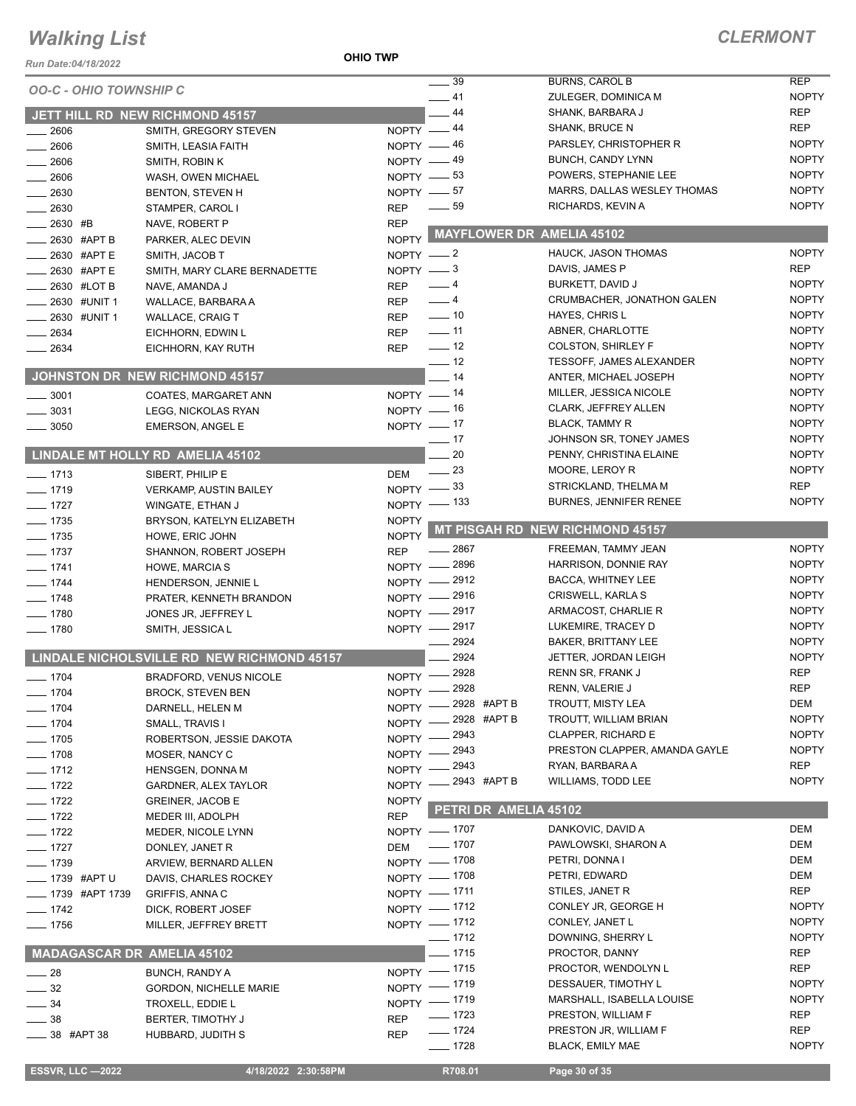#### **OHIO TWP**

| Run Date:04/18/2022               |                                                | <b>UHIU IWP</b> |                             |                                             |                              |
|-----------------------------------|------------------------------------------------|-----------------|-----------------------------|---------------------------------------------|------------------------------|
| <b>OO-C - OHIO TOWNSHIP C</b>     |                                                |                 | $\frac{1}{2}$ 39            | <b>BURNS, CAROL B</b>                       | <b>REP</b>                   |
|                                   |                                                |                 | $-41$                       | ZULEGER, DOMINICA M                         | <b>NOPTY</b>                 |
|                                   | JETT HILL RD NEW RICHMOND 45157                |                 | $-44$                       | SHANK, BARBARA J                            | <b>REP</b>                   |
| 2606                              | SMITH, GREGORY STEVEN                          | NOPTY -44       |                             | SHANK, BRUCE N                              | <b>REP</b>                   |
| 2606                              | SMITH, LEASIA FAITH                            | NOPTY -46       |                             | PARSLEY, CHRISTOPHER R<br>BUNCH, CANDY LYNN | <b>NOPTY</b><br><b>NOPTY</b> |
| $-2606$                           | SMITH, ROBIN K                                 |                 | NOPTY $-49$<br>NOPTY $-$ 53 | POWERS, STEPHANIE LEE                       | <b>NOPTY</b>                 |
| 2606                              | WASH, OWEN MICHAEL                             |                 | NOPTY $-57$                 | MARRS, DALLAS WESLEY THOMAS                 | <b>NOPTY</b>                 |
| 2630                              | <b>BENTON, STEVEN H</b>                        | <b>REP</b>      | $\frac{1}{2}$ 59            | RICHARDS, KEVIN A                           | <b>NOPTY</b>                 |
| 2630<br>_ 2630 #B                 | STAMPER, CAROL I<br>NAVE, ROBERT P             | <b>REP</b>      |                             |                                             |                              |
| _2630 #APT B                      | PARKER, ALEC DEVIN                             | <b>NOPTY</b>    | MAYFLOWER DR AMELIA 45102   |                                             |                              |
| 2630 #APT E                       | SMITH, JACOB T                                 | NOPTY $-2$      |                             | HAUCK, JASON THOMAS                         | <b>NOPTY</b>                 |
| _2630 #APTE                       | SMITH, MARY CLARE BERNADETTE                   | NOPTY $-3$      |                             | DAVIS, JAMES P                              | <b>REP</b>                   |
| 2630 #LOT B                       | NAVE, AMANDA J                                 | <b>REP</b>      | $-4$                        | BURKETT, DAVID J                            | <b>NOPTY</b>                 |
| 2630 #UNIT 1                      | WALLACE, BARBARA A                             | <b>REP</b>      | $-4$                        | CRUMBACHER, JONATHON GALEN                  | <b>NOPTY</b>                 |
| _ 2630 #UNIT 1                    | <b>WALLACE, CRAIG T</b>                        | <b>REP</b>      | $\frac{1}{2}$ 10            | HAYES, CHRIS L                              | <b>NOPTY</b>                 |
| 2634                              | EICHHORN, EDWIN L                              | <b>REP</b>      | $\sim$ 11                   | ABNER, CHARLOTTE                            | <b>NOPTY</b>                 |
| 2634                              | EICHHORN, KAY RUTH                             | REP             | $\frac{1}{2}$               | <b>COLSTON, SHIRLEY F</b>                   | <b>NOPTY</b>                 |
|                                   |                                                |                 | $\frac{1}{2}$ 12            | <b>TESSOFF, JAMES ALEXANDER</b>             | <b>NOPTY</b>                 |
|                                   | JOHNSTON DR NEW RICHMOND 45157                 |                 | $-14$                       | ANTER, MICHAEL JOSEPH                       | <b>NOPTY</b>                 |
| $-3001$                           | COATES, MARGARET ANN                           |                 | NOPTY $-$ 14                | MILLER, JESSICA NICOLE                      | <b>NOPTY</b>                 |
| $-3031$                           | LEGG, NICKOLAS RYAN                            |                 | NOPTY - 16                  | CLARK, JEFFREY ALLEN                        | <b>NOPTY</b>                 |
| $\frac{1}{2}$ 3050                | <b>EMERSON, ANGEL E</b>                        |                 | NOPTY -17                   | <b>BLACK, TAMMY R</b>                       | <b>NOPTY</b>                 |
|                                   |                                                |                 | $\frac{1}{2}$ 17            | JOHNSON SR, TONEY JAMES                     | <b>NOPTY</b>                 |
|                                   | LINDALE MT HOLLY RD AMELIA 45102               |                 | $-20$                       | PENNY, CHRISTINA ELAINE                     | <b>NOPTY</b>                 |
| $- 1713$                          | SIBERT, PHILIP E                               | <b>DEM</b>      | $\frac{1}{2}$ 23            | MOORE, LEROY R                              | <b>NOPTY</b>                 |
| $- 1719$                          | <b>VERKAMP, AUSTIN BAILEY</b>                  |                 | NOPTY $-33$                 | STRICKLAND, THELMA M                        | <b>REP</b>                   |
| $- 1727$                          | WINGATE, ETHAN J                               |                 | NOPTY $-$ 133               | BURNES, JENNIFER RENEE                      | <b>NOPTY</b>                 |
| $- 1735$                          | BRYSON, KATELYN ELIZABETH                      | <b>NOPTY</b>    |                             | <b>MT PISGAH RD NEW RICHMOND 45157</b>      |                              |
| $- 1735$                          | HOWE, ERIC JOHN                                | <b>NOPTY</b>    | $-2867$                     | FREEMAN, TAMMY JEAN                         | <b>NOPTY</b>                 |
| $- 1737$                          | SHANNON, ROBERT JOSEPH                         | <b>REP</b>      | NOPTY - 2896                | HARRISON, DONNIE RAY                        | <b>NOPTY</b>                 |
| $-1741$                           | <b>HOWE, MARCIA S</b>                          |                 | NOPTY - 2912                | BACCA, WHITNEY LEE                          | <b>NOPTY</b>                 |
| $- 1744$<br>$- 1748$              | HENDERSON, JENNIE L                            |                 | NOPTY - 2916                | CRISWELL, KARLA S                           | <b>NOPTY</b>                 |
| $- 1780$                          | PRATER, KENNETH BRANDON<br>JONES JR, JEFFREY L |                 | NOPTY - 2917                | ARMACOST, CHARLIE R                         | <b>NOPTY</b>                 |
| $- 1780$                          | SMITH, JESSICA L                               |                 | NOPTY - 2917                | LUKEMIRE, TRACEY D                          | <b>NOPTY</b>                 |
|                                   |                                                |                 | $-2924$                     | <b>BAKER, BRITTANY LEE</b>                  | <b>NOPTY</b>                 |
|                                   | LINDALE NICHOLSVILLE RD NEW RICHMOND 45157     |                 | 2924                        | JETTER, JORDAN LEIGH                        | <b>NOPTY</b>                 |
| $- 1704$                          | <b>BRADFORD, VENUS NICOLE</b>                  |                 | NOPTY -2928                 | RENN SR, FRANK J                            | <b>REP</b>                   |
| $- 1704$                          | <b>BROCK, STEVEN BEN</b>                       |                 | NOPTY - 2928                | RENN, VALERIE J                             | <b>REP</b>                   |
| $- 1704$                          | DARNELL, HELEN M                               | NOPTY -         | 2928 #APT B                 | TROUTT, MISTY LEA                           | DEM                          |
| $- 1704$                          | SMALL, TRAVIS I                                | NOPTY -         | 2928 #APT B                 | TROUTT, WILLIAM BRIAN                       | <b>NOPTY</b>                 |
| $- 1705$                          | ROBERTSON, JESSIE DAKOTA                       | NOPTY -         | - 2943                      | <b>CLAPPER, RICHARD E</b>                   | <b>NOPTY</b>                 |
| $- 1708$                          | MOSER, NANCY C                                 | $NOPTY -$       | _ 2943                      | PRESTON CLAPPER, AMANDA GAYLE               | <b>NOPTY</b>                 |
| $- 1712$                          | HENSGEN, DONNA M                               | NOPTY -         | - 2943                      | RYAN, BARBARA A                             | REP                          |
| $- 1722$                          | GARDNER, ALEX TAYLOR                           | $NOPTY -$       | _ 2943 #APT B               | <b>WILLIAMS, TODD LEE</b>                   | <b>NOPTY</b>                 |
| $- 1722$                          | <b>GREINER, JACOB E</b>                        | <b>NOPTY</b>    |                             |                                             |                              |
| $- 1722$                          | MEDER III, ADOLPH                              | <b>REP</b>      | PETRI DR AMELIA 45102       |                                             |                              |
| $- 1722$                          | MEDER, NICOLE LYNN                             |                 | NOPTY - 1707                | DANKOVIC, DAVID A                           | DEM                          |
| $- 1727$                          | DONLEY, JANET R                                | DEM             | $- 1707$                    | PAWLOWSKI, SHARON A                         | DEM                          |
| $- 1739$                          | ARVIEW, BERNARD ALLEN                          |                 | NOPTY - 1708                | PETRI, DONNA I                              | DEM                          |
| ____ 1739 #APT U                  | DAVIS, CHARLES ROCKEY                          |                 | NOPTY - 1708                | PETRI, EDWARD                               | DEM                          |
| __ 1739 #APT 1739                 | GRIFFIS, ANNA C                                |                 | NOPTY - 1711                | STILES, JANET R                             | REP                          |
| $- 1742$                          | DICK, ROBERT JOSEF                             |                 | NOPTY -1712                 | CONLEY JR, GEORGE H<br>CONLEY, JANET L      | <b>NOPTY</b><br><b>NOPTY</b> |
| $- 1756$                          | MILLER, JEFFREY BRETT                          |                 | NOPTY - 1712<br>$- 1712$    | DOWNING, SHERRY L                           | <b>NOPTY</b>                 |
| <b>MADAGASCAR DR AMELIA 45102</b> |                                                |                 | $-1715$                     | PROCTOR, DANNY                              | <b>REP</b>                   |
|                                   |                                                |                 | NOPTY - 1715                | PROCTOR, WENDOLYN L                         | <b>REP</b>                   |
| $\_\_\_\$ 28                      | <b>BUNCH, RANDY A</b>                          |                 | NOPTY - 1719                | DESSAUER, TIMOTHY L                         | <b>NOPTY</b>                 |
| $\frac{1}{2}$ 32<br>$-34$         | <b>GORDON, NICHELLE MARIE</b>                  |                 | NOPTY - 1719                | MARSHALL, ISABELLA LOUISE                   | <b>NOPTY</b>                 |
| $-38$                             | TROXELL, EDDIE L<br>BERTER, TIMOTHY J          | <b>REP</b>      | $- 1723$                    | PRESTON, WILLIAM F                          | <b>REP</b>                   |
| <sub>_</sub> __ 38 #APT 38        | HUBBARD, JUDITH S                              | <b>REP</b>      | $- 1724$                    | PRESTON JR, WILLIAM F                       | <b>REP</b>                   |
|                                   |                                                |                 | $- 1728$                    | <b>BLACK, EMILY MAE</b>                     | <b>NOPTY</b>                 |
|                                   |                                                |                 |                             |                                             |                              |
| <b>ESSVR, LLC -2022</b>           | 4/18/2022 2:30:58PM                            |                 | R708.01                     | Page 30 of 35                               |                              |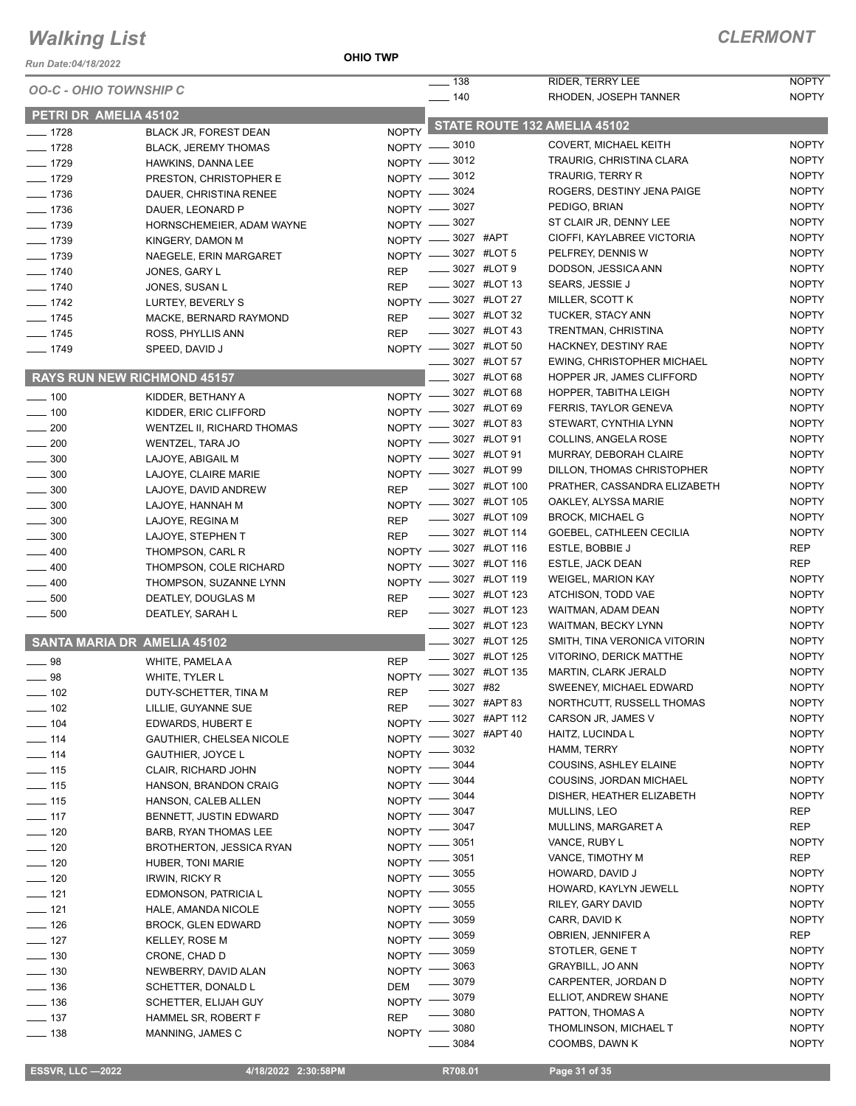*Run Date:04/18/2022*

**OHIO TWP**

|                               |                                    |              | $\overline{\phantom{0}}$ 138                | <b>RIDER, TERRY LEE</b>                   | <b>NOPTY</b>                 |
|-------------------------------|------------------------------------|--------------|---------------------------------------------|-------------------------------------------|------------------------------|
| <b>OO-C - OHIO TOWNSHIP C</b> |                                    |              | $- 140$                                     | RHODEN, JOSEPH TANNER                     | <b>NOPTY</b>                 |
| PETRI DR AMELIA 45102         |                                    |              |                                             |                                           |                              |
| $- 1728$                      | BLACK JR, FOREST DEAN              | <b>NOPTY</b> |                                             | STATE ROUTE 132 AMELIA 45102              |                              |
| $- 1728$                      | <b>BLACK, JEREMY THOMAS</b>        |              | NOPTY -8010                                 | COVERT, MICHAEL KEITH                     | <b>NOPTY</b>                 |
| $-1729$                       | HAWKINS, DANNA LEE                 |              | NOPTY -8012                                 | TRAURIG, CHRISTINA CLARA                  | <b>NOPTY</b>                 |
| $-1729$                       | PRESTON, CHRISTOPHER E             |              | NOPTY -8012                                 | TRAURIG, TERRY R                          | <b>NOPTY</b>                 |
| $-1736$                       | DAUER, CHRISTINA RENEE             |              | NOPTY -8024                                 | ROGERS, DESTINY JENA PAIGE                | <b>NOPTY</b>                 |
| $- 1736$                      | DAUER, LEONARD P                   |              | NOPTY -8027                                 | PEDIGO, BRIAN                             | <b>NOPTY</b>                 |
| $- 1739$                      | HORNSCHEMEIER, ADAM WAYNE          |              | NOPTY -8027                                 | ST CLAIR JR, DENNY LEE                    | <b>NOPTY</b>                 |
| $- 1739$                      | KINGERY, DAMON M                   |              | NOPTY -8027 #APT                            | CIOFFI, KAYLABREE VICTORIA                | <b>NOPTY</b>                 |
| $- 1739$                      | NAEGELE, ERIN MARGARET             |              | NOPTY -8027 #LOT 5                          | PELFREY, DENNIS W                         | <b>NOPTY</b>                 |
| $- 1740$                      | JONES, GARY L                      | <b>REP</b>   | -8027 #LOT 9                                | DODSON, JESSICA ANN                       | <b>NOPTY</b>                 |
| $- 1740$                      | JONES, SUSAN L                     | <b>REP</b>   | <b>_____</b> 3027 #LOT 13                   | SEARS, JESSIE J                           | <b>NOPTY</b>                 |
| $- 1742$                      | LURTEY, BEVERLY S                  |              | NOPTY -8027 #LOT 27                         | MILLER, SCOTT K                           | <b>NOPTY</b>                 |
| $- 1745$                      | MACKE, BERNARD RAYMOND             | <b>REP</b>   | 3027 #LOT 32                                | TUCKER, STACY ANN                         | <b>NOPTY</b>                 |
| $- 1745$                      | ROSS, PHYLLIS ANN                  | <b>REP</b>   | $\frac{1}{2}$ 3027 #LOT 43                  | TRENTMAN, CHRISTINA                       | <b>NOPTY</b>                 |
| $- 1749$                      | SPEED, DAVID J                     |              | NOPTY -8027 #LOT 50                         | HACKNEY, DESTINY RAE                      | <b>NOPTY</b>                 |
|                               |                                    |              | 3027 #LOT 57                                | EWING, CHRISTOPHER MICHAEL                | <b>NOPTY</b>                 |
|                               | <b>RAYS RUN NEW RICHMOND 45157</b> |              | 3027 #LOT 68                                | HOPPER JR, JAMES CLIFFORD                 | <b>NOPTY</b>                 |
| $- 100$                       | KIDDER, BETHANY A                  | $NOPTY$ —    | 3027 #LOT 68                                | HOPPER, TABITHA LEIGH                     | <b>NOPTY</b>                 |
| $-100$                        | KIDDER, ERIC CLIFFORD              | $N$ OPTY $-$ | 3027 #LOT 69                                | FERRIS, TAYLOR GENEVA                     | <b>NOPTY</b>                 |
| $\sim$ 200                    | <b>WENTZEL II, RICHARD THOMAS</b>  | $NOPTY =$    | 3027 #LOT 83                                | STEWART, CYNTHIA LYNN                     | <b>NOPTY</b>                 |
| $-200$                        | WENTZEL, TARA JO                   | $N$ OPTY $-$ | _3027 #LOT 91                               | COLLINS, ANGELA ROSE                      | <b>NOPTY</b>                 |
| 300                           | LAJOYE, ABIGAIL M                  |              | NOPTY -8027 #LOT 91                         | MURRAY, DEBORAH CLAIRE                    | <b>NOPTY</b>                 |
| 300                           | LAJOYE, CLAIRE MARIE               | $N$ OPTY $-$ | 3027 #LOT 99                                | DILLON, THOMAS CHRISTOPHER                | <b>NOPTY</b>                 |
| $\frac{1}{2}$ 300             | LAJOYE, DAVID ANDREW               | <b>REP</b>   | 3027 #LOT 100                               | PRATHER, CASSANDRA ELIZABETH              | <b>NOPTY</b>                 |
| $\frac{1}{2}$ 300             | LAJOYE, HANNAH M                   | $NOPTY$ —    | 3027 #LOT 105                               | OAKLEY, ALYSSA MARIE                      | <b>NOPTY</b>                 |
| $-300$                        | LAJOYE, REGINA M                   | <b>REP</b>   | 3027 #LOT 109                               | <b>BROCK, MICHAEL G</b>                   | <b>NOPTY</b>                 |
| $\frac{1}{2}$ 300             | LAJOYE, STEPHEN T                  | <b>REP</b>   | 3027 #LOT 114                               | GOEBEL, CATHLEEN CECILIA                  | <b>NOPTY</b>                 |
| $= 400$                       | THOMPSON, CARL R                   | $N$ OPTY $-$ | 3027 #LOT 116                               | ESTLE, BOBBIE J                           | <b>REP</b>                   |
| 400                           | THOMPSON, COLE RICHARD             | $N$ OPTY $-$ | 3027 #LOT 116                               | ESTLE, JACK DEAN                          | <b>REP</b>                   |
| 400                           | THOMPSON, SUZANNE LYNN             | $NOPTY -$    | 3027 #LOT 119                               | <b>WEIGEL, MARION KAY</b>                 | <b>NOPTY</b>                 |
| 500                           | DEATLEY, DOUGLAS M                 | <b>REP</b>   | 3027 #LOT 123                               | ATCHISON, TODD VAE                        | <b>NOPTY</b><br><b>NOPTY</b> |
| 500                           | DEATLEY, SARAH L                   | <b>REP</b>   | <b>_____</b> 3027 #LOT 123<br>3027 #LOT 123 | WAITMAN, ADAM DEAN<br>WAITMAN, BECKY LYNN | <b>NOPTY</b>                 |
|                               |                                    |              | 3027 #LOT 125                               | SMITH, TINA VERONICA VITORIN              | <b>NOPTY</b>                 |
|                               | SANTA MARIA DR AMELIA 45102        |              | 3027 #LOT 125                               | VITORINO, DERICK MATTHE                   | <b>NOPTY</b>                 |
| $\equiv$ 98                   | WHITE, PAMELA A                    | <b>REP</b>   | 3027 #LOT 135                               | <b>MARTIN, CLARK JERALD</b>               | <b>NOPTY</b>                 |
| $\frac{1}{2}$ 98              | WHITE, TYLER L                     | <b>NOPTY</b> | $- 3027$ #82                                | SWEENEY, MICHAEL EDWARD                   | <b>NOPTY</b>                 |
| _ 102                         | DUTY-SCHETTER, TINA M              | <b>REP</b>   | 3027 #APT 83                                | NORTHCUTT, RUSSELL THOMAS                 | <b>NOPTY</b>                 |
| $=$ 102                       | LILLIE, GUYANNE SUE                | <b>REP</b>   | 3027 #APT 112                               | CARSON JR, JAMES V                        | <b>NOPTY</b>                 |
| $-104$                        | EDWARDS, HUBERT E                  | <b>NOPTY</b> | 3027 #APT 40                                | HAITZ, LUCINDA L                          | <b>NOPTY</b>                 |
| $\frac{1}{2}$ 114             | GAUTHIER, CHELSEA NICOLE           | <b>NOPTY</b> | 3032                                        | HAMM, TERRY                               | <b>NOPTY</b>                 |
| $- 114$                       | <b>GAUTHIER, JOYCE L</b>           | <b>NOPTY</b> | 3044                                        | COUSINS, ASHLEY ELAINE                    | <b>NOPTY</b>                 |
| $\frac{1}{2}$ 115             | CLAIR, RICHARD JOHN                | <b>NOPTY</b> | 3044                                        | COUSINS, JORDAN MICHAEL                   | <b>NOPTY</b>                 |
| $\frac{1}{15}$                | HANSON, BRANDON CRAIG              | <b>NOPTY</b> | 3044                                        | DISHER, HEATHER ELIZABETH                 | <b>NOPTY</b>                 |
| $\frac{1}{15}$                | HANSON, CALEB ALLEN                | <b>NOPTY</b> | 3047                                        | MULLINS, LEO                              | <b>REP</b>                   |
| $\frac{1}{2}$ 117             | BENNETT, JUSTIN EDWARD             | NOPTY -      | 3047                                        | MULLINS, MARGARET A                       | REP                          |
| $- 120$                       | BARB, RYAN THOMAS LEE              | NOPTY -      | 3051                                        | VANCE, RUBY L                             | <b>NOPTY</b>                 |
| $\frac{1}{2}$ 120             | <b>BROTHERTON, JESSICA RYAN</b>    | <b>NOPTY</b> | 3051                                        | VANCE, TIMOTHY M                          | <b>REP</b>                   |
| $- 120$                       | HUBER, TONI MARIE                  | <b>NOPTY</b> | 3055                                        | HOWARD, DAVID J                           | <b>NOPTY</b>                 |
| $\frac{1}{2}$ 120             | <b>IRWIN, RICKY R</b>              | <b>NOPTY</b> | 3055                                        | HOWARD, KAYLYN JEWELL                     | <b>NOPTY</b>                 |
| $- 121$                       | EDMONSON, PATRICIA L               | <b>NOPTY</b> | 3055                                        | RILEY, GARY DAVID                         | <b>NOPTY</b>                 |
| $- 121$                       | HALE, AMANDA NICOLE                | <b>NOPTY</b> | 3059                                        | CARR, DAVID K                             | <b>NOPTY</b>                 |
| $-126$                        | <b>BROCK, GLEN EDWARD</b>          | <b>NOPTY</b> | 3059                                        | OBRIEN, JENNIFER A                        | REP                          |
| $- 127$                       | KELLEY, ROSE M                     | <b>NOPTY</b> | 3059                                        | STOTLER, GENE T                           | <b>NOPTY</b>                 |
| $- 130$                       | CRONE, CHAD D                      | <b>NOPTY</b> | 3063                                        | <b>GRAYBILL, JO ANN</b>                   | <b>NOPTY</b>                 |
| $\frac{1}{2}$ 130             | NEWBERRY, DAVID ALAN               | <b>NOPTY</b> | 3079                                        | CARPENTER, JORDAN D                       | <b>NOPTY</b>                 |
| $\frac{1}{2}$ 136             | SCHETTER, DONALD L                 | <b>DEM</b>   | 3079                                        | ELLIOT, ANDREW SHANE                      | <b>NOPTY</b>                 |
| $\frac{1}{2}$ 136             | SCHETTER, ELIJAH GUY               | <b>NOPTY</b> | 3080                                        | PATTON, THOMAS A                          | <b>NOPTY</b>                 |
| $\frac{1}{2}$ 137             | HAMMEL SR, ROBERT F                | <b>REP</b>   | 3080                                        | THOMLINSON, MICHAEL T                     | <b>NOPTY</b>                 |
| $- 138$                       | MANNING, JAMES C                   | NOPTY -      | 3084                                        | COOMBS, DAWN K                            | <b>NOPTY</b>                 |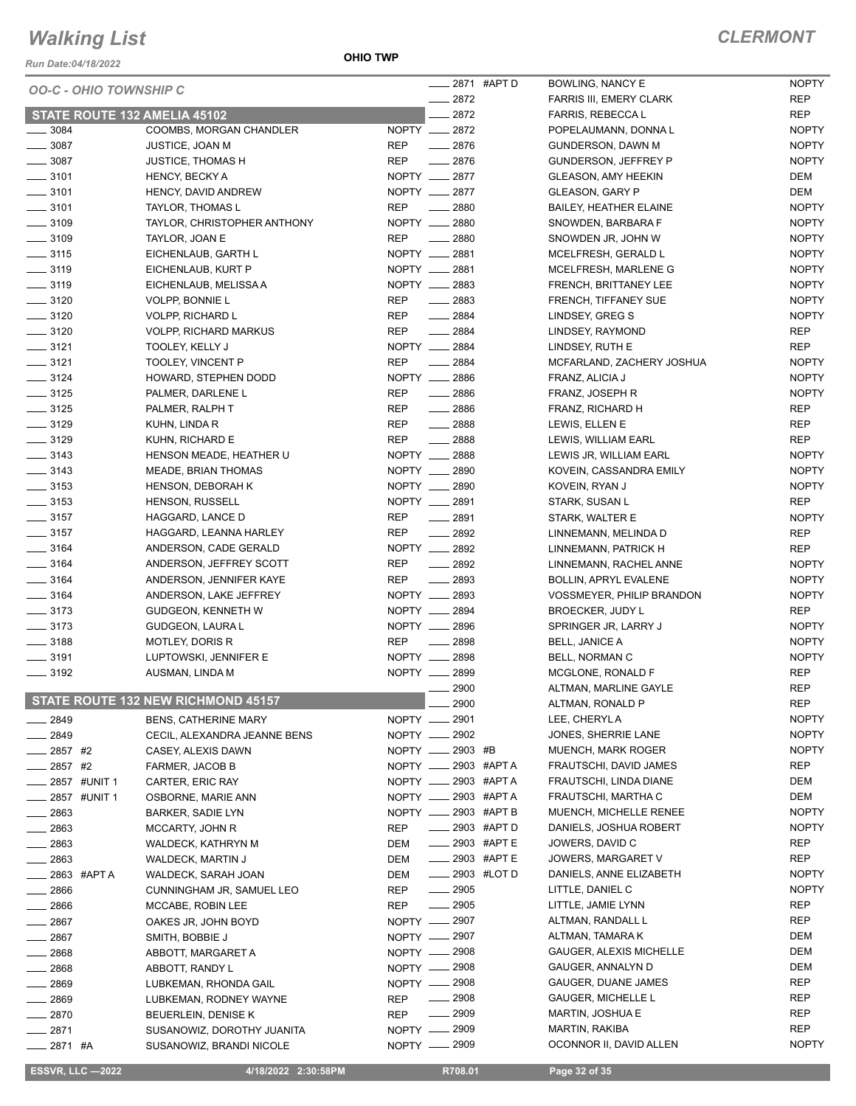*Run Date:04/18/2022*

|                                          |                                    |                             | ____ 2871 #APT D        | <b>BOWLING, NANCY E</b>        | <b>NOPTY</b> |
|------------------------------------------|------------------------------------|-----------------------------|-------------------------|--------------------------------|--------------|
|                                          | <b>OO-C - OHIO TOWNSHIP C</b>      |                             | $\frac{2872}{2}$        | <b>FARRIS III, EMERY CLARK</b> | <b>REP</b>   |
|                                          | STATE ROUTE 132 AMELIA 45102       |                             | $-2872$                 | FARRIS, REBECCA L              | <b>REP</b>   |
| $\frac{1}{2}$ 3084                       | COOMBS, MORGAN CHANDLER            | NOPTY __ 2872               |                         | POPELAUMANN, DONNAL            | <b>NOPTY</b> |
| $\frac{1}{2}$ 3087                       | JUSTICE, JOAN M                    | <b>REP</b>                  | $-2876$                 |                                | <b>NOPTY</b> |
| $\frac{1}{2}$ 3087                       |                                    | <b>REP</b>                  | $-2876$                 | <b>GUNDERSON, DAWN M</b>       |              |
|                                          | <b>JUSTICE, THOMAS H</b>           |                             |                         | <b>GUNDERSON, JEFFREY P</b>    | <b>NOPTY</b> |
| $- 3101$                                 | <b>HENCY, BECKY A</b>              | NOPTY __ 2877               |                         | <b>GLEASON, AMY HEEKIN</b>     | DEM          |
| $\frac{1}{2}$ 3101                       | HENCY, DAVID ANDREW                | NOPTY __ 2877               |                         | <b>GLEASON, GARY P</b>         | DEM          |
| $\frac{1}{2}$ 3101                       | TAYLOR, THOMAS L                   | <b>REP</b><br>$\frac{1}{2}$ | 2880                    | <b>BAILEY, HEATHER ELAINE</b>  | <b>NOPTY</b> |
| $\frac{1}{2}$ 3109                       | TAYLOR, CHRISTOPHER ANTHONY        | NOPTY __ 2880               |                         | SNOWDEN, BARBARA F             | <b>NOPTY</b> |
| $\frac{1}{2}$ 3109                       | TAYLOR, JOAN E                     | <b>REP</b>                  | $- 2880$                | SNOWDEN JR, JOHN W             | <b>NOPTY</b> |
| $- 3115$                                 | EICHENLAUB, GARTH L                | NOPTY __ 2881               |                         | MCELFRESH, GERALD L            | <b>NOPTY</b> |
| $\frac{1}{2}$ 3119                       | EICHENLAUB, KURT P                 | NOPTY __ 2881               |                         | MCELFRESH, MARLENE G           | <b>NOPTY</b> |
| $\frac{1}{2}$ 3119                       | EICHENLAUB, MELISSA A              | NOPTY __ 2883               |                         | FRENCH, BRITTANEY LEE          | <b>NOPTY</b> |
| $\frac{1}{2}$ 3120                       | <b>VOLPP, BONNIE L</b>             | <b>REP</b>                  | $\frac{1}{2883}$        | FRENCH, TIFFANEY SUE           | <b>NOPTY</b> |
| $\frac{1}{2}$ 3120                       | <b>VOLPP, RICHARD L</b>            | <b>REP</b>                  | $- 2884$                | LINDSEY, GREG S                | <b>NOPTY</b> |
| $\frac{1}{2}$ 3120                       | <b>VOLPP, RICHARD MARKUS</b>       | <b>REP</b>                  | $\frac{1}{2884}$        | LINDSEY, RAYMOND               | <b>REP</b>   |
| $- 3121$                                 | TOOLEY, KELLY J                    | NOPTY __ 2884               |                         | LINDSEY, RUTH E                | <b>REP</b>   |
| $- 3121$                                 | TOOLEY, VINCENT P                  | <b>REP</b>                  | $\frac{1}{2884}$        | MCFARLAND, ZACHERY JOSHUA      | <b>NOPTY</b> |
| $- 3124$                                 | HOWARD, STEPHEN DODD               | NOPTY __ 2886               |                         | FRANZ, ALICIA J                | <b>NOPTY</b> |
| $- 3125$                                 | PALMER, DARLENE L                  | <b>REP</b>                  | $- 2886$                | FRANZ, JOSEPH R                | <b>NOPTY</b> |
| $\frac{1}{2}$ 3125                       | PALMER, RALPH T                    | <b>REP</b>                  | $-2886$                 | FRANZ, RICHARD H               | <b>REP</b>   |
| $\frac{1}{2}$ 3129                       | KUHN, LINDA R                      | <b>REP</b>                  | $\frac{1}{2888}$        | LEWIS, ELLEN E                 | <b>REP</b>   |
| $\frac{1}{2}$ 3129                       | KUHN, RICHARD E                    | <b>REP</b>                  | $-2888$                 | LEWIS, WILLIAM EARL            | <b>REP</b>   |
| $\frac{1}{2}$ 3143                       | HENSON MEADE, HEATHER U            | NOPTY __ 2888               |                         | LEWIS JR, WILLIAM EARL         | <b>NOPTY</b> |
| $\frac{1}{2}$ 3143                       | <b>MEADE, BRIAN THOMAS</b>         | NOPTY __ 2890               |                         | KOVEIN, CASSANDRA EMILY        | <b>NOPTY</b> |
| $\frac{1}{2}$ 3153                       | HENSON, DEBORAH K                  | NOPTY __ 2890               |                         | KOVEIN, RYAN J                 | <b>NOPTY</b> |
|                                          |                                    | NOPTY __ 2891               |                         |                                | <b>REP</b>   |
| $\frac{1}{2}$ 3153<br>$\frac{1}{2}$ 3157 | HENSON, RUSSELL                    | $\frac{1}{2}$               | 2891                    | STARK, SUSAN L                 | <b>NOPTY</b> |
|                                          | HAGGARD, LANCE D                   | REP                         |                         | STARK, WALTER E                |              |
| $\frac{1}{2}$ 3157                       | HAGGARD, LEANNA HARLEY             | <b>REP</b>                  | $\frac{1}{2892}$        | LINNEMANN, MELINDA D           | <b>REP</b>   |
| $- 3164$                                 | ANDERSON, CADE GERALD              | NOPTY __ 2892               |                         | LINNEMANN, PATRICK H           | <b>REP</b>   |
| $- 3164$                                 | ANDERSON, JEFFREY SCOTT            | <b>REP</b>                  | $\frac{1}{2892}$        | LINNEMANN, RACHEL ANNE         | <b>NOPTY</b> |
| $- 3164$                                 | ANDERSON, JENNIFER KAYE            | <b>REP</b>                  | $\frac{1}{2893}$        | <b>BOLLIN, APRYL EVALENE</b>   | <b>NOPTY</b> |
| $- 3164$                                 | ANDERSON, LAKE JEFFREY             | NOPTY __ 2893               |                         | VOSSMEYER, PHILIP BRANDON      | <b>NOPTY</b> |
| $\frac{1}{2}$ 3173                       | <b>GUDGEON, KENNETH W</b>          | NOPTY __ 2894               |                         | <b>BROECKER, JUDY L</b>        | <b>REP</b>   |
| $- 3173$                                 | GUDGEON, LAURA L                   | NOPTY __ 2896               |                         | SPRINGER JR, LARRY J           | <b>NOPTY</b> |
| $\frac{1}{2}$ 3188                       | MOTLEY, DORIS R                    | <b>REP</b>                  | 2898                    | <b>BELL, JANICE A</b>          | <b>NOPTY</b> |
| $\frac{1}{2}$ 3191                       | LUPTOWSKI, JENNIFER E              | NOPTY __ 2898               |                         | <b>BELL, NORMAN C</b>          | <b>NOPTY</b> |
| $- 3192$                                 | AUSMAN, LINDA M                    | NOPTY __                    | 2899                    | MCGLONE, RONALD F              | <b>REP</b>   |
|                                          |                                    |                             | 2900                    | ALTMAN, MARLINE GAYLE          | <b>REP</b>   |
|                                          | STATE ROUTE 132 NEW RICHMOND 45157 |                             | 2900                    | ALTMAN, RONALD P               | REP          |
| 2849                                     | <b>BENS, CATHERINE MARY</b>        | NOPTY -                     | 2901                    | LEE, CHERYLA                   | <b>NOPTY</b> |
| $-2849$                                  | CECIL, ALEXANDRA JEANNE BENS       | NOPTY —                     | 2902                    | JONES, SHERRIE LANE            | <b>NOPTY</b> |
| _ 2857 #2                                | CASEY, ALEXIS DAWN                 | NOPTY __                    | 2903 #B                 | MUENCH, MARK ROGER             | <b>NOPTY</b> |
| $-2857$ #2                               | FARMER, JACOB B                    |                             | NOPTY __ 2903 #APTA     | FRAUTSCHI, DAVID JAMES         | <b>REP</b>   |
| _ 2857 #UNIT 1                           | CARTER, ERIC RAY                   |                             | NOPTY __ 2903 #APTA     | FRAUTSCHI, LINDA DIANE         | DEM          |
| ____ 2857 #UNIT 1                        | OSBORNE, MARIE ANN                 |                             | NOPTY __ 2903 #APTA     | FRAUTSCHI, MARTHA C            | DEM          |
| ____ 2863                                | <b>BARKER, SADIE LYN</b>           |                             | NOPTY __ 2903 #APT B    | MUENCH, MICHELLE RENEE         | <b>NOPTY</b> |
| $-2863$                                  | MCCARTY, JOHN R                    | REP                         | 2903 #APT D             | DANIELS, JOSHUA ROBERT         | <b>NOPTY</b> |
| $\frac{1}{2863}$                         | <b>WALDECK, KATHRYN M</b>          | DEM                         | 2903 #APT E             | JOWERS, DAVID C                | REP          |
| $-2863$                                  | WALDECK, MARTIN J                  | DEM                         | $\frac{1}{2903}$ #APT E | <b>JOWERS, MARGARET V</b>      | <b>REP</b>   |
| _2863 #APTA                              | WALDECK, SARAH JOAN                | DEM                         | $\frac{1}{2903}$ #LOT D | DANIELS, ANNE ELIZABETH        | <b>NOPTY</b> |
|                                          |                                    |                             | $-2905$                 | LITTLE, DANIEL C               | <b>NOPTY</b> |
| $-2866$                                  | CUNNINGHAM JR, SAMUEL LEO          | REP                         | 2905                    |                                | <b>REP</b>   |
| $-2866$                                  | MCCABE, ROBIN LEE                  | REP                         |                         | LITTLE, JAMIE LYNN             |              |
| $= 2867$                                 | OAKES JR, JOHN BOYD                | NOPTY - 2907                |                         | ALTMAN, RANDALL L              | REP          |
| $-2867$                                  | SMITH, BOBBIE J                    | NOPTY __ 2907               |                         | ALTMAN, TAMARA K               | DEM          |
| $-2868$                                  | ABBOTT, MARGARET A                 | NOPTY -                     | 2908                    | GAUGER, ALEXIS MICHELLE        | DEM          |
| _ 2868                                   | ABBOTT, RANDY L                    | NOPTY - 2908                |                         | GAUGER, ANNALYN D              | DEM          |
| $=$ 2869                                 | LUBKEMAN, RHONDA GAIL              | NOPTY __ 2908               |                         | GAUGER, DUANE JAMES            | REP          |
| $-2869$                                  | LUBKEMAN, RODNEY WAYNE             | REP                         | $\frac{1}{2908}$        | <b>GAUGER, MICHELLE L</b>      | REP          |
| $- 2870$                                 | BEUERLEIN, DENISE K                | REP                         | $- 2909$                | MARTIN, JOSHUA E               | <b>REP</b>   |
| $-2871$                                  | SUSANOWIZ, DOROTHY JUANITA         | NOPTY __ 2909               |                         | MARTIN, RAKIBA                 | REP          |
| <sub>—</sub> 2871 #A                     | SUSANOWIZ, BRANDI NICOLE           | NOPTY - 2909                |                         | OCONNOR II, DAVID ALLEN        | <b>NOPTY</b> |

**ESSVR, LLC -2022 4/18/2022 2:30:58PM** R708.01 **Page 32 of 35**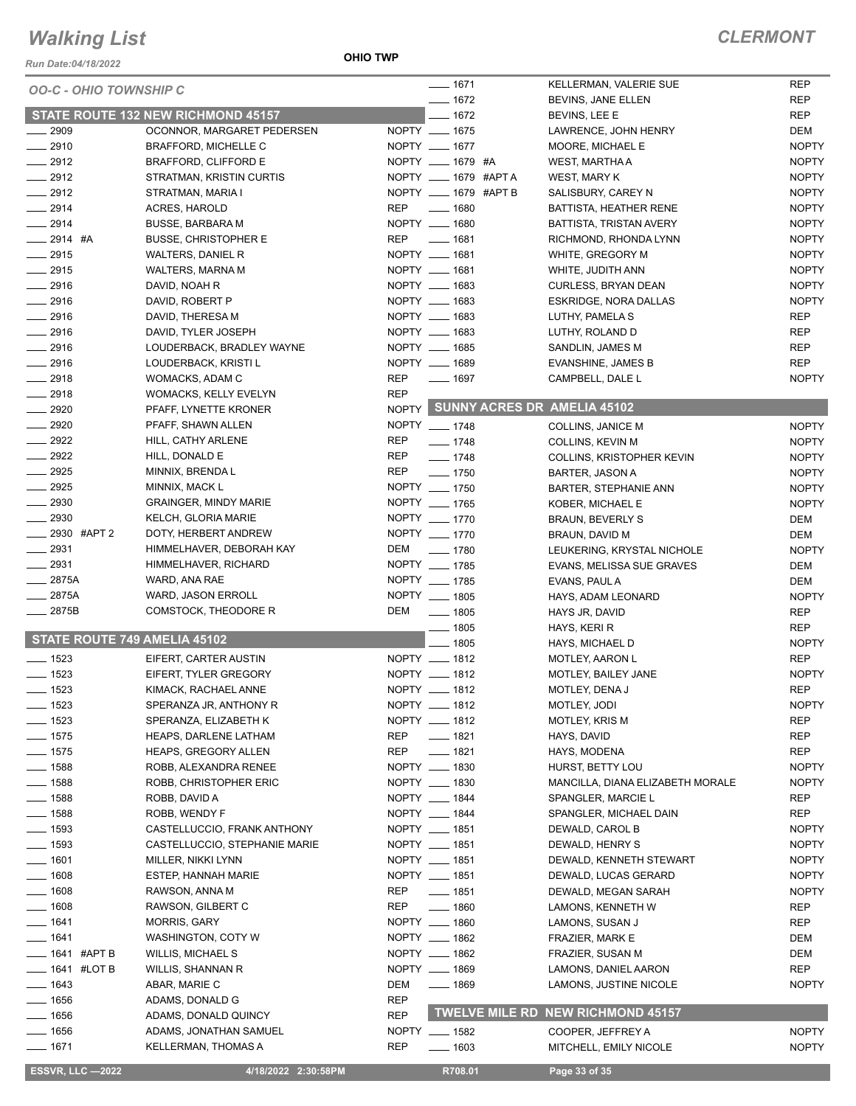#### *Run Date:04/18/2022*

#### **OHIO TWP**

|                               |                                                           |            | $- 1671$                       | KELLERMAN, VALERIE SUE            | <b>REP</b>   |
|-------------------------------|-----------------------------------------------------------|------------|--------------------------------|-----------------------------------|--------------|
| <b>OO-C - OHIO TOWNSHIP C</b> |                                                           |            | $- 1672$                       | BEVINS, JANE ELLEN                | <b>REP</b>   |
|                               | <b>STATE ROUTE 132 NEW RICHMOND 45157</b>                 |            | $-1672$                        | BEVINS, LEE E                     | <b>REP</b>   |
| 2909                          |                                                           |            |                                |                                   | <b>DEM</b>   |
| $-2910$                       | OCONNOR, MARGARET PEDERSEN<br><b>BRAFFORD, MICHELLE C</b> |            | NOPTY __ 1675<br>NOPTY __ 1677 | LAWRENCE, JOHN HENRY              | <b>NOPTY</b> |
| $-2912$                       |                                                           |            |                                | MOORE, MICHAEL E                  |              |
|                               | BRAFFORD, CLIFFORD E                                      |            | NOPTY __ 1679 #A               | WEST, MARTHA A                    | <b>NOPTY</b> |
| $\frac{2912}{ }$              | STRATMAN, KRISTIN CURTIS                                  |            | NOPTY __ 1679 #APTA            | WEST, MARY K                      | <b>NOPTY</b> |
| $\frac{1}{2912}$              | STRATMAN, MARIA I                                         |            | NOPTY __ 1679 #APT B           | SALISBURY, CAREY N                | <b>NOPTY</b> |
| $-2914$                       | <b>ACRES, HAROLD</b>                                      | <b>REP</b> | $\frac{1}{2}$ 1680             | BATTISTA, HEATHER RENE            | <b>NOPTY</b> |
| $-2914$                       | <b>BUSSE, BARBARA M</b>                                   |            | NOPTY __ 1680                  | BATTISTA, TRISTAN AVERY           | <b>NOPTY</b> |
| $-2914$ #A                    | <b>BUSSE, CHRISTOPHER E</b>                               | REP        | <u>_</u> ____ 1681             | RICHMOND, RHONDA LYNN             | <b>NOPTY</b> |
| $-2915$                       | WALTERS, DANIEL R                                         |            | NOPTY __ 1681                  | WHITE, GREGORY M                  | <b>NOPTY</b> |
| $-2915$                       | WALTERS, MARNA M                                          |            | NOPTY __ 1681                  | WHITE, JUDITH ANN                 | <b>NOPTY</b> |
| $-2916$                       | DAVID, NOAH R                                             |            | NOPTY __ 1683                  | <b>CURLESS, BRYAN DEAN</b>        | <b>NOPTY</b> |
| $-2916$                       | DAVID, ROBERT P                                           |            | NOPTY __ 1683                  | ESKRIDGE, NORA DALLAS             | <b>NOPTY</b> |
| $\frac{1}{2916}$              | DAVID, THERESA M                                          |            | NOPTY __ 1683                  | LUTHY, PAMELA S                   | <b>REP</b>   |
| $-2916$                       | DAVID, TYLER JOSEPH                                       |            | NOPTY __ 1683                  | LUTHY, ROLAND D                   | <b>REP</b>   |
| $-2916$                       | LOUDERBACK, BRADLEY WAYNE                                 |            | NOPTY __ 1685                  | SANDLIN, JAMES M                  | <b>REP</b>   |
| $-2916$                       | LOUDERBACK, KRISTI L                                      |            | NOPTY __ 1689                  | EVANSHINE, JAMES B                | <b>REP</b>   |
| $-2918$                       | WOMACKS, ADAM C                                           | <b>REP</b> | $- 1697$                       | CAMPBELL, DALE L                  | <b>NOPTY</b> |
| $-2918$                       | WOMACKS, KELLY EVELYN                                     | <b>REP</b> |                                |                                   |              |
| 2920                          | PFAFF, LYNETTE KRONER                                     |            |                                | NOPTY SUNNY ACRES DR AMELIA 45102 |              |
| $-2920$                       |                                                           |            | NOPTY __ 1748                  |                                   | <b>NOPTY</b> |
|                               | PFAFF, SHAWN ALLEN                                        |            |                                | COLLINS, JANICE M                 |              |
| $\frac{1}{2922}$              | HILL, CATHY ARLENE                                        | <b>REP</b> | $- 1748$                       | <b>COLLINS, KEVIN M</b>           | <b>NOPTY</b> |
| $\frac{1}{2922}$              | HILL, DONALD E                                            | REP        | $- 1748$                       | COLLINS, KRISTOPHER KEVIN         | <b>NOPTY</b> |
| $-2925$                       | MINNIX, BRENDA L                                          | REP        | $- 1750$                       | <b>BARTER, JASON A</b>            | <b>NOPTY</b> |
| 2925                          | MINNIX, MACK L                                            |            | NOPTY __ 1750                  | BARTER, STEPHANIE ANN             | <b>NOPTY</b> |
| $\frac{1}{2930}$              | <b>GRAINGER, MINDY MARIE</b>                              |            | NOPTY __ 1765                  | KOBER, MICHAEL E                  | <b>NOPTY</b> |
| 2930                          | KELCH, GLORIA MARIE                                       |            | NOPTY __ 1770                  | <b>BRAUN, BEVERLY S</b>           | DEM          |
| 2930 #APT 2                   | DOTY, HERBERT ANDREW                                      |            | NOPTY __ 1770                  | BRAUN, DAVID M                    | DEM          |
| $-2931$                       | HIMMELHAVER, DEBORAH KAY                                  | DEM        | $\frac{1}{2}$ 1780             | LEUKERING, KRYSTAL NICHOLE        | <b>NOPTY</b> |
| 2931                          | HIMMELHAVER, RICHARD                                      |            | NOPTY __ 1785                  | EVANS, MELISSA SUE GRAVES         | DEM          |
| $-2875A$                      | WARD, ANA RAE                                             |            | NOPTY __ 1785                  | EVANS, PAUL A                     | DEM          |
| 2875A                         | WARD, JASON ERROLL                                        |            | NOPTY __ 1805                  | HAYS, ADAM LEONARD                | <b>NOPTY</b> |
| 2875B                         | COMSTOCK, THEODORE R                                      | DEM        | $\frac{1}{2}$ 1805             | HAYS JR, DAVID                    | <b>REP</b>   |
|                               |                                                           |            | $- 1805$                       | HAYS, KERI R                      | <b>REP</b>   |
| STATE ROUTE 749 AMELIA 45102  |                                                           |            | $-1805$                        | HAYS, MICHAEL D                   | <b>NOPTY</b> |
| $\frac{1}{2}$ 1523            | EIFERT, CARTER AUSTIN                                     |            | NOPTY __ 1812                  | <b>MOTLEY, AARON L</b>            | <b>REP</b>   |
| $- 1523$                      | EIFERT, TYLER GREGORY                                     |            | NOPTY __ 1812                  | MOTLEY, BAILEY JANE               | <b>NOPTY</b> |
|                               | KIMACK, RACHAEL ANNE                                      |            | NOPTY __ 1812                  |                                   | <b>REP</b>   |
| $\frac{1}{2}$ 1523            |                                                           |            |                                | MOTLEY, DENA J                    |              |
| $=$ 1523                      | SPERANZA JR, ANTHONY R                                    |            | NOPTY __ 1812                  | MOTLEY, JODI                      | <b>NOPTY</b> |
| $-1523$                       | SPERANZA, ELIZABETH K                                     |            | NOPTY __ 1812                  | MOTLEY, KRIS M                    | <b>REP</b>   |
| $- 1575$                      | HEAPS, DARLENE LATHAM                                     | <b>REP</b> | $- 1821$                       | HAYS, DAVID                       | REP          |
| $- 1575$                      | HEAPS, GREGORY ALLEN                                      | <b>REP</b> | $- 1821$                       | HAYS, MODENA                      | <b>REP</b>   |
| $\frac{1}{2}$ 1588            | ROBB, ALEXANDRA RENEE                                     |            | NOPTY __ 1830                  | HURST, BETTY LOU                  | <b>NOPTY</b> |
| $- 1588$                      | ROBB, CHRISTOPHER ERIC                                    |            | NOPTY __ 1830                  | MANCILLA, DIANA ELIZABETH MORALE  | <b>NOPTY</b> |
| $- 1588$                      | ROBB, DAVID A                                             |            | NOPTY __ 1844                  | SPANGLER, MARCIE L                | REP          |
| $- 1588$                      | ROBB, WENDY F                                             |            | NOPTY __ 1844                  | SPANGLER, MICHAEL DAIN            | <b>REP</b>   |
| $- 1593$                      | CASTELLUCCIO, FRANK ANTHONY                               |            | NOPTY __ 1851                  | DEWALD, CAROL B                   | <b>NOPTY</b> |
| $\frac{1}{2}$ 1593            | CASTELLUCCIO, STEPHANIE MARIE                             |            | NOPTY __ 1851                  | DEWALD, HENRY S                   | <b>NOPTY</b> |
| $- 1601$                      | MILLER, NIKKI LYNN                                        |            | NOPTY __ 1851                  | DEWALD, KENNETH STEWART           | <b>NOPTY</b> |
| $- 1608$                      | <b>ESTEP, HANNAH MARIE</b>                                |            | NOPTY __ 1851                  | DEWALD, LUCAS GERARD              | <b>NOPTY</b> |
| $-1608$                       | RAWSON, ANNA M                                            | REP        | $- 1851$                       | DEWALD, MEGAN SARAH               | <b>NOPTY</b> |
| _ 1608                        | RAWSON, GILBERT C                                         | <b>REP</b> | $- 1860$                       | LAMONS, KENNETH W                 | <b>REP</b>   |
| $-1641$                       | MORRIS, GARY                                              |            | NOPTY __ 1860                  | LAMONS, SUSAN J                   | REP          |
| $-1641$                       | WASHINGTON, COTY W                                        |            | NOPTY __ 1862                  | FRAZIER, MARK E                   | DEM          |
| ____ 1641 #APT B              | <b>WILLIS, MICHAEL S</b>                                  |            | NOPTY __ 1862                  | FRAZIER, SUSAN M                  | DEM          |
| — 1641 #LOT B                 | WILLIS, SHANNAN R                                         |            | NOPTY __ 1869                  | LAMONS, DANIEL AARON              | REP          |
| $- 1643$                      | ABAR, MARIE C                                             | DEM        | $- 1869$                       | LAMONS, JUSTINE NICOLE            | <b>NOPTY</b> |
| $-1656$                       |                                                           | <b>REP</b> |                                |                                   |              |
|                               | ADAMS, DONALD G                                           |            |                                | TWELVE MILE RD NEW RICHMOND 45157 |              |
| $-1656$                       | ADAMS, DONALD QUINCY                                      | <b>REP</b> |                                |                                   |              |
| $- 1656$                      | ADAMS, JONATHAN SAMUEL                                    |            | NOPTY __ 1582                  | COOPER, JEFFREY A                 | <b>NOPTY</b> |
| $- 1671$                      | KELLERMAN, THOMAS A                                       | <b>REP</b> | $- 1603$                       | MITCHELL, EMILY NICOLE            | <b>NOPTY</b> |
| <b>ESSVR, LLC -2022</b>       | 4/18/2022 2:30:58PM                                       |            | R708.01                        | Page 33 of 35                     |              |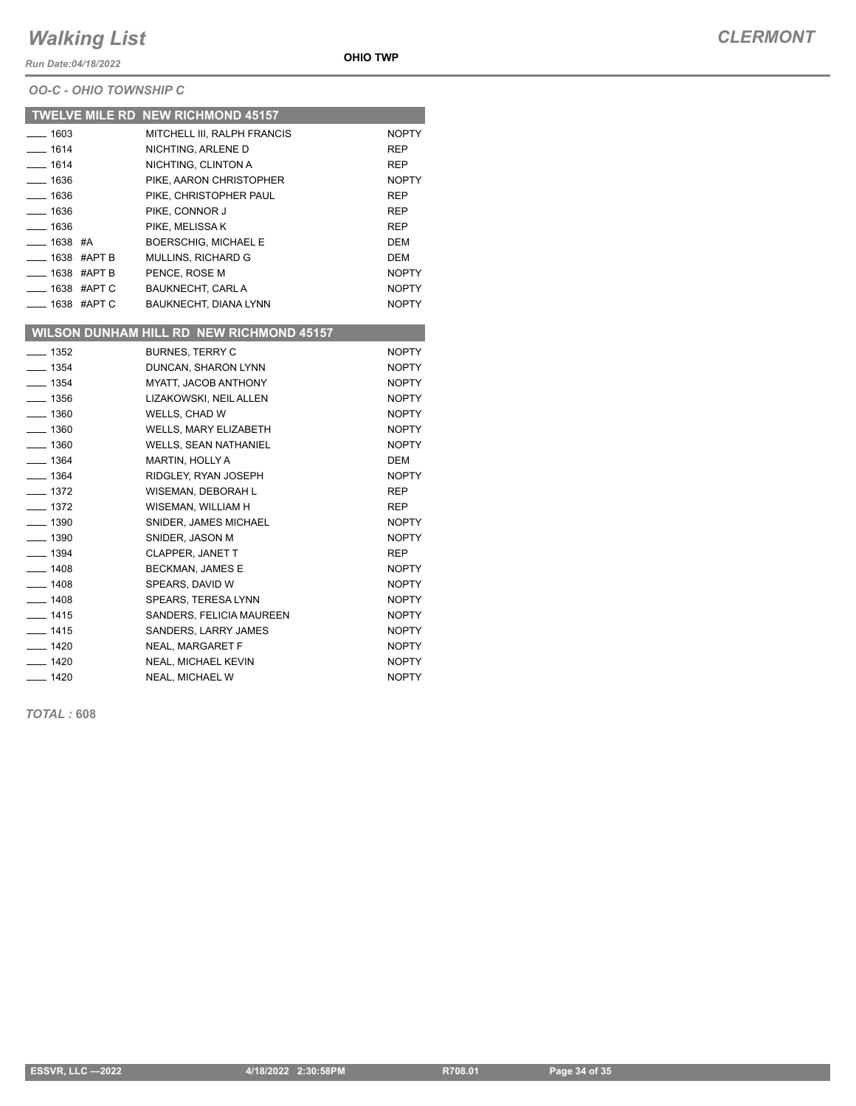*Run Date:04/18/2022*

#### *OO-C - OHIO TOWNSHIP C*

|                         | <b>TWELVE MILE RD NEW RICHMOND 45157</b>        |              |
|-------------------------|-------------------------------------------------|--------------|
| $-1603$                 | MITCHELL III, RALPH FRANCIS                     | <b>NOPTY</b> |
| $- 1614$                | NICHTING, ARLENE D                              | <b>REP</b>   |
| $- 1614$                | NICHTING, CLINTON A                             | REP          |
| $- 1636$                | PIKE, AARON CHRISTOPHER                         | <b>NOPTY</b> |
| $- 1636$                | PIKE. CHRISTOPHER PAUL                          | REP          |
| $- 1636$                | PIKE, CONNOR J                                  | <b>REP</b>   |
| $- 1636$                | PIKE, MELISSA K                                 | <b>REP</b>   |
| $-$ 1638 #A             | <b>BOERSCHIG, MICHAEL E</b>                     | <b>DEM</b>   |
| $\equiv$ 1638 #APT B    | MULLINS, RICHARD G                              | <b>DEM</b>   |
| $\equiv$ 1638 #APT B    | PENCE, ROSE M                                   | <b>NOPTY</b> |
| ____ 1638 #APT C        | <b>BAUKNECHT, CARL A</b>                        | <b>NOPTY</b> |
| <b>____ 1638 #APT C</b> | BAUKNECHT, DIANA LYNN                           | <b>NOPTY</b> |
|                         | <b>WILSON DUNHAM HILL RD NEW RICHMOND 45157</b> |              |
| $\frac{1}{2}$ 1352      | <b>BURNES, TERRY C</b>                          | <b>NOPTY</b> |
| $- 1354$                | DUNCAN, SHARON LYNN                             | <b>NOPTY</b> |
| $- 1354$                | MYATT, JACOB ANTHONY                            | <b>NOPTY</b> |
| $- 1356$                | LIZAKOWSKI, NEIL ALLEN                          | <b>NOPTY</b> |
| $- 1360$                | WELLS, CHAD W                                   | <b>NOPTY</b> |
| $- 1360$                | <b>WELLS, MARY ELIZABETH</b>                    | <b>NOPTY</b> |
| $- 1360$                | <b>WELLS, SEAN NATHANIEL</b>                    | <b>NOPTY</b> |
| $- 1364$                | <b>MARTIN, HOLLY A</b>                          | <b>DEM</b>   |
| $- 1364$                | RIDGLEY, RYAN JOSEPH                            | <b>NOPTY</b> |
| $- 1372$                | WISEMAN, DEBORAH L                              | <b>REP</b>   |
| $- 1372$                | WISEMAN, WILLIAM H                              | <b>REP</b>   |
| $\frac{1}{2}$ 1390      | SNIDER, JAMES MICHAEL                           | <b>NOPTY</b> |
| $\frac{1}{2}$ 1390      | SNIDER, JASON M                                 | <b>NOPTY</b> |
| $\frac{1}{2}$ 1394      | <b>CLAPPER, JANET T</b>                         | <b>REP</b>   |
| $- 1408$                | <b>BECKMAN, JAMES E</b>                         | <b>NOPTY</b> |
| $- 1408$                | SPEARS, DAVID W                                 | <b>NOPTY</b> |
| $- 1408$                | SPEARS, TERESA LYNN                             | <b>NOPTY</b> |
| $- 1415$                | SANDERS, FELICIA MAUREEN                        | <b>NOPTY</b> |
| $- 1415$                | SANDERS, LARRY JAMES                            | <b>NOPTY</b> |
| $- 1420$                | NEAL, MARGARET F                                | <b>NOPTY</b> |
| $- 1420$                | <b>NEAL, MICHAEL KEVIN</b>                      | <b>NOPTY</b> |
| $- 1420$                | NEAL, MICHAEL W                                 | <b>NOPTY</b> |

*TOTAL :* **608**